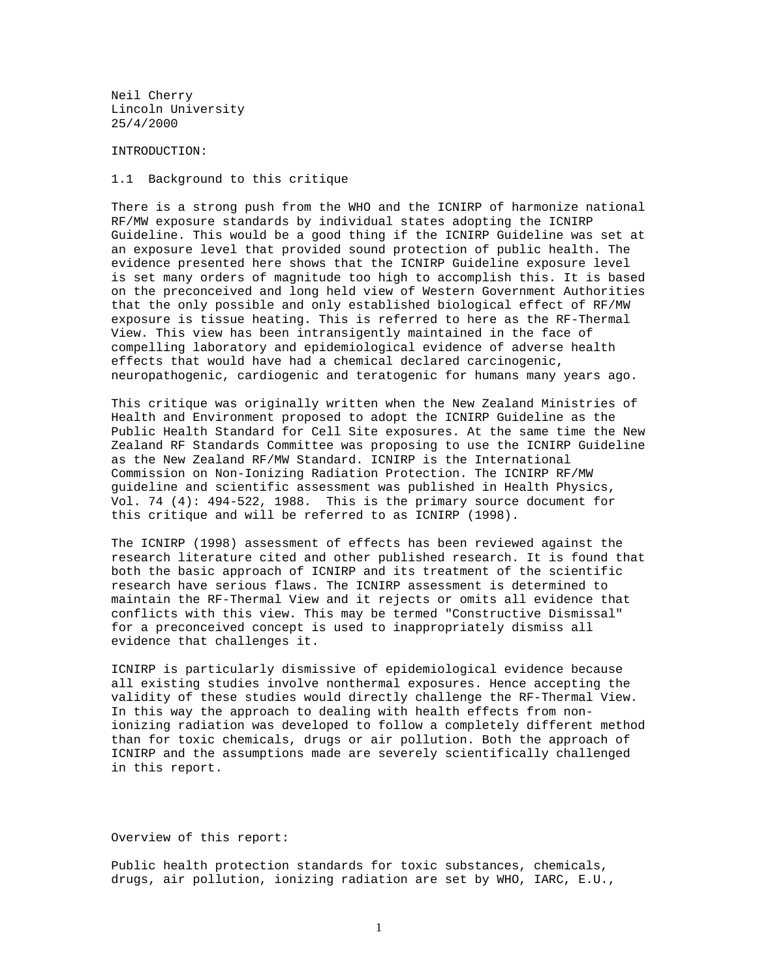Neil Cherry Lincoln University 25/4/2000

# INTRODUCTION:

1.1 Background to this critique

There is a strong push from the WHO and the ICNIRP of harmonize national RF/MW exposure standards by individual states adopting the ICNIRP Guideline. This would be a good thing if the ICNIRP Guideline was set at an exposure level that provided sound protection of public health. The evidence presented here shows that the ICNIRP Guideline exposure level is set many orders of magnitude too high to accomplish this. It is based on the preconceived and long held view of Western Government Authorities that the only possible and only established biological effect of RF/MW exposure is tissue heating. This is referred to here as the RF-Thermal View. This view has been intransigently maintained in the face of compelling laboratory and epidemiological evidence of adverse health effects that would have had a chemical declared carcinogenic, neuropathogenic, cardiogenic and teratogenic for humans many years ago.

This critique was originally written when the New Zealand Ministries of Health and Environment proposed to adopt the ICNIRP Guideline as the Public Health Standard for Cell Site exposures. At the same time the New Zealand RF Standards Committee was proposing to use the ICNIRP Guideline as the New Zealand RF/MW Standard. ICNIRP is the International Commission on Non-Ionizing Radiation Protection. The ICNIRP RF/MW guideline and scientific assessment was published in Health Physics, Vol. 74 (4): 494-522, 1988. This is the primary source document for this critique and will be referred to as ICNIRP (1998).

The ICNIRP (1998) assessment of effects has been reviewed against the research literature cited and other published research. It is found that both the basic approach of ICNIRP and its treatment of the scientific research have serious flaws. The ICNIRP assessment is determined to maintain the RF-Thermal View and it rejects or omits all evidence that conflicts with this view. This may be termed "Constructive Dismissal" for a preconceived concept is used to inappropriately dismiss all evidence that challenges it.

ICNIRP is particularly dismissive of epidemiological evidence because all existing studies involve nonthermal exposures. Hence accepting the validity of these studies would directly challenge the RF-Thermal View. In this way the approach to dealing with health effects from nonionizing radiation was developed to follow a completely different method than for toxic chemicals, drugs or air pollution. Both the approach of ICNIRP and the assumptions made are severely scientifically challenged in this report.

### Overview of this report:

Public health protection standards for toxic substances, chemicals, drugs, air pollution, ionizing radiation are set by WHO, IARC, E.U.,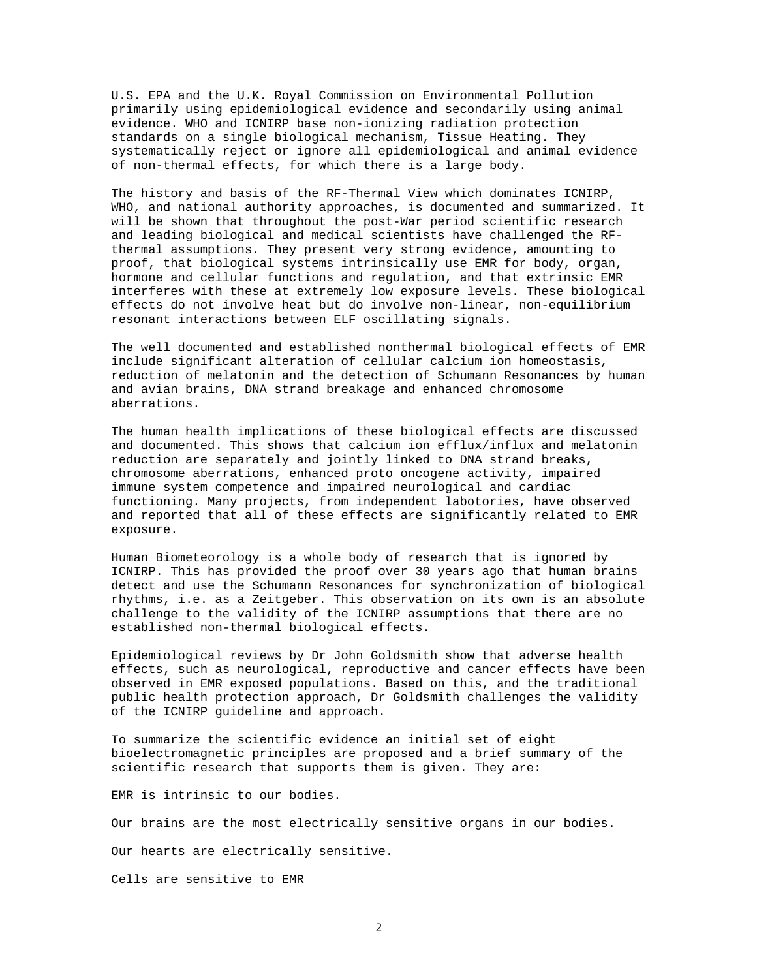U.S. EPA and the U.K. Royal Commission on Environmental Pollution primarily using epidemiological evidence and secondarily using animal evidence. WHO and ICNIRP base non-ionizing radiation protection standards on a single biological mechanism, Tissue Heating. They systematically reject or ignore all epidemiological and animal evidence of non-thermal effects, for which there is a large body.

The history and basis of the RF-Thermal View which dominates ICNIRP, WHO, and national authority approaches, is documented and summarized. It will be shown that throughout the post-War period scientific research and leading biological and medical scientists have challenged the RFthermal assumptions. They present very strong evidence, amounting to proof, that biological systems intrinsically use EMR for body, organ, hormone and cellular functions and regulation, and that extrinsic EMR interferes with these at extremely low exposure levels. These biological effects do not involve heat but do involve non-linear, non-equilibrium resonant interactions between ELF oscillating signals.

The well documented and established nonthermal biological effects of EMR include significant alteration of cellular calcium ion homeostasis, reduction of melatonin and the detection of Schumann Resonances by human and avian brains, DNA strand breakage and enhanced chromosome aberrations.

The human health implications of these biological effects are discussed and documented. This shows that calcium ion efflux/influx and melatonin reduction are separately and jointly linked to DNA strand breaks, chromosome aberrations, enhanced proto oncogene activity, impaired immune system competence and impaired neurological and cardiac functioning. Many projects, from independent labotories, have observed and reported that all of these effects are significantly related to EMR exposure.

Human Biometeorology is a whole body of research that is ignored by ICNIRP. This has provided the proof over 30 years ago that human brains detect and use the Schumann Resonances for synchronization of biological rhythms, i.e. as a Zeitgeber. This observation on its own is an absolute challenge to the validity of the ICNIRP assumptions that there are no established non-thermal biological effects.

Epidemiological reviews by Dr John Goldsmith show that adverse health effects, such as neurological, reproductive and cancer effects have been observed in EMR exposed populations. Based on this, and the traditional public health protection approach, Dr Goldsmith challenges the validity of the ICNIRP guideline and approach.

To summarize the scientific evidence an initial set of eight bioelectromagnetic principles are proposed and a brief summary of the scientific research that supports them is given. They are:

EMR is intrinsic to our bodies.

Our brains are the most electrically sensitive organs in our bodies.

Our hearts are electrically sensitive.

Cells are sensitive to EMR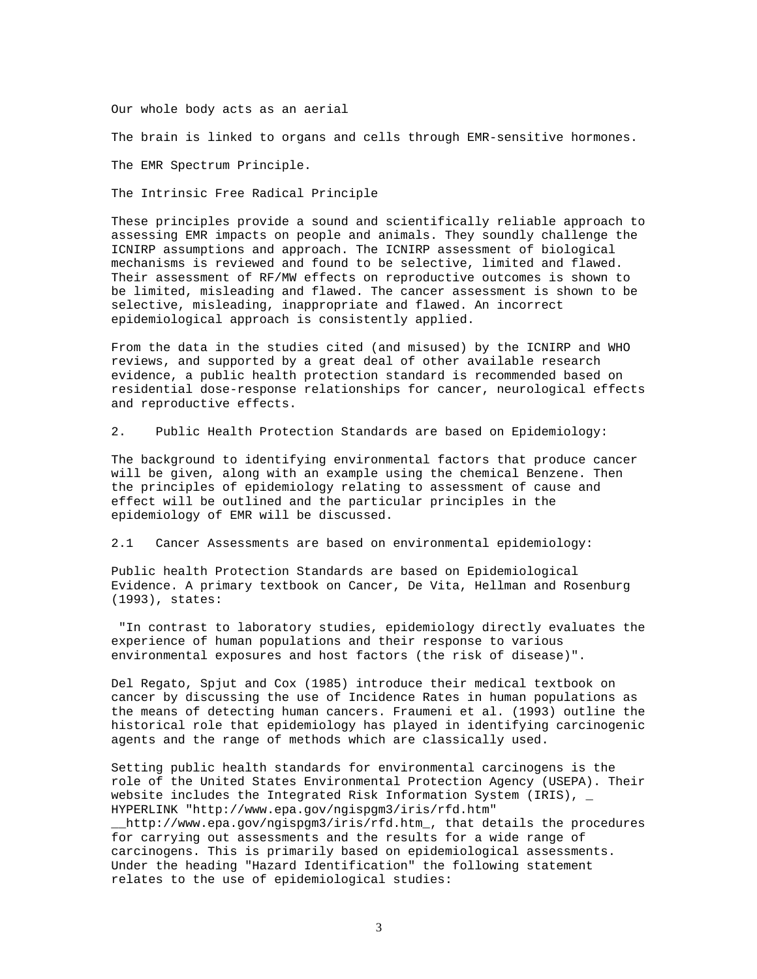Our whole body acts as an aerial

The brain is linked to organs and cells through EMR-sensitive hormones.

The EMR Spectrum Principle.

The Intrinsic Free Radical Principle

These principles provide a sound and scientifically reliable approach to assessing EMR impacts on people and animals. They soundly challenge the ICNIRP assumptions and approach. The ICNIRP assessment of biological mechanisms is reviewed and found to be selective, limited and flawed. Their assessment of RF/MW effects on reproductive outcomes is shown to be limited, misleading and flawed. The cancer assessment is shown to be selective, misleading, inappropriate and flawed. An incorrect epidemiological approach is consistently applied.

From the data in the studies cited (and misused) by the ICNIRP and WHO reviews, and supported by a great deal of other available research evidence, a public health protection standard is recommended based on residential dose-response relationships for cancer, neurological effects and reproductive effects.

2. Public Health Protection Standards are based on Epidemiology:

The background to identifying environmental factors that produce cancer will be given, along with an example using the chemical Benzene. Then the principles of epidemiology relating to assessment of cause and effect will be outlined and the particular principles in the epidemiology of EMR will be discussed.

2.1 Cancer Assessments are based on environmental epidemiology:

Public health Protection Standards are based on Epidemiological Evidence. A primary textbook on Cancer, De Vita, Hellman and Rosenburg (1993), states:

"In contrast to laboratory studies, epidemiology directly evaluates the experience of human populations and their response to various environmental exposures and host factors (the risk of disease)".

Del Regato, Spjut and Cox (1985) introduce their medical textbook on cancer by discussing the use of Incidence Rates in human populations as the means of detecting human cancers. Fraumeni et al. (1993) outline the historical role that epidemiology has played in identifying carcinogenic agents and the range of methods which are classically used.

Setting public health standards for environmental carcinogens is the role of the United States Environmental Protection Agency (USEPA). Their website includes the Integrated Risk Information System (IRIS),  $_{-}$ HYPERLINK "http://www.epa.gov/ngispgm3/iris/rfd.htm"

\_\_http://www.epa.gov/ngispgm3/iris/rfd.htm\_, that details the procedures for carrying out assessments and the results for a wide range of carcinogens. This is primarily based on epidemiological assessments. Under the heading "Hazard Identification" the following statement relates to the use of epidemiological studies: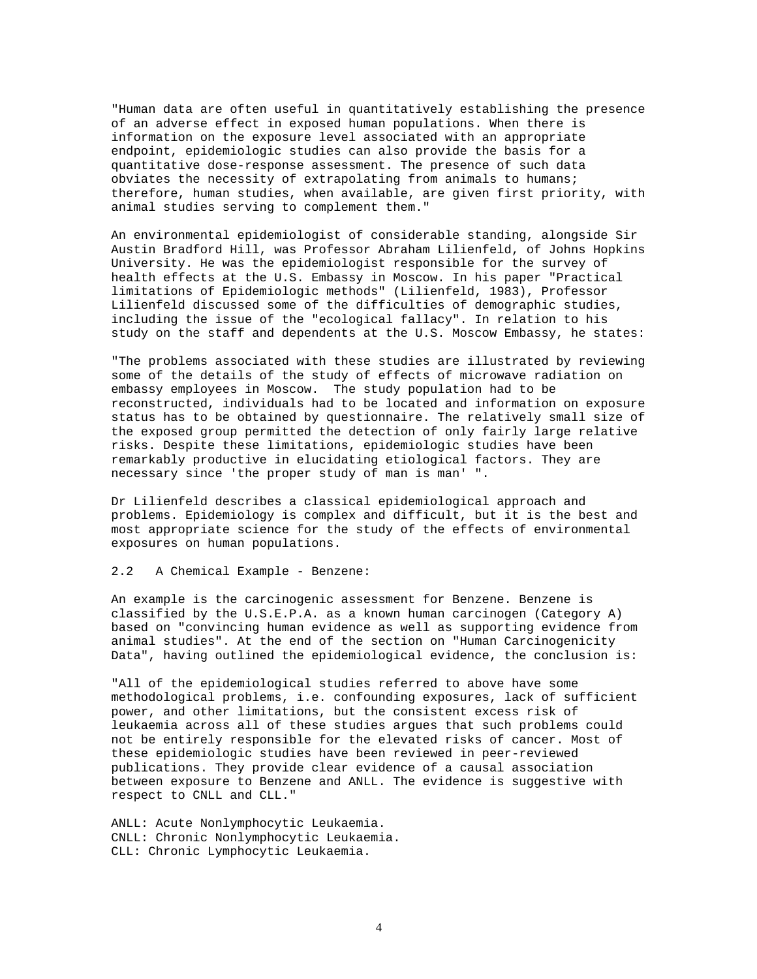"Human data are often useful in quantitatively establishing the presence of an adverse effect in exposed human populations. When there is information on the exposure level associated with an appropriate endpoint, epidemiologic studies can also provide the basis for a quantitative dose-response assessment. The presence of such data obviates the necessity of extrapolating from animals to humans; therefore, human studies, when available, are given first priority, with animal studies serving to complement them."

An environmental epidemiologist of considerable standing, alongside Sir Austin Bradford Hill, was Professor Abraham Lilienfeld, of Johns Hopkins University. He was the epidemiologist responsible for the survey of health effects at the U.S. Embassy in Moscow. In his paper "Practical limitations of Epidemiologic methods" (Lilienfeld, 1983), Professor Lilienfeld discussed some of the difficulties of demographic studies, including the issue of the "ecological fallacy". In relation to his study on the staff and dependents at the U.S. Moscow Embassy, he states:

"The problems associated with these studies are illustrated by reviewing some of the details of the study of effects of microwave radiation on embassy employees in Moscow. The study population had to be reconstructed, individuals had to be located and information on exposure status has to be obtained by questionnaire. The relatively small size of the exposed group permitted the detection of only fairly large relative risks. Despite these limitations, epidemiologic studies have been remarkably productive in elucidating etiological factors. They are necessary since 'the proper study of man is man' ".

Dr Lilienfeld describes a classical epidemiological approach and problems. Epidemiology is complex and difficult, but it is the best and most appropriate science for the study of the effects of environmental exposures on human populations.

# 2.2 A Chemical Example - Benzene:

An example is the carcinogenic assessment for Benzene. Benzene is classified by the  $U.S.E.P.A.$  as a known human carcinogen (Category A) based on "convincing human evidence as well as supporting evidence from animal studies". At the end of the section on "Human Carcinogenicity Data", having outlined the epidemiological evidence, the conclusion is:

"All of the epidemiological studies referred to above have some methodological problems, i.e. confounding exposures, lack of sufficient power, and other limitations, but the consistent excess risk of leukaemia across all of these studies argues that such problems could not be entirely responsible for the elevated risks of cancer. Most of these epidemiologic studies have been reviewed in peer-reviewed publications. They provide clear evidence of a causal association between exposure to Benzene and ANLL. The evidence is suggestive with respect to CNLL and CLL."

ANLL: Acute Nonlymphocytic Leukaemia. CNLL: Chronic Nonlymphocytic Leukaemia. CLL: Chronic Lymphocytic Leukaemia.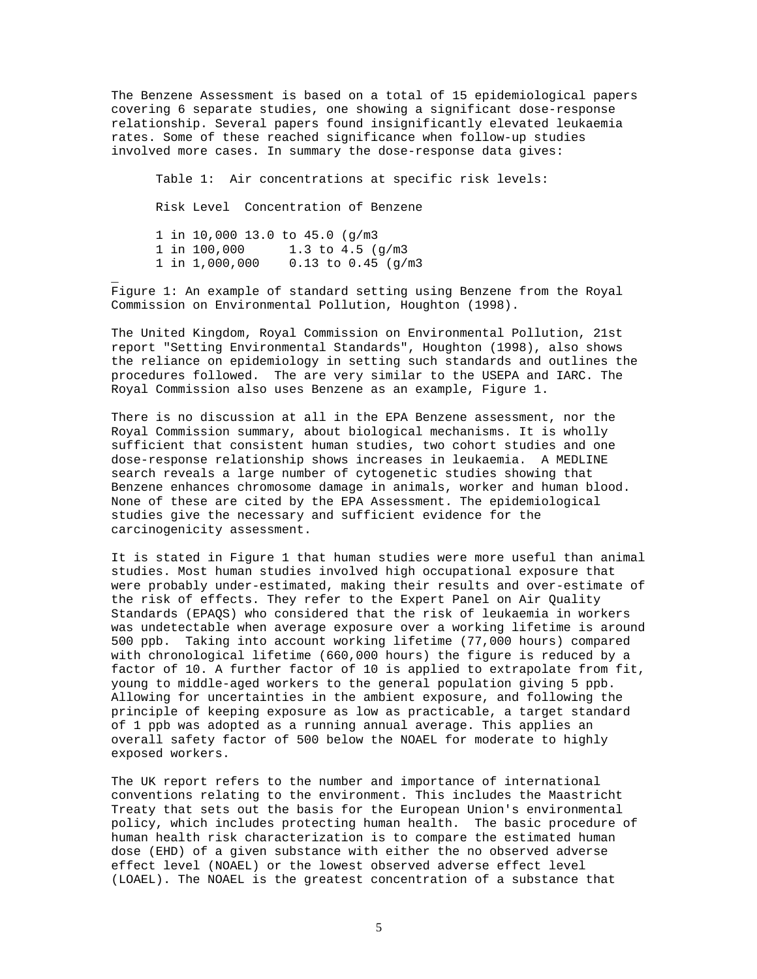The Benzene Assessment is based on a total of 15 epidemiological papers covering 6 separate studies, one showing a significant dose-response relationship. Several papers found insignificantly elevated leukaemia rates. Some of these reached significance when follow-up studies involved more cases. In summary the dose-response data gives:

Table 1: Air concentrations at specific risk levels: Risk Level Concentration of Benzene 1 in 10,000 13.0 to 45.0 (g/m3 1 in 100,000 1.3 to 4.5 (g/m3 1 in 1,000,000 0.13 to 0.45 (g/m3

\_

Figure 1: An example of standard setting using Benzene from the Royal Commission on Environmental Pollution, Houghton (1998).

The United Kingdom, Royal Commission on Environmental Pollution, 21st report "Setting Environmental Standards", Houghton (1998), also shows the reliance on epidemiology in setting such standards and outlines the procedures followed. The are very similar to the USEPA and IARC. The Royal Commission also uses Benzene as an example, Figure 1.

There is no discussion at all in the EPA Benzene assessment, nor the Royal Commission summary, about biological mechanisms. It is wholly sufficient that consistent human studies, two cohort studies and one dose-response relationship shows increases in leukaemia. A MEDLINE search reveals a large number of cytogenetic studies showing that Benzene enhances chromosome damage in animals, worker and human blood. None of these are cited by the EPA Assessment. The epidemiological studies give the necessary and sufficient evidence for the carcinogenicity assessment.

It is stated in Figure 1 that human studies were more useful than animal studies. Most human studies involved high occupational exposure that were probably under-estimated, making their results and over-estimate of the risk of effects. They refer to the Expert Panel on Air Quality Standards (EPAQS) who considered that the risk of leukaemia in workers was undetectable when average exposure over a working lifetime is around 500 ppb. Taking into account working lifetime (77,000 hours) compared with chronological lifetime (660,000 hours) the figure is reduced by a factor of 10. A further factor of 10 is applied to extrapolate from fit, young to middle-aged workers to the general population giving 5 ppb. Allowing for uncertainties in the ambient exposure, and following the principle of keeping exposure as low as practicable, a target standard of 1 ppb was adopted as a running annual average. This applies an overall safety factor of 500 below the NOAEL for moderate to highly exposed workers.

The UK report refers to the number and importance of international conventions relating to the environment. This includes the Maastricht Treaty that sets out the basis for the European Union's environmental policy, which includes protecting human health. The basic procedure of human health risk characterization is to compare the estimated human dose (EHD) of a given substance with either the no observed adverse effect level (NOAEL) or the lowest observed adverse effect level (LOAEL). The NOAEL is the greatest concentration of a substance that

5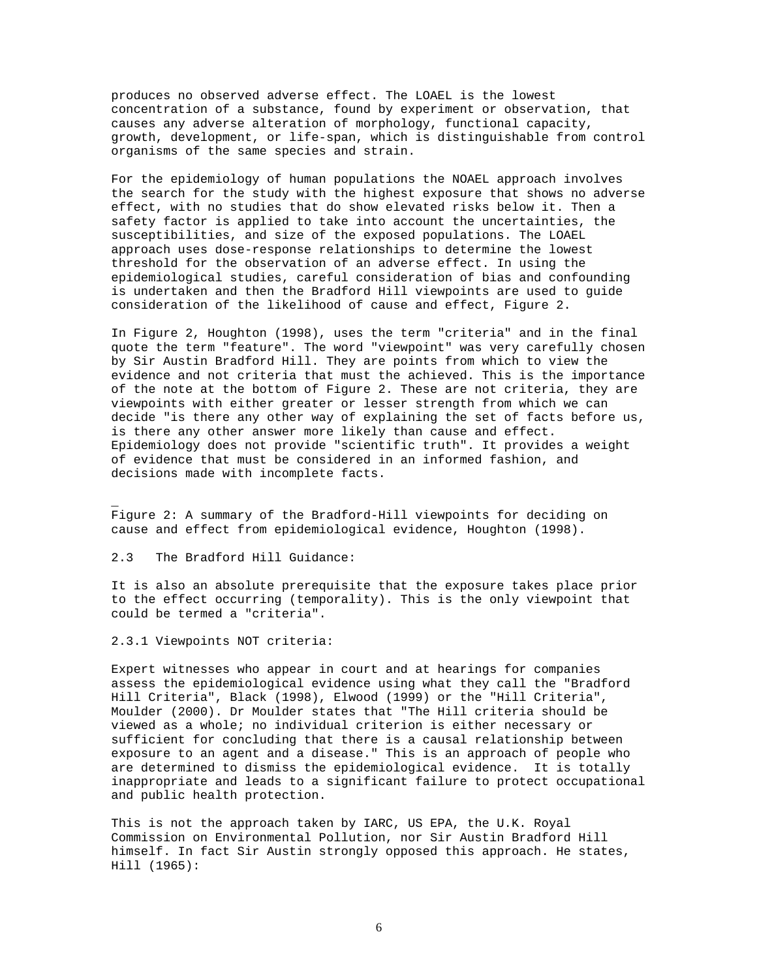produces no observed adverse effect. The LOAEL is the lowest concentration of a substance, found by experiment or observation, that causes any adverse alteration of morphology, functional capacity, growth, development, or life-span, which is distinguishable from control organisms of the same species and strain.

For the epidemiology of human populations the NOAEL approach involves the search for the study with the highest exposure that shows no adverse effect, with no studies that do show elevated risks below it. Then a safety factor is applied to take into account the uncertainties, the susceptibilities, and size of the exposed populations. The LOAEL approach uses dose-response relationships to determine the lowest threshold for the observation of an adverse effect. In using the epidemiological studies, careful consideration of bias and confounding is undertaken and then the Bradford Hill viewpoints are used to guide consideration of the likelihood of cause and effect, Figure 2.

In Figure 2, Houghton (1998), uses the term "criteria" and in the final quote the term "feature". The word "viewpoint" was very carefully chosen by Sir Austin Bradford Hill. They are points from which to view the evidence and not criteria that must the achieved. This is the importance of the note at the bottom of Figure 2. These are not criteria, they are viewpoints with either greater or lesser strength from which we can decide "is there any other way of explaining the set of facts before us, is there any other answer more likely than cause and effect. Epidemiology does not provide "scientific truth". It provides a weight of evidence that must be considered in an informed fashion, and decisions made with incomplete facts.

Figure 2: A summary of the Bradford-Hill viewpoints for deciding on cause and effect from epidemiological evidence, Houghton (1998).

2.3 The Bradford Hill Guidance:

\_

It is also an absolute prerequisite that the exposure takes place prior to the effect occurring (temporality). This is the only viewpoint that could be termed a "criteria".

2.3.1 Viewpoints NOT criteria:

Expert witnesses who appear in court and at hearings for companies assess the epidemiological evidence using what they call the "Bradford Hill Criteria", Black (1998), Elwood (1999) or the "Hill Criteria", Moulder (2000). Dr Moulder states that "The Hill criteria should be viewed as a whole; no individual criterion is either necessary or sufficient for concluding that there is a causal relationship between exposure to an agent and a disease." This is an approach of people who are determined to dismiss the epidemiological evidence. It is totally inappropriate and leads to a significant failure to protect occupational and public health protection.

This is not the approach taken by IARC, US EPA, the U.K. Royal Commission on Environmental Pollution, nor Sir Austin Bradford Hill himself. In fact Sir Austin strongly opposed this approach. He states, Hill (1965):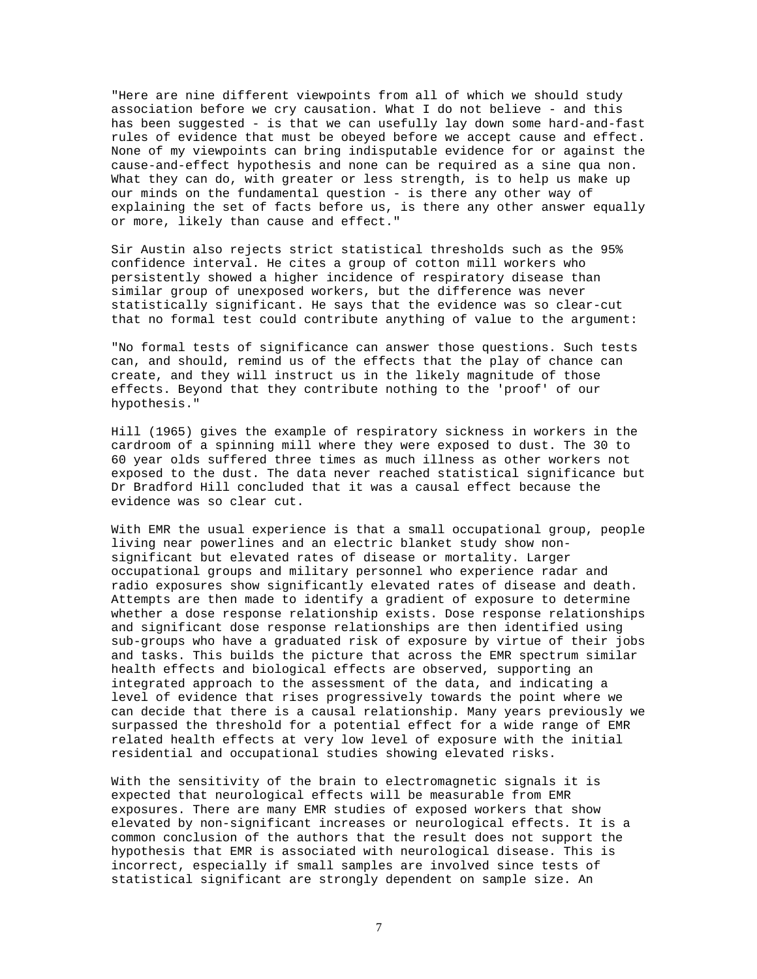"Here are nine different viewpoints from all of which we should study association before we cry causation. What I do not believe - and this has been suggested - is that we can usefully lay down some hard-and-fast rules of evidence that must be obeyed before we accept cause and effect. None of my viewpoints can bring indisputable evidence for or against the cause-and-effect hypothesis and none can be required as a sine qua non. What they can do, with greater or less strength, is to help us make up our minds on the fundamental question - is there any other way of explaining the set of facts before us, is there any other answer equally or more, likely than cause and effect."

Sir Austin also rejects strict statistical thresholds such as the 95% confidence interval. He cites a group of cotton mill workers who persistently showed a higher incidence of respiratory disease than similar group of unexposed workers, but the difference was never statistically significant. He says that the evidence was so clear-cut that no formal test could contribute anything of value to the argument:

"No formal tests of significance can answer those questions. Such tests can, and should, remind us of the effects that the play of chance can create, and they will instruct us in the likely magnitude of those effects. Beyond that they contribute nothing to the 'proof' of our hypothesis."

Hill (1965) gives the example of respiratory sickness in workers in the cardroom of a spinning mill where they were exposed to dust. The 30 to 60 year olds suffered three times as much illness as other workers not exposed to the dust. The data never reached statistical significance but Dr Bradford Hill concluded that it was a causal effect because the evidence was so clear cut.

With EMR the usual experience is that a small occupational group, people living near powerlines and an electric blanket study show nonsignificant but elevated rates of disease or mortality. Larger occupational groups and military personnel who experience radar and radio exposures show significantly elevated rates of disease and death. Attempts are then made to identify a gradient of exposure to determine whether a dose response relationship exists. Dose response relationships and significant dose response relationships are then identified using sub-groups who have a graduated risk of exposure by virtue of their jobs and tasks. This builds the picture that across the EMR spectrum similar health effects and biological effects are observed, supporting an integrated approach to the assessment of the data, and indicating a level of evidence that rises progressively towards the point where we can decide that there is a causal relationship. Many years previously we surpassed the threshold for a potential effect for a wide range of EMR related health effects at very low level of exposure with the initial residential and occupational studies showing elevated risks.

With the sensitivity of the brain to electromagnetic signals it is expected that neurological effects will be measurable from EMR exposures. There are many EMR studies of exposed workers that show elevated by non-significant increases or neurological effects. It is a common conclusion of the authors that the result does not support the hypothesis that EMR is associated with neurological disease. This is incorrect, especially if small samples are involved since tests of statistical significant are strongly dependent on sample size. An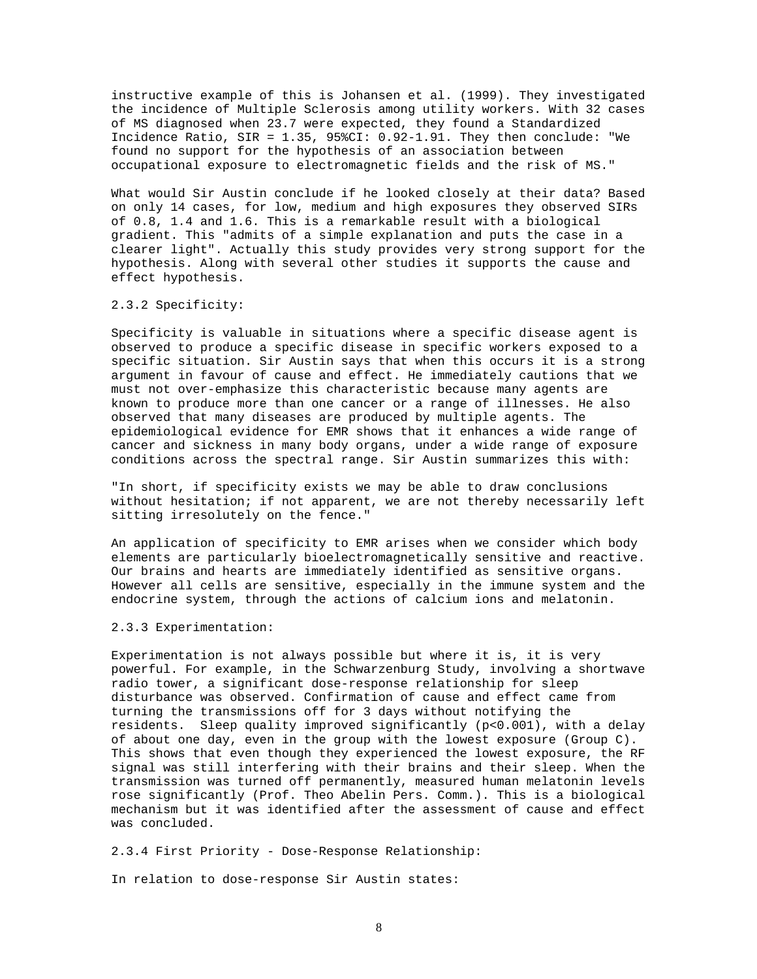instructive example of this is Johansen et al. (1999). They investigated the incidence of Multiple Sclerosis among utility workers. With 32 cases of MS diagnosed when 23.7 were expected, they found a Standardized Incidence Ratio, SIR = 1.35, 95%CI: 0.92-1.91. They then conclude: "We found no support for the hypothesis of an association between occupational exposure to electromagnetic fields and the risk of MS."

What would Sir Austin conclude if he looked closely at their data? Based on only 14 cases, for low, medium and high exposures they observed SIRs of 0.8, 1.4 and 1.6. This is a remarkable result with a biological gradient. This "admits of a simple explanation and puts the case in a clearer light". Actually this study provides very strong support for the hypothesis. Along with several other studies it supports the cause and effect hypothesis.

### 2.3.2 Specificity:

Specificity is valuable in situations where a specific disease agent is observed to produce a specific disease in specific workers exposed to a specific situation. Sir Austin says that when this occurs it is a strong argument in favour of cause and effect. He immediately cautions that we must not over-emphasize this characteristic because many agents are known to produce more than one cancer or a range of illnesses. He also observed that many diseases are produced by multiple agents. The epidemiological evidence for EMR shows that it enhances a wide range of cancer and sickness in many body organs, under a wide range of exposure conditions across the spectral range. Sir Austin summarizes this with:

"In short, if specificity exists we may be able to draw conclusions without hesitation; if not apparent, we are not thereby necessarily left sitting irresolutely on the fence."

An application of specificity to EMR arises when we consider which body elements are particularly bioelectromagnetically sensitive and reactive. Our brains and hearts are immediately identified as sensitive organs. However all cells are sensitive, especially in the immune system and the endocrine system, through the actions of calcium ions and melatonin.

### 2.3.3 Experimentation:

Experimentation is not always possible but where it is, it is very powerful. For example, in the Schwarzenburg Study, involving a shortwave radio tower, a significant dose-response relationship for sleep disturbance was observed. Confirmation of cause and effect came from turning the transmissions off for 3 days without notifying the residents. Sleep quality improved significantly (p<0.001), with a delay of about one day, even in the group with the lowest exposure (Group C). This shows that even though they experienced the lowest exposure, the RF signal was still interfering with their brains and their sleep. When the transmission was turned off permanently, measured human melatonin levels rose significantly (Prof. Theo Abelin Pers. Comm.). This is a biological mechanism but it was identified after the assessment of cause and effect was concluded.

2.3.4 First Priority - Dose-Response Relationship:

In relation to dose-response Sir Austin states: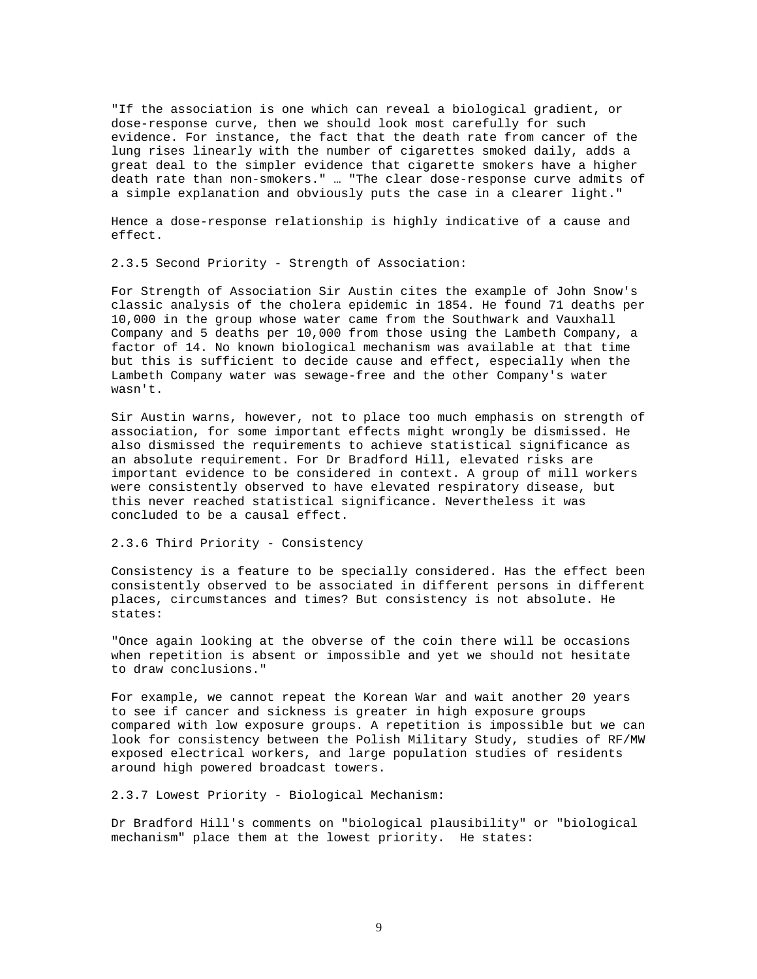"If the association is one which can reveal a biological gradient, or dose-response curve, then we should look most carefully for such evidence. For instance, the fact that the death rate from cancer of the lung rises linearly with the number of cigarettes smoked daily, adds a great deal to the simpler evidence that cigarette smokers have a higher death rate than non-smokers." … "The clear dose-response curve admits of a simple explanation and obviously puts the case in a clearer light."

Hence a dose-response relationship is highly indicative of a cause and effect.

2.3.5 Second Priority - Strength of Association:

For Strength of Association Sir Austin cites the example of John Snow's classic analysis of the cholera epidemic in 1854. He found 71 deaths per 10,000 in the group whose water came from the Southwark and Vauxhall Company and 5 deaths per 10,000 from those using the Lambeth Company, a factor of 14. No known biological mechanism was available at that time but this is sufficient to decide cause and effect, especially when the Lambeth Company water was sewage-free and the other Company's water wasn't.

Sir Austin warns, however, not to place too much emphasis on strength of association, for some important effects might wrongly be dismissed. He also dismissed the requirements to achieve statistical significance as an absolute requirement. For Dr Bradford Hill, elevated risks are important evidence to be considered in context. A group of mill workers were consistently observed to have elevated respiratory disease, but this never reached statistical significance. Nevertheless it was concluded to be a causal effect.

2.3.6 Third Priority - Consistency

Consistency is a feature to be specially considered. Has the effect been consistently observed to be associated in different persons in different places, circumstances and times? But consistency is not absolute. He states:

"Once again looking at the obverse of the coin there will be occasions when repetition is absent or impossible and yet we should not hesitate to draw conclusions."

For example, we cannot repeat the Korean War and wait another 20 years to see if cancer and sickness is greater in high exposure groups compared with low exposure groups. A repetition is impossible but we can look for consistency between the Polish Military Study, studies of RF/MW exposed electrical workers, and large population studies of residents around high powered broadcast towers.

2.3.7 Lowest Priority - Biological Mechanism:

Dr Bradford Hill's comments on "biological plausibility" or "biological mechanism" place them at the lowest priority. He states: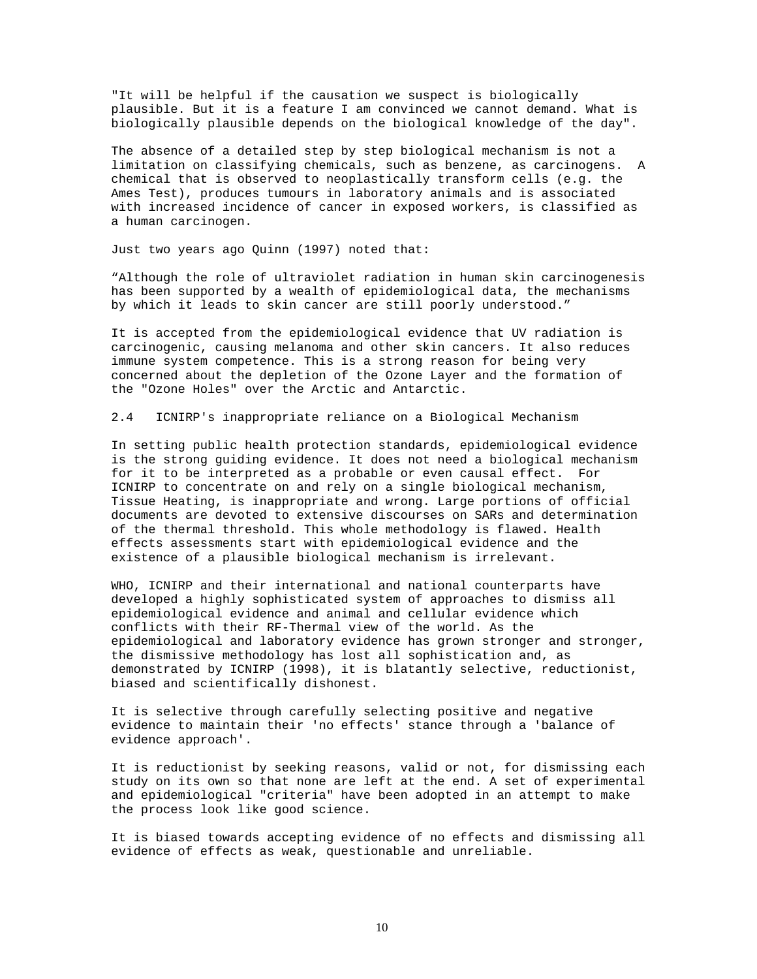"It will be helpful if the causation we suspect is biologically plausible. But it is a feature I am convinced we cannot demand. What is biologically plausible depends on the biological knowledge of the day".

The absence of a detailed step by step biological mechanism is not a limitation on classifying chemicals, such as benzene, as carcinogens. A chemical that is observed to neoplastically transform cells (e.g. the Ames Test), produces tumours in laboratory animals and is associated with increased incidence of cancer in exposed workers, is classified as a human carcinogen.

Just two years ago Quinn (1997) noted that:

"Although the role of ultraviolet radiation in human skin carcinogenesis has been supported by a wealth of epidemiological data, the mechanisms by which it leads to skin cancer are still poorly understood."

It is accepted from the epidemiological evidence that UV radiation is carcinogenic, causing melanoma and other skin cancers. It also reduces immune system competence. This is a strong reason for being very concerned about the depletion of the Ozone Layer and the formation of the "Ozone Holes" over the Arctic and Antarctic.

2.4 ICNIRP's inappropriate reliance on a Biological Mechanism

In setting public health protection standards, epidemiological evidence is the strong guiding evidence. It does not need a biological mechanism for it to be interpreted as a probable or even causal effect. For ICNIRP to concentrate on and rely on a single biological mechanism, Tissue Heating, is inappropriate and wrong. Large portions of official documents are devoted to extensive discourses on SARs and determination of the thermal threshold. This whole methodology is flawed. Health effects assessments start with epidemiological evidence and the existence of a plausible biological mechanism is irrelevant.

WHO, ICNIRP and their international and national counterparts have developed a highly sophisticated system of approaches to dismiss all epidemiological evidence and animal and cellular evidence which conflicts with their RF-Thermal view of the world. As the epidemiological and laboratory evidence has grown stronger and stronger, the dismissive methodology has lost all sophistication and, as demonstrated by ICNIRP (1998), it is blatantly selective, reductionist, biased and scientifically dishonest.

It is selective through carefully selecting positive and negative evidence to maintain their 'no effects' stance through a 'balance of evidence approach'.

It is reductionist by seeking reasons, valid or not, for dismissing each study on its own so that none are left at the end. A set of experimental and epidemiological "criteria" have been adopted in an attempt to make the process look like good science.

It is biased towards accepting evidence of no effects and dismissing all evidence of effects as weak, questionable and unreliable.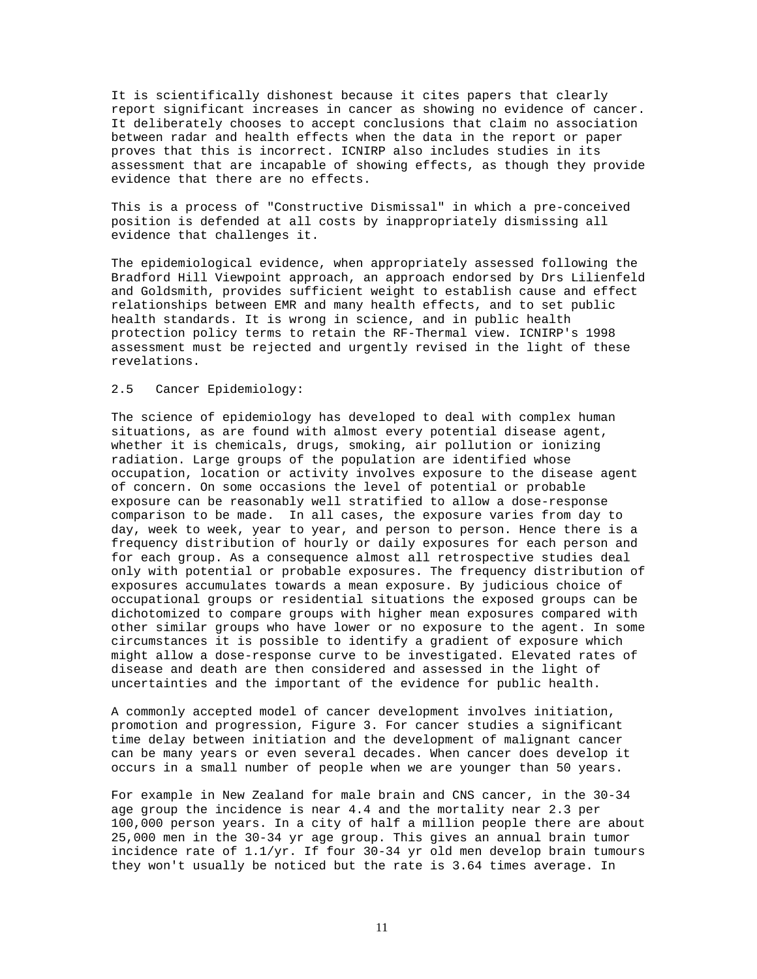It is scientifically dishonest because it cites papers that clearly report significant increases in cancer as showing no evidence of cancer. It deliberately chooses to accept conclusions that claim no association between radar and health effects when the data in the report or paper proves that this is incorrect. ICNIRP also includes studies in its assessment that are incapable of showing effects, as though they provide evidence that there are no effects.

This is a process of "Constructive Dismissal" in which a pre-conceived position is defended at all costs by inappropriately dismissing all evidence that challenges it.

The epidemiological evidence, when appropriately assessed following the Bradford Hill Viewpoint approach, an approach endorsed by Drs Lilienfeld and Goldsmith, provides sufficient weight to establish cause and effect relationships between EMR and many health effects, and to set public health standards. It is wrong in science, and in public health protection policy terms to retain the RF-Thermal view. ICNIRP's 1998 assessment must be rejected and urgently revised in the light of these revelations.

# 2.5 Cancer Epidemiology:

The science of epidemiology has developed to deal with complex human situations, as are found with almost every potential disease agent, whether it is chemicals, drugs, smoking, air pollution or ionizing radiation. Large groups of the population are identified whose occupation, location or activity involves exposure to the disease agent of concern. On some occasions the level of potential or probable exposure can be reasonably well stratified to allow a dose-response comparison to be made. In all cases, the exposure varies from day to day, week to week, year to year, and person to person. Hence there is a frequency distribution of hourly or daily exposures for each person and for each group. As a consequence almost all retrospective studies deal only with potential or probable exposures. The frequency distribution of exposures accumulates towards a mean exposure. By judicious choice of occupational groups or residential situations the exposed groups can be dichotomized to compare groups with higher mean exposures compared with other similar groups who have lower or no exposure to the agent. In some circumstances it is possible to identify a gradient of exposure which might allow a dose-response curve to be investigated. Elevated rates of disease and death are then considered and assessed in the light of uncertainties and the important of the evidence for public health.

A commonly accepted model of cancer development involves initiation, promotion and progression, Figure 3. For cancer studies a significant time delay between initiation and the development of malignant cancer can be many years or even several decades. When cancer does develop it occurs in a small number of people when we are younger than 50 years.

For example in New Zealand for male brain and CNS cancer, in the 30-34 age group the incidence is near 4.4 and the mortality near 2.3 per 100,000 person years. In a city of half a million people there are about 25,000 men in the 30-34 yr age group. This gives an annual brain tumor incidence rate of 1.1/yr. If four 30-34 yr old men develop brain tumours they won't usually be noticed but the rate is 3.64 times average. In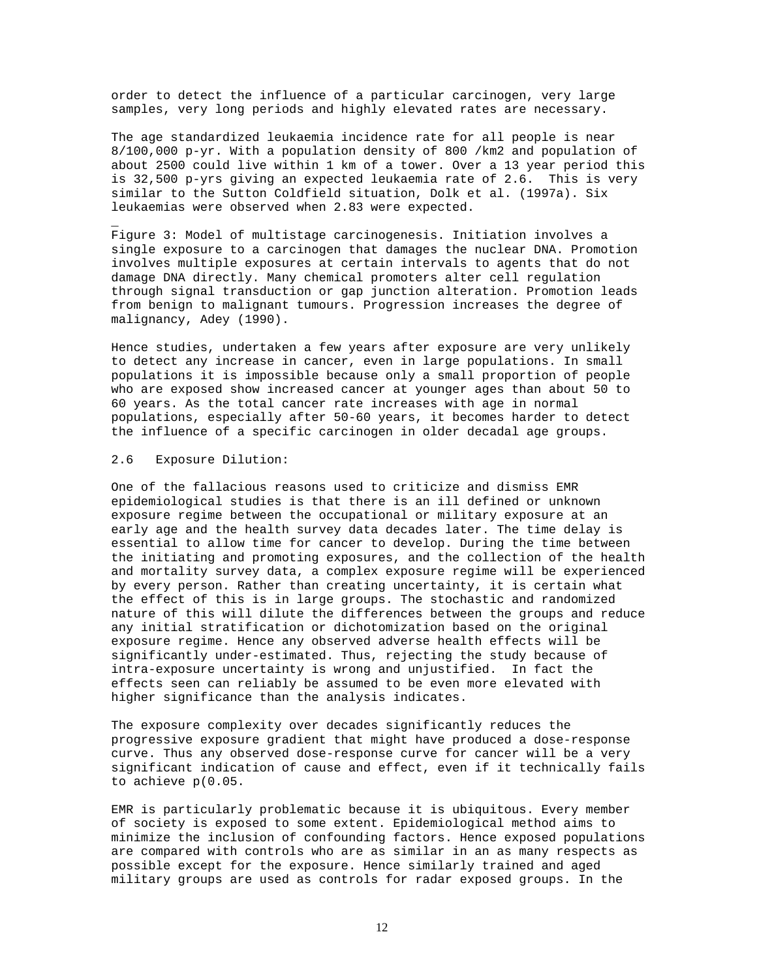order to detect the influence of a particular carcinogen, very large samples, very long periods and highly elevated rates are necessary.

The age standardized leukaemia incidence rate for all people is near 8/100,000 p-yr. With a population density of 800 /km2 and population of about 2500 could live within 1 km of a tower. Over a 13 year period this is 32,500 p-yrs giving an expected leukaemia rate of 2.6. This is very similar to the Sutton Coldfield situation, Dolk et al. (1997a). Six leukaemias were observed when 2.83 were expected.

Figure 3: Model of multistage carcinogenesis. Initiation involves a single exposure to a carcinogen that damages the nuclear DNA. Promotion involves multiple exposures at certain intervals to agents that do not damage DNA directly. Many chemical promoters alter cell regulation through signal transduction or gap junction alteration. Promotion leads from benign to malignant tumours. Progression increases the degree of malignancy, Adey (1990).

Hence studies, undertaken a few years after exposure are very unlikely to detect any increase in cancer, even in large populations. In small populations it is impossible because only a small proportion of people who are exposed show increased cancer at younger ages than about 50 to 60 years. As the total cancer rate increases with age in normal populations, especially after 50-60 years, it becomes harder to detect the influence of a specific carcinogen in older decadal age groups.

#### 2.6 Exposure Dilution:

\_

One of the fallacious reasons used to criticize and dismiss EMR epidemiological studies is that there is an ill defined or unknown exposure regime between the occupational or military exposure at an early age and the health survey data decades later. The time delay is essential to allow time for cancer to develop. During the time between the initiating and promoting exposures, and the collection of the health and mortality survey data, a complex exposure regime will be experienced by every person. Rather than creating uncertainty, it is certain what the effect of this is in large groups. The stochastic and randomized nature of this will dilute the differences between the groups and reduce any initial stratification or dichotomization based on the original exposure regime. Hence any observed adverse health effects will be significantly under-estimated. Thus, rejecting the study because of intra-exposure uncertainty is wrong and unjustified. In fact the effects seen can reliably be assumed to be even more elevated with higher significance than the analysis indicates.

The exposure complexity over decades significantly reduces the progressive exposure gradient that might have produced a dose-response curve. Thus any observed dose-response curve for cancer will be a very significant indication of cause and effect, even if it technically fails to achieve p(0.05.

EMR is particularly problematic because it is ubiquitous. Every member of society is exposed to some extent. Epidemiological method aims to minimize the inclusion of confounding factors. Hence exposed populations are compared with controls who are as similar in an as many respects as possible except for the exposure. Hence similarly trained and aged military groups are used as controls for radar exposed groups. In the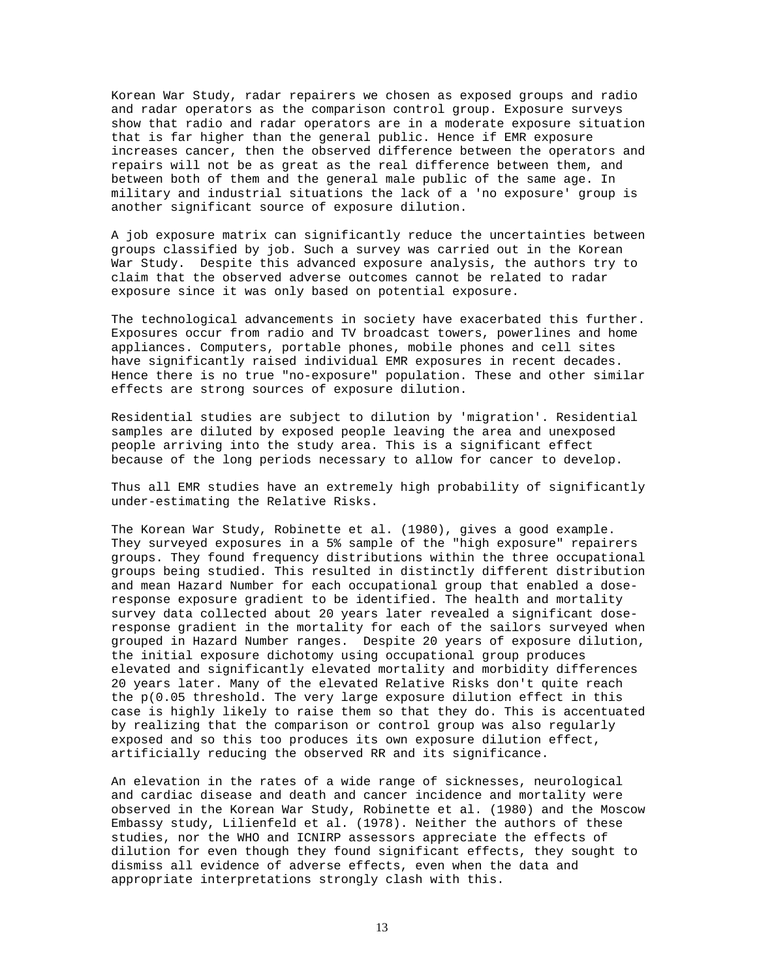Korean War Study, radar repairers we chosen as exposed groups and radio and radar operators as the comparison control group. Exposure surveys show that radio and radar operators are in a moderate exposure situation that is far higher than the general public. Hence if EMR exposure increases cancer, then the observed difference between the operators and repairs will not be as great as the real difference between them, and between both of them and the general male public of the same age. In military and industrial situations the lack of a 'no exposure' group is another significant source of exposure dilution.

A job exposure matrix can significantly reduce the uncertainties between groups classified by job. Such a survey was carried out in the Korean War Study. Despite this advanced exposure analysis, the authors try to claim that the observed adverse outcomes cannot be related to radar exposure since it was only based on potential exposure.

The technological advancements in society have exacerbated this further. Exposures occur from radio and TV broadcast towers, powerlines and home appliances. Computers, portable phones, mobile phones and cell sites have significantly raised individual EMR exposures in recent decades. Hence there is no true "no-exposure" population. These and other similar effects are strong sources of exposure dilution.

Residential studies are subject to dilution by 'migration'. Residential samples are diluted by exposed people leaving the area and unexposed people arriving into the study area. This is a significant effect because of the long periods necessary to allow for cancer to develop.

Thus all EMR studies have an extremely high probability of significantly under-estimating the Relative Risks.

The Korean War Study, Robinette et al. (1980), gives a good example. They surveyed exposures in a 5% sample of the "high exposure" repairers groups. They found frequency distributions within the three occupational groups being studied. This resulted in distinctly different distribution and mean Hazard Number for each occupational group that enabled a doseresponse exposure gradient to be identified. The health and mortality survey data collected about 20 years later revealed a significant doseresponse gradient in the mortality for each of the sailors surveyed when grouped in Hazard Number ranges. Despite 20 years of exposure dilution, the initial exposure dichotomy using occupational group produces elevated and significantly elevated mortality and morbidity differences 20 years later. Many of the elevated Relative Risks don't quite reach the p(0.05 threshold. The very large exposure dilution effect in this case is highly likely to raise them so that they do. This is accentuated by realizing that the comparison or control group was also regularly exposed and so this too produces its own exposure dilution effect, artificially reducing the observed RR and its significance.

An elevation in the rates of a wide range of sicknesses, neurological and cardiac disease and death and cancer incidence and mortality were observed in the Korean War Study, Robinette et al. (1980) and the Moscow Embassy study, Lilienfeld et al. (1978). Neither the authors of these studies, nor the WHO and ICNIRP assessors appreciate the effects of dilution for even though they found significant effects, they sought to dismiss all evidence of adverse effects, even when the data and appropriate interpretations strongly clash with this.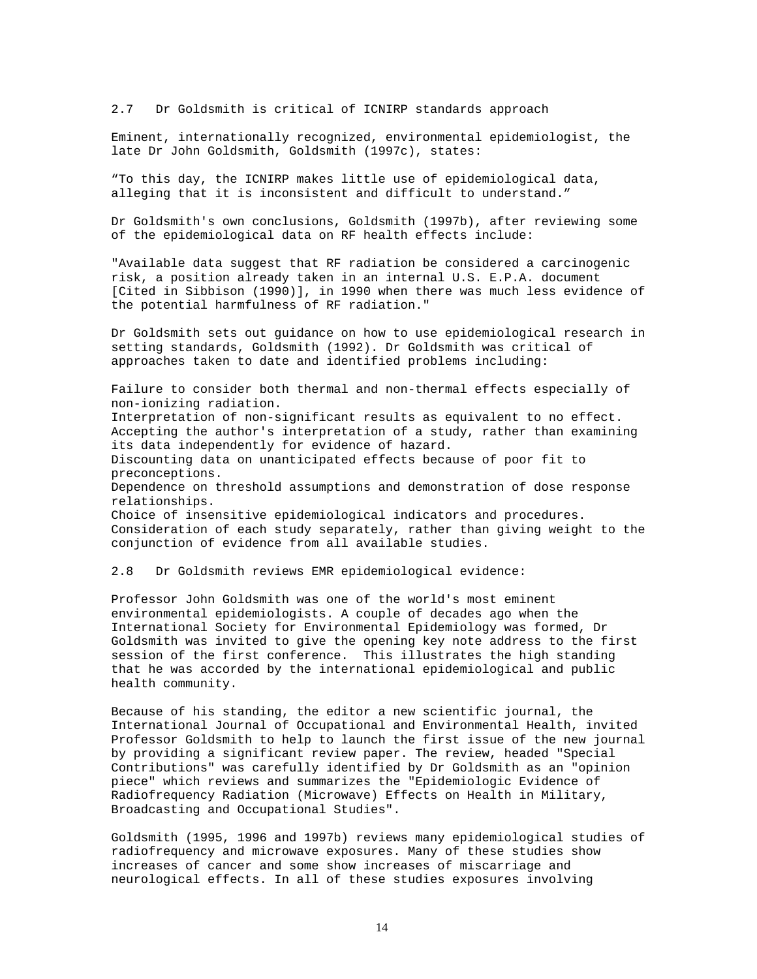2.7 Dr Goldsmith is critical of ICNIRP standards approach

Eminent, internationally recognized, environmental epidemiologist, the late Dr John Goldsmith, Goldsmith (1997c), states:

"To this day, the ICNIRP makes little use of epidemiological data, alleging that it is inconsistent and difficult to understand."

Dr Goldsmith's own conclusions, Goldsmith (1997b), after reviewing some of the epidemiological data on RF health effects include:

"Available data suggest that RF radiation be considered a carcinogenic risk, a position already taken in an internal U.S. E.P.A. document [Cited in Sibbison (1990)], in 1990 when there was much less evidence of the potential harmfulness of RF radiation."

Dr Goldsmith sets out guidance on how to use epidemiological research in setting standards, Goldsmith (1992). Dr Goldsmith was critical of approaches taken to date and identified problems including:

Failure to consider both thermal and non-thermal effects especially of non-ionizing radiation. Interpretation of non-significant results as equivalent to no effect. Accepting the author's interpretation of a study, rather than examining its data independently for evidence of hazard. Discounting data on unanticipated effects because of poor fit to preconceptions. Dependence on threshold assumptions and demonstration of dose response relationships. Choice of insensitive epidemiological indicators and procedures. Consideration of each study separately, rather than giving weight to the conjunction of evidence from all available studies.

2.8 Dr Goldsmith reviews EMR epidemiological evidence:

Professor John Goldsmith was one of the world's most eminent environmental epidemiologists. A couple of decades ago when the International Society for Environmental Epidemiology was formed, Dr Goldsmith was invited to give the opening key note address to the first session of the first conference. This illustrates the high standing that he was accorded by the international epidemiological and public health community.

Because of his standing, the editor a new scientific journal, the International Journal of Occupational and Environmental Health, invited Professor Goldsmith to help to launch the first issue of the new journal by providing a significant review paper. The review, headed "Special Contributions" was carefully identified by Dr Goldsmith as an "opinion piece" which reviews and summarizes the "Epidemiologic Evidence of Radiofrequency Radiation (Microwave) Effects on Health in Military, Broadcasting and Occupational Studies".

Goldsmith (1995, 1996 and 1997b) reviews many epidemiological studies of radiofrequency and microwave exposures. Many of these studies show increases of cancer and some show increases of miscarriage and neurological effects. In all of these studies exposures involving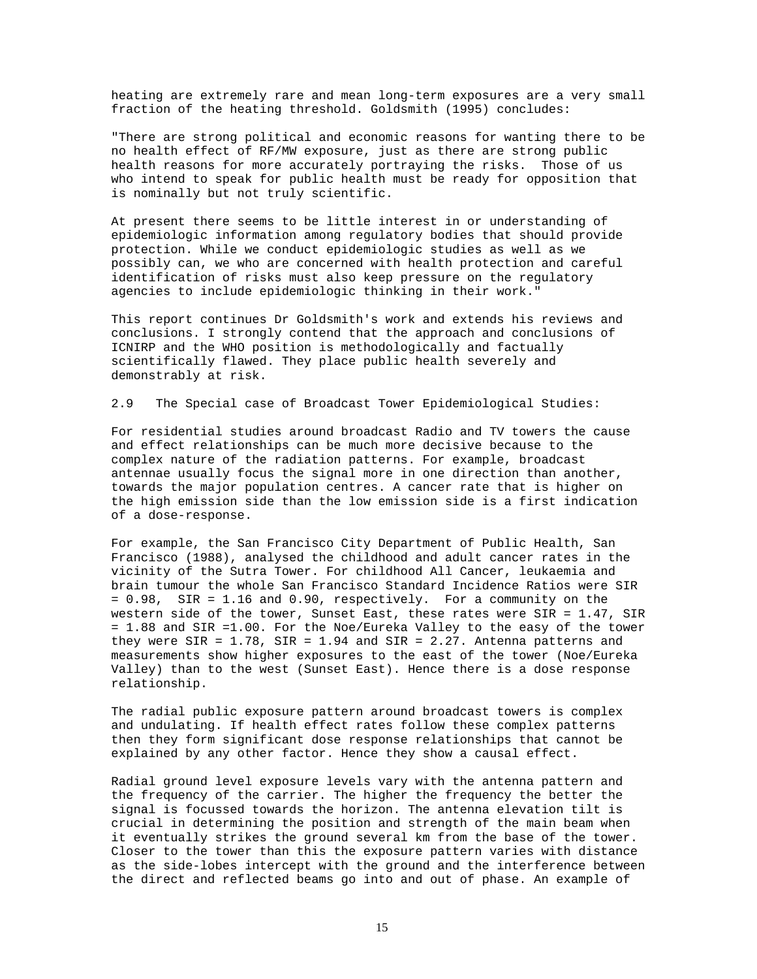heating are extremely rare and mean long-term exposures are a very small fraction of the heating threshold. Goldsmith (1995) concludes:

"There are strong political and economic reasons for wanting there to be no health effect of RF/MW exposure, just as there are strong public health reasons for more accurately portraying the risks. Those of us who intend to speak for public health must be ready for opposition that is nominally but not truly scientific.

At present there seems to be little interest in or understanding of epidemiologic information among regulatory bodies that should provide protection. While we conduct epidemiologic studies as well as we possibly can, we who are concerned with health protection and careful identification of risks must also keep pressure on the regulatory agencies to include epidemiologic thinking in their work."

This report continues Dr Goldsmith's work and extends his reviews and conclusions. I strongly contend that the approach and conclusions of ICNIRP and the WHO position is methodologically and factually scientifically flawed. They place public health severely and demonstrably at risk.

2.9 The Special case of Broadcast Tower Epidemiological Studies:

For residential studies around broadcast Radio and TV towers the cause and effect relationships can be much more decisive because to the complex nature of the radiation patterns. For example, broadcast antennae usually focus the signal more in one direction than another, towards the major population centres. A cancer rate that is higher on the high emission side than the low emission side is a first indication of a dose-response.

For example, the San Francisco City Department of Public Health, San Francisco (1988), analysed the childhood and adult cancer rates in the vicinity of the Sutra Tower. For childhood All Cancer, leukaemia and brain tumour the whole San Francisco Standard Incidence Ratios were SIR = 0.98, SIR = 1.16 and 0.90, respectively. For a community on the western side of the tower, Sunset East, these rates were SIR = 1.47, SIR = 1.88 and SIR =1.00. For the Noe/Eureka Valley to the easy of the tower they were  $SIR = 1.78$ ,  $SIR = 1.94$  and  $SIR = 2.27$ . Antenna patterns and measurements show higher exposures to the east of the tower (Noe/Eureka Valley) than to the west (Sunset East). Hence there is a dose response relationship.

The radial public exposure pattern around broadcast towers is complex and undulating. If health effect rates follow these complex patterns then they form significant dose response relationships that cannot be explained by any other factor. Hence they show a causal effect.

Radial ground level exposure levels vary with the antenna pattern and the frequency of the carrier. The higher the frequency the better the signal is focussed towards the horizon. The antenna elevation tilt is crucial in determining the position and strength of the main beam when it eventually strikes the ground several km from the base of the tower. Closer to the tower than this the exposure pattern varies with distance as the side-lobes intercept with the ground and the interference between the direct and reflected beams go into and out of phase. An example of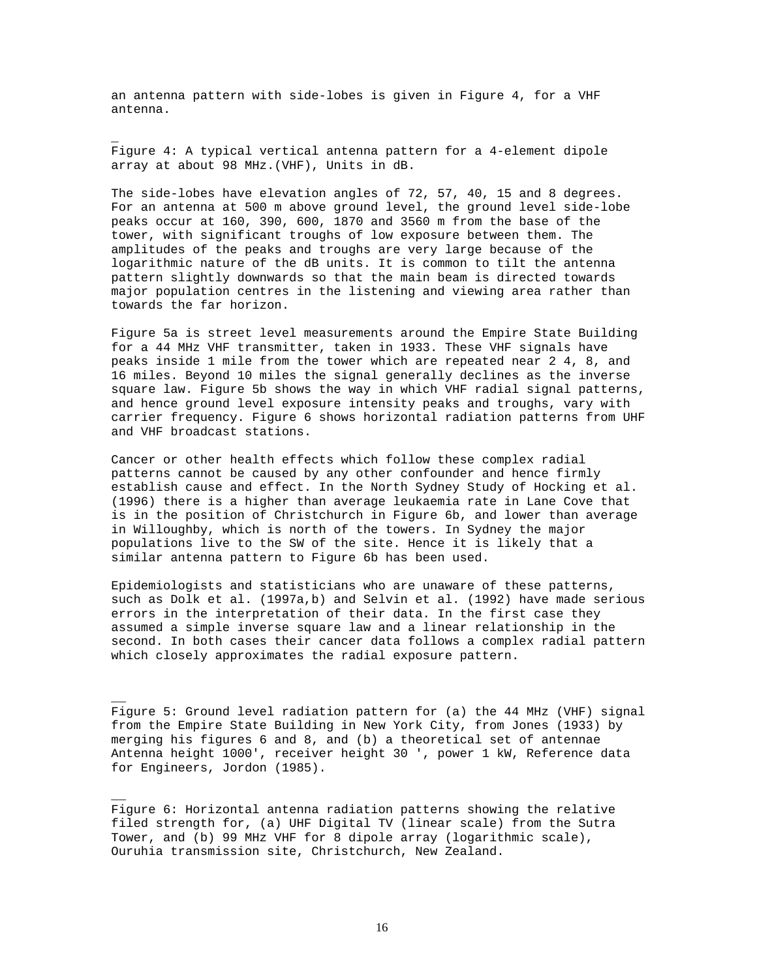an antenna pattern with side-lobes is given in Figure 4, for a VHF antenna.

\_

 $\overline{\phantom{a}}$ 

 $\overline{\phantom{a}}$ 

Figure 4: A typical vertical antenna pattern for a 4-element dipole array at about 98 MHz.(VHF), Units in dB.

The side-lobes have elevation angles of 72, 57, 40, 15 and 8 degrees. For an antenna at 500 m above ground level, the ground level side-lobe peaks occur at 160, 390, 600, 1870 and 3560 m from the base of the tower, with significant troughs of low exposure between them. The amplitudes of the peaks and troughs are very large because of the logarithmic nature of the dB units. It is common to tilt the antenna pattern slightly downwards so that the main beam is directed towards major population centres in the listening and viewing area rather than towards the far horizon.

Figure 5a is street level measurements around the Empire State Building for a 44 MHz VHF transmitter, taken in 1933. These VHF signals have peaks inside 1 mile from the tower which are repeated near 2 4, 8, and 16 miles. Beyond 10 miles the signal generally declines as the inverse square law. Figure 5b shows the way in which VHF radial signal patterns, and hence ground level exposure intensity peaks and troughs, vary with carrier frequency. Figure 6 shows horizontal radiation patterns from UHF and VHF broadcast stations.

Cancer or other health effects which follow these complex radial patterns cannot be caused by any other confounder and hence firmly establish cause and effect. In the North Sydney Study of Hocking et al. (1996) there is a higher than average leukaemia rate in Lane Cove that is in the position of Christchurch in Figure 6b, and lower than average in Willoughby, which is north of the towers. In Sydney the major populations live to the SW of the site. Hence it is likely that a similar antenna pattern to Figure 6b has been used.

Epidemiologists and statisticians who are unaware of these patterns, such as Dolk et al. (1997a,b) and Selvin et al. (1992) have made serious errors in the interpretation of their data. In the first case they assumed a simple inverse square law and a linear relationship in the second. In both cases their cancer data follows a complex radial pattern which closely approximates the radial exposure pattern.

Figure 5: Ground level radiation pattern for (a) the 44 MHz (VHF) signal from the Empire State Building in New York City, from Jones (1933) by merging his figures 6 and 8, and (b) a theoretical set of antennae Antenna height 1000', receiver height 30 ', power 1 kW, Reference data for Engineers, Jordon (1985).

Figure 6: Horizontal antenna radiation patterns showing the relative filed strength for, (a) UHF Digital TV (linear scale) from the Sutra Tower, and (b) 99 MHz VHF for 8 dipole array (logarithmic scale), Ouruhia transmission site, Christchurch, New Zealand.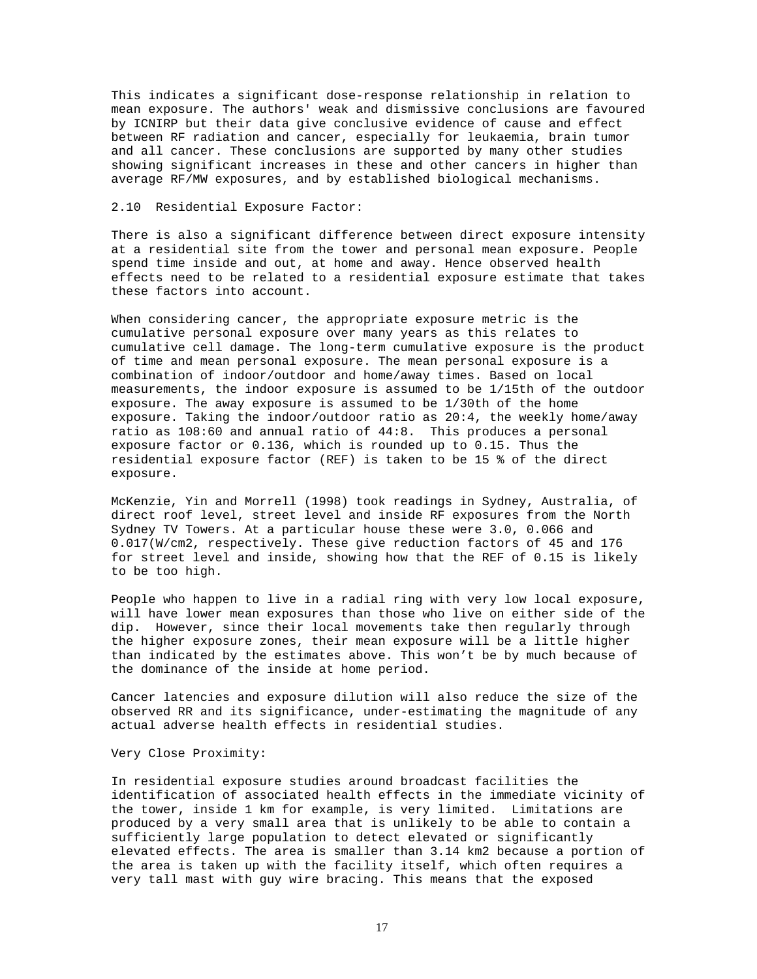This indicates a significant dose-response relationship in relation to mean exposure. The authors' weak and dismissive conclusions are favoured by ICNIRP but their data give conclusive evidence of cause and effect between RF radiation and cancer, especially for leukaemia, brain tumor and all cancer. These conclusions are supported by many other studies showing significant increases in these and other cancers in higher than average RF/MW exposures, and by established biological mechanisms.

# 2.10 Residential Exposure Factor:

There is also a significant difference between direct exposure intensity at a residential site from the tower and personal mean exposure. People spend time inside and out, at home and away. Hence observed health effects need to be related to a residential exposure estimate that takes these factors into account.

When considering cancer, the appropriate exposure metric is the cumulative personal exposure over many years as this relates to cumulative cell damage. The long-term cumulative exposure is the product of time and mean personal exposure. The mean personal exposure is a combination of indoor/outdoor and home/away times. Based on local measurements, the indoor exposure is assumed to be 1/15th of the outdoor exposure. The away exposure is assumed to be 1/30th of the home exposure. Taking the indoor/outdoor ratio as 20:4, the weekly home/away ratio as 108:60 and annual ratio of 44:8. This produces a personal exposure factor or 0.136, which is rounded up to 0.15. Thus the residential exposure factor (REF) is taken to be 15 % of the direct exposure.

McKenzie, Yin and Morrell (1998) took readings in Sydney, Australia, of direct roof level, street level and inside RF exposures from the North Sydney TV Towers. At a particular house these were 3.0, 0.066 and 0.017(W/cm2, respectively. These give reduction factors of 45 and 176 for street level and inside, showing how that the REF of 0.15 is likely to be too high.

People who happen to live in a radial ring with very low local exposure, will have lower mean exposures than those who live on either side of the dip. However, since their local movements take then regularly through the higher exposure zones, their mean exposure will be a little higher than indicated by the estimates above. This won't be by much because of the dominance of the inside at home period.

Cancer latencies and exposure dilution will also reduce the size of the observed RR and its significance, under-estimating the magnitude of any actual adverse health effects in residential studies.

### Very Close Proximity:

In residential exposure studies around broadcast facilities the identification of associated health effects in the immediate vicinity of the tower, inside 1 km for example, is very limited. Limitations are produced by a very small area that is unlikely to be able to contain a sufficiently large population to detect elevated or significantly elevated effects. The area is smaller than 3.14 km2 because a portion of the area is taken up with the facility itself, which often requires a very tall mast with guy wire bracing. This means that the exposed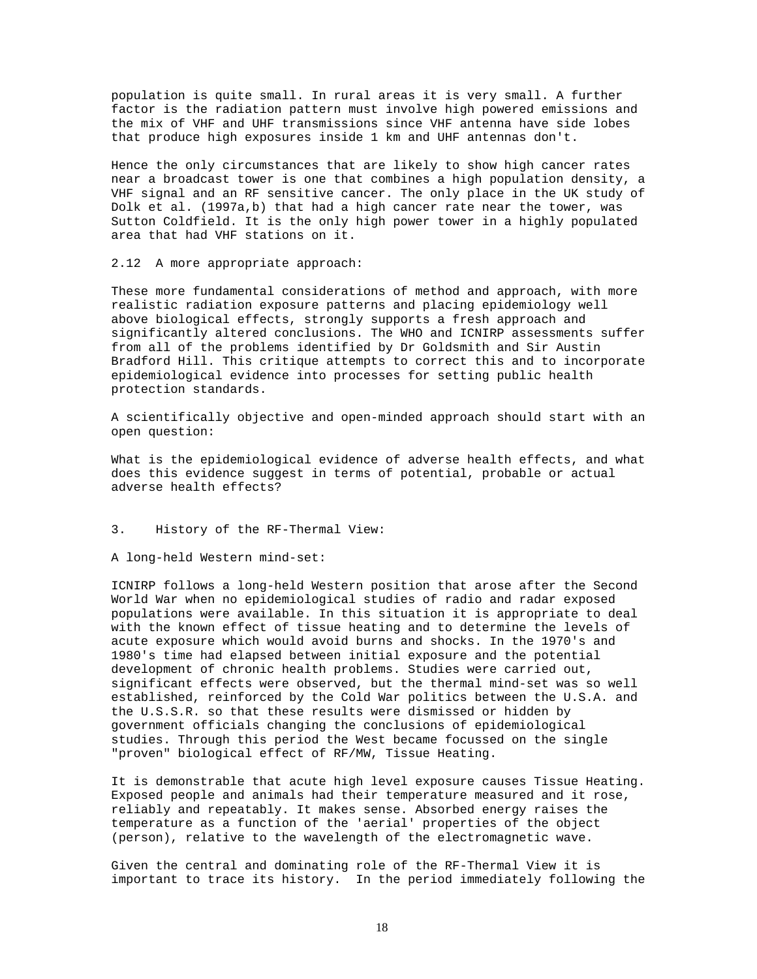population is quite small. In rural areas it is very small. A further factor is the radiation pattern must involve high powered emissions and the mix of VHF and UHF transmissions since VHF antenna have side lobes that produce high exposures inside 1 km and UHF antennas don't.

Hence the only circumstances that are likely to show high cancer rates near a broadcast tower is one that combines a high population density, a VHF signal and an RF sensitive cancer. The only place in the UK study of Dolk et al. (1997a,b) that had a high cancer rate near the tower, was Sutton Coldfield. It is the only high power tower in a highly populated area that had VHF stations on it.

2.12 A more appropriate approach:

These more fundamental considerations of method and approach, with more realistic radiation exposure patterns and placing epidemiology well above biological effects, strongly supports a fresh approach and significantly altered conclusions. The WHO and ICNIRP assessments suffer from all of the problems identified by Dr Goldsmith and Sir Austin Bradford Hill. This critique attempts to correct this and to incorporate epidemiological evidence into processes for setting public health protection standards.

A scientifically objective and open-minded approach should start with an open question:

What is the epidemiological evidence of adverse health effects, and what does this evidence suggest in terms of potential, probable or actual adverse health effects?

# 3. History of the RF-Thermal View:

A long-held Western mind-set:

ICNIRP follows a long-held Western position that arose after the Second World War when no epidemiological studies of radio and radar exposed populations were available. In this situation it is appropriate to deal with the known effect of tissue heating and to determine the levels of acute exposure which would avoid burns and shocks. In the 1970's and 1980's time had elapsed between initial exposure and the potential development of chronic health problems. Studies were carried out, significant effects were observed, but the thermal mind-set was so well established, reinforced by the Cold War politics between the U.S.A. and the U.S.S.R. so that these results were dismissed or hidden by government officials changing the conclusions of epidemiological studies. Through this period the West became focussed on the single "proven" biological effect of RF/MW, Tissue Heating.

It is demonstrable that acute high level exposure causes Tissue Heating. Exposed people and animals had their temperature measured and it rose, reliably and repeatably. It makes sense. Absorbed energy raises the temperature as a function of the 'aerial' properties of the object (person), relative to the wavelength of the electromagnetic wave.

Given the central and dominating role of the RF-Thermal View it is important to trace its history. In the period immediately following the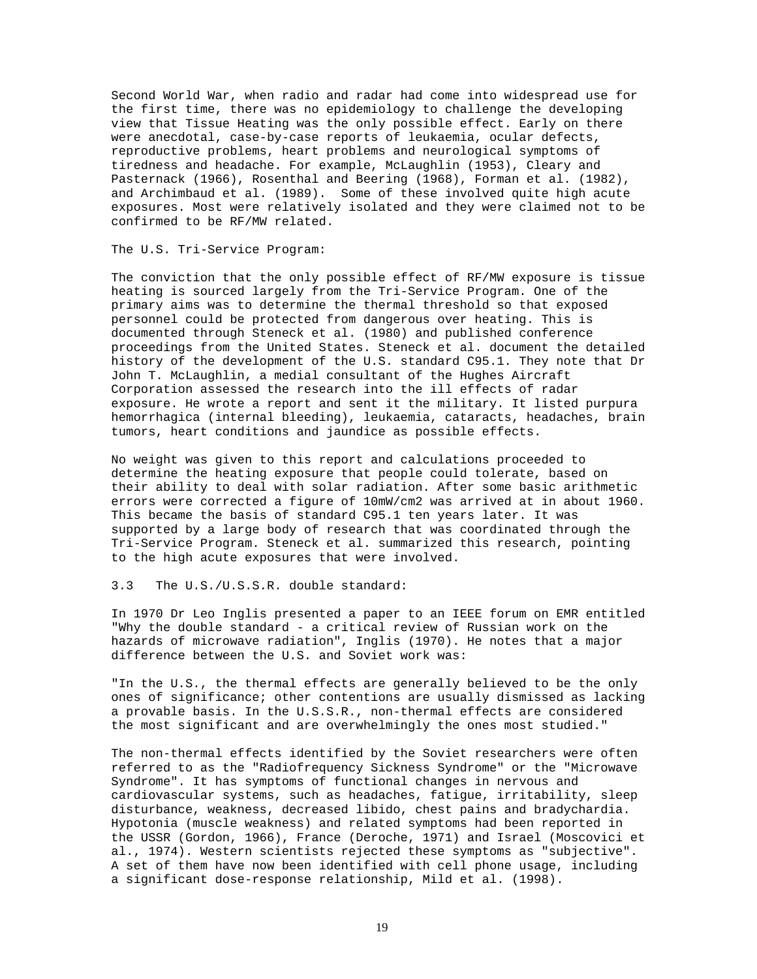Second World War, when radio and radar had come into widespread use for the first time, there was no epidemiology to challenge the developing view that Tissue Heating was the only possible effect. Early on there were anecdotal, case-by-case reports of leukaemia, ocular defects, reproductive problems, heart problems and neurological symptoms of tiredness and headache. For example, McLaughlin (1953), Cleary and Pasternack (1966), Rosenthal and Beering (1968), Forman et al. (1982), and Archimbaud et al. (1989). Some of these involved quite high acute exposures. Most were relatively isolated and they were claimed not to be confirmed to be RF/MW related.

# The U.S. Tri-Service Program:

The conviction that the only possible effect of RF/MW exposure is tissue heating is sourced largely from the Tri-Service Program. One of the primary aims was to determine the thermal threshold so that exposed personnel could be protected from dangerous over heating. This is documented through Steneck et al. (1980) and published conference proceedings from the United States. Steneck et al. document the detailed history of the development of the U.S. standard C95.1. They note that Dr John T. McLaughlin, a medial consultant of the Hughes Aircraft Corporation assessed the research into the ill effects of radar exposure. He wrote a report and sent it the military. It listed purpura hemorrhagica (internal bleeding), leukaemia, cataracts, headaches, brain tumors, heart conditions and jaundice as possible effects.

No weight was given to this report and calculations proceeded to determine the heating exposure that people could tolerate, based on their ability to deal with solar radiation. After some basic arithmetic errors were corrected a figure of 10mW/cm2 was arrived at in about 1960. This became the basis of standard C95.1 ten years later. It was supported by a large body of research that was coordinated through the Tri-Service Program. Steneck et al. summarized this research, pointing to the high acute exposures that were involved.

# 3.3 The U.S./U.S.S.R. double standard:

In 1970 Dr Leo Inglis presented a paper to an IEEE forum on EMR entitled "Why the double standard - a critical review of Russian work on the hazards of microwave radiation", Inglis (1970). He notes that a major difference between the U.S. and Soviet work was:

"In the U.S., the thermal effects are generally believed to be the only ones of significance; other contentions are usually dismissed as lacking a provable basis. In the U.S.S.R., non-thermal effects are considered the most significant and are overwhelmingly the ones most studied."

The non-thermal effects identified by the Soviet researchers were often referred to as the "Radiofrequency Sickness Syndrome" or the "Microwave Syndrome". It has symptoms of functional changes in nervous and cardiovascular systems, such as headaches, fatigue, irritability, sleep disturbance, weakness, decreased libido, chest pains and bradychardia. Hypotonia (muscle weakness) and related symptoms had been reported in the USSR (Gordon, 1966), France (Deroche, 1971) and Israel (Moscovici et al., 1974). Western scientists rejected these symptoms as "subjective". A set of them have now been identified with cell phone usage, including a significant dose-response relationship, Mild et al. (1998).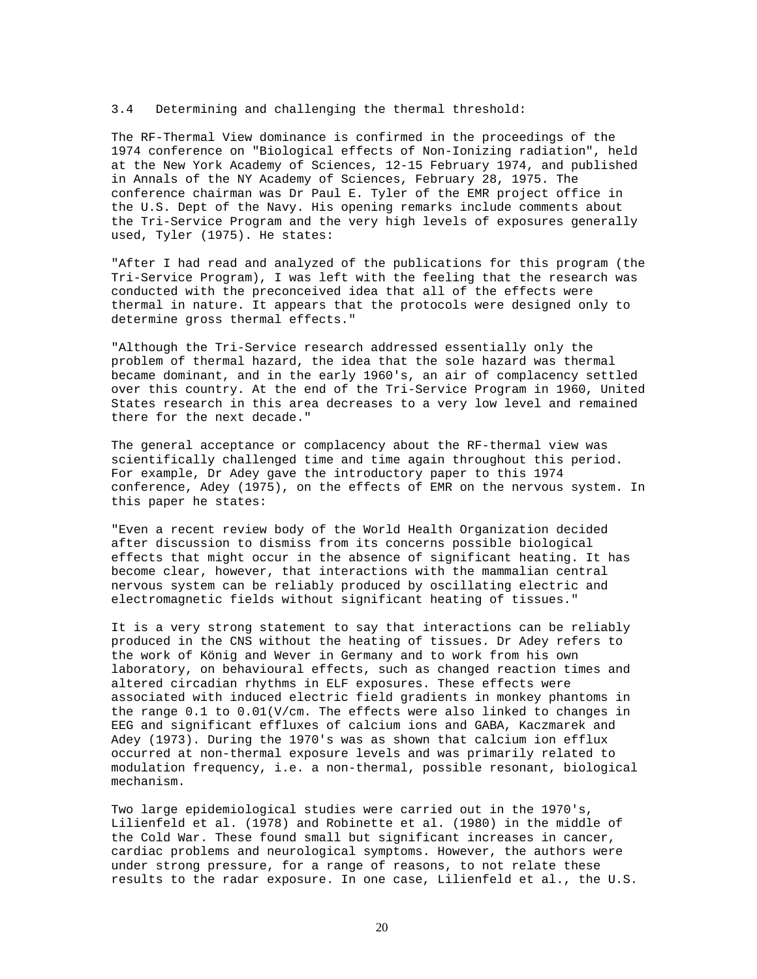## 3.4 Determining and challenging the thermal threshold:

The RF-Thermal View dominance is confirmed in the proceedings of the 1974 conference on "Biological effects of Non-Ionizing radiation", held at the New York Academy of Sciences, 12-15 February 1974, and published in Annals of the NY Academy of Sciences, February 28, 1975. The conference chairman was Dr Paul E. Tyler of the EMR project office in the U.S. Dept of the Navy. His opening remarks include comments about the Tri-Service Program and the very high levels of exposures generally used, Tyler (1975). He states:

"After I had read and analyzed of the publications for this program (the Tri-Service Program), I was left with the feeling that the research was conducted with the preconceived idea that all of the effects were thermal in nature. It appears that the protocols were designed only to determine gross thermal effects."

"Although the Tri-Service research addressed essentially only the problem of thermal hazard, the idea that the sole hazard was thermal became dominant, and in the early 1960's, an air of complacency settled over this country. At the end of the Tri-Service Program in 1960, United States research in this area decreases to a very low level and remained there for the next decade."

The general acceptance or complacency about the RF-thermal view was scientifically challenged time and time again throughout this period. For example, Dr Adey gave the introductory paper to this 1974 conference, Adey (1975), on the effects of EMR on the nervous system. In this paper he states:

"Even a recent review body of the World Health Organization decided after discussion to dismiss from its concerns possible biological effects that might occur in the absence of significant heating. It has become clear, however, that interactions with the mammalian central nervous system can be reliably produced by oscillating electric and electromagnetic fields without significant heating of tissues."

It is a very strong statement to say that interactions can be reliably produced in the CNS without the heating of tissues. Dr Adey refers to the work of König and Wever in Germany and to work from his own laboratory, on behavioural effects, such as changed reaction times and altered circadian rhythms in ELF exposures. These effects were associated with induced electric field gradients in monkey phantoms in the range 0.1 to 0.01(V/cm. The effects were also linked to changes in EEG and significant effluxes of calcium ions and GABA, Kaczmarek and Adey (1973). During the 1970's was as shown that calcium ion efflux occurred at non-thermal exposure levels and was primarily related to modulation frequency, i.e. a non-thermal, possible resonant, biological mechanism.

Two large epidemiological studies were carried out in the 1970's, Lilienfeld et al. (1978) and Robinette et al. (1980) in the middle of the Cold War. These found small but significant increases in cancer, cardiac problems and neurological symptoms. However, the authors were under strong pressure, for a range of reasons, to not relate these results to the radar exposure. In one case, Lilienfeld et al., the U.S.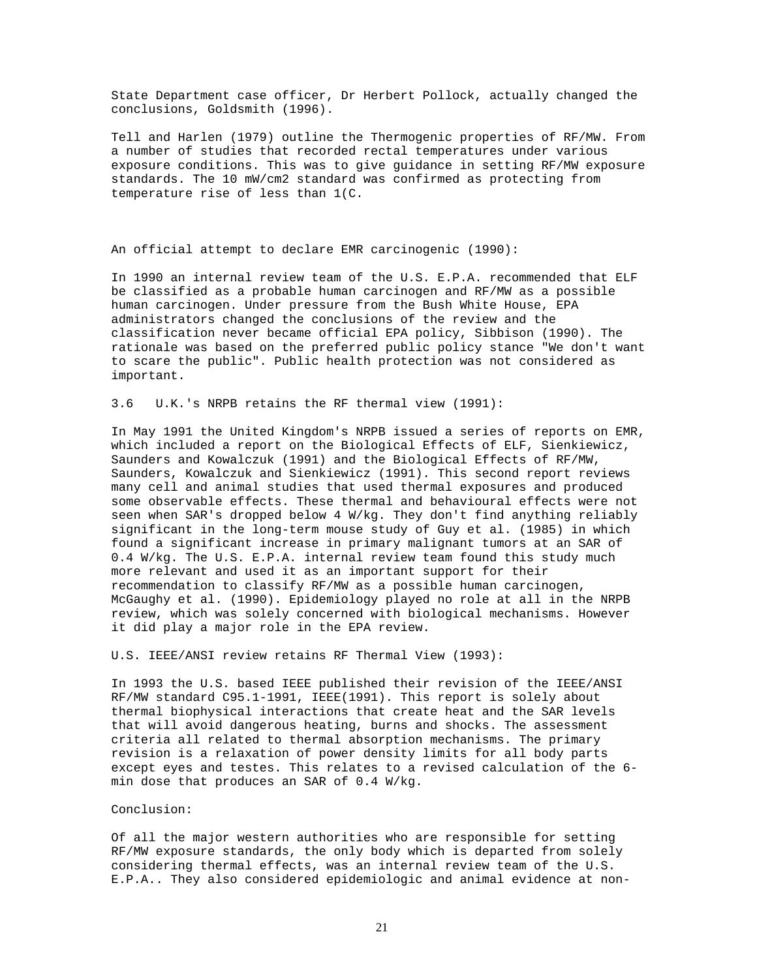State Department case officer, Dr Herbert Pollock, actually changed the conclusions, Goldsmith (1996).

Tell and Harlen (1979) outline the Thermogenic properties of RF/MW. From a number of studies that recorded rectal temperatures under various exposure conditions. This was to give guidance in setting RF/MW exposure standards. The 10 mW/cm2 standard was confirmed as protecting from temperature rise of less than 1(C.

An official attempt to declare EMR carcinogenic (1990):

In 1990 an internal review team of the U.S. E.P.A. recommended that ELF be classified as a probable human carcinogen and RF/MW as a possible human carcinogen. Under pressure from the Bush White House, EPA administrators changed the conclusions of the review and the classification never became official EPA policy, Sibbison (1990). The rationale was based on the preferred public policy stance "We don't want to scare the public". Public health protection was not considered as important.

3.6 U.K.'s NRPB retains the RF thermal view (1991):

In May 1991 the United Kingdom's NRPB issued a series of reports on EMR, which included a report on the Biological Effects of ELF, Sienkiewicz, Saunders and Kowalczuk (1991) and the Biological Effects of RF/MW, Saunders, Kowalczuk and Sienkiewicz (1991). This second report reviews many cell and animal studies that used thermal exposures and produced some observable effects. These thermal and behavioural effects were not seen when SAR's dropped below 4 W/kg. They don't find anything reliably significant in the long-term mouse study of Guy et al. (1985) in which found a significant increase in primary malignant tumors at an SAR of 0.4 W/kg. The U.S. E.P.A. internal review team found this study much more relevant and used it as an important support for their recommendation to classify RF/MW as a possible human carcinogen, McGaughy et al. (1990). Epidemiology played no role at all in the NRPB review, which was solely concerned with biological mechanisms. However it did play a major role in the EPA review.

U.S. IEEE/ANSI review retains RF Thermal View (1993):

In 1993 the U.S. based IEEE published their revision of the IEEE/ANSI RF/MW standard C95.1-1991, IEEE(1991). This report is solely about thermal biophysical interactions that create heat and the SAR levels that will avoid dangerous heating, burns and shocks. The assessment criteria all related to thermal absorption mechanisms. The primary revision is a relaxation of power density limits for all body parts except eyes and testes. This relates to a revised calculation of the 6 min dose that produces an SAR of 0.4 W/kg.

### Conclusion:

Of all the major western authorities who are responsible for setting RF/MW exposure standards, the only body which is departed from solely considering thermal effects, was an internal review team of the U.S. E.P.A.. They also considered epidemiologic and animal evidence at non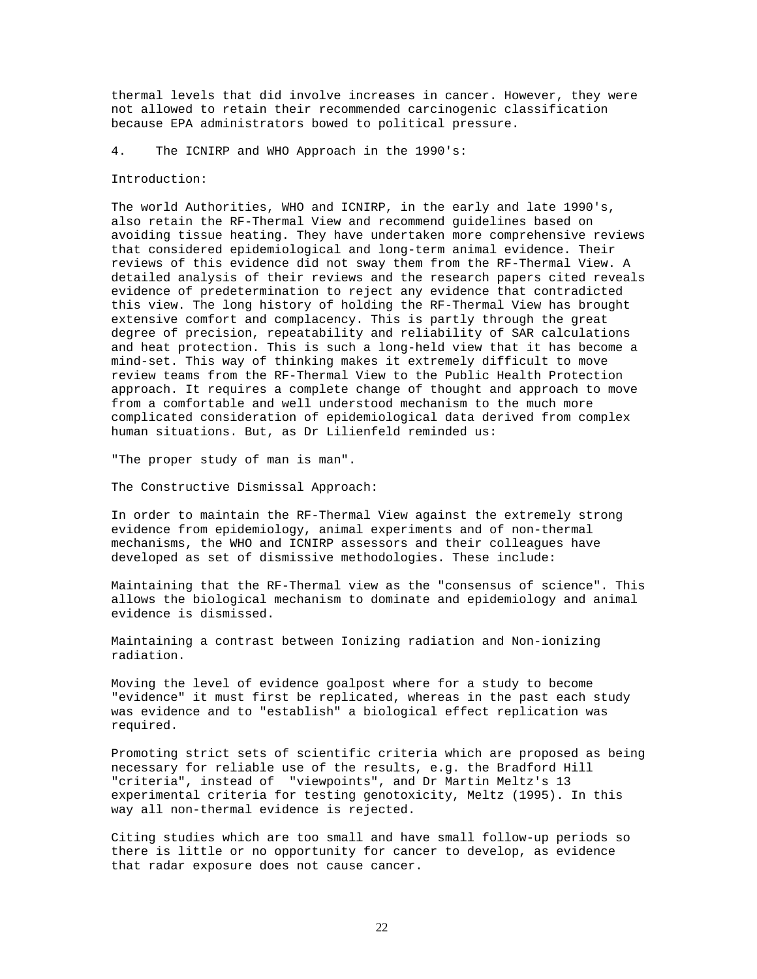thermal levels that did involve increases in cancer. However, they were not allowed to retain their recommended carcinogenic classification because EPA administrators bowed to political pressure.

4. The ICNIRP and WHO Approach in the 1990's:

#### Introduction:

The world Authorities, WHO and ICNIRP, in the early and late 1990's, also retain the RF-Thermal View and recommend guidelines based on avoiding tissue heating. They have undertaken more comprehensive reviews that considered epidemiological and long-term animal evidence. Their reviews of this evidence did not sway them from the RF-Thermal View. A detailed analysis of their reviews and the research papers cited reveals evidence of predetermination to reject any evidence that contradicted this view. The long history of holding the RF-Thermal View has brought extensive comfort and complacency. This is partly through the great degree of precision, repeatability and reliability of SAR calculations and heat protection. This is such a long-held view that it has become a mind-set. This way of thinking makes it extremely difficult to move review teams from the RF-Thermal View to the Public Health Protection approach. It requires a complete change of thought and approach to move from a comfortable and well understood mechanism to the much more complicated consideration of epidemiological data derived from complex human situations. But, as Dr Lilienfeld reminded us:

"The proper study of man is man".

The Constructive Dismissal Approach:

In order to maintain the RF-Thermal View against the extremely strong evidence from epidemiology, animal experiments and of non-thermal mechanisms, the WHO and ICNIRP assessors and their colleagues have developed as set of dismissive methodologies. These include:

Maintaining that the RF-Thermal view as the "consensus of science". This allows the biological mechanism to dominate and epidemiology and animal evidence is dismissed.

Maintaining a contrast between Ionizing radiation and Non-ionizing radiation.

Moving the level of evidence goalpost where for a study to become "evidence" it must first be replicated, whereas in the past each study was evidence and to "establish" a biological effect replication was required.

Promoting strict sets of scientific criteria which are proposed as being necessary for reliable use of the results, e.g. the Bradford Hill "criteria", instead of "viewpoints", and Dr Martin Meltz's 13 experimental criteria for testing genotoxicity, Meltz (1995). In this way all non-thermal evidence is rejected.

Citing studies which are too small and have small follow-up periods so there is little or no opportunity for cancer to develop, as evidence that radar exposure does not cause cancer.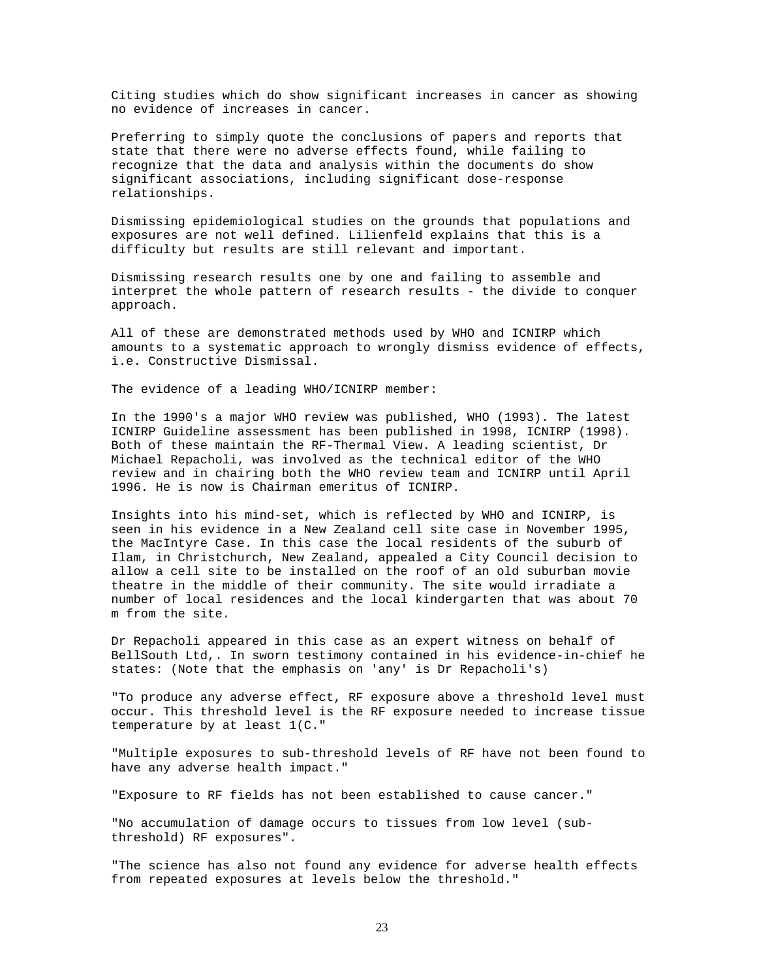Citing studies which do show significant increases in cancer as showing no evidence of increases in cancer.

Preferring to simply quote the conclusions of papers and reports that state that there were no adverse effects found, while failing to recognize that the data and analysis within the documents do show significant associations, including significant dose-response relationships.

Dismissing epidemiological studies on the grounds that populations and exposures are not well defined. Lilienfeld explains that this is a difficulty but results are still relevant and important.

Dismissing research results one by one and failing to assemble and interpret the whole pattern of research results - the divide to conquer approach.

All of these are demonstrated methods used by WHO and ICNIRP which amounts to a systematic approach to wrongly dismiss evidence of effects, i.e. Constructive Dismissal.

The evidence of a leading WHO/ICNIRP member:

In the 1990's a major WHO review was published, WHO (1993). The latest ICNIRP Guideline assessment has been published in 1998, ICNIRP (1998). Both of these maintain the RF-Thermal View. A leading scientist, Dr Michael Repacholi, was involved as the technical editor of the WHO review and in chairing both the WHO review team and ICNIRP until April 1996. He is now is Chairman emeritus of ICNIRP.

Insights into his mind-set, which is reflected by WHO and ICNIRP, is seen in his evidence in a New Zealand cell site case in November 1995, the MacIntyre Case. In this case the local residents of the suburb of Ilam, in Christchurch, New Zealand, appealed a City Council decision to allow a cell site to be installed on the roof of an old suburban movie theatre in the middle of their community. The site would irradiate a number of local residences and the local kindergarten that was about 70 m from the site.

Dr Repacholi appeared in this case as an expert witness on behalf of BellSouth Ltd,. In sworn testimony contained in his evidence-in-chief he states: (Note that the emphasis on 'any' is Dr Repacholi's)

"To produce any adverse effect, RF exposure above a threshold level must occur. This threshold level is the RF exposure needed to increase tissue temperature by at least 1(C."

"Multiple exposures to sub-threshold levels of RF have not been found to have any adverse health impact."

"Exposure to RF fields has not been established to cause cancer."

"No accumulation of damage occurs to tissues from low level (subthreshold) RF exposures".

"The science has also not found any evidence for adverse health effects from repeated exposures at levels below the threshold."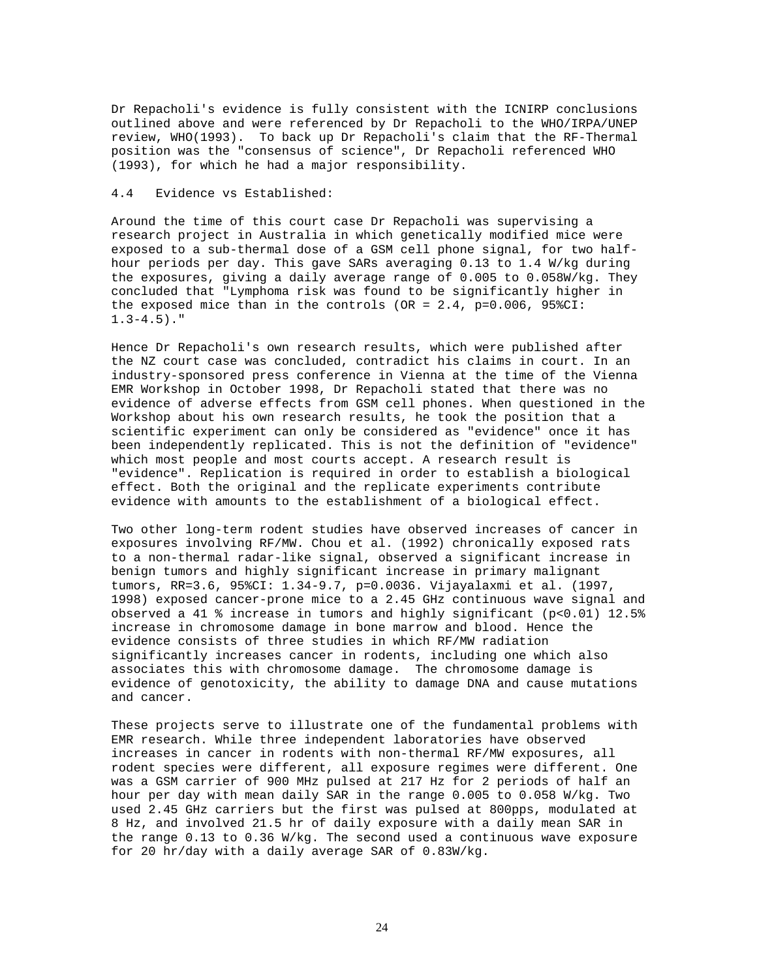Dr Repacholi's evidence is fully consistent with the ICNIRP conclusions outlined above and were referenced by Dr Repacholi to the WHO/IRPA/UNEP review, WHO(1993). To back up Dr Repacholi's claim that the RF-Thermal position was the "consensus of science", Dr Repacholi referenced WHO (1993), for which he had a major responsibility.

# 4.4 Evidence vs Established:

Around the time of this court case Dr Repacholi was supervising a research project in Australia in which genetically modified mice were exposed to a sub-thermal dose of a GSM cell phone signal, for two halfhour periods per day. This gave SARs averaging 0.13 to 1.4 W/kg during the exposures, giving a daily average range of 0.005 to 0.058W/kg. They concluded that "Lymphoma risk was found to be significantly higher in the exposed mice than in the controls (OR =  $2.4$ ,  $p=0.006$ ,  $958CI$ :  $1.3-4.5$ )."

Hence Dr Repacholi's own research results, which were published after the NZ court case was concluded, contradict his claims in court. In an industry-sponsored press conference in Vienna at the time of the Vienna EMR Workshop in October 1998, Dr Repacholi stated that there was no evidence of adverse effects from GSM cell phones. When questioned in the Workshop about his own research results, he took the position that a scientific experiment can only be considered as "evidence" once it has been independently replicated. This is not the definition of "evidence" which most people and most courts accept. A research result is "evidence". Replication is required in order to establish a biological effect. Both the original and the replicate experiments contribute evidence with amounts to the establishment of a biological effect.

Two other long-term rodent studies have observed increases of cancer in exposures involving RF/MW. Chou et al. (1992) chronically exposed rats to a non-thermal radar-like signal, observed a significant increase in benign tumors and highly significant increase in primary malignant tumors, RR=3.6, 95%CI: 1.34-9.7, p=0.0036. Vijayalaxmi et al. (1997, 1998) exposed cancer-prone mice to a 2.45 GHz continuous wave signal and observed a 41 % increase in tumors and highly significant (p<0.01) 12.5% increase in chromosome damage in bone marrow and blood. Hence the evidence consists of three studies in which RF/MW radiation significantly increases cancer in rodents, including one which also associates this with chromosome damage. The chromosome damage is evidence of genotoxicity, the ability to damage DNA and cause mutations and cancer.

These projects serve to illustrate one of the fundamental problems with EMR research. While three independent laboratories have observed increases in cancer in rodents with non-thermal RF/MW exposures, all rodent species were different, all exposure regimes were different. One was a GSM carrier of 900 MHz pulsed at 217 Hz for 2 periods of half an hour per day with mean daily SAR in the range 0.005 to 0.058 W/kg. Two used 2.45 GHz carriers but the first was pulsed at 800pps, modulated at 8 Hz, and involved 21.5 hr of daily exposure with a daily mean SAR in the range 0.13 to 0.36 W/kg. The second used a continuous wave exposure for 20 hr/day with a daily average SAR of 0.83W/kg.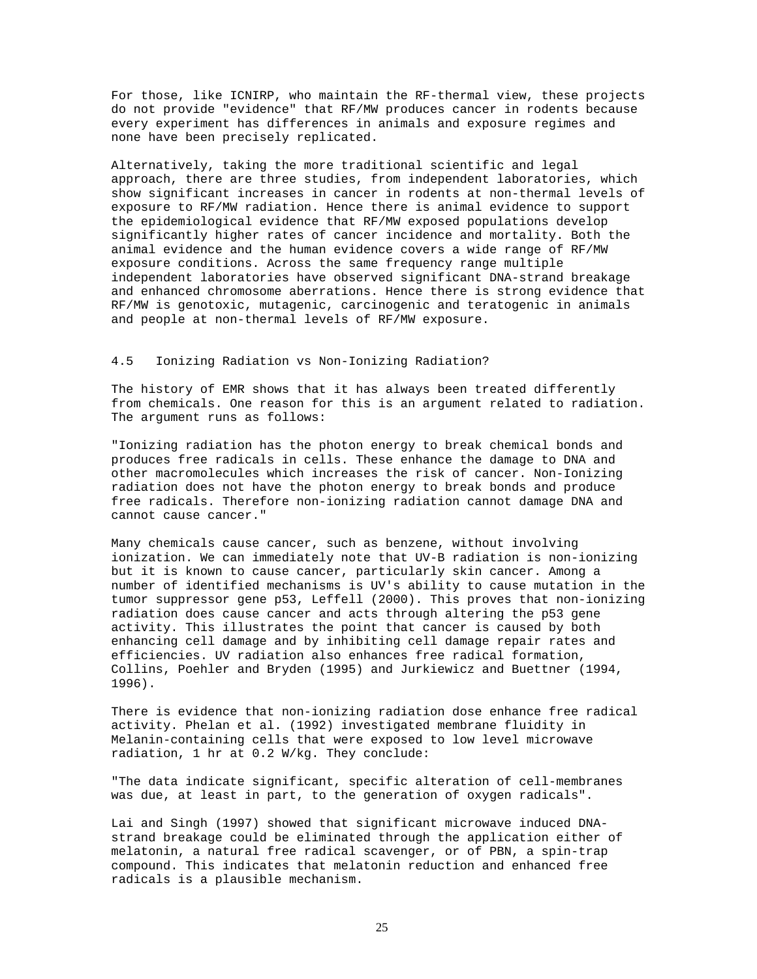For those, like ICNIRP, who maintain the RF-thermal view, these projects do not provide "evidence" that RF/MW produces cancer in rodents because every experiment has differences in animals and exposure regimes and none have been precisely replicated.

Alternatively, taking the more traditional scientific and legal approach, there are three studies, from independent laboratories, which show significant increases in cancer in rodents at non-thermal levels of exposure to RF/MW radiation. Hence there is animal evidence to support the epidemiological evidence that RF/MW exposed populations develop significantly higher rates of cancer incidence and mortality. Both the animal evidence and the human evidence covers a wide range of RF/MW exposure conditions. Across the same frequency range multiple independent laboratories have observed significant DNA-strand breakage and enhanced chromosome aberrations. Hence there is strong evidence that RF/MW is genotoxic, mutagenic, carcinogenic and teratogenic in animals and people at non-thermal levels of RF/MW exposure.

# 4.5 Ionizing Radiation vs Non-Ionizing Radiation?

The history of EMR shows that it has always been treated differently from chemicals. One reason for this is an argument related to radiation. The argument runs as follows:

"Ionizing radiation has the photon energy to break chemical bonds and produces free radicals in cells. These enhance the damage to DNA and other macromolecules which increases the risk of cancer. Non-Ionizing radiation does not have the photon energy to break bonds and produce free radicals. Therefore non-ionizing radiation cannot damage DNA and cannot cause cancer."

Many chemicals cause cancer, such as benzene, without involving ionization. We can immediately note that UV-B radiation is non-ionizing but it is known to cause cancer, particularly skin cancer. Among a number of identified mechanisms is UV's ability to cause mutation in the tumor suppressor gene p53, Leffell (2000). This proves that non-ionizing radiation does cause cancer and acts through altering the p53 gene activity. This illustrates the point that cancer is caused by both enhancing cell damage and by inhibiting cell damage repair rates and efficiencies. UV radiation also enhances free radical formation, Collins, Poehler and Bryden (1995) and Jurkiewicz and Buettner (1994, 1996).

There is evidence that non-ionizing radiation dose enhance free radical activity. Phelan et al. (1992) investigated membrane fluidity in Melanin-containing cells that were exposed to low level microwave radiation, 1 hr at 0.2 W/kg. They conclude:

"The data indicate significant, specific alteration of cell-membranes was due, at least in part, to the generation of oxygen radicals".

Lai and Singh (1997) showed that significant microwave induced DNAstrand breakage could be eliminated through the application either of melatonin, a natural free radical scavenger, or of PBN, a spin-trap compound. This indicates that melatonin reduction and enhanced free radicals is a plausible mechanism.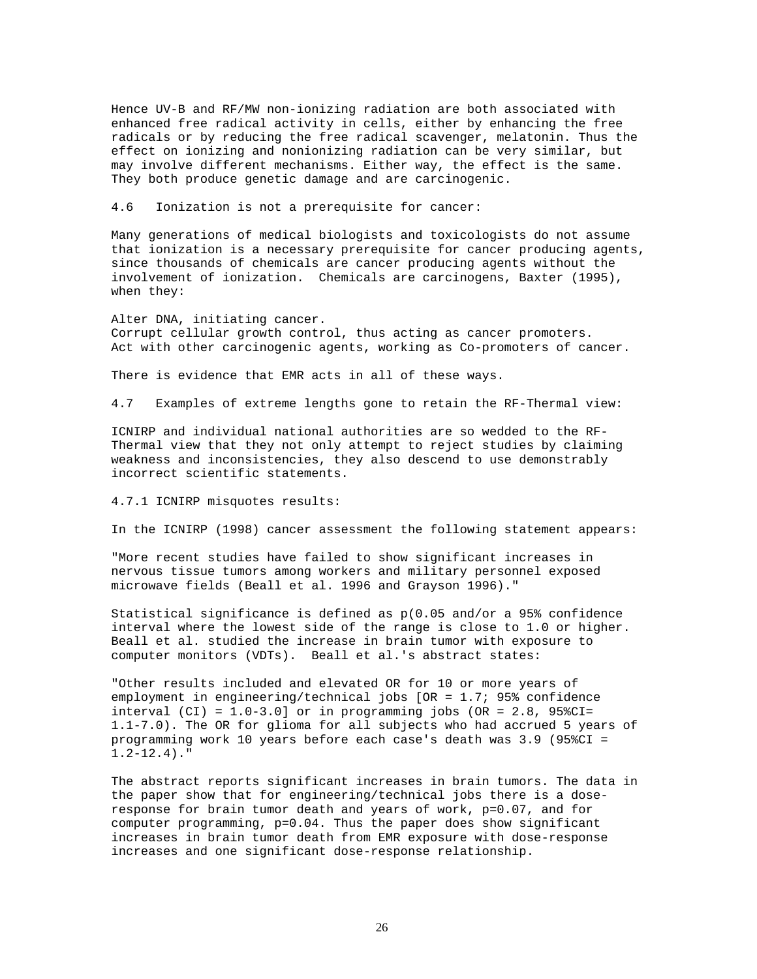Hence UV-B and RF/MW non-ionizing radiation are both associated with enhanced free radical activity in cells, either by enhancing the free radicals or by reducing the free radical scavenger, melatonin. Thus the effect on ionizing and nonionizing radiation can be very similar, but may involve different mechanisms. Either way, the effect is the same. They both produce genetic damage and are carcinogenic.

4.6 Ionization is not a prerequisite for cancer:

Many generations of medical biologists and toxicologists do not assume that ionization is a necessary prerequisite for cancer producing agents, since thousands of chemicals are cancer producing agents without the involvement of ionization. Chemicals are carcinogens, Baxter (1995), when they:

Alter DNA, initiating cancer. Corrupt cellular growth control, thus acting as cancer promoters. Act with other carcinogenic agents, working as Co-promoters of cancer.

There is evidence that EMR acts in all of these ways.

4.7 Examples of extreme lengths gone to retain the RF-Thermal view:

ICNIRP and individual national authorities are so wedded to the RF-Thermal view that they not only attempt to reject studies by claiming weakness and inconsistencies, they also descend to use demonstrably incorrect scientific statements.

4.7.1 ICNIRP misquotes results:

In the ICNIRP (1998) cancer assessment the following statement appears:

"More recent studies have failed to show significant increases in nervous tissue tumors among workers and military personnel exposed microwave fields (Beall et al. 1996 and Grayson 1996)."

Statistical significance is defined as p(0.05 and/or a 95% confidence interval where the lowest side of the range is close to 1.0 or higher. Beall et al. studied the increase in brain tumor with exposure to computer monitors (VDTs). Beall et al.'s abstract states:

"Other results included and elevated OR for 10 or more years of employment in engineering/technical jobs [OR = 1.7; 95% confidence interval (CI) =  $1.0-3.0$ ] or in programming jobs (OR =  $2.8$ , 95%CI= 1.1-7.0). The OR for glioma for all subjects who had accrued 5 years of programming work 10 years before each case's death was 3.9 (95%CI = 1.2-12.4)."

The abstract reports significant increases in brain tumors. The data in the paper show that for engineering/technical jobs there is a doseresponse for brain tumor death and years of work, p=0.07, and for computer programming, p=0.04. Thus the paper does show significant increases in brain tumor death from EMR exposure with dose-response increases and one significant dose-response relationship.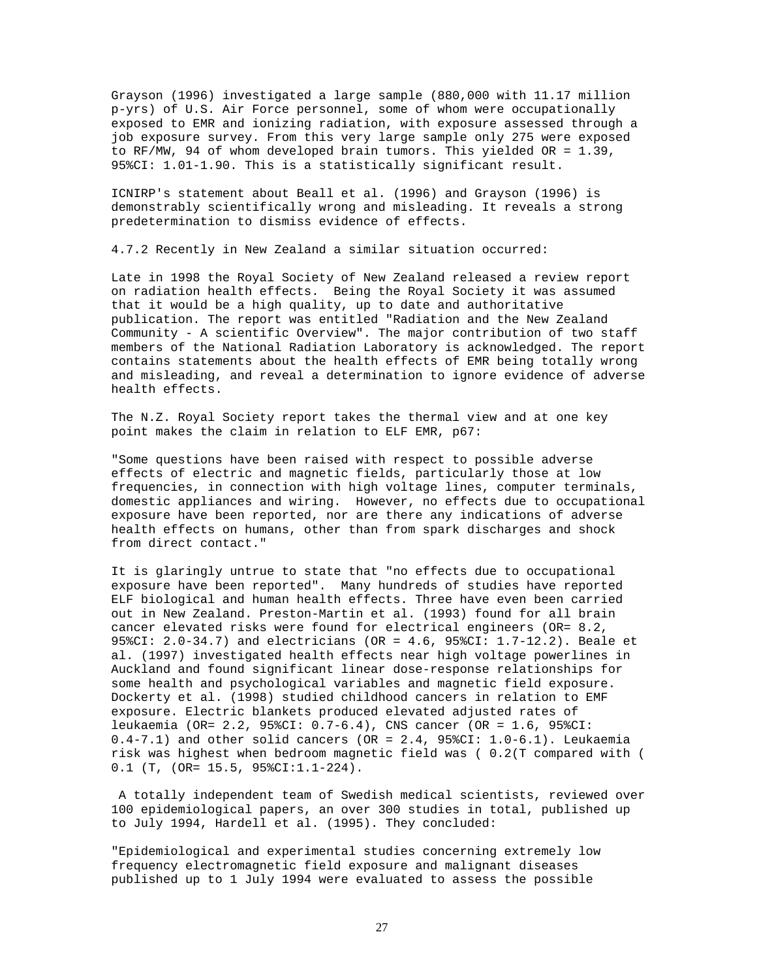Grayson (1996) investigated a large sample (880,000 with 11.17 million p-yrs) of U.S. Air Force personnel, some of whom were occupationally exposed to EMR and ionizing radiation, with exposure assessed through a job exposure survey. From this very large sample only 275 were exposed to RF/MW, 94 of whom developed brain tumors. This yielded OR = 1.39, 95%CI: 1.01-1.90. This is a statistically significant result.

ICNIRP's statement about Beall et al. (1996) and Grayson (1996) is demonstrably scientifically wrong and misleading. It reveals a strong predetermination to dismiss evidence of effects.

4.7.2 Recently in New Zealand a similar situation occurred:

Late in 1998 the Royal Society of New Zealand released a review report on radiation health effects. Being the Royal Society it was assumed that it would be a high quality, up to date and authoritative publication. The report was entitled "Radiation and the New Zealand Community - A scientific Overview". The major contribution of two staff members of the National Radiation Laboratory is acknowledged. The report contains statements about the health effects of EMR being totally wrong and misleading, and reveal a determination to ignore evidence of adverse health effects.

The N.Z. Royal Society report takes the thermal view and at one key point makes the claim in relation to ELF EMR, p67:

"Some questions have been raised with respect to possible adverse effects of electric and magnetic fields, particularly those at low frequencies, in connection with high voltage lines, computer terminals, domestic appliances and wiring. However, no effects due to occupational exposure have been reported, nor are there any indications of adverse health effects on humans, other than from spark discharges and shock from direct contact."

It is glaringly untrue to state that "no effects due to occupational exposure have been reported". Many hundreds of studies have reported ELF biological and human health effects. Three have even been carried out in New Zealand. Preston-Martin et al. (1993) found for all brain cancer elevated risks were found for electrical engineers (OR= 8.2, 95%CI: 2.0-34.7) and electricians (OR = 4.6, 95%CI: 1.7-12.2). Beale et al. (1997) investigated health effects near high voltage powerlines in Auckland and found significant linear dose-response relationships for some health and psychological variables and magnetic field exposure. Dockerty et al. (1998) studied childhood cancers in relation to EMF exposure. Electric blankets produced elevated adjusted rates of leukaemia (OR= 2.2, 95%CI: 0.7-6.4), CNS cancer (OR = 1.6, 95%CI:  $0.4 - 7.1$ ) and other solid cancers (OR = 2.4, 95%CI:  $1.0 - 6.1$ ). Leukaemia risk was highest when bedroom magnetic field was ( 0.2(T compared with ( 0.1 (T, (OR= 15.5, 95%CI:1.1-224).

A totally independent team of Swedish medical scientists, reviewed over 100 epidemiological papers, an over 300 studies in total, published up to July 1994, Hardell et al. (1995). They concluded:

"Epidemiological and experimental studies concerning extremely low frequency electromagnetic field exposure and malignant diseases published up to 1 July 1994 were evaluated to assess the possible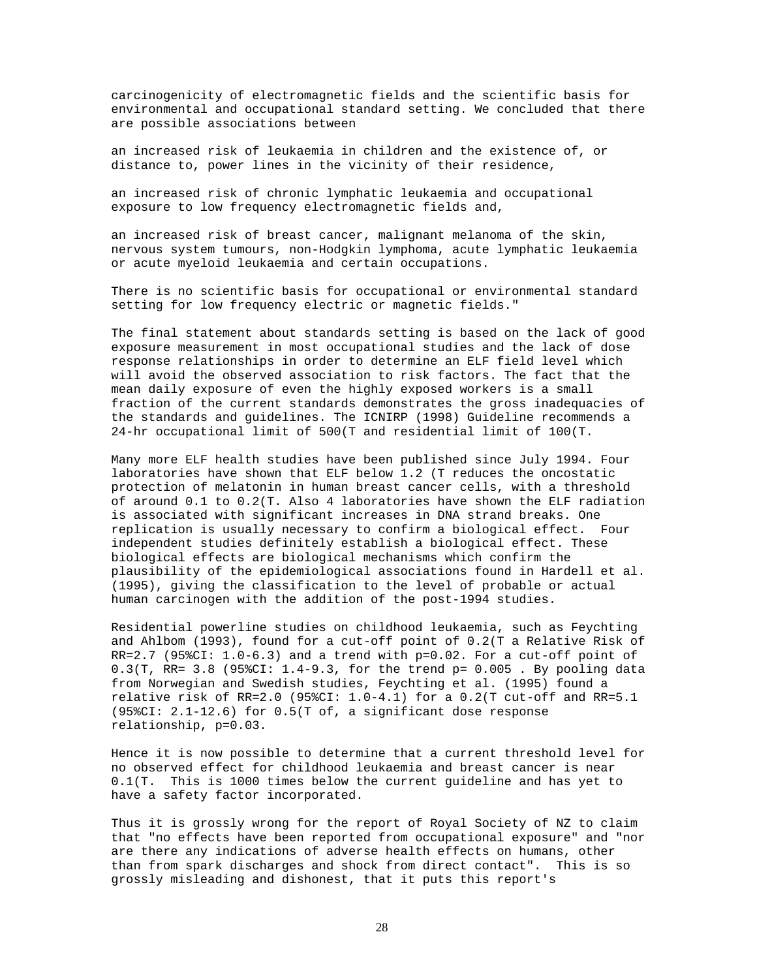carcinogenicity of electromagnetic fields and the scientific basis for environmental and occupational standard setting. We concluded that there are possible associations between

an increased risk of leukaemia in children and the existence of, or distance to, power lines in the vicinity of their residence,

an increased risk of chronic lymphatic leukaemia and occupational exposure to low frequency electromagnetic fields and,

an increased risk of breast cancer, malignant melanoma of the skin, nervous system tumours, non-Hodgkin lymphoma, acute lymphatic leukaemia or acute myeloid leukaemia and certain occupations.

There is no scientific basis for occupational or environmental standard setting for low frequency electric or magnetic fields."

The final statement about standards setting is based on the lack of good exposure measurement in most occupational studies and the lack of dose response relationships in order to determine an ELF field level which will avoid the observed association to risk factors. The fact that the mean daily exposure of even the highly exposed workers is a small fraction of the current standards demonstrates the gross inadequacies of the standards and guidelines. The ICNIRP (1998) Guideline recommends a 24-hr occupational limit of 500(T and residential limit of 100(T.

Many more ELF health studies have been published since July 1994. Four laboratories have shown that ELF below 1.2 (T reduces the oncostatic protection of melatonin in human breast cancer cells, with a threshold of around 0.1 to 0.2(T. Also 4 laboratories have shown the ELF radiation is associated with significant increases in DNA strand breaks. One replication is usually necessary to confirm a biological effect. Four independent studies definitely establish a biological effect. These biological effects are biological mechanisms which confirm the plausibility of the epidemiological associations found in Hardell et al. (1995), giving the classification to the level of probable or actual human carcinogen with the addition of the post-1994 studies.

Residential powerline studies on childhood leukaemia, such as Feychting and Ahlbom (1993), found for a cut-off point of 0.2(T a Relative Risk of  $RR=2.7$  (95%CI:  $1.0-6.3$ ) and a trend with  $p=0.02$ . For a cut-off point of  $0.3(T, RR = 3.8 (958CI: 1.4-9.3, for the trend p = 0.005. By pooling data)$ from Norwegian and Swedish studies, Feychting et al. (1995) found a relative risk of RR=2.0 (95%CI:  $1.0-4.1$ ) for a 0.2(T cut-off and RR=5.1 (95%CI: 2.1-12.6) for 0.5(T of, a significant dose response relationship, p=0.03.

Hence it is now possible to determine that a current threshold level for no observed effect for childhood leukaemia and breast cancer is near 0.1(T. This is 1000 times below the current guideline and has yet to have a safety factor incorporated.

Thus it is grossly wrong for the report of Royal Society of NZ to claim that "no effects have been reported from occupational exposure" and "nor are there any indications of adverse health effects on humans, other than from spark discharges and shock from direct contact". This is so grossly misleading and dishonest, that it puts this report's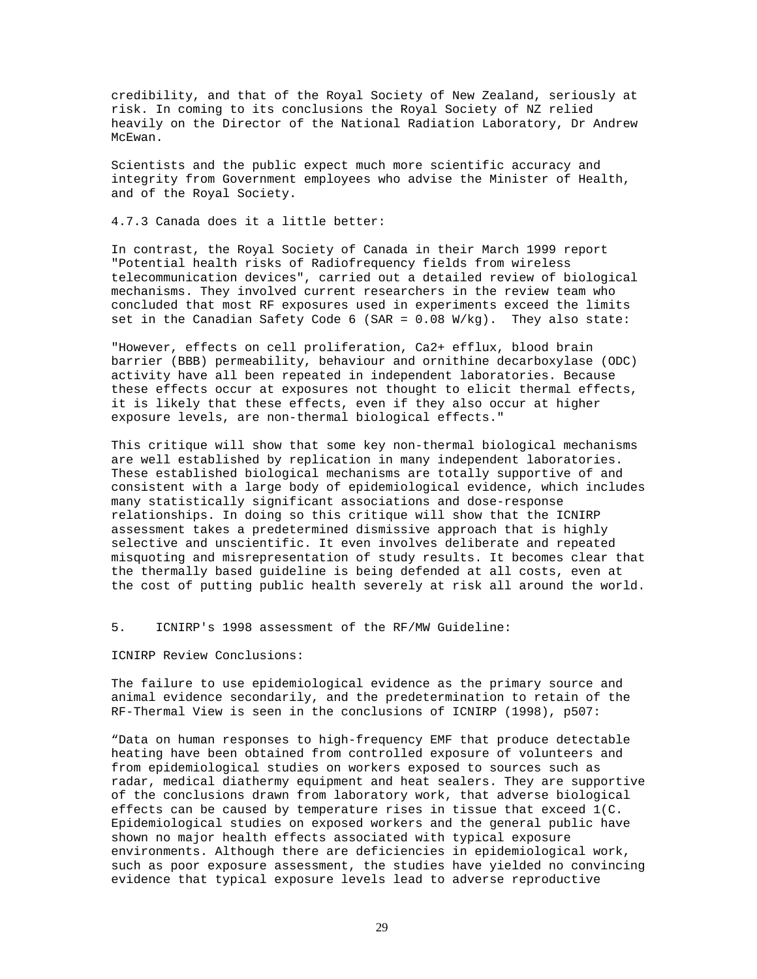credibility, and that of the Royal Society of New Zealand, seriously at risk. In coming to its conclusions the Royal Society of NZ relied heavily on the Director of the National Radiation Laboratory, Dr Andrew McEwan.

Scientists and the public expect much more scientific accuracy and integrity from Government employees who advise the Minister of Health, and of the Royal Society.

4.7.3 Canada does it a little better:

In contrast, the Royal Society of Canada in their March 1999 report "Potential health risks of Radiofrequency fields from wireless telecommunication devices", carried out a detailed review of biological mechanisms. They involved current researchers in the review team who concluded that most RF exposures used in experiments exceed the limits set in the Canadian Safety Code 6 (SAR = 0.08 W/kg). They also state:

"However, effects on cell proliferation, Ca2+ efflux, blood brain barrier (BBB) permeability, behaviour and ornithine decarboxylase (ODC) activity have all been repeated in independent laboratories. Because these effects occur at exposures not thought to elicit thermal effects, it is likely that these effects, even if they also occur at higher exposure levels, are non-thermal biological effects."

This critique will show that some key non-thermal biological mechanisms are well established by replication in many independent laboratories. These established biological mechanisms are totally supportive of and consistent with a large body of epidemiological evidence, which includes many statistically significant associations and dose-response relationships. In doing so this critique will show that the ICNIRP assessment takes a predetermined dismissive approach that is highly selective and unscientific. It even involves deliberate and repeated misquoting and misrepresentation of study results. It becomes clear that the thermally based guideline is being defended at all costs, even at the cost of putting public health severely at risk all around the world.

5. ICNIRP's 1998 assessment of the RF/MW Guideline:

ICNIRP Review Conclusions:

The failure to use epidemiological evidence as the primary source and animal evidence secondarily, and the predetermination to retain of the RF-Thermal View is seen in the conclusions of ICNIRP (1998), p507:

"Data on human responses to high-frequency EMF that produce detectable heating have been obtained from controlled exposure of volunteers and from epidemiological studies on workers exposed to sources such as radar, medical diathermy equipment and heat sealers. They are supportive of the conclusions drawn from laboratory work, that adverse biological effects can be caused by temperature rises in tissue that exceed 1(C. Epidemiological studies on exposed workers and the general public have shown no major health effects associated with typical exposure environments. Although there are deficiencies in epidemiological work, such as poor exposure assessment, the studies have yielded no convincing evidence that typical exposure levels lead to adverse reproductive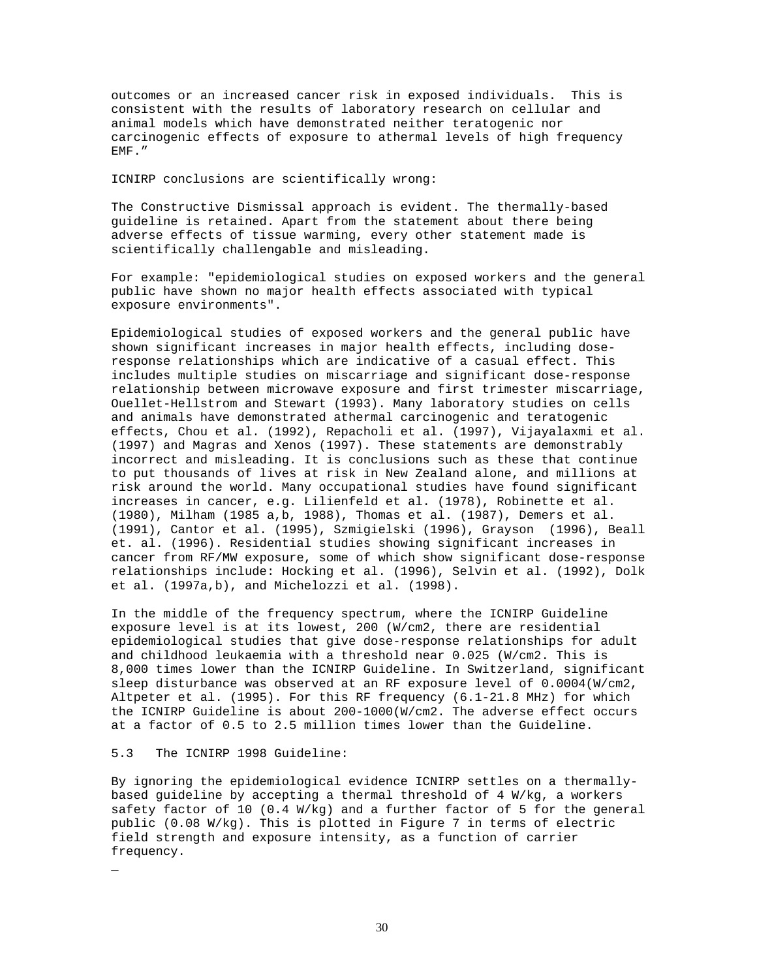outcomes or an increased cancer risk in exposed individuals. This is consistent with the results of laboratory research on cellular and animal models which have demonstrated neither teratogenic nor carcinogenic effects of exposure to athermal levels of high frequency EMF."

# ICNIRP conclusions are scientifically wrong:

The Constructive Dismissal approach is evident. The thermally-based guideline is retained. Apart from the statement about there being adverse effects of tissue warming, every other statement made is scientifically challengable and misleading.

For example: "epidemiological studies on exposed workers and the general public have shown no major health effects associated with typical exposure environments".

Epidemiological studies of exposed workers and the general public have shown significant increases in major health effects, including doseresponse relationships which are indicative of a casual effect. This includes multiple studies on miscarriage and significant dose-response relationship between microwave exposure and first trimester miscarriage, Ouellet-Hellstrom and Stewart (1993). Many laboratory studies on cells and animals have demonstrated athermal carcinogenic and teratogenic effects, Chou et al. (1992), Repacholi et al. (1997), Vijayalaxmi et al. (1997) and Magras and Xenos (1997). These statements are demonstrably incorrect and misleading. It is conclusions such as these that continue to put thousands of lives at risk in New Zealand alone, and millions at risk around the world. Many occupational studies have found significant increases in cancer, e.g. Lilienfeld et al. (1978), Robinette et al. (1980), Milham (1985 a,b, 1988), Thomas et al. (1987), Demers et al. (1991), Cantor et al. (1995), Szmigielski (1996), Grayson (1996), Beall et. al. (1996). Residential studies showing significant increases in cancer from RF/MW exposure, some of which show significant dose-response relationships include: Hocking et al. (1996), Selvin et al. (1992), Dolk et al. (1997a,b), and Michelozzi et al. (1998).

In the middle of the frequency spectrum, where the ICNIRP Guideline exposure level is at its lowest, 200 (W/cm2, there are residential epidemiological studies that give dose-response relationships for adult and childhood leukaemia with a threshold near 0.025 (W/cm2. This is 8,000 times lower than the ICNIRP Guideline. In Switzerland, significant sleep disturbance was observed at an RF exposure level of 0.0004(W/cm2, Altpeter et al. (1995). For this RF frequency (6.1-21.8 MHz) for which the ICNIRP Guideline is about 200-1000(W/cm2. The adverse effect occurs at a factor of 0.5 to 2.5 million times lower than the Guideline.

## 5.3 The ICNIRP 1998 Guideline:

\_

By ignoring the epidemiological evidence ICNIRP settles on a thermallybased guideline by accepting a thermal threshold of 4 W/kg, a workers safety factor of 10 (0.4 W/kg) and a further factor of 5 for the general public (0.08 W/kg). This is plotted in Figure 7 in terms of electric field strength and exposure intensity, as a function of carrier frequency.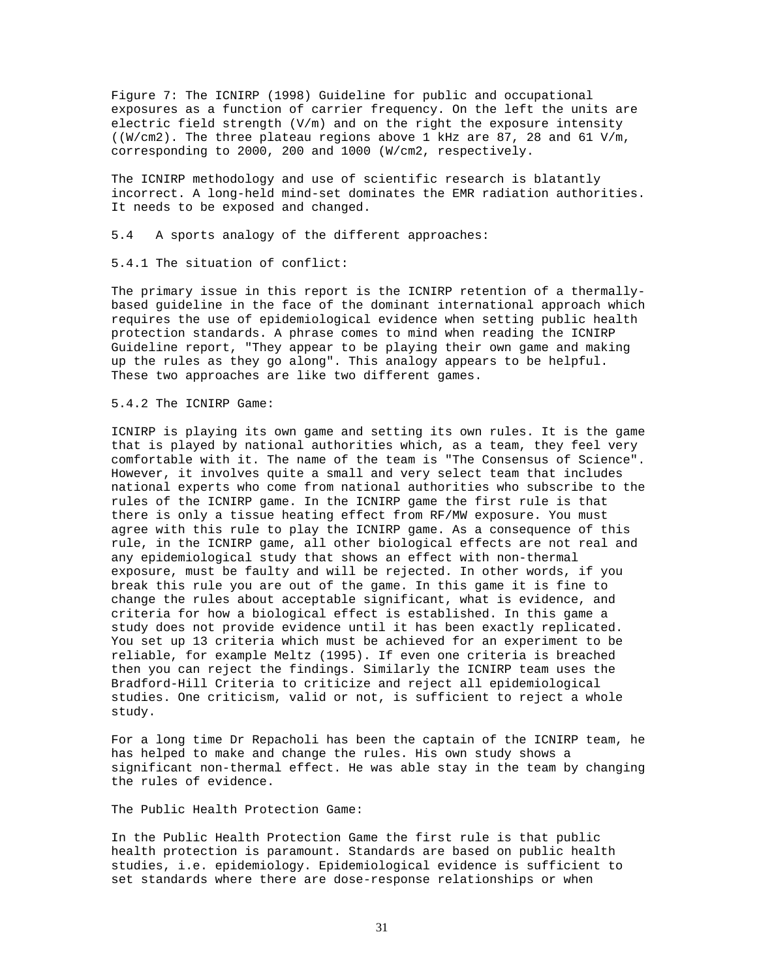Figure 7: The ICNIRP (1998) Guideline for public and occupational exposures as a function of carrier frequency. On the left the units are electric field strength (V/m) and on the right the exposure intensity ((W/cm2). The three plateau regions above 1 kHz are 87, 28 and 61 V/m, corresponding to 2000, 200 and 1000 (W/cm2, respectively.

The ICNIRP methodology and use of scientific research is blatantly incorrect. A long-held mind-set dominates the EMR radiation authorities. It needs to be exposed and changed.

5.4 A sports analogy of the different approaches:

5.4.1 The situation of conflict:

The primary issue in this report is the ICNIRP retention of a thermallybased guideline in the face of the dominant international approach which requires the use of epidemiological evidence when setting public health protection standards. A phrase comes to mind when reading the ICNIRP Guideline report, "They appear to be playing their own game and making up the rules as they go along". This analogy appears to be helpful. These two approaches are like two different games.

5.4.2 The ICNIRP Game:

ICNIRP is playing its own game and setting its own rules. It is the game that is played by national authorities which, as a team, they feel very comfortable with it. The name of the team is "The Consensus of Science". However, it involves quite a small and very select team that includes national experts who come from national authorities who subscribe to the rules of the ICNIRP game. In the ICNIRP game the first rule is that there is only a tissue heating effect from RF/MW exposure. You must agree with this rule to play the ICNIRP game. As a consequence of this rule, in the ICNIRP game, all other biological effects are not real and any epidemiological study that shows an effect with non-thermal exposure, must be faulty and will be rejected. In other words, if you break this rule you are out of the game. In this game it is fine to change the rules about acceptable significant, what is evidence, and criteria for how a biological effect is established. In this game a study does not provide evidence until it has been exactly replicated. You set up 13 criteria which must be achieved for an experiment to be reliable, for example Meltz (1995). If even one criteria is breached then you can reject the findings. Similarly the ICNIRP team uses the Bradford-Hill Criteria to criticize and reject all epidemiological studies. One criticism, valid or not, is sufficient to reject a whole study.

For a long time Dr Repacholi has been the captain of the ICNIRP team, he has helped to make and change the rules. His own study shows a significant non-thermal effect. He was able stay in the team by changing the rules of evidence.

The Public Health Protection Game:

In the Public Health Protection Game the first rule is that public health protection is paramount. Standards are based on public health studies, i.e. epidemiology. Epidemiological evidence is sufficient to set standards where there are dose-response relationships or when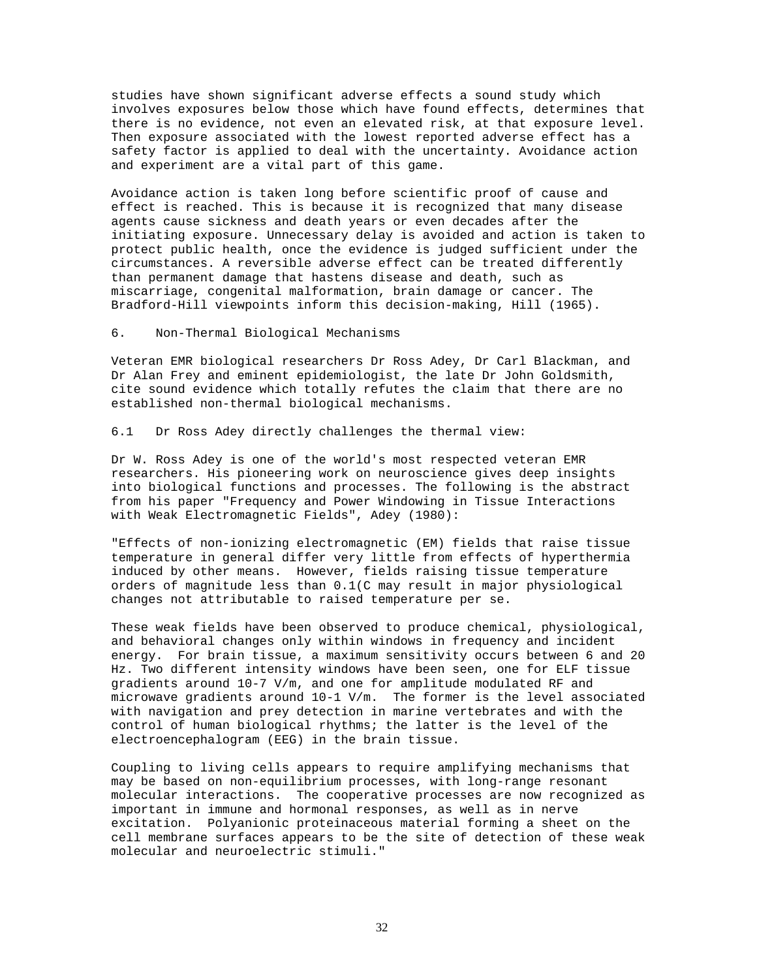studies have shown significant adverse effects a sound study which involves exposures below those which have found effects, determines that there is no evidence, not even an elevated risk, at that exposure level. Then exposure associated with the lowest reported adverse effect has a safety factor is applied to deal with the uncertainty. Avoidance action and experiment are a vital part of this game.

Avoidance action is taken long before scientific proof of cause and effect is reached. This is because it is recognized that many disease agents cause sickness and death years or even decades after the initiating exposure. Unnecessary delay is avoided and action is taken to protect public health, once the evidence is judged sufficient under the circumstances. A reversible adverse effect can be treated differently than permanent damage that hastens disease and death, such as miscarriage, congenital malformation, brain damage or cancer. The Bradford-Hill viewpoints inform this decision-making, Hill (1965).

# 6. Non-Thermal Biological Mechanisms

Veteran EMR biological researchers Dr Ross Adey, Dr Carl Blackman, and Dr Alan Frey and eminent epidemiologist, the late Dr John Goldsmith, cite sound evidence which totally refutes the claim that there are no established non-thermal biological mechanisms.

6.1 Dr Ross Adey directly challenges the thermal view:

Dr W. Ross Adey is one of the world's most respected veteran EMR researchers. His pioneering work on neuroscience gives deep insights into biological functions and processes. The following is the abstract from his paper "Frequency and Power Windowing in Tissue Interactions with Weak Electromagnetic Fields", Adey (1980):

"Effects of non-ionizing electromagnetic (EM) fields that raise tissue temperature in general differ very little from effects of hyperthermia induced by other means. However, fields raising tissue temperature orders of magnitude less than 0.1(C may result in major physiological changes not attributable to raised temperature per se.

These weak fields have been observed to produce chemical, physiological, and behavioral changes only within windows in frequency and incident energy. For brain tissue, a maximum sensitivity occurs between 6 and 20 Hz. Two different intensity windows have been seen, one for ELF tissue gradients around 10-7 V/m, and one for amplitude modulated RF and microwave gradients around 10-1 V/m. The former is the level associated with navigation and prey detection in marine vertebrates and with the control of human biological rhythms; the latter is the level of the electroencephalogram (EEG) in the brain tissue.

Coupling to living cells appears to require amplifying mechanisms that may be based on non-equilibrium processes, with long-range resonant molecular interactions. The cooperative processes are now recognized as important in immune and hormonal responses, as well as in nerve excitation. Polyanionic proteinaceous material forming a sheet on the cell membrane surfaces appears to be the site of detection of these weak molecular and neuroelectric stimuli."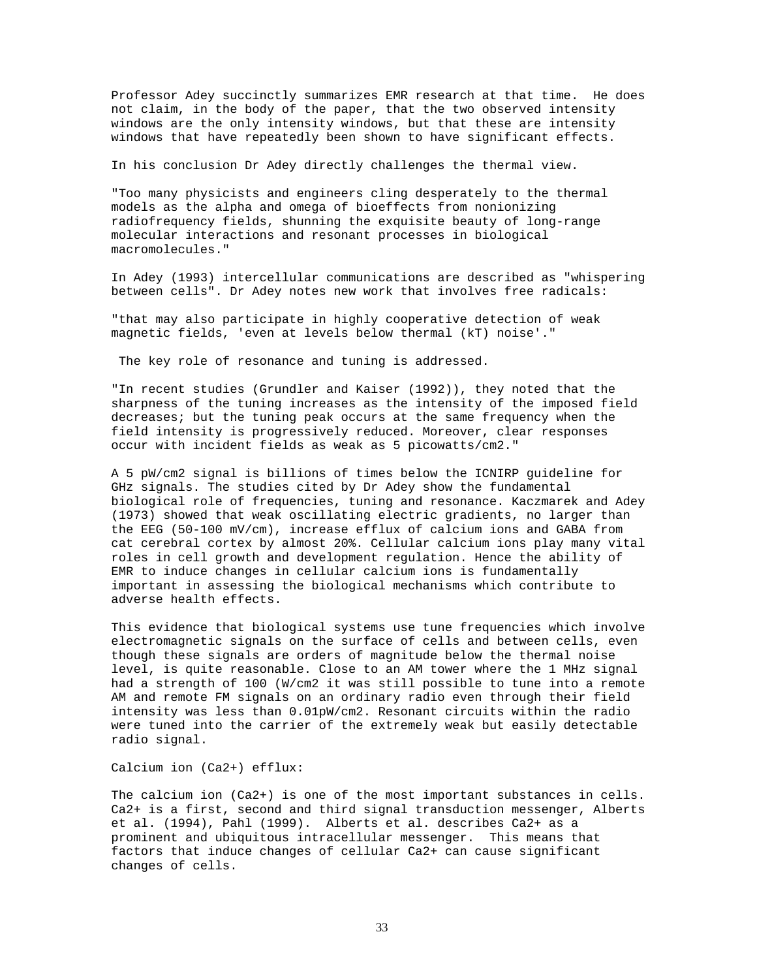Professor Adey succinctly summarizes EMR research at that time. He does not claim, in the body of the paper, that the two observed intensity windows are the only intensity windows, but that these are intensity windows that have repeatedly been shown to have significant effects.

In his conclusion Dr Adey directly challenges the thermal view.

"Too many physicists and engineers cling desperately to the thermal models as the alpha and omega of bioeffects from nonionizing radiofrequency fields, shunning the exquisite beauty of long-range molecular interactions and resonant processes in biological macromolecules."

In Adey (1993) intercellular communications are described as "whispering between cells". Dr Adey notes new work that involves free radicals:

"that may also participate in highly cooperative detection of weak magnetic fields, 'even at levels below thermal (kT) noise'."

The key role of resonance and tuning is addressed.

"In recent studies (Grundler and Kaiser (1992)), they noted that the sharpness of the tuning increases as the intensity of the imposed field decreases; but the tuning peak occurs at the same frequency when the field intensity is progressively reduced. Moreover, clear responses occur with incident fields as weak as 5 picowatts/cm2."

A 5 pW/cm2 signal is billions of times below the ICNIRP guideline for GHz signals. The studies cited by Dr Adey show the fundamental biological role of frequencies, tuning and resonance. Kaczmarek and Adey (1973) showed that weak oscillating electric gradients, no larger than the EEG (50-100 mV/cm), increase efflux of calcium ions and GABA from cat cerebral cortex by almost 20%. Cellular calcium ions play many vital roles in cell growth and development regulation. Hence the ability of EMR to induce changes in cellular calcium ions is fundamentally important in assessing the biological mechanisms which contribute to adverse health effects.

This evidence that biological systems use tune frequencies which involve electromagnetic signals on the surface of cells and between cells, even though these signals are orders of magnitude below the thermal noise level, is quite reasonable. Close to an AM tower where the 1 MHz signal had a strength of 100 (W/cm2 it was still possible to tune into a remote AM and remote FM signals on an ordinary radio even through their field intensity was less than 0.01pW/cm2. Resonant circuits within the radio were tuned into the carrier of the extremely weak but easily detectable radio signal.

Calcium ion (Ca2+) efflux:

The calcium ion (Ca2+) is one of the most important substances in cells. Ca2+ is a first, second and third signal transduction messenger, Alberts et al. (1994), Pahl (1999). Alberts et al. describes Ca2+ as a prominent and ubiquitous intracellular messenger. This means that factors that induce changes of cellular Ca2+ can cause significant changes of cells.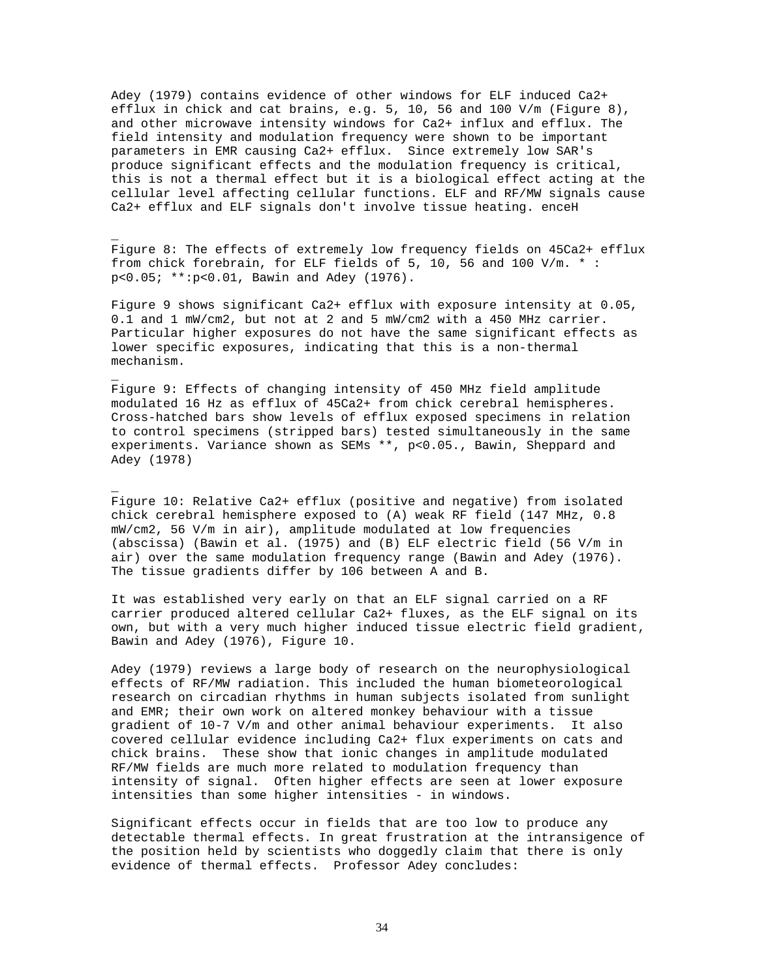Adey (1979) contains evidence of other windows for ELF induced Ca2+ efflux in chick and cat brains, e.g. 5, 10, 56 and 100 V/m (Figure 8), and other microwave intensity windows for Ca2+ influx and efflux. The field intensity and modulation frequency were shown to be important parameters in EMR causing Ca2+ efflux. Since extremely low SAR's produce significant effects and the modulation frequency is critical, this is not a thermal effect but it is a biological effect acting at the cellular level affecting cellular functions. ELF and RF/MW signals cause Ca2+ efflux and ELF signals don't involve tissue heating. enceH

Figure 8: The effects of extremely low frequency fields on 45Ca2+ efflux from chick forebrain, for ELF fields of 5, 10, 56 and 100 V/m. \* : p<0.05; \*\*:p<0.01, Bawin and Adey (1976).

\_

\_

\_

Figure 9 shows significant Ca2+ efflux with exposure intensity at 0.05, 0.1 and 1 mW/cm2, but not at 2 and 5 mW/cm2 with a 450 MHz carrier. Particular higher exposures do not have the same significant effects as lower specific exposures, indicating that this is a non-thermal mechanism.

Figure 9: Effects of changing intensity of 450 MHz field amplitude modulated 16 Hz as efflux of 45Ca2+ from chick cerebral hemispheres. Cross-hatched bars show levels of efflux exposed specimens in relation to control specimens (stripped bars) tested simultaneously in the same experiments. Variance shown as SEMs \*\*, p<0.05., Bawin, Sheppard and Adey (1978)

Figure 10: Relative Ca2+ efflux (positive and negative) from isolated chick cerebral hemisphere exposed to (A) weak RF field (147 MHz, 0.8 mW/cm2, 56 V/m in air), amplitude modulated at low frequencies (abscissa) (Bawin et al. (1975) and (B) ELF electric field (56 V/m in air) over the same modulation frequency range (Bawin and Adey (1976). The tissue gradients differ by 106 between A and B.

It was established very early on that an ELF signal carried on a RF carrier produced altered cellular Ca2+ fluxes, as the ELF signal on its own, but with a very much higher induced tissue electric field gradient, Bawin and Adey (1976), Figure 10.

Adey (1979) reviews a large body of research on the neurophysiological effects of RF/MW radiation. This included the human biometeorological research on circadian rhythms in human subjects isolated from sunlight and EMR; their own work on altered monkey behaviour with a tissue gradient of 10-7 V/m and other animal behaviour experiments. It also covered cellular evidence including Ca2+ flux experiments on cats and chick brains. These show that ionic changes in amplitude modulated RF/MW fields are much more related to modulation frequency than intensity of signal. Often higher effects are seen at lower exposure intensities than some higher intensities - in windows.

Significant effects occur in fields that are too low to produce any detectable thermal effects. In great frustration at the intransigence of the position held by scientists who doggedly claim that there is only evidence of thermal effects. Professor Adey concludes: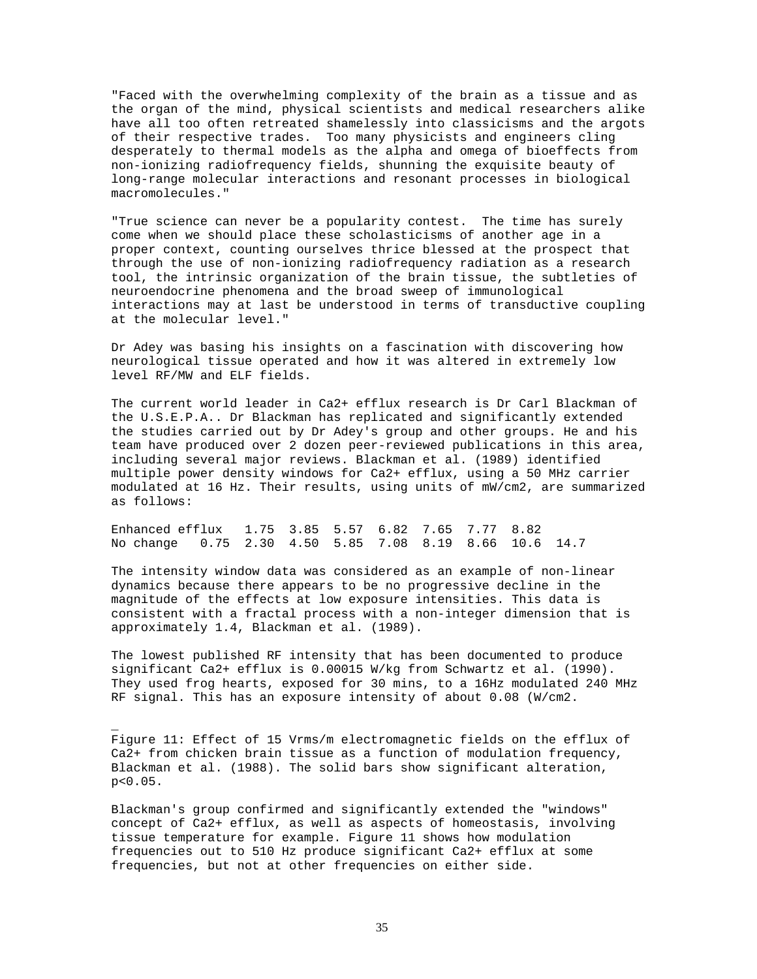"Faced with the overwhelming complexity of the brain as a tissue and as the organ of the mind, physical scientists and medical researchers alike have all too often retreated shamelessly into classicisms and the argots of their respective trades. Too many physicists and engineers cling desperately to thermal models as the alpha and omega of bioeffects from non-ionizing radiofrequency fields, shunning the exquisite beauty of long-range molecular interactions and resonant processes in biological macromolecules."

"True science can never be a popularity contest. The time has surely come when we should place these scholasticisms of another age in a proper context, counting ourselves thrice blessed at the prospect that through the use of non-ionizing radiofrequency radiation as a research tool, the intrinsic organization of the brain tissue, the subtleties of neuroendocrine phenomena and the broad sweep of immunological interactions may at last be understood in terms of transductive coupling at the molecular level."

Dr Adey was basing his insights on a fascination with discovering how neurological tissue operated and how it was altered in extremely low level RF/MW and ELF fields.

The current world leader in Ca2+ efflux research is Dr Carl Blackman of the U.S.E.P.A.. Dr Blackman has replicated and significantly extended the studies carried out by Dr Adey's group and other groups. He and his team have produced over 2 dozen peer-reviewed publications in this area, including several major reviews. Blackman et al. (1989) identified multiple power density windows for Ca2+ efflux, using a 50 MHz carrier modulated at 16 Hz. Their results, using units of mW/cm2, are summarized as follows:

Enhanced efflux 1.75 3.85 5.57 6.82 7.65 7.77 8.82 No change 0.75 2.30 4.50 5.85 7.08 8.19 8.66 10.6 14.7

The intensity window data was considered as an example of non-linear dynamics because there appears to be no progressive decline in the magnitude of the effects at low exposure intensities. This data is consistent with a fractal process with a non-integer dimension that is approximately 1.4, Blackman et al. (1989).

The lowest published RF intensity that has been documented to produce significant Ca2+ efflux is 0.00015 W/kg from Schwartz et al. (1990). They used frog hearts, exposed for 30 mins, to a 16Hz modulated 240 MHz RF signal. This has an exposure intensity of about 0.08 (W/cm2.

Figure 11: Effect of 15 Vrms/m electromagnetic fields on the efflux of Ca2+ from chicken brain tissue as a function of modulation frequency, Blackman et al. (1988). The solid bars show significant alteration, p<0.05.

\_

Blackman's group confirmed and significantly extended the "windows" concept of Ca2+ efflux, as well as aspects of homeostasis, involving tissue temperature for example. Figure 11 shows how modulation frequencies out to 510 Hz produce significant Ca2+ efflux at some frequencies, but not at other frequencies on either side.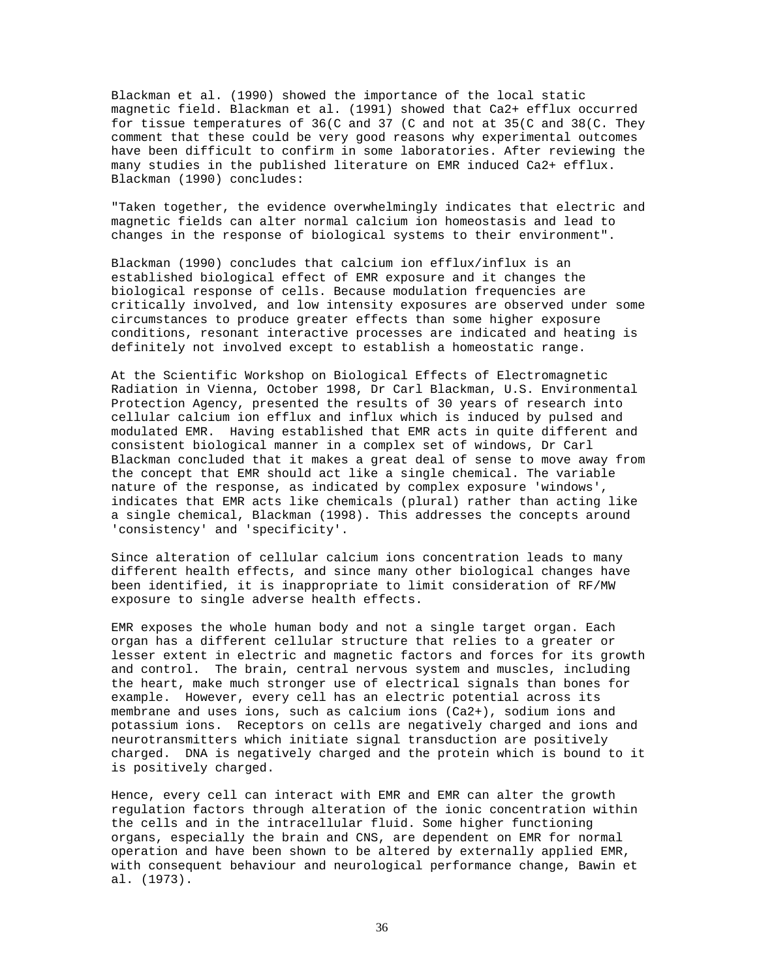Blackman et al. (1990) showed the importance of the local static magnetic field. Blackman et al. (1991) showed that Ca2+ efflux occurred for tissue temperatures of 36(C and 37 (C and not at 35(C and 38(C. They comment that these could be very good reasons why experimental outcomes have been difficult to confirm in some laboratories. After reviewing the many studies in the published literature on EMR induced Ca2+ efflux. Blackman (1990) concludes:

"Taken together, the evidence overwhelmingly indicates that electric and magnetic fields can alter normal calcium ion homeostasis and lead to changes in the response of biological systems to their environment".

Blackman (1990) concludes that calcium ion efflux/influx is an established biological effect of EMR exposure and it changes the biological response of cells. Because modulation frequencies are critically involved, and low intensity exposures are observed under some circumstances to produce greater effects than some higher exposure conditions, resonant interactive processes are indicated and heating is definitely not involved except to establish a homeostatic range.

At the Scientific Workshop on Biological Effects of Electromagnetic Radiation in Vienna, October 1998, Dr Carl Blackman, U.S. Environmental Protection Agency, presented the results of 30 years of research into cellular calcium ion efflux and influx which is induced by pulsed and modulated EMR. Having established that EMR acts in quite different and consistent biological manner in a complex set of windows, Dr Carl Blackman concluded that it makes a great deal of sense to move away from the concept that EMR should act like a single chemical. The variable nature of the response, as indicated by complex exposure 'windows', indicates that EMR acts like chemicals (plural) rather than acting like a single chemical, Blackman (1998). This addresses the concepts around 'consistency' and 'specificity'.

Since alteration of cellular calcium ions concentration leads to many different health effects, and since many other biological changes have been identified, it is inappropriate to limit consideration of RF/MW exposure to single adverse health effects.

EMR exposes the whole human body and not a single target organ. Each organ has a different cellular structure that relies to a greater or lesser extent in electric and magnetic factors and forces for its growth and control. The brain, central nervous system and muscles, including the heart, make much stronger use of electrical signals than bones for example. However, every cell has an electric potential across its membrane and uses ions, such as calcium ions (Ca2+), sodium ions and potassium ions. Receptors on cells are negatively charged and ions and neurotransmitters which initiate signal transduction are positively charged. DNA is negatively charged and the protein which is bound to it is positively charged.

Hence, every cell can interact with EMR and EMR can alter the growth regulation factors through alteration of the ionic concentration within the cells and in the intracellular fluid. Some higher functioning organs, especially the brain and CNS, are dependent on EMR for normal operation and have been shown to be altered by externally applied EMR, with consequent behaviour and neurological performance change, Bawin et al. (1973).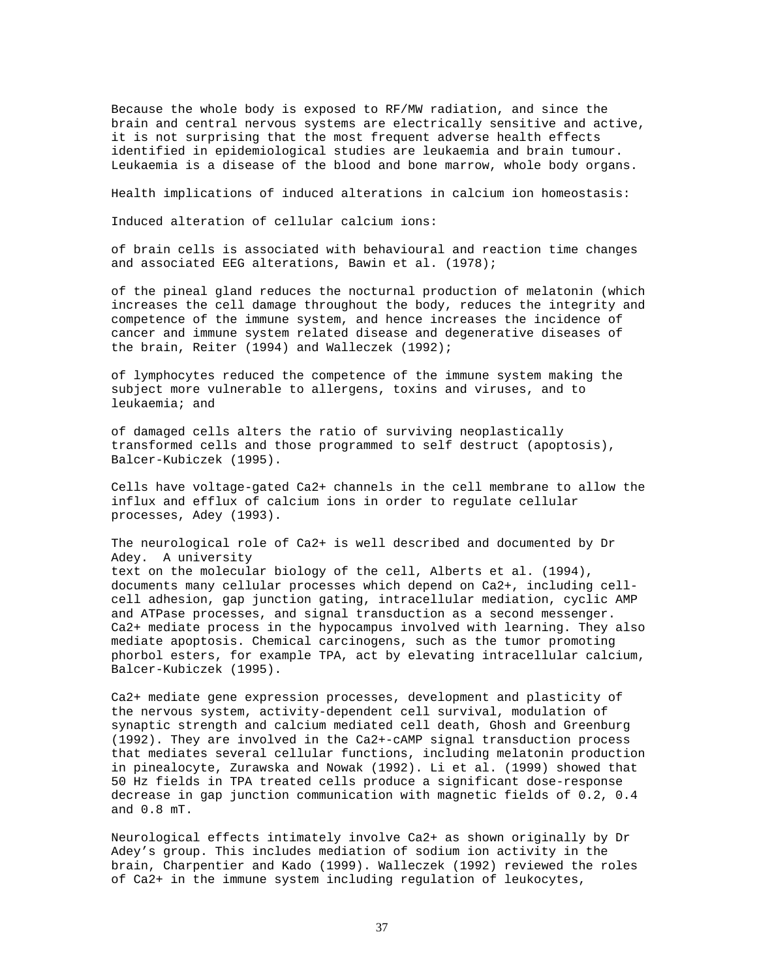Because the whole body is exposed to RF/MW radiation, and since the brain and central nervous systems are electrically sensitive and active, it is not surprising that the most frequent adverse health effects identified in epidemiological studies are leukaemia and brain tumour. Leukaemia is a disease of the blood and bone marrow, whole body organs.

Health implications of induced alterations in calcium ion homeostasis:

Induced alteration of cellular calcium ions:

of brain cells is associated with behavioural and reaction time changes and associated EEG alterations, Bawin et al. (1978);

of the pineal gland reduces the nocturnal production of melatonin (which increases the cell damage throughout the body, reduces the integrity and competence of the immune system, and hence increases the incidence of cancer and immune system related disease and degenerative diseases of the brain, Reiter (1994) and Walleczek (1992);

of lymphocytes reduced the competence of the immune system making the subject more vulnerable to allergens, toxins and viruses, and to leukaemia; and

of damaged cells alters the ratio of surviving neoplastically transformed cells and those programmed to self destruct (apoptosis), Balcer-Kubiczek (1995).

Cells have voltage-gated Ca2+ channels in the cell membrane to allow the influx and efflux of calcium ions in order to regulate cellular processes, Adey (1993).

The neurological role of Ca2+ is well described and documented by Dr Adey. A university text on the molecular biology of the cell, Alberts et al. (1994), documents many cellular processes which depend on Ca2+, including cellcell adhesion, gap junction gating, intracellular mediation, cyclic AMP and ATPase processes, and signal transduction as a second messenger. Ca2+ mediate process in the hypocampus involved with learning. They also mediate apoptosis. Chemical carcinogens, such as the tumor promoting phorbol esters, for example TPA, act by elevating intracellular calcium, Balcer-Kubiczek (1995).

Ca2+ mediate gene expression processes, development and plasticity of the nervous system, activity-dependent cell survival, modulation of synaptic strength and calcium mediated cell death, Ghosh and Greenburg (1992). They are involved in the Ca2+-cAMP signal transduction process that mediates several cellular functions, including melatonin production in pinealocyte, Zurawska and Nowak (1992). Li et al. (1999) showed that 50 Hz fields in TPA treated cells produce a significant dose-response decrease in gap junction communication with magnetic fields of 0.2, 0.4 and 0.8 mT.

Neurological effects intimately involve Ca2+ as shown originally by Dr Adey's group. This includes mediation of sodium ion activity in the brain, Charpentier and Kado (1999). Walleczek (1992) reviewed the roles of Ca2+ in the immune system including regulation of leukocytes,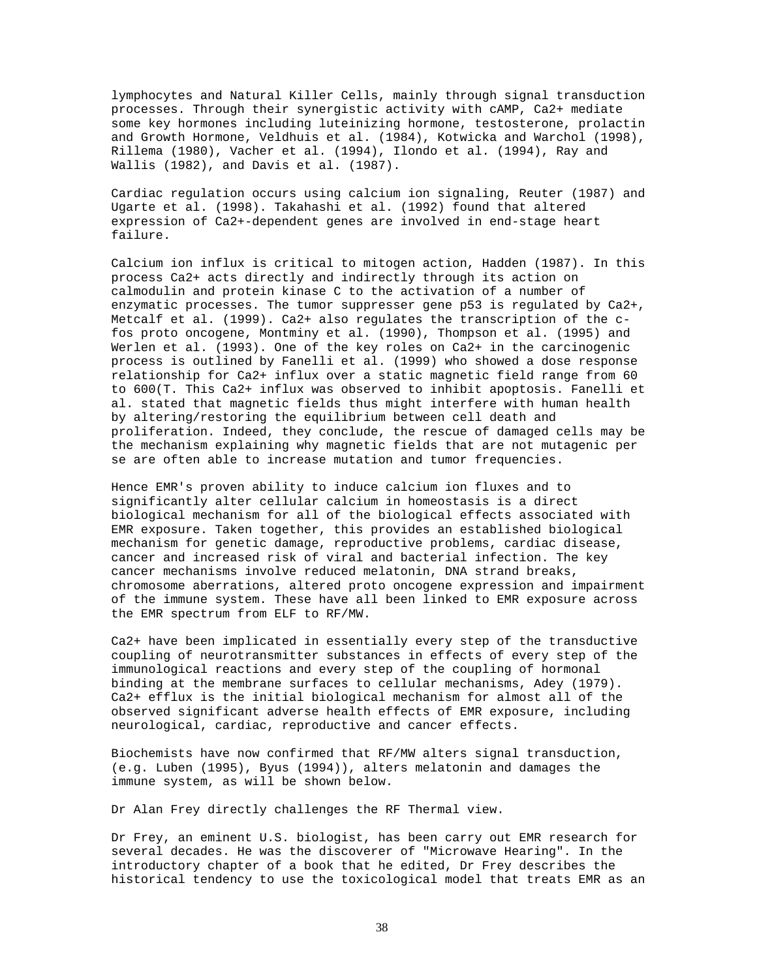lymphocytes and Natural Killer Cells, mainly through signal transduction processes. Through their synergistic activity with cAMP, Ca2+ mediate some key hormones including luteinizing hormone, testosterone, prolactin and Growth Hormone, Veldhuis et al. (1984), Kotwicka and Warchol (1998), Rillema (1980), Vacher et al. (1994), Ilondo et al. (1994), Ray and Wallis (1982), and Davis et al. (1987).

Cardiac regulation occurs using calcium ion signaling, Reuter (1987) and Ugarte et al. (1998). Takahashi et al. (1992) found that altered expression of Ca2+-dependent genes are involved in end-stage heart failure.

Calcium ion influx is critical to mitogen action, Hadden (1987). In this process Ca2+ acts directly and indirectly through its action on calmodulin and protein kinase C to the activation of a number of enzymatic processes. The tumor suppresser gene p53 is regulated by Ca2+, Metcalf et al. (1999). Ca2+ also regulates the transcription of the cfos proto oncogene, Montminy et al. (1990), Thompson et al. (1995) and Werlen et al. (1993). One of the key roles on Ca2+ in the carcinogenic process is outlined by Fanelli et al. (1999) who showed a dose response relationship for Ca2+ influx over a static magnetic field range from 60 to 600(T. This Ca2+ influx was observed to inhibit apoptosis. Fanelli et al. stated that magnetic fields thus might interfere with human health by altering/restoring the equilibrium between cell death and proliferation. Indeed, they conclude, the rescue of damaged cells may be the mechanism explaining why magnetic fields that are not mutagenic per se are often able to increase mutation and tumor frequencies.

Hence EMR's proven ability to induce calcium ion fluxes and to significantly alter cellular calcium in homeostasis is a direct biological mechanism for all of the biological effects associated with EMR exposure. Taken together, this provides an established biological mechanism for genetic damage, reproductive problems, cardiac disease, cancer and increased risk of viral and bacterial infection. The key cancer mechanisms involve reduced melatonin, DNA strand breaks, chromosome aberrations, altered proto oncogene expression and impairment of the immune system. These have all been linked to EMR exposure across the EMR spectrum from ELF to RF/MW.

Ca2+ have been implicated in essentially every step of the transductive coupling of neurotransmitter substances in effects of every step of the immunological reactions and every step of the coupling of hormonal binding at the membrane surfaces to cellular mechanisms, Adey (1979). Ca2+ efflux is the initial biological mechanism for almost all of the observed significant adverse health effects of EMR exposure, including neurological, cardiac, reproductive and cancer effects.

Biochemists have now confirmed that RF/MW alters signal transduction, (e.g. Luben (1995), Byus (1994)), alters melatonin and damages the immune system, as will be shown below.

Dr Alan Frey directly challenges the RF Thermal view.

Dr Frey, an eminent U.S. biologist, has been carry out EMR research for several decades. He was the discoverer of "Microwave Hearing". In the introductory chapter of a book that he edited, Dr Frey describes the historical tendency to use the toxicological model that treats EMR as an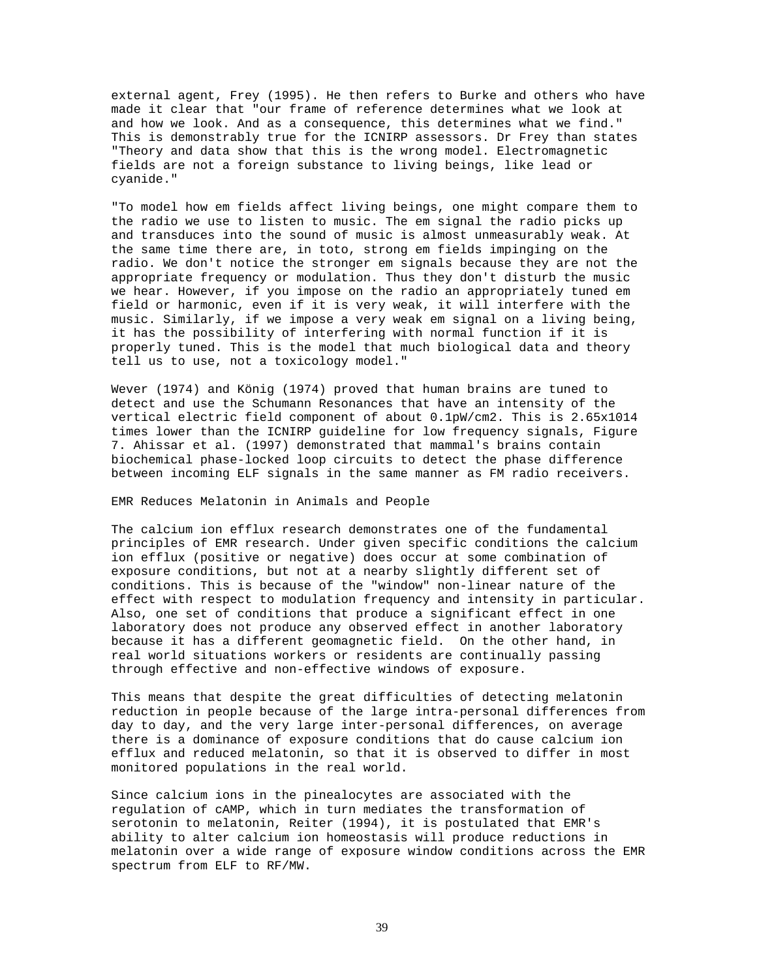external agent, Frey (1995). He then refers to Burke and others who have made it clear that "our frame of reference determines what we look at and how we look. And as a consequence, this determines what we find." This is demonstrably true for the ICNIRP assessors. Dr Frey than states "Theory and data show that this is the wrong model. Electromagnetic fields are not a foreign substance to living beings, like lead or cyanide."

"To model how em fields affect living beings, one might compare them to the radio we use to listen to music. The em signal the radio picks up and transduces into the sound of music is almost unmeasurably weak. At the same time there are, in toto, strong em fields impinging on the radio. We don't notice the stronger em signals because they are not the appropriate frequency or modulation. Thus they don't disturb the music we hear. However, if you impose on the radio an appropriately tuned em field or harmonic, even if it is very weak, it will interfere with the music. Similarly, if we impose a very weak em signal on a living being, it has the possibility of interfering with normal function if it is properly tuned. This is the model that much biological data and theory tell us to use, not a toxicology model."

Wever (1974) and König (1974) proved that human brains are tuned to detect and use the Schumann Resonances that have an intensity of the vertical electric field component of about 0.1pW/cm2. This is 2.65x1014 times lower than the ICNIRP guideline for low frequency signals, Figure 7. Ahissar et al. (1997) demonstrated that mammal's brains contain biochemical phase-locked loop circuits to detect the phase difference between incoming ELF signals in the same manner as FM radio receivers.

EMR Reduces Melatonin in Animals and People

The calcium ion efflux research demonstrates one of the fundamental principles of EMR research. Under given specific conditions the calcium ion efflux (positive or negative) does occur at some combination of exposure conditions, but not at a nearby slightly different set of conditions. This is because of the "window" non-linear nature of the effect with respect to modulation frequency and intensity in particular. Also, one set of conditions that produce a significant effect in one laboratory does not produce any observed effect in another laboratory because it has a different geomagnetic field. On the other hand, in real world situations workers or residents are continually passing through effective and non-effective windows of exposure.

This means that despite the great difficulties of detecting melatonin reduction in people because of the large intra-personal differences from day to day, and the very large inter-personal differences, on average there is a dominance of exposure conditions that do cause calcium ion efflux and reduced melatonin, so that it is observed to differ in most monitored populations in the real world.

Since calcium ions in the pinealocytes are associated with the regulation of cAMP, which in turn mediates the transformation of serotonin to melatonin, Reiter (1994), it is postulated that EMR's ability to alter calcium ion homeostasis will produce reductions in melatonin over a wide range of exposure window conditions across the EMR spectrum from ELF to RF/MW.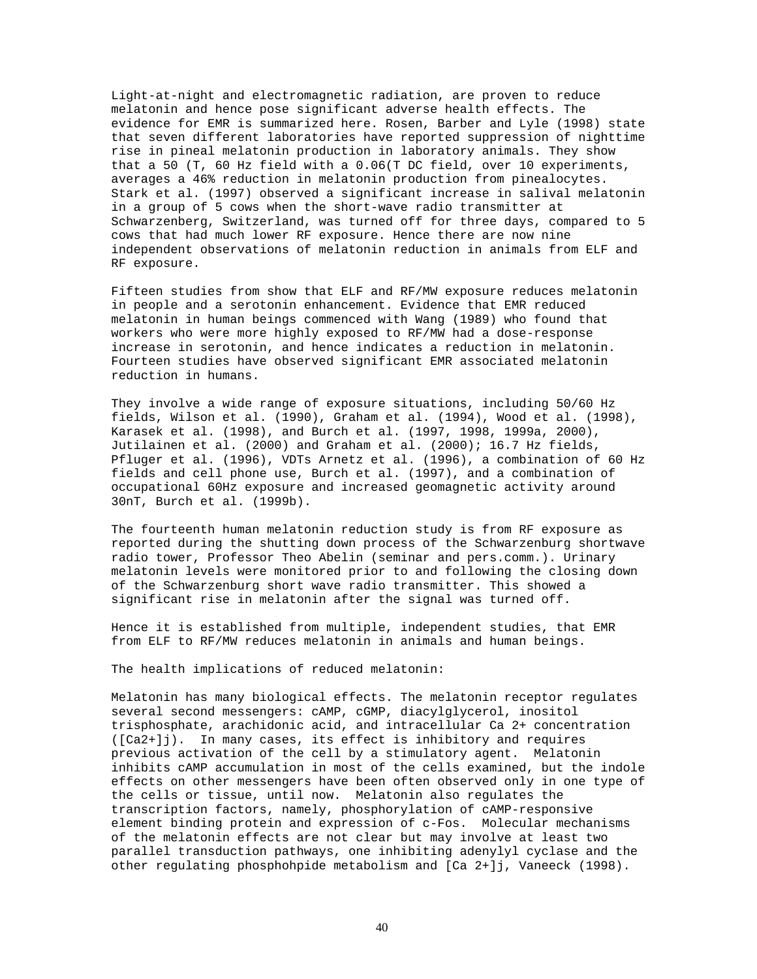Light-at-night and electromagnetic radiation, are proven to reduce melatonin and hence pose significant adverse health effects. The evidence for EMR is summarized here. Rosen, Barber and Lyle (1998) state that seven different laboratories have reported suppression of nighttime rise in pineal melatonin production in laboratory animals. They show that a 50 (T, 60 Hz field with a 0.06(T DC field, over 10 experiments, averages a 46% reduction in melatonin production from pinealocytes. Stark et al. (1997) observed a significant increase in salival melatonin in a group of 5 cows when the short-wave radio transmitter at Schwarzenberg, Switzerland, was turned off for three days, compared to 5 cows that had much lower RF exposure. Hence there are now nine independent observations of melatonin reduction in animals from ELF and RF exposure.

Fifteen studies from show that ELF and RF/MW exposure reduces melatonin in people and a serotonin enhancement. Evidence that EMR reduced melatonin in human beings commenced with Wang (1989) who found that workers who were more highly exposed to RF/MW had a dose-response increase in serotonin, and hence indicates a reduction in melatonin. Fourteen studies have observed significant EMR associated melatonin reduction in humans.

They involve a wide range of exposure situations, including 50/60 Hz fields, Wilson et al. (1990), Graham et al. (1994), Wood et al. (1998), Karasek et al. (1998), and Burch et al. (1997, 1998, 1999a, 2000), Jutilainen et al. (2000) and Graham et al. (2000); 16.7 Hz fields, Pfluger et al. (1996), VDTs Arnetz et al. (1996), a combination of 60 Hz fields and cell phone use, Burch et al. (1997), and a combination of occupational 60Hz exposure and increased geomagnetic activity around 30nT, Burch et al. (1999b).

The fourteenth human melatonin reduction study is from RF exposure as reported during the shutting down process of the Schwarzenburg shortwave radio tower, Professor Theo Abelin (seminar and pers.comm.). Urinary melatonin levels were monitored prior to and following the closing down of the Schwarzenburg short wave radio transmitter. This showed a significant rise in melatonin after the signal was turned off.

Hence it is established from multiple, independent studies, that EMR from ELF to RF/MW reduces melatonin in animals and human beings.

The health implications of reduced melatonin:

Melatonin has many biological effects. The melatonin receptor regulates several second messengers: cAMP, cGMP, diacylglycerol, inositol trisphosphate, arachidonic acid, and intracellular Ca 2+ concentration ([Ca2+]j). In many cases, its effect is inhibitory and requires previous activation of the cell by a stimulatory agent. Melatonin inhibits cAMP accumulation in most of the cells examined, but the indole effects on other messengers have been often observed only in one type of the cells or tissue, until now. Melatonin also regulates the transcription factors, namely, phosphorylation of cAMP-responsive element binding protein and expression of c-Fos. Molecular mechanisms of the melatonin effects are not clear but may involve at least two parallel transduction pathways, one inhibiting adenylyl cyclase and the other regulating phosphohpide metabolism and [Ca 2+]j, Vaneeck (1998).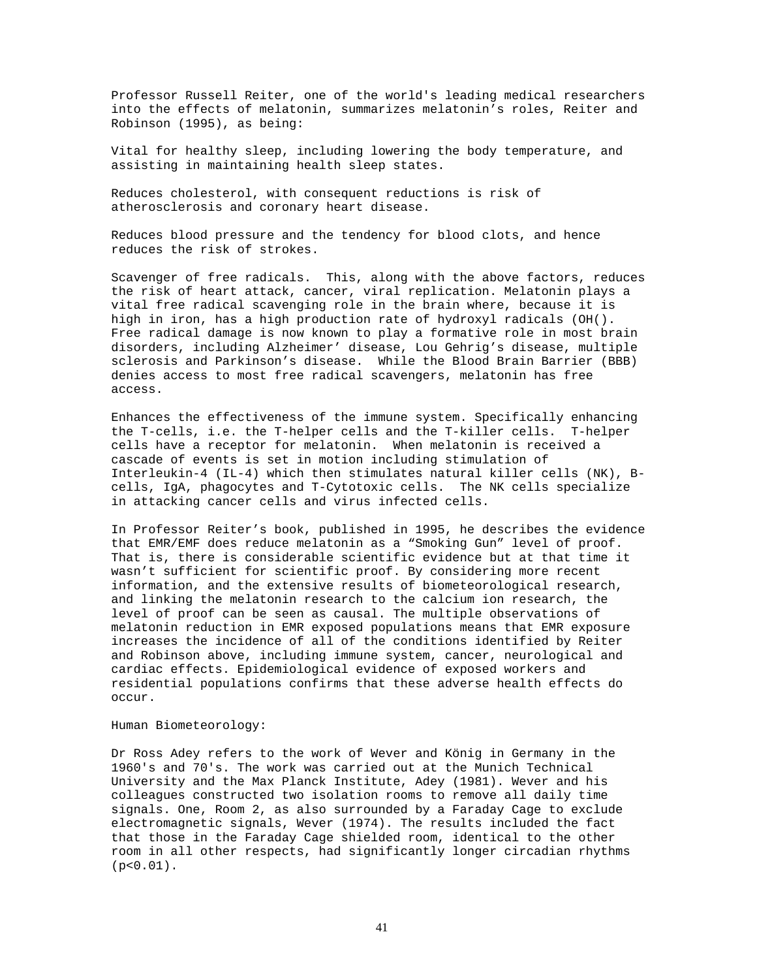Professor Russell Reiter, one of the world's leading medical researchers into the effects of melatonin, summarizes melatonin's roles, Reiter and Robinson (1995), as being:

Vital for healthy sleep, including lowering the body temperature, and assisting in maintaining health sleep states.

Reduces cholesterol, with consequent reductions is risk of atherosclerosis and coronary heart disease.

Reduces blood pressure and the tendency for blood clots, and hence reduces the risk of strokes.

Scavenger of free radicals. This, along with the above factors, reduces the risk of heart attack, cancer, viral replication. Melatonin plays a vital free radical scavenging role in the brain where, because it is high in iron, has a high production rate of hydroxyl radicals (OH(). Free radical damage is now known to play a formative role in most brain disorders, including Alzheimer' disease, Lou Gehrig's disease, multiple sclerosis and Parkinson's disease. While the Blood Brain Barrier (BBB) denies access to most free radical scavengers, melatonin has free access.

Enhances the effectiveness of the immune system. Specifically enhancing the T-cells, i.e. the T-helper cells and the T-killer cells. T-helper cells have a receptor for melatonin. When melatonin is received a cascade of events is set in motion including stimulation of Interleukin-4 (IL-4) which then stimulates natural killer cells (NK), Bcells, IgA, phagocytes and T-Cytotoxic cells. The NK cells specialize in attacking cancer cells and virus infected cells.

In Professor Reiter's book, published in 1995, he describes the evidence that EMR/EMF does reduce melatonin as a "Smoking Gun" level of proof. That is, there is considerable scientific evidence but at that time it wasn't sufficient for scientific proof. By considering more recent information, and the extensive results of biometeorological research, and linking the melatonin research to the calcium ion research, the level of proof can be seen as causal. The multiple observations of melatonin reduction in EMR exposed populations means that EMR exposure increases the incidence of all of the conditions identified by Reiter and Robinson above, including immune system, cancer, neurological and cardiac effects. Epidemiological evidence of exposed workers and residential populations confirms that these adverse health effects do occur.

### Human Biometeorology:

Dr Ross Adey refers to the work of Wever and König in Germany in the 1960's and 70's. The work was carried out at the Munich Technical University and the Max Planck Institute, Adey (1981). Wever and his colleagues constructed two isolation rooms to remove all daily time signals. One, Room 2, as also surrounded by a Faraday Cage to exclude electromagnetic signals, Wever (1974). The results included the fact that those in the Faraday Cage shielded room, identical to the other room in all other respects, had significantly longer circadian rhythms  $(p < 0.01)$ .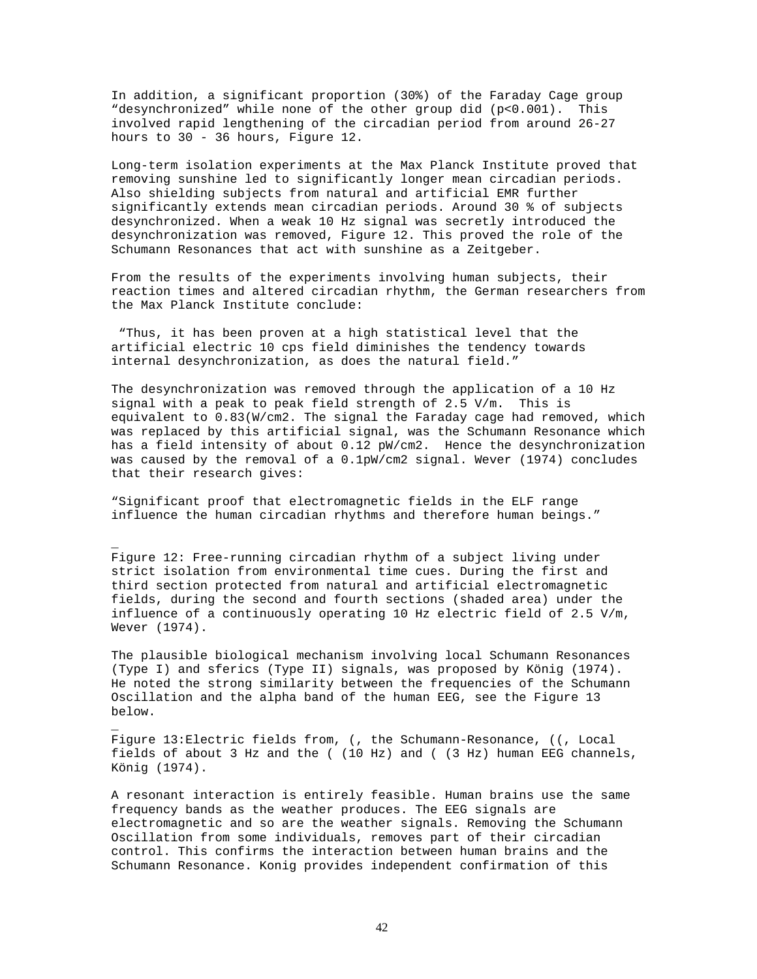In addition, a significant proportion (30%) of the Faraday Cage group "desynchronized" while none of the other group did (p<0.001). This involved rapid lengthening of the circadian period from around 26-27 hours to 30 - 36 hours, Figure 12.

Long-term isolation experiments at the Max Planck Institute proved that removing sunshine led to significantly longer mean circadian periods. Also shielding subjects from natural and artificial EMR further significantly extends mean circadian periods. Around 30 % of subjects desynchronized. When a weak 10 Hz signal was secretly introduced the desynchronization was removed, Figure 12. This proved the role of the Schumann Resonances that act with sunshine as a Zeitgeber.

From the results of the experiments involving human subjects, their reaction times and altered circadian rhythm, the German researchers from the Max Planck Institute conclude:

"Thus, it has been proven at a high statistical level that the artificial electric 10 cps field diminishes the tendency towards internal desynchronization, as does the natural field."

The desynchronization was removed through the application of a 10 Hz signal with a peak to peak field strength of 2.5 V/m. This is equivalent to 0.83(W/cm2. The signal the Faraday cage had removed, which was replaced by this artificial signal, was the Schumann Resonance which has a field intensity of about 0.12 pW/cm2. Hence the desynchronization was caused by the removal of a 0.1pW/cm2 signal. Wever (1974) concludes that their research gives:

"Significant proof that electromagnetic fields in the ELF range influence the human circadian rhythms and therefore human beings."

\_

\_

Figure 12: Free-running circadian rhythm of a subject living under strict isolation from environmental time cues. During the first and third section protected from natural and artificial electromagnetic fields, during the second and fourth sections (shaded area) under the influence of a continuously operating 10 Hz electric field of 2.5 V/m, Wever (1974).

The plausible biological mechanism involving local Schumann Resonances (Type I) and sferics (Type II) signals, was proposed by König (1974). He noted the strong similarity between the frequencies of the Schumann Oscillation and the alpha band of the human EEG, see the Figure 13 below.

Figure 13:Electric fields from, (, the Schumann-Resonance, ((, Local fields of about 3 Hz and the ( (10 Hz) and ( (3 Hz) human EEG channels, König (1974).

A resonant interaction is entirely feasible. Human brains use the same frequency bands as the weather produces. The EEG signals are electromagnetic and so are the weather signals. Removing the Schumann Oscillation from some individuals, removes part of their circadian control. This confirms the interaction between human brains and the Schumann Resonance. Konig provides independent confirmation of this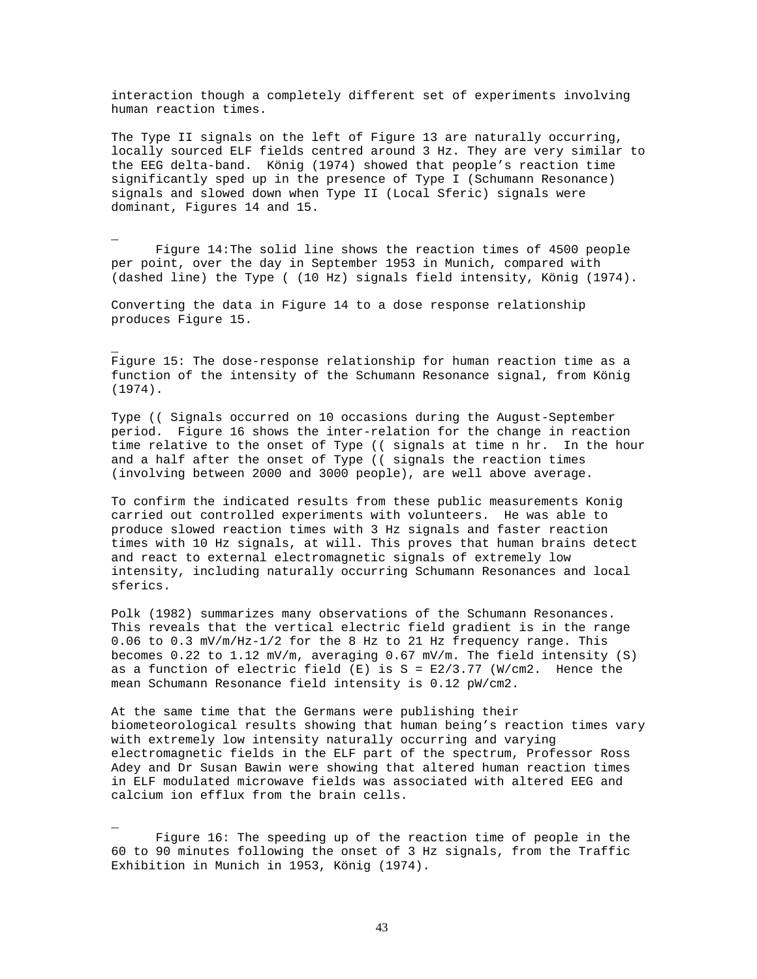interaction though a completely different set of experiments involving human reaction times.

The Type II signals on the left of Figure 13 are naturally occurring, locally sourced ELF fields centred around 3 Hz. They are very similar to the EEG delta-band. König (1974) showed that people's reaction time significantly sped up in the presence of Type I (Schumann Resonance) signals and slowed down when Type II (Local Sferic) signals were dominant, Figures 14 and 15.

Figure 14:The solid line shows the reaction times of 4500 people per point, over the day in September 1953 in Munich, compared with (dashed line) the Type ( (10 Hz) signals field intensity, König (1974).

Converting the data in Figure 14 to a dose response relationship produces Figure 15.

\_

\_

\_

Figure 15: The dose-response relationship for human reaction time as a function of the intensity of the Schumann Resonance signal, from König (1974).

Type (( Signals occurred on 10 occasions during the August-September period. Figure 16 shows the inter-relation for the change in reaction time relative to the onset of Type (( signals at time n hr. In the hour and a half after the onset of Type (( signals the reaction times (involving between 2000 and 3000 people), are well above average.

To confirm the indicated results from these public measurements Konig carried out controlled experiments with volunteers. He was able to produce slowed reaction times with 3 Hz signals and faster reaction times with 10 Hz signals, at will. This proves that human brains detect and react to external electromagnetic signals of extremely low intensity, including naturally occurring Schumann Resonances and local sferics.

Polk (1982) summarizes many observations of the Schumann Resonances. This reveals that the vertical electric field gradient is in the range 0.06 to 0.3 mV/m/Hz-1/2 for the 8 Hz to 21 Hz frequency range. This becomes  $0.22$  to  $1.12$  mV/m, averaging  $0.67$  mV/m. The field intensity (S) as a function of electric field  $(E)$  is  $S = E2/3.77$  (W/cm2. Hence the mean Schumann Resonance field intensity is 0.12 pW/cm2.

At the same time that the Germans were publishing their biometeorological results showing that human being's reaction times vary with extremely low intensity naturally occurring and varying electromagnetic fields in the ELF part of the spectrum, Professor Ross Adey and Dr Susan Bawin were showing that altered human reaction times in ELF modulated microwave fields was associated with altered EEG and calcium ion efflux from the brain cells.

Figure 16: The speeding up of the reaction time of people in the 60 to 90 minutes following the onset of 3 Hz signals, from the Traffic Exhibition in Munich in 1953, König (1974).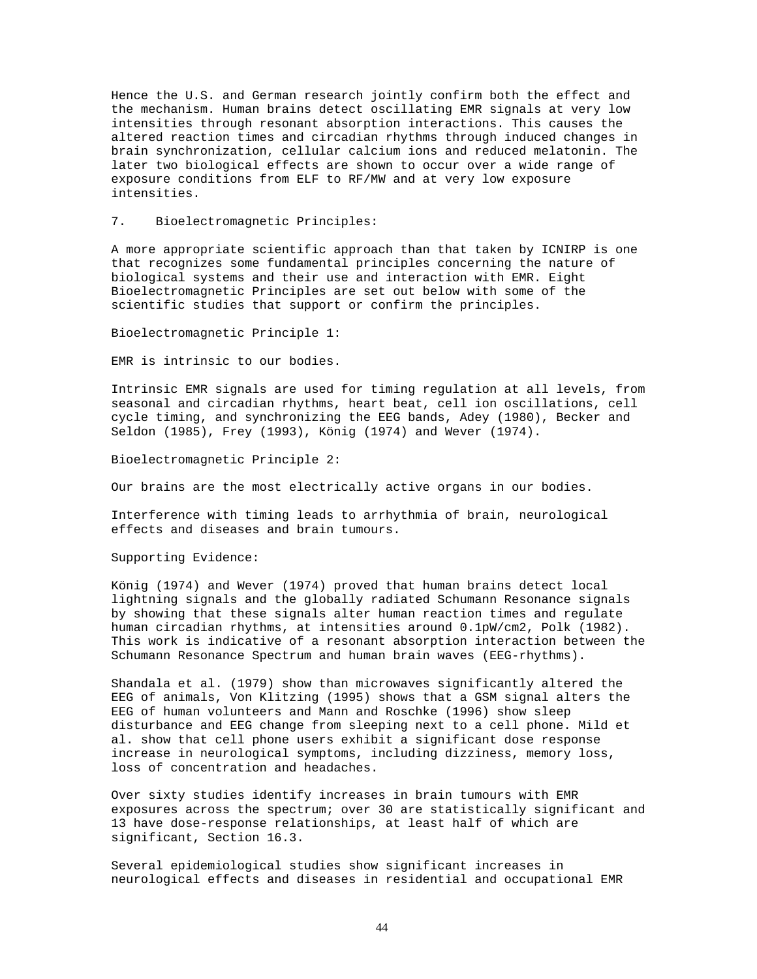Hence the U.S. and German research jointly confirm both the effect and the mechanism. Human brains detect oscillating EMR signals at very low intensities through resonant absorption interactions. This causes the altered reaction times and circadian rhythms through induced changes in brain synchronization, cellular calcium ions and reduced melatonin. The later two biological effects are shown to occur over a wide range of exposure conditions from ELF to RF/MW and at very low exposure intensities.

# 7. Bioelectromagnetic Principles:

A more appropriate scientific approach than that taken by ICNIRP is one that recognizes some fundamental principles concerning the nature of biological systems and their use and interaction with EMR. Eight Bioelectromagnetic Principles are set out below with some of the scientific studies that support or confirm the principles.

Bioelectromagnetic Principle 1:

EMR is intrinsic to our bodies.

Intrinsic EMR signals are used for timing regulation at all levels, from seasonal and circadian rhythms, heart beat, cell ion oscillations, cell cycle timing, and synchronizing the EEG bands, Adey (1980), Becker and Seldon (1985), Frey (1993), König (1974) and Wever (1974).

Bioelectromagnetic Principle 2:

Our brains are the most electrically active organs in our bodies.

Interference with timing leads to arrhythmia of brain, neurological effects and diseases and brain tumours.

Supporting Evidence:

König (1974) and Wever (1974) proved that human brains detect local lightning signals and the globally radiated Schumann Resonance signals by showing that these signals alter human reaction times and regulate human circadian rhythms, at intensities around 0.1pW/cm2, Polk (1982). This work is indicative of a resonant absorption interaction between the Schumann Resonance Spectrum and human brain waves (EEG-rhythms).

Shandala et al. (1979) show than microwaves significantly altered the EEG of animals, Von Klitzing (1995) shows that a GSM signal alters the EEG of human volunteers and Mann and Roschke (1996) show sleep disturbance and EEG change from sleeping next to a cell phone. Mild et al. show that cell phone users exhibit a significant dose response increase in neurological symptoms, including dizziness, memory loss, loss of concentration and headaches.

Over sixty studies identify increases in brain tumours with EMR exposures across the spectrum; over 30 are statistically significant and 13 have dose-response relationships, at least half of which are significant, Section 16.3.

Several epidemiological studies show significant increases in neurological effects and diseases in residential and occupational EMR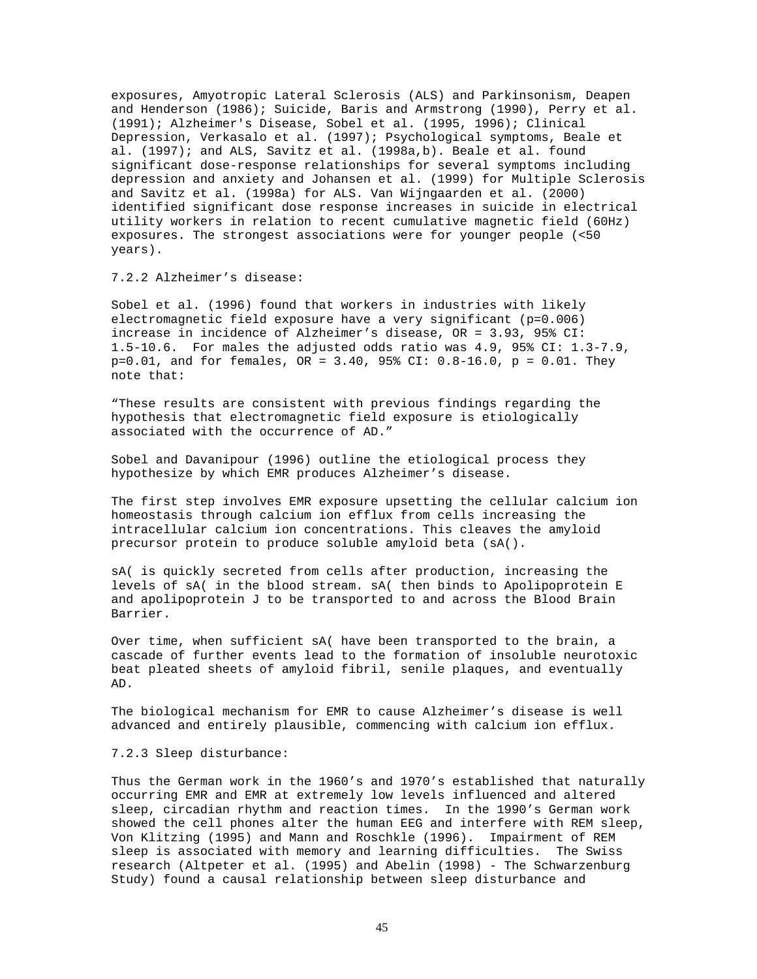exposures, Amyotropic Lateral Sclerosis (ALS) and Parkinsonism, Deapen and Henderson (1986); Suicide, Baris and Armstrong (1990), Perry et al. (1991); Alzheimer's Disease, Sobel et al. (1995, 1996); Clinical Depression, Verkasalo et al. (1997); Psychological symptoms, Beale et al. (1997); and ALS, Savitz et al. (1998a,b). Beale et al. found significant dose-response relationships for several symptoms including depression and anxiety and Johansen et al. (1999) for Multiple Sclerosis and Savitz et al. (1998a) for ALS. Van Wijngaarden et al. (2000) identified significant dose response increases in suicide in electrical utility workers in relation to recent cumulative magnetic field (60Hz) exposures. The strongest associations were for younger people (<50 years).

7.2.2 Alzheimer's disease:

Sobel et al. (1996) found that workers in industries with likely electromagnetic field exposure have a very significant (p=0.006) increase in incidence of Alzheimer's disease, OR = 3.93, 95% CI: 1.5-10.6. For males the adjusted odds ratio was 4.9, 95% CI: 1.3-7.9, p=0.01, and for females, OR = 3.40, 95% CI: 0.8-16.0, p = 0.01. They note that:

"These results are consistent with previous findings regarding the hypothesis that electromagnetic field exposure is etiologically associated with the occurrence of AD."

Sobel and Davanipour (1996) outline the etiological process they hypothesize by which EMR produces Alzheimer's disease.

The first step involves EMR exposure upsetting the cellular calcium ion homeostasis through calcium ion efflux from cells increasing the intracellular calcium ion concentrations. This cleaves the amyloid precursor protein to produce soluble amyloid beta (sA().

sA( is quickly secreted from cells after production, increasing the levels of sA( in the blood stream. sA( then binds to Apolipoprotein E and apolipoprotein J to be transported to and across the Blood Brain Barrier.

Over time, when sufficient sA( have been transported to the brain, a cascade of further events lead to the formation of insoluble neurotoxic beat pleated sheets of amyloid fibril, senile plaques, and eventually AD.

The biological mechanism for EMR to cause Alzheimer's disease is well advanced and entirely plausible, commencing with calcium ion efflux.

## 7.2.3 Sleep disturbance:

Thus the German work in the 1960's and 1970's established that naturally occurring EMR and EMR at extremely low levels influenced and altered sleep, circadian rhythm and reaction times. In the 1990's German work showed the cell phones alter the human EEG and interfere with REM sleep, Von Klitzing (1995) and Mann and Roschkle (1996). Impairment of REM sleep is associated with memory and learning difficulties. The Swiss research (Altpeter et al. (1995) and Abelin (1998) - The Schwarzenburg Study) found a causal relationship between sleep disturbance and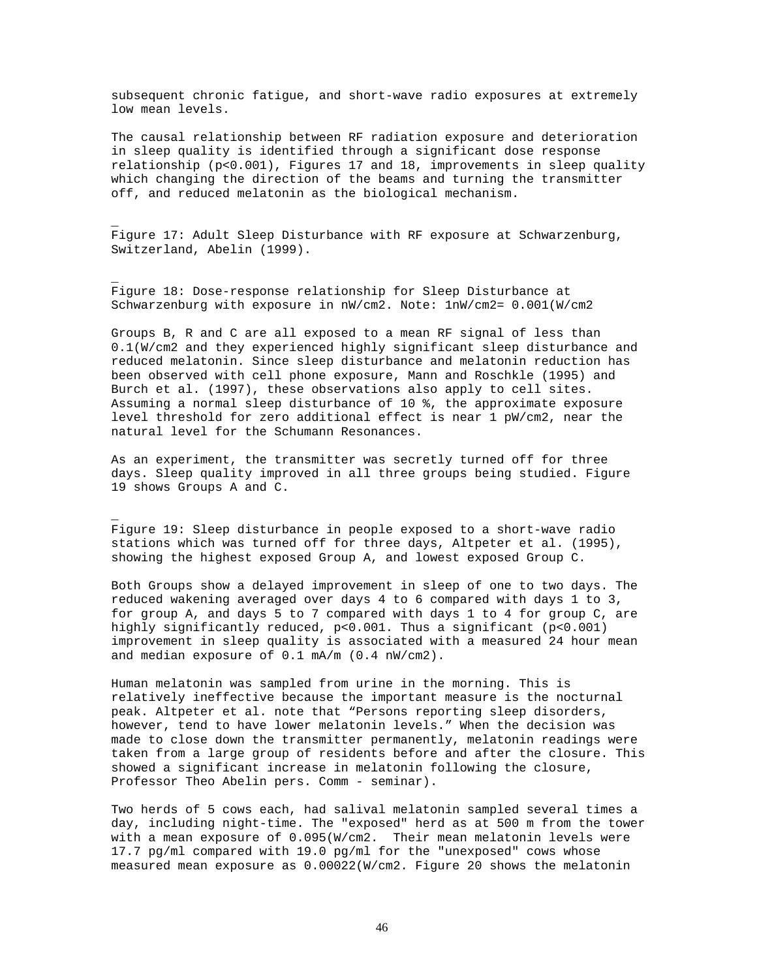subsequent chronic fatigue, and short-wave radio exposures at extremely low mean levels.

The causal relationship between RF radiation exposure and deterioration in sleep quality is identified through a significant dose response relationship (p<0.001), Figures 17 and 18, improvements in sleep quality which changing the direction of the beams and turning the transmitter off, and reduced melatonin as the biological mechanism.

Figure 17: Adult Sleep Disturbance with RF exposure at Schwarzenburg, Switzerland, Abelin (1999).

Figure 18: Dose-response relationship for Sleep Disturbance at Schwarzenburg with exposure in nW/cm2. Note: 1nW/cm2= 0.001(W/cm2

\_

\_

\_

Groups B, R and C are all exposed to a mean RF signal of less than 0.1(W/cm2 and they experienced highly significant sleep disturbance and reduced melatonin. Since sleep disturbance and melatonin reduction has been observed with cell phone exposure, Mann and Roschkle (1995) and Burch et al. (1997), these observations also apply to cell sites. Assuming a normal sleep disturbance of 10 %, the approximate exposure level threshold for zero additional effect is near 1 pW/cm2, near the natural level for the Schumann Resonances.

As an experiment, the transmitter was secretly turned off for three days. Sleep quality improved in all three groups being studied. Figure 19 shows Groups A and C.

Figure 19: Sleep disturbance in people exposed to a short-wave radio stations which was turned off for three days, Altpeter et al. (1995), showing the highest exposed Group A, and lowest exposed Group C.

Both Groups show a delayed improvement in sleep of one to two days. The reduced wakening averaged over days 4 to 6 compared with days 1 to 3, for group A, and days 5 to 7 compared with days 1 to 4 for group C, are highly significantly reduced, p<0.001. Thus a significant (p<0.001) improvement in sleep quality is associated with a measured 24 hour mean and median exposure of 0.1 mA/m (0.4 nW/cm2).

Human melatonin was sampled from urine in the morning. This is relatively ineffective because the important measure is the nocturnal peak. Altpeter et al. note that "Persons reporting sleep disorders, however, tend to have lower melatonin levels." When the decision was made to close down the transmitter permanently, melatonin readings were taken from a large group of residents before and after the closure. This showed a significant increase in melatonin following the closure, Professor Theo Abelin pers. Comm - seminar).

Two herds of 5 cows each, had salival melatonin sampled several times a day, including night-time. The "exposed" herd as at 500 m from the tower with a mean exposure of 0.095(W/cm2. Their mean melatonin levels were 17.7 pg/ml compared with 19.0 pg/ml for the "unexposed" cows whose measured mean exposure as 0.00022(W/cm2. Figure 20 shows the melatonin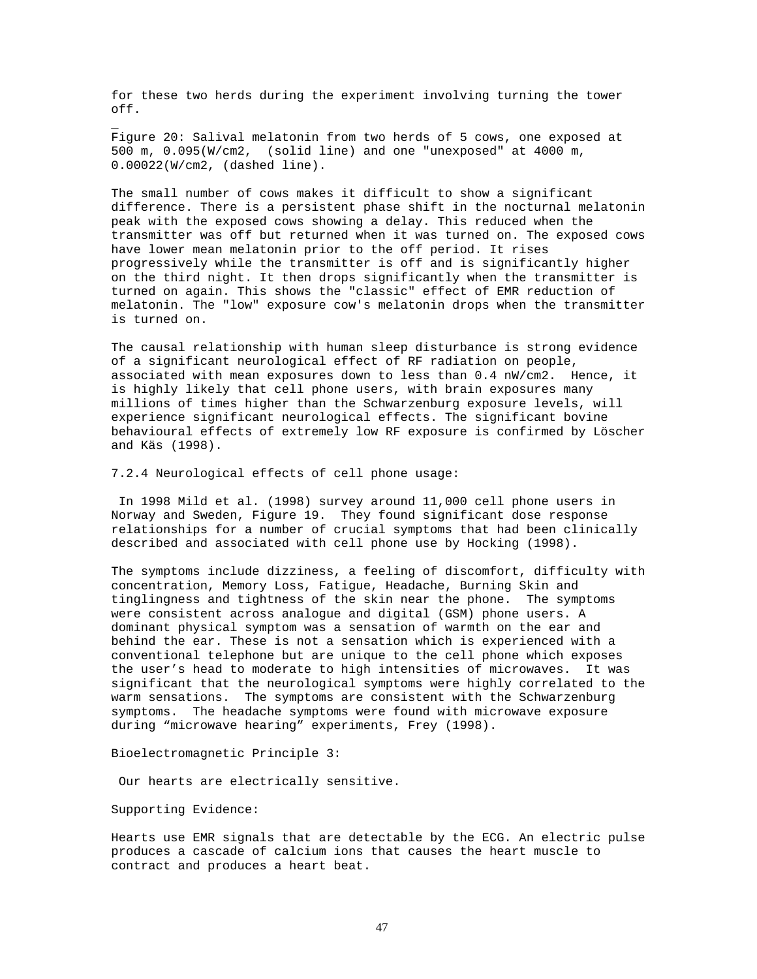for these two herds during the experiment involving turning the tower off.

Figure 20: Salival melatonin from two herds of 5 cows, one exposed at 500 m, 0.095(W/cm2, (solid line) and one "unexposed" at 4000 m, 0.00022(W/cm2, (dashed line).

The small number of cows makes it difficult to show a significant difference. There is a persistent phase shift in the nocturnal melatonin peak with the exposed cows showing a delay. This reduced when the transmitter was off but returned when it was turned on. The exposed cows have lower mean melatonin prior to the off period. It rises progressively while the transmitter is off and is significantly higher on the third night. It then drops significantly when the transmitter is turned on again. This shows the "classic" effect of EMR reduction of melatonin. The "low" exposure cow's melatonin drops when the transmitter is turned on.

The causal relationship with human sleep disturbance is strong evidence of a significant neurological effect of RF radiation on people, associated with mean exposures down to less than 0.4 nW/cm2. Hence, it is highly likely that cell phone users, with brain exposures many millions of times higher than the Schwarzenburg exposure levels, will experience significant neurological effects. The significant bovine behavioural effects of extremely low RF exposure is confirmed by Löscher and Käs (1998).

7.2.4 Neurological effects of cell phone usage:

In 1998 Mild et al. (1998) survey around 11,000 cell phone users in Norway and Sweden, Figure 19. They found significant dose response relationships for a number of crucial symptoms that had been clinically described and associated with cell phone use by Hocking (1998).

The symptoms include dizziness, a feeling of discomfort, difficulty with concentration, Memory Loss, Fatigue, Headache, Burning Skin and tinglingness and tightness of the skin near the phone. The symptoms were consistent across analogue and digital (GSM) phone users. A dominant physical symptom was a sensation of warmth on the ear and behind the ear. These is not a sensation which is experienced with a conventional telephone but are unique to the cell phone which exposes the user's head to moderate to high intensities of microwaves. It was significant that the neurological symptoms were highly correlated to the warm sensations. The symptoms are consistent with the Schwarzenburg symptoms. The headache symptoms were found with microwave exposure during "microwave hearing" experiments, Frey (1998).

Bioelectromagnetic Principle 3:

Our hearts are electrically sensitive.

Supporting Evidence:

\_

Hearts use EMR signals that are detectable by the ECG. An electric pulse produces a cascade of calcium ions that causes the heart muscle to contract and produces a heart beat.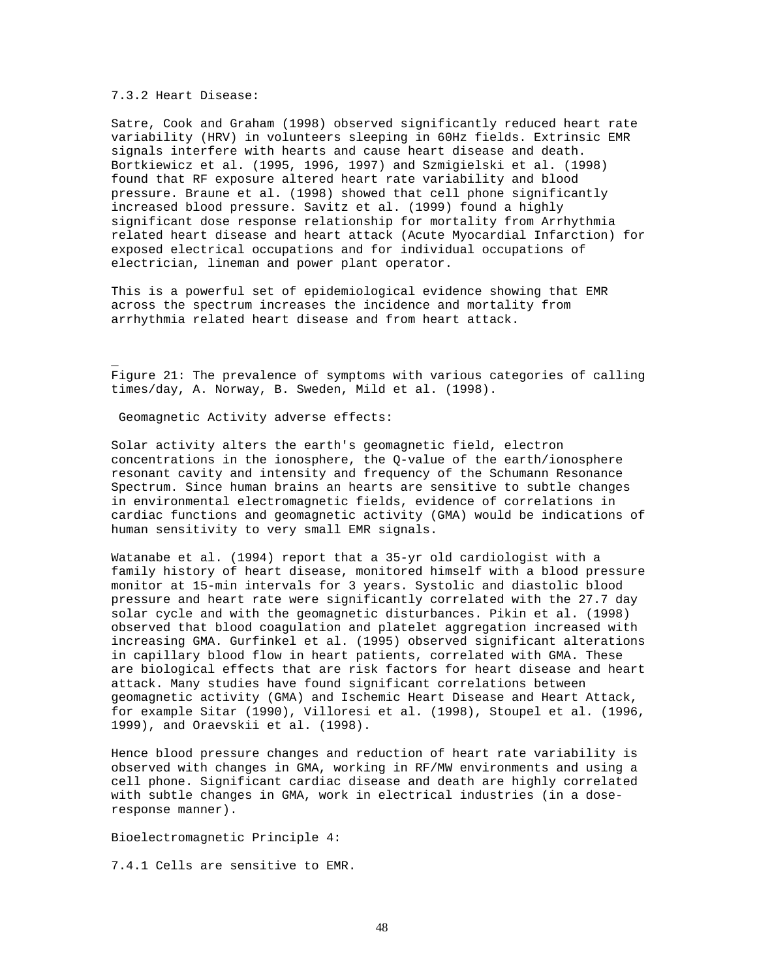7.3.2 Heart Disease:

\_

Satre, Cook and Graham (1998) observed significantly reduced heart rate variability (HRV) in volunteers sleeping in 60Hz fields. Extrinsic EMR signals interfere with hearts and cause heart disease and death. Bortkiewicz et al. (1995, 1996, 1997) and Szmigielski et al. (1998) found that RF exposure altered heart rate variability and blood pressure. Braune et al. (1998) showed that cell phone significantly increased blood pressure. Savitz et al. (1999) found a highly significant dose response relationship for mortality from Arrhythmia related heart disease and heart attack (Acute Myocardial Infarction) for exposed electrical occupations and for individual occupations of electrician, lineman and power plant operator.

This is a powerful set of epidemiological evidence showing that EMR across the spectrum increases the incidence and mortality from arrhythmia related heart disease and from heart attack.

Figure 21: The prevalence of symptoms with various categories of calling times/day, A. Norway, B. Sweden, Mild et al. (1998).

Geomagnetic Activity adverse effects:

Solar activity alters the earth's geomagnetic field, electron concentrations in the ionosphere, the Q-value of the earth/ionosphere resonant cavity and intensity and frequency of the Schumann Resonance Spectrum. Since human brains an hearts are sensitive to subtle changes in environmental electromagnetic fields, evidence of correlations in cardiac functions and geomagnetic activity (GMA) would be indications of human sensitivity to very small EMR signals.

Watanabe et al. (1994) report that a 35-yr old cardiologist with a family history of heart disease, monitored himself with a blood pressure monitor at 15-min intervals for 3 years. Systolic and diastolic blood pressure and heart rate were significantly correlated with the 27.7 day solar cycle and with the geomagnetic disturbances. Pikin et al. (1998) observed that blood coagulation and platelet aggregation increased with increasing GMA. Gurfinkel et al. (1995) observed significant alterations in capillary blood flow in heart patients, correlated with GMA. These are biological effects that are risk factors for heart disease and heart attack. Many studies have found significant correlations between geomagnetic activity (GMA) and Ischemic Heart Disease and Heart Attack, for example Sitar (1990), Villoresi et al. (1998), Stoupel et al. (1996, 1999), and Oraevskii et al. (1998).

Hence blood pressure changes and reduction of heart rate variability is observed with changes in GMA, working in RF/MW environments and using a cell phone. Significant cardiac disease and death are highly correlated with subtle changes in GMA, work in electrical industries (in a doseresponse manner).

Bioelectromagnetic Principle 4:

7.4.1 Cells are sensitive to EMR.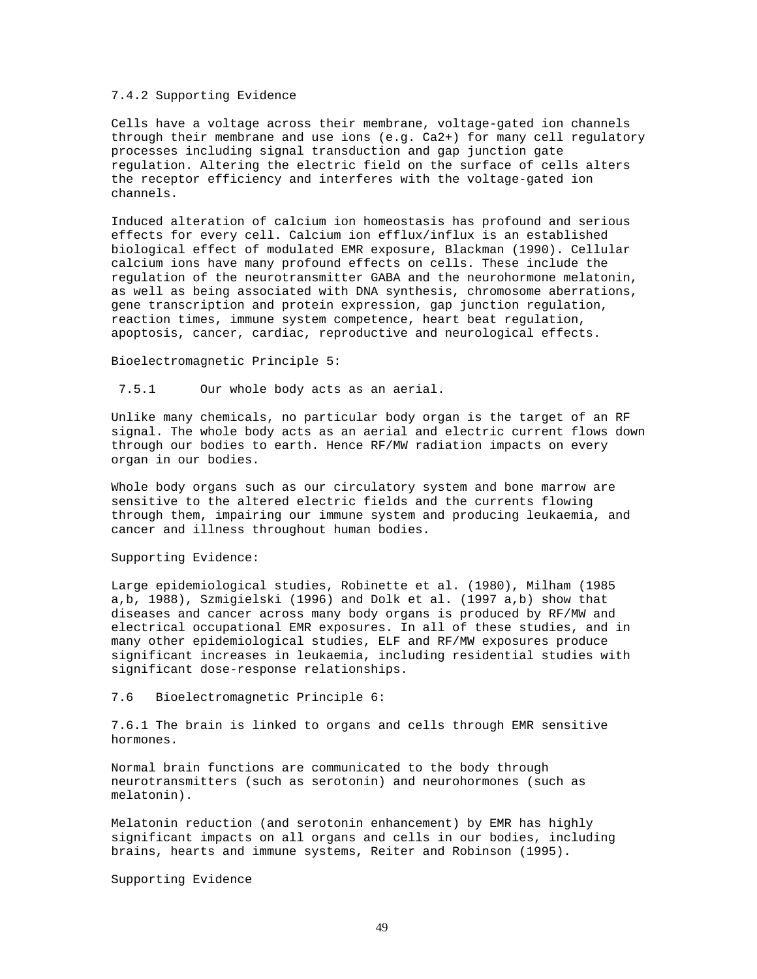# 7.4.2 Supporting Evidence

Cells have a voltage across their membrane, voltage-gated ion channels through their membrane and use ions (e.g. Ca2+) for many cell regulatory processes including signal transduction and gap junction gate regulation. Altering the electric field on the surface of cells alters the receptor efficiency and interferes with the voltage-gated ion channels.

Induced alteration of calcium ion homeostasis has profound and serious effects for every cell. Calcium ion efflux/influx is an established biological effect of modulated EMR exposure, Blackman (1990). Cellular calcium ions have many profound effects on cells. These include the regulation of the neurotransmitter GABA and the neurohormone melatonin, as well as being associated with DNA synthesis, chromosome aberrations, gene transcription and protein expression, gap junction regulation, reaction times, immune system competence, heart beat regulation, apoptosis, cancer, cardiac, reproductive and neurological effects.

#### Bioelectromagnetic Principle 5:

7.5.1 Our whole body acts as an aerial.

Unlike many chemicals, no particular body organ is the target of an RF signal. The whole body acts as an aerial and electric current flows down through our bodies to earth. Hence RF/MW radiation impacts on every organ in our bodies.

Whole body organs such as our circulatory system and bone marrow are sensitive to the altered electric fields and the currents flowing through them, impairing our immune system and producing leukaemia, and cancer and illness throughout human bodies.

# Supporting Evidence:

Large epidemiological studies, Robinette et al. (1980), Milham (1985 a,b, 1988), Szmigielski (1996) and Dolk et al. (1997 a,b) show that diseases and cancer across many body organs is produced by RF/MW and electrical occupational EMR exposures. In all of these studies, and in many other epidemiological studies, ELF and RF/MW exposures produce significant increases in leukaemia, including residential studies with significant dose-response relationships.

#### 7.6 Bioelectromagnetic Principle 6:

7.6.1 The brain is linked to organs and cells through EMR sensitive hormones.

Normal brain functions are communicated to the body through neurotransmitters (such as serotonin) and neurohormones (such as melatonin).

Melatonin reduction (and serotonin enhancement) by EMR has highly significant impacts on all organs and cells in our bodies, including brains, hearts and immune systems, Reiter and Robinson (1995).

Supporting Evidence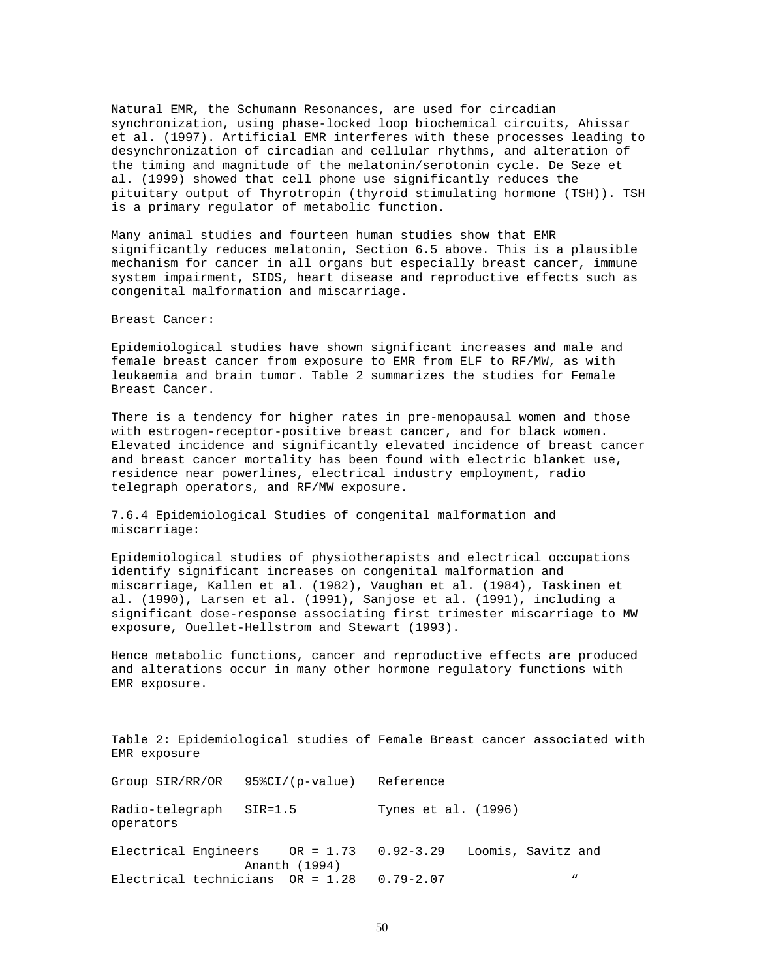Natural EMR, the Schumann Resonances, are used for circadian synchronization, using phase-locked loop biochemical circuits, Ahissar et al. (1997). Artificial EMR interferes with these processes leading to desynchronization of circadian and cellular rhythms, and alteration of the timing and magnitude of the melatonin/serotonin cycle. De Seze et al. (1999) showed that cell phone use significantly reduces the pituitary output of Thyrotropin (thyroid stimulating hormone (TSH)). TSH is a primary regulator of metabolic function.

Many animal studies and fourteen human studies show that EMR significantly reduces melatonin, Section 6.5 above. This is a plausible mechanism for cancer in all organs but especially breast cancer, immune system impairment, SIDS, heart disease and reproductive effects such as congenital malformation and miscarriage.

Breast Cancer:

Epidemiological studies have shown significant increases and male and female breast cancer from exposure to EMR from ELF to RF/MW, as with leukaemia and brain tumor. Table 2 summarizes the studies for Female Breast Cancer.

There is a tendency for higher rates in pre-menopausal women and those with estrogen-receptor-positive breast cancer, and for black women. Elevated incidence and significantly elevated incidence of breast cancer and breast cancer mortality has been found with electric blanket use, residence near powerlines, electrical industry employment, radio telegraph operators, and RF/MW exposure.

7.6.4 Epidemiological Studies of congenital malformation and miscarriage:

Epidemiological studies of physiotherapists and electrical occupations identify significant increases on congenital malformation and miscarriage, Kallen et al. (1982), Vaughan et al. (1984), Taskinen et al. (1990), Larsen et al. (1991), Sanjose et al. (1991), including a significant dose-response associating first trimester miscarriage to MW exposure, Ouellet-Hellstrom and Stewart (1993).

Hence metabolic functions, cancer and reproductive effects are produced and alterations occur in many other hormone regulatory functions with EMR exposure.

Table 2: Epidemiological studies of Female Breast cancer associated with EMR exposure

Group SIR/RR/OR 95%CI/(p-value) Reference Radio-telegraph SIR=1.5 Tynes et al. (1996) operators Electrical Engineers OR = 1.73 0.92-3.29 Loomis, Savitz and Ananth (1994) Electrical technicians  $OR = 1.28$  0.79-2.07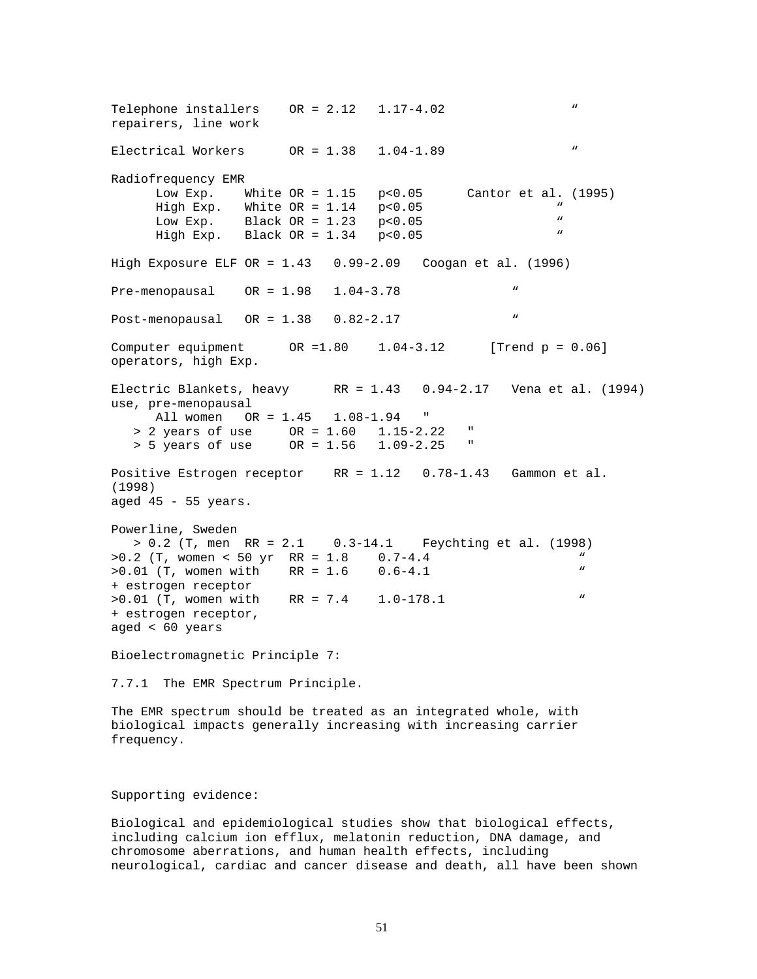Telephone installers  $OR = 2.12 \quad 1.17-4.02$ repairers, line work Electrical Workers  $OR = 1.38$   $1.04-1.89$ Radiofrequency EMR Low Exp. White OR = 1.15 p<0.05 Cantor et al. (1995) High Exp. White  $OR = 1.14$  p<0.05  $\degree$  N Low Exp. Black  $OR = 1.23$  p<0.05  $\ddot{ }$  = 1.24 p  $\times$ 0.05  $\ddot{ }$  = 1.24 p  $\times$ 0.05  $\ddot{ }$  = 1.24 p  $\times$ 0.05  $\ddot{ }$  = 1.24 p  $\times$ 0.05  $\ddot{ }$  = 1.24 p  $\times$ 0.05  $\ddot{ }$  = 1.24 p  $\times$ 0.05  $\ddot{ }$  = 1.24 p  $\times$ 0.05  $\ddot{ }$ High Exp. Black  $OR = 1.34$   $p < 0.05$ High Exposure ELF OR = 1.43 0.99-2.09 Coogan et al. (1996) Pre-menopausal OR = 1.98 1.04-3.78 " Post-menopausal OR = 1.38 0.82-2.17 " Computer equipment  $OR = 1.80$   $1.04-3.12$  [Trend p = 0.06] operators, high Exp. Electric Blankets, heavy RR = 1.43 0.94-2.17 Vena et al. (1994) use, pre-menopausal All women OR = 1.45 1.08-1.94 " > 2 years of use OR = 1.60 1.15-2.22 " > 5 years of use OR = 1.56 1.09-2.25 " Positive Estrogen receptor RR = 1.12 0.78-1.43 Gammon et al. (1998) aged  $45 - 55$  years. Powerline, Sweden > 0.2 (T, men RR = 2.1 0.3-14.1 Feychting et al. (1998)  $>0.2$  (T, women < 50 yr RR = 1.8 0.7-4.4 " >0.01 (T, women with RR = 1.6 0.6-4.1 " + estrogen receptor >0.01 (T, women with RR = 7.4 1.0-178.1 " + estrogen receptor, aged < 60 years Bioelectromagnetic Principle 7: 7.7.1 The EMR Spectrum Principle. The EMR spectrum should be treated as an integrated whole, with biological impacts generally increasing with increasing carrier frequency. Supporting evidence: Biological and epidemiological studies show that biological effects,

including calcium ion efflux, melatonin reduction, DNA damage, and chromosome aberrations, and human health effects, including neurological, cardiac and cancer disease and death, all have been shown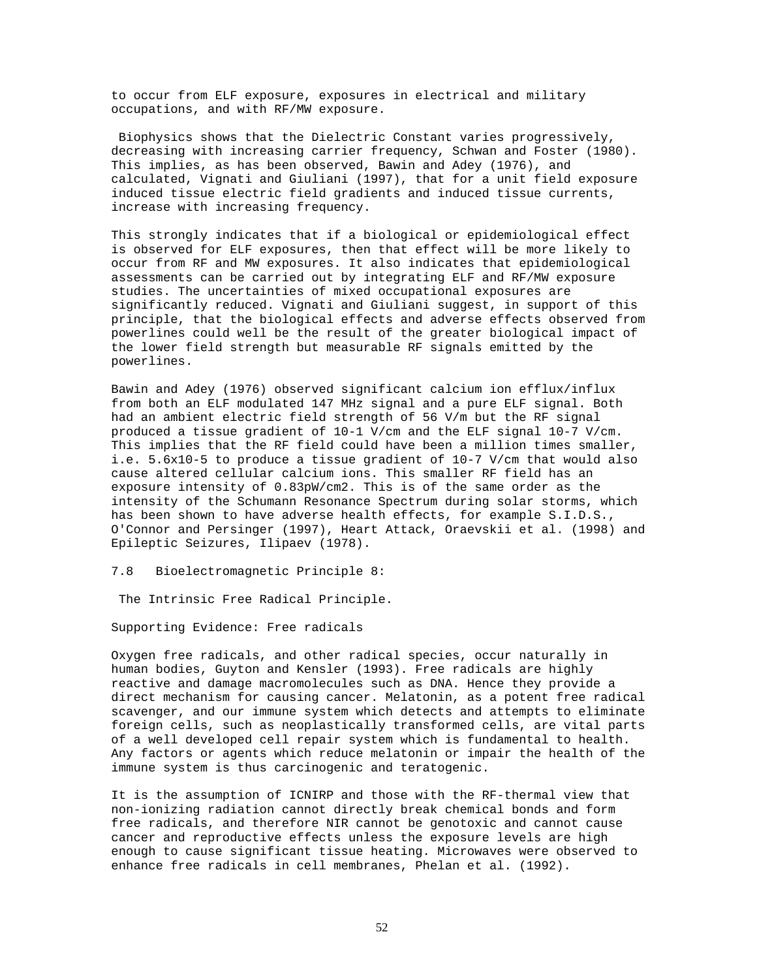to occur from ELF exposure, exposures in electrical and military occupations, and with RF/MW exposure.

Biophysics shows that the Dielectric Constant varies progressively, decreasing with increasing carrier frequency, Schwan and Foster (1980). This implies, as has been observed, Bawin and Adey (1976), and calculated, Vignati and Giuliani (1997), that for a unit field exposure induced tissue electric field gradients and induced tissue currents, increase with increasing frequency.

This strongly indicates that if a biological or epidemiological effect is observed for ELF exposures, then that effect will be more likely to occur from RF and MW exposures. It also indicates that epidemiological assessments can be carried out by integrating ELF and RF/MW exposure studies. The uncertainties of mixed occupational exposures are significantly reduced. Vignati and Giuliani suggest, in support of this principle, that the biological effects and adverse effects observed from powerlines could well be the result of the greater biological impact of the lower field strength but measurable RF signals emitted by the powerlines.

Bawin and Adey (1976) observed significant calcium ion efflux/influx from both an ELF modulated 147 MHz signal and a pure ELF signal. Both had an ambient electric field strength of 56 V/m but the RF signal produced a tissue gradient of 10-1 V/cm and the ELF signal 10-7 V/cm. This implies that the RF field could have been a million times smaller, i.e. 5.6x10-5 to produce a tissue gradient of 10-7 V/cm that would also cause altered cellular calcium ions. This smaller RF field has an exposure intensity of 0.83pW/cm2. This is of the same order as the intensity of the Schumann Resonance Spectrum during solar storms, which has been shown to have adverse health effects, for example S.I.D.S., O'Connor and Persinger (1997), Heart Attack, Oraevskii et al. (1998) and Epileptic Seizures, Ilipaev (1978).

7.8 Bioelectromagnetic Principle 8:

The Intrinsic Free Radical Principle.

Supporting Evidence: Free radicals

Oxygen free radicals, and other radical species, occur naturally in human bodies, Guyton and Kensler (1993). Free radicals are highly reactive and damage macromolecules such as DNA. Hence they provide a direct mechanism for causing cancer. Melatonin, as a potent free radical scavenger, and our immune system which detects and attempts to eliminate foreign cells, such as neoplastically transformed cells, are vital parts of a well developed cell repair system which is fundamental to health. Any factors or agents which reduce melatonin or impair the health of the immune system is thus carcinogenic and teratogenic.

It is the assumption of ICNIRP and those with the RF-thermal view that non-ionizing radiation cannot directly break chemical bonds and form free radicals, and therefore NIR cannot be genotoxic and cannot cause cancer and reproductive effects unless the exposure levels are high enough to cause significant tissue heating. Microwaves were observed to enhance free radicals in cell membranes, Phelan et al. (1992).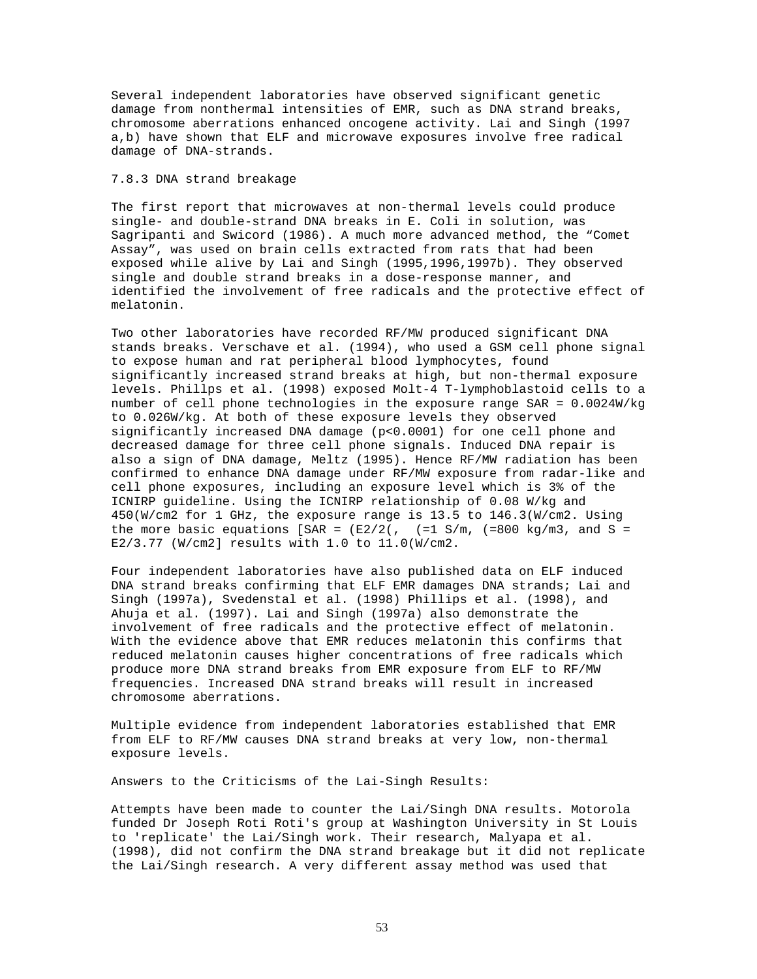Several independent laboratories have observed significant genetic damage from nonthermal intensities of EMR, such as DNA strand breaks, chromosome aberrations enhanced oncogene activity. Lai and Singh (1997 a,b) have shown that ELF and microwave exposures involve free radical damage of DNA-strands.

# 7.8.3 DNA strand breakage

The first report that microwaves at non-thermal levels could produce single- and double-strand DNA breaks in E. Coli in solution, was Sagripanti and Swicord (1986). A much more advanced method, the "Comet Assay", was used on brain cells extracted from rats that had been exposed while alive by Lai and Singh (1995,1996,1997b). They observed single and double strand breaks in a dose-response manner, and identified the involvement of free radicals and the protective effect of melatonin.

Two other laboratories have recorded RF/MW produced significant DNA stands breaks. Verschave et al. (1994), who used a GSM cell phone signal to expose human and rat peripheral blood lymphocytes, found significantly increased strand breaks at high, but non-thermal exposure levels. Phillps et al. (1998) exposed Molt-4 T-lymphoblastoid cells to a number of cell phone technologies in the exposure range SAR = 0.0024W/kg to 0.026W/kg. At both of these exposure levels they observed significantly increased DNA damage (p<0.0001) for one cell phone and decreased damage for three cell phone signals. Induced DNA repair is also a sign of DNA damage, Meltz (1995). Hence RF/MW radiation has been confirmed to enhance DNA damage under RF/MW exposure from radar-like and cell phone exposures, including an exposure level which is 3% of the ICNIRP guideline. Using the ICNIRP relationship of 0.08 W/kg and 450(W/cm2 for 1 GHz, the exposure range is 13.5 to 146.3(W/cm2. Using the more basic equations [SAR =  $(E2/2($ ,  $(=1 S/m, (=800 kg/m3, and S =$ E2/3.77 (W/cm2] results with 1.0 to 11.0(W/cm2.

Four independent laboratories have also published data on ELF induced DNA strand breaks confirming that ELF EMR damages DNA strands; Lai and Singh (1997a), Svedenstal et al. (1998) Phillips et al. (1998), and Ahuja et al. (1997). Lai and Singh (1997a) also demonstrate the involvement of free radicals and the protective effect of melatonin. With the evidence above that EMR reduces melatonin this confirms that reduced melatonin causes higher concentrations of free radicals which produce more DNA strand breaks from EMR exposure from ELF to RF/MW frequencies. Increased DNA strand breaks will result in increased chromosome aberrations.

Multiple evidence from independent laboratories established that EMR from ELF to RF/MW causes DNA strand breaks at very low, non-thermal exposure levels.

Answers to the Criticisms of the Lai-Singh Results:

Attempts have been made to counter the Lai/Singh DNA results. Motorola funded Dr Joseph Roti Roti's group at Washington University in St Louis to 'replicate' the Lai/Singh work. Their research, Malyapa et al. (1998), did not confirm the DNA strand breakage but it did not replicate the Lai/Singh research. A very different assay method was used that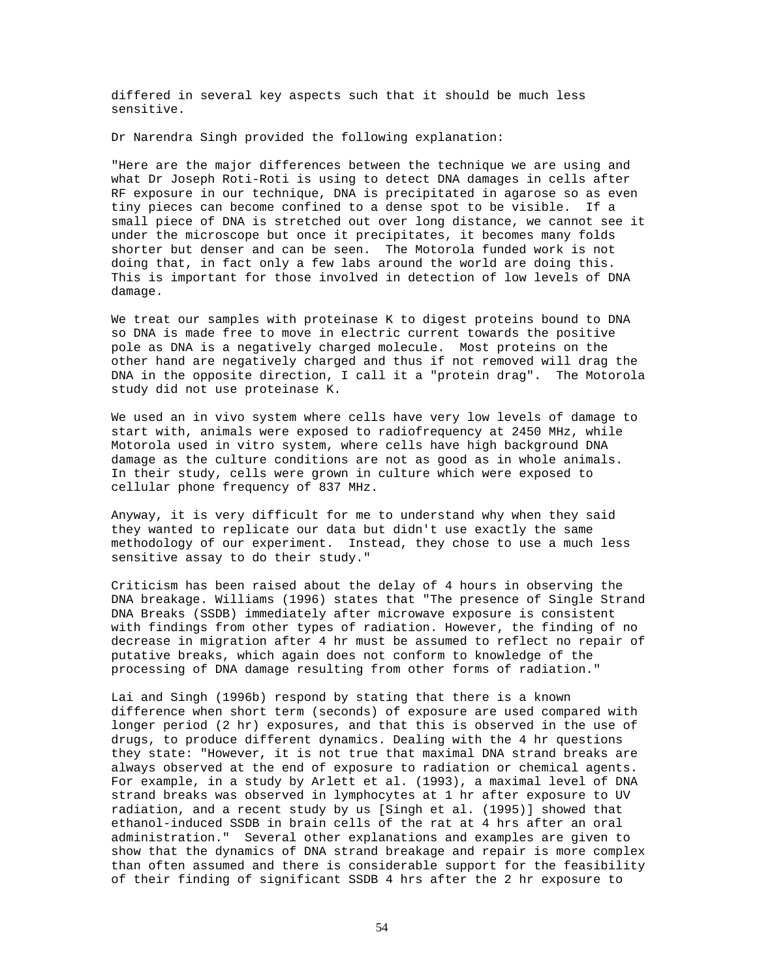differed in several key aspects such that it should be much less sensitive.

Dr Narendra Singh provided the following explanation:

"Here are the major differences between the technique we are using and what Dr Joseph Roti-Roti is using to detect DNA damages in cells after RF exposure in our technique, DNA is precipitated in agarose so as even tiny pieces can become confined to a dense spot to be visible. If a small piece of DNA is stretched out over long distance, we cannot see it under the microscope but once it precipitates, it becomes many folds shorter but denser and can be seen. The Motorola funded work is not doing that, in fact only a few labs around the world are doing this. This is important for those involved in detection of low levels of DNA damage.

We treat our samples with proteinase K to digest proteins bound to DNA so DNA is made free to move in electric current towards the positive pole as DNA is a negatively charged molecule. Most proteins on the other hand are negatively charged and thus if not removed will drag the DNA in the opposite direction, I call it a "protein drag". The Motorola study did not use proteinase K.

We used an in vivo system where cells have very low levels of damage to start with, animals were exposed to radiofrequency at 2450 MHz, while Motorola used in vitro system, where cells have high background DNA damage as the culture conditions are not as good as in whole animals. In their study, cells were grown in culture which were exposed to cellular phone frequency of 837 MHz.

Anyway, it is very difficult for me to understand why when they said they wanted to replicate our data but didn't use exactly the same methodology of our experiment. Instead, they chose to use a much less sensitive assay to do their study."

Criticism has been raised about the delay of 4 hours in observing the DNA breakage. Williams (1996) states that "The presence of Single Strand DNA Breaks (SSDB) immediately after microwave exposure is consistent with findings from other types of radiation. However, the finding of no decrease in migration after 4 hr must be assumed to reflect no repair of putative breaks, which again does not conform to knowledge of the processing of DNA damage resulting from other forms of radiation."

Lai and Singh (1996b) respond by stating that there is a known difference when short term (seconds) of exposure are used compared with longer period (2 hr) exposures, and that this is observed in the use of drugs, to produce different dynamics. Dealing with the 4 hr questions they state: "However, it is not true that maximal DNA strand breaks are always observed at the end of exposure to radiation or chemical agents. For example, in a study by Arlett et al. (1993), a maximal level of DNA strand breaks was observed in lymphocytes at 1 hr after exposure to UV radiation, and a recent study by us [Singh et al. (1995)] showed that ethanol-induced SSDB in brain cells of the rat at 4 hrs after an oral administration." Several other explanations and examples are given to show that the dynamics of DNA strand breakage and repair is more complex than often assumed and there is considerable support for the feasibility of their finding of significant SSDB 4 hrs after the 2 hr exposure to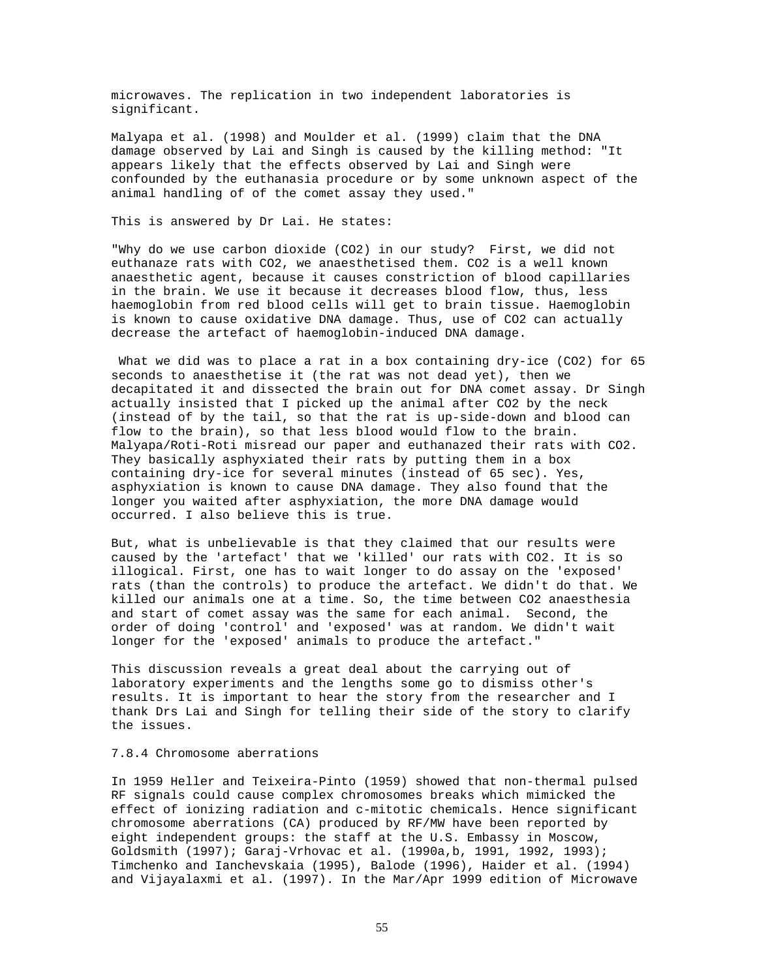microwaves. The replication in two independent laboratories is significant.

Malyapa et al. (1998) and Moulder et al. (1999) claim that the DNA damage observed by Lai and Singh is caused by the killing method: "It appears likely that the effects observed by Lai and Singh were confounded by the euthanasia procedure or by some unknown aspect of the animal handling of of the comet assay they used."

# This is answered by Dr Lai. He states:

"Why do we use carbon dioxide (CO2) in our study? First, we did not euthanaze rats with CO2, we anaesthetised them. CO2 is a well known anaesthetic agent, because it causes constriction of blood capillaries in the brain. We use it because it decreases blood flow, thus, less haemoglobin from red blood cells will get to brain tissue. Haemoglobin is known to cause oxidative DNA damage. Thus, use of CO2 can actually decrease the artefact of haemoglobin-induced DNA damage.

What we did was to place a rat in a box containing dry-ice (CO2) for 65 seconds to anaesthetise it (the rat was not dead yet), then we decapitated it and dissected the brain out for DNA comet assay. Dr Singh actually insisted that I picked up the animal after CO2 by the neck (instead of by the tail, so that the rat is up-side-down and blood can flow to the brain), so that less blood would flow to the brain. Malyapa/Roti-Roti misread our paper and euthanazed their rats with CO2. They basically asphyxiated their rats by putting them in a box containing dry-ice for several minutes (instead of 65 sec). Yes, asphyxiation is known to cause DNA damage. They also found that the longer you waited after asphyxiation, the more DNA damage would occurred. I also believe this is true.

But, what is unbelievable is that they claimed that our results were caused by the 'artefact' that we 'killed' our rats with CO2. It is so illogical. First, one has to wait longer to do assay on the 'exposed' rats (than the controls) to produce the artefact. We didn't do that. We killed our animals one at a time. So, the time between CO2 anaesthesia and start of comet assay was the same for each animal. Second, the order of doing 'control' and 'exposed' was at random. We didn't wait longer for the 'exposed' animals to produce the artefact."

This discussion reveals a great deal about the carrying out of laboratory experiments and the lengths some go to dismiss other's results. It is important to hear the story from the researcher and I thank Drs Lai and Singh for telling their side of the story to clarify the issues.

## 7.8.4 Chromosome aberrations

In 1959 Heller and Teixeira-Pinto (1959) showed that non-thermal pulsed RF signals could cause complex chromosomes breaks which mimicked the effect of ionizing radiation and c-mitotic chemicals. Hence significant chromosome aberrations (CA) produced by RF/MW have been reported by eight independent groups: the staff at the U.S. Embassy in Moscow, Goldsmith (1997); Garaj-Vrhovac et al. (1990a,b, 1991, 1992, 1993); Timchenko and Ianchevskaia (1995), Balode (1996), Haider et al. (1994) and Vijayalaxmi et al. (1997). In the Mar/Apr 1999 edition of Microwave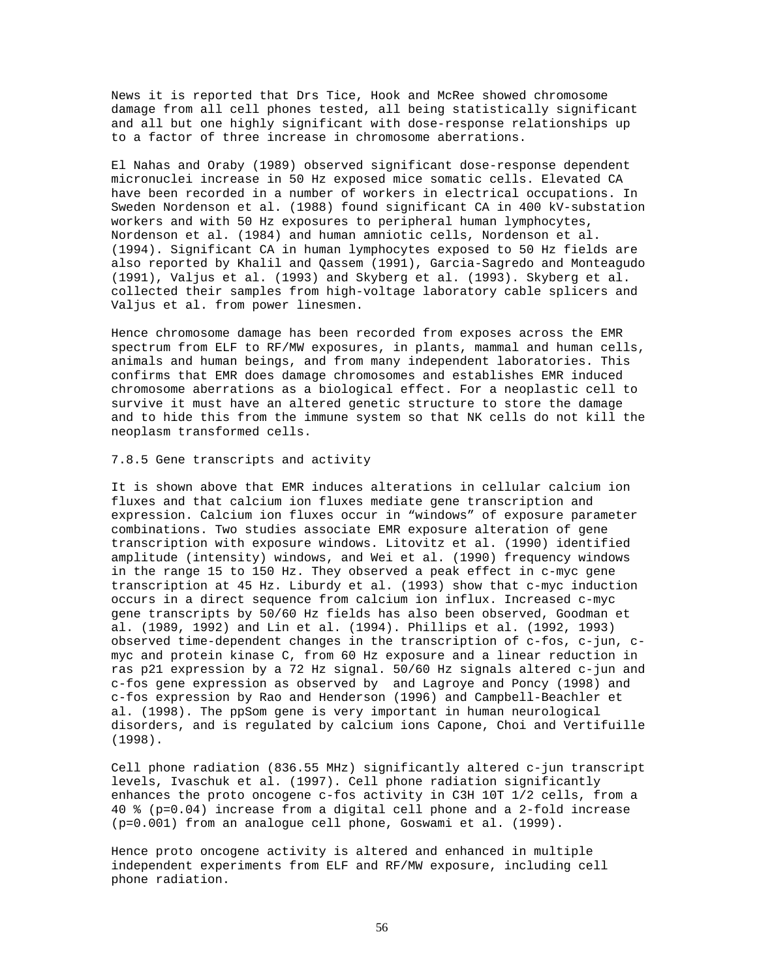News it is reported that Drs Tice, Hook and McRee showed chromosome damage from all cell phones tested, all being statistically significant and all but one highly significant with dose-response relationships up to a factor of three increase in chromosome aberrations.

El Nahas and Oraby (1989) observed significant dose-response dependent micronuclei increase in 50 Hz exposed mice somatic cells. Elevated CA have been recorded in a number of workers in electrical occupations. In Sweden Nordenson et al. (1988) found significant CA in 400 kV-substation workers and with 50 Hz exposures to peripheral human lymphocytes, Nordenson et al. (1984) and human amniotic cells, Nordenson et al. (1994). Significant CA in human lymphocytes exposed to 50 Hz fields are also reported by Khalil and Qassem (1991), Garcia-Sagredo and Monteagudo (1991), Valjus et al. (1993) and Skyberg et al. (1993). Skyberg et al. collected their samples from high-voltage laboratory cable splicers and Valjus et al. from power linesmen.

Hence chromosome damage has been recorded from exposes across the EMR spectrum from ELF to RF/MW exposures, in plants, mammal and human cells, animals and human beings, and from many independent laboratories. This confirms that EMR does damage chromosomes and establishes EMR induced chromosome aberrations as a biological effect. For a neoplastic cell to survive it must have an altered genetic structure to store the damage and to hide this from the immune system so that NK cells do not kill the neoplasm transformed cells.

#### 7.8.5 Gene transcripts and activity

It is shown above that EMR induces alterations in cellular calcium ion fluxes and that calcium ion fluxes mediate gene transcription and expression. Calcium ion fluxes occur in "windows" of exposure parameter combinations. Two studies associate EMR exposure alteration of gene transcription with exposure windows. Litovitz et al. (1990) identified amplitude (intensity) windows, and Wei et al. (1990) frequency windows in the range 15 to 150 Hz. They observed a peak effect in c-myc gene transcription at 45 Hz. Liburdy et al. (1993) show that c-myc induction occurs in a direct sequence from calcium ion influx. Increased c-myc gene transcripts by 50/60 Hz fields has also been observed, Goodman et al. (1989, 1992) and Lin et al. (1994). Phillips et al. (1992, 1993) observed time-dependent changes in the transcription of c-fos, c-jun, cmyc and protein kinase C, from 60 Hz exposure and a linear reduction in ras p21 expression by a 72 Hz signal. 50/60 Hz signals altered c-jun and c-fos gene expression as observed by and Lagroye and Poncy (1998) and c-fos expression by Rao and Henderson (1996) and Campbell-Beachler et al. (1998). The ppSom gene is very important in human neurological disorders, and is regulated by calcium ions Capone, Choi and Vertifuille (1998).

Cell phone radiation (836.55 MHz) significantly altered c-jun transcript levels, Ivaschuk et al. (1997). Cell phone radiation significantly enhances the proto oncogene c-fos activity in C3H 10T 1/2 cells, from a 40 % (p=0.04) increase from a digital cell phone and a 2-fold increase (p=0.001) from an analogue cell phone, Goswami et al. (1999).

Hence proto oncogene activity is altered and enhanced in multiple independent experiments from ELF and RF/MW exposure, including cell phone radiation.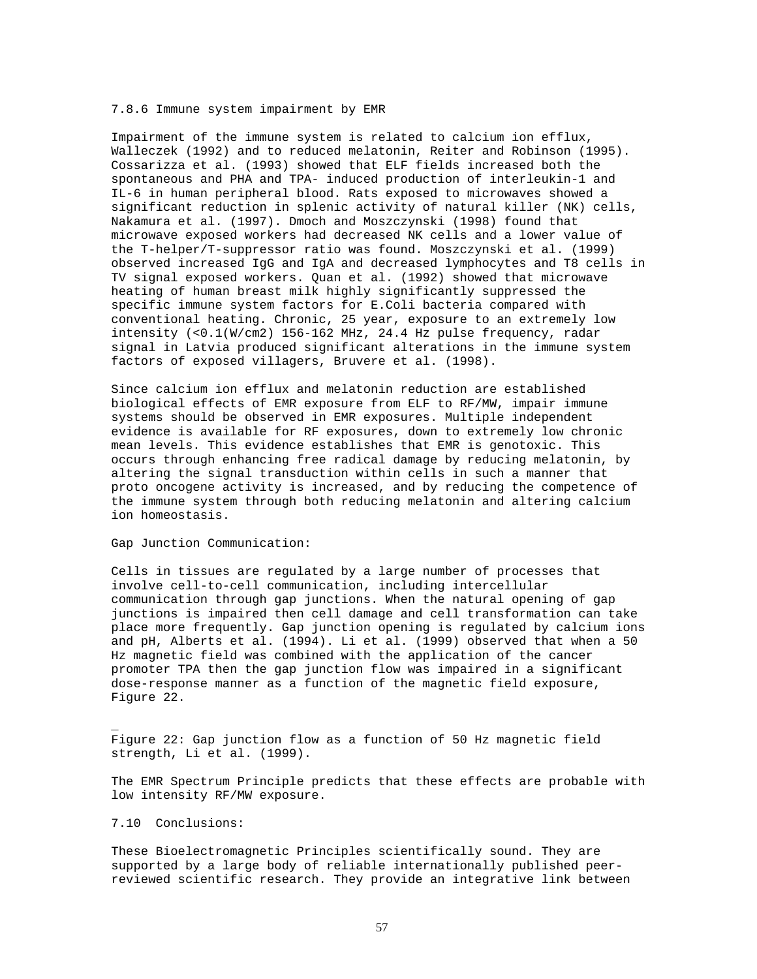### 7.8.6 Immune system impairment by EMR

Impairment of the immune system is related to calcium ion efflux, Walleczek (1992) and to reduced melatonin, Reiter and Robinson (1995). Cossarizza et al. (1993) showed that ELF fields increased both the spontaneous and PHA and TPA- induced production of interleukin-1 and IL-6 in human peripheral blood. Rats exposed to microwaves showed a significant reduction in splenic activity of natural killer (NK) cells, Nakamura et al. (1997). Dmoch and Moszczynski (1998) found that microwave exposed workers had decreased NK cells and a lower value of the T-helper/T-suppressor ratio was found. Moszczynski et al. (1999) observed increased IgG and IgA and decreased lymphocytes and T8 cells in TV signal exposed workers. Quan et al. (1992) showed that microwave heating of human breast milk highly significantly suppressed the specific immune system factors for E.Coli bacteria compared with conventional heating. Chronic, 25 year, exposure to an extremely low intensity (<0.1(W/cm2) 156-162 MHz, 24.4 Hz pulse frequency, radar signal in Latvia produced significant alterations in the immune system factors of exposed villagers, Bruvere et al. (1998).

Since calcium ion efflux and melatonin reduction are established biological effects of EMR exposure from ELF to RF/MW, impair immune systems should be observed in EMR exposures. Multiple independent evidence is available for RF exposures, down to extremely low chronic mean levels. This evidence establishes that EMR is genotoxic. This occurs through enhancing free radical damage by reducing melatonin, by altering the signal transduction within cells in such a manner that proto oncogene activity is increased, and by reducing the competence of the immune system through both reducing melatonin and altering calcium ion homeostasis.

Gap Junction Communication:

Cells in tissues are regulated by a large number of processes that involve cell-to-cell communication, including intercellular communication through gap junctions. When the natural opening of gap junctions is impaired then cell damage and cell transformation can take place more frequently. Gap junction opening is regulated by calcium ions and pH, Alberts et al. (1994). Li et al. (1999) observed that when a 50 Hz magnetic field was combined with the application of the cancer promoter TPA then the gap junction flow was impaired in a significant dose-response manner as a function of the magnetic field exposure, Figure 22.

Figure 22: Gap junction flow as a function of 50 Hz magnetic field strength, Li et al. (1999).

The EMR Spectrum Principle predicts that these effects are probable with low intensity RF/MW exposure.

7.10 Conclusions:

\_

These Bioelectromagnetic Principles scientifically sound. They are supported by a large body of reliable internationally published peerreviewed scientific research. They provide an integrative link between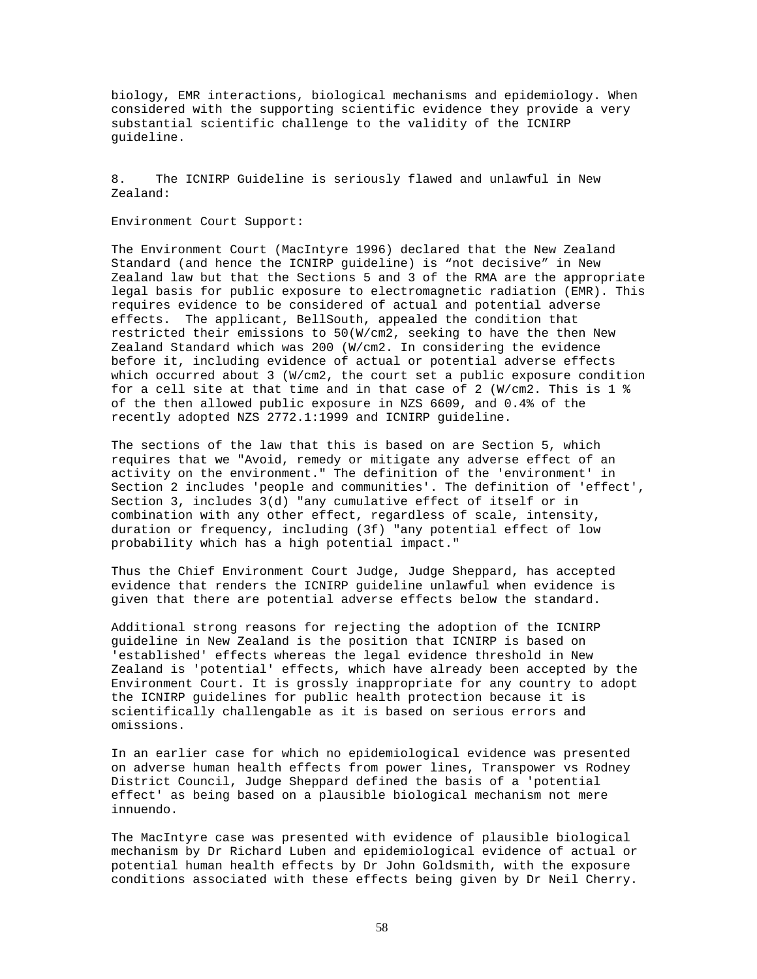biology, EMR interactions, biological mechanisms and epidemiology. When considered with the supporting scientific evidence they provide a very substantial scientific challenge to the validity of the ICNIRP guideline.

8. The ICNIRP Guideline is seriously flawed and unlawful in New Zealand:

#### Environment Court Support:

The Environment Court (MacIntyre 1996) declared that the New Zealand Standard (and hence the ICNIRP guideline) is "not decisive" in New Zealand law but that the Sections 5 and 3 of the RMA are the appropriate legal basis for public exposure to electromagnetic radiation (EMR). This requires evidence to be considered of actual and potential adverse effects. The applicant, BellSouth, appealed the condition that restricted their emissions to 50(W/cm2, seeking to have the then New Zealand Standard which was 200 (W/cm2. In considering the evidence before it, including evidence of actual or potential adverse effects which occurred about 3 (W/cm2, the court set a public exposure condition for a cell site at that time and in that case of 2 (W/cm2. This is 1 % of the then allowed public exposure in NZS 6609, and 0.4% of the recently adopted NZS 2772.1:1999 and ICNIRP guideline.

The sections of the law that this is based on are Section 5, which requires that we "Avoid, remedy or mitigate any adverse effect of an activity on the environment." The definition of the 'environment' in Section 2 includes 'people and communities'. The definition of 'effect', Section 3, includes 3(d) "any cumulative effect of itself or in combination with any other effect, regardless of scale, intensity, duration or frequency, including (3f) "any potential effect of low probability which has a high potential impact."

Thus the Chief Environment Court Judge, Judge Sheppard, has accepted evidence that renders the ICNIRP guideline unlawful when evidence is given that there are potential adverse effects below the standard.

Additional strong reasons for rejecting the adoption of the ICNIRP guideline in New Zealand is the position that ICNIRP is based on 'established' effects whereas the legal evidence threshold in New Zealand is 'potential' effects, which have already been accepted by the Environment Court. It is grossly inappropriate for any country to adopt the ICNIRP guidelines for public health protection because it is scientifically challengable as it is based on serious errors and omissions.

In an earlier case for which no epidemiological evidence was presented on adverse human health effects from power lines, Transpower vs Rodney District Council, Judge Sheppard defined the basis of a 'potential effect' as being based on a plausible biological mechanism not mere innuendo.

The MacIntyre case was presented with evidence of plausible biological mechanism by Dr Richard Luben and epidemiological evidence of actual or potential human health effects by Dr John Goldsmith, with the exposure conditions associated with these effects being given by Dr Neil Cherry.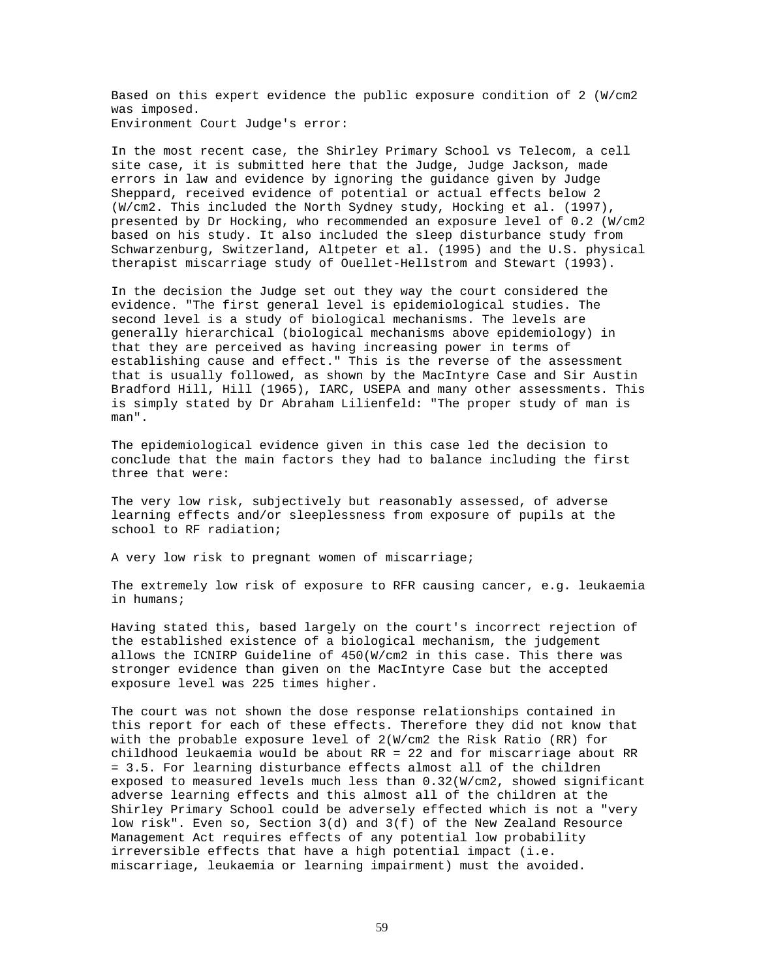Based on this expert evidence the public exposure condition of 2 (W/cm2 was imposed. Environment Court Judge's error:

In the most recent case, the Shirley Primary School vs Telecom, a cell site case, it is submitted here that the Judge, Judge Jackson, made errors in law and evidence by ignoring the guidance given by Judge Sheppard, received evidence of potential or actual effects below 2 (W/cm2. This included the North Sydney study, Hocking et al. (1997), presented by Dr Hocking, who recommended an exposure level of 0.2 (W/cm2 based on his study. It also included the sleep disturbance study from Schwarzenburg, Switzerland, Altpeter et al. (1995) and the U.S. physical therapist miscarriage study of Ouellet-Hellstrom and Stewart (1993).

In the decision the Judge set out they way the court considered the evidence. "The first general level is epidemiological studies. The second level is a study of biological mechanisms. The levels are generally hierarchical (biological mechanisms above epidemiology) in that they are perceived as having increasing power in terms of establishing cause and effect." This is the reverse of the assessment that is usually followed, as shown by the MacIntyre Case and Sir Austin Bradford Hill, Hill (1965), IARC, USEPA and many other assessments. This is simply stated by Dr Abraham Lilienfeld: "The proper study of man is man".

The epidemiological evidence given in this case led the decision to conclude that the main factors they had to balance including the first three that were:

The very low risk, subjectively but reasonably assessed, of adverse learning effects and/or sleeplessness from exposure of pupils at the school to RF radiation;

A very low risk to pregnant women of miscarriage;

The extremely low risk of exposure to RFR causing cancer, e.g. leukaemia in humans;

Having stated this, based largely on the court's incorrect rejection of the established existence of a biological mechanism, the judgement allows the ICNIRP Guideline of 450(W/cm2 in this case. This there was stronger evidence than given on the MacIntyre Case but the accepted exposure level was 225 times higher.

The court was not shown the dose response relationships contained in this report for each of these effects. Therefore they did not know that with the probable exposure level of 2(W/cm2 the Risk Ratio (RR) for childhood leukaemia would be about RR = 22 and for miscarriage about RR = 3.5. For learning disturbance effects almost all of the children exposed to measured levels much less than 0.32(W/cm2, showed significant adverse learning effects and this almost all of the children at the Shirley Primary School could be adversely effected which is not a "very low risk". Even so, Section 3(d) and 3(f) of the New Zealand Resource Management Act requires effects of any potential low probability irreversible effects that have a high potential impact (i.e. miscarriage, leukaemia or learning impairment) must the avoided.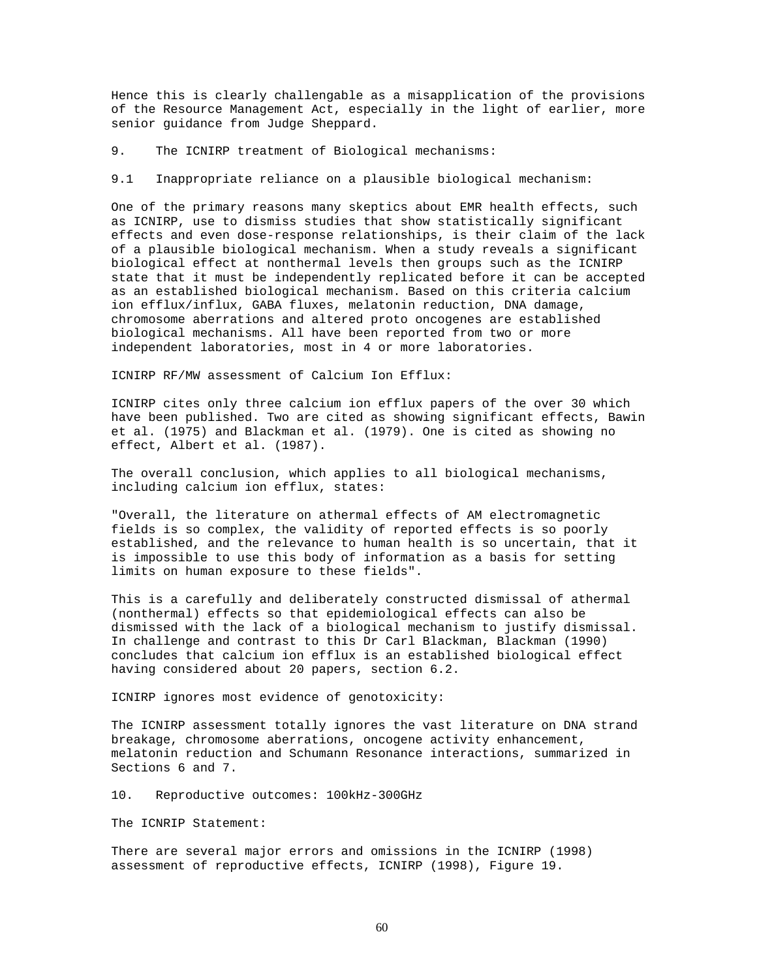Hence this is clearly challengable as a misapplication of the provisions of the Resource Management Act, especially in the light of earlier, more senior guidance from Judge Sheppard.

9. The ICNIRP treatment of Biological mechanisms:

9.1 Inappropriate reliance on a plausible biological mechanism:

One of the primary reasons many skeptics about EMR health effects, such as ICNIRP, use to dismiss studies that show statistically significant effects and even dose-response relationships, is their claim of the lack of a plausible biological mechanism. When a study reveals a significant biological effect at nonthermal levels then groups such as the ICNIRP state that it must be independently replicated before it can be accepted as an established biological mechanism. Based on this criteria calcium ion efflux/influx, GABA fluxes, melatonin reduction, DNA damage, chromosome aberrations and altered proto oncogenes are established biological mechanisms. All have been reported from two or more independent laboratories, most in 4 or more laboratories.

ICNIRP RF/MW assessment of Calcium Ion Efflux:

ICNIRP cites only three calcium ion efflux papers of the over 30 which have been published. Two are cited as showing significant effects, Bawin et al. (1975) and Blackman et al. (1979). One is cited as showing no effect, Albert et al. (1987).

The overall conclusion, which applies to all biological mechanisms, including calcium ion efflux, states:

"Overall, the literature on athermal effects of AM electromagnetic fields is so complex, the validity of reported effects is so poorly established, and the relevance to human health is so uncertain, that it is impossible to use this body of information as a basis for setting limits on human exposure to these fields".

This is a carefully and deliberately constructed dismissal of athermal (nonthermal) effects so that epidemiological effects can also be dismissed with the lack of a biological mechanism to justify dismissal. In challenge and contrast to this Dr Carl Blackman, Blackman (1990) concludes that calcium ion efflux is an established biological effect having considered about 20 papers, section 6.2.

ICNIRP ignores most evidence of genotoxicity:

The ICNIRP assessment totally ignores the vast literature on DNA strand breakage, chromosome aberrations, oncogene activity enhancement, melatonin reduction and Schumann Resonance interactions, summarized in Sections 6 and 7.

10. Reproductive outcomes: 100kHz-300GHz

The ICNRIP Statement:

There are several major errors and omissions in the ICNIRP (1998) assessment of reproductive effects, ICNIRP (1998), Figure 19.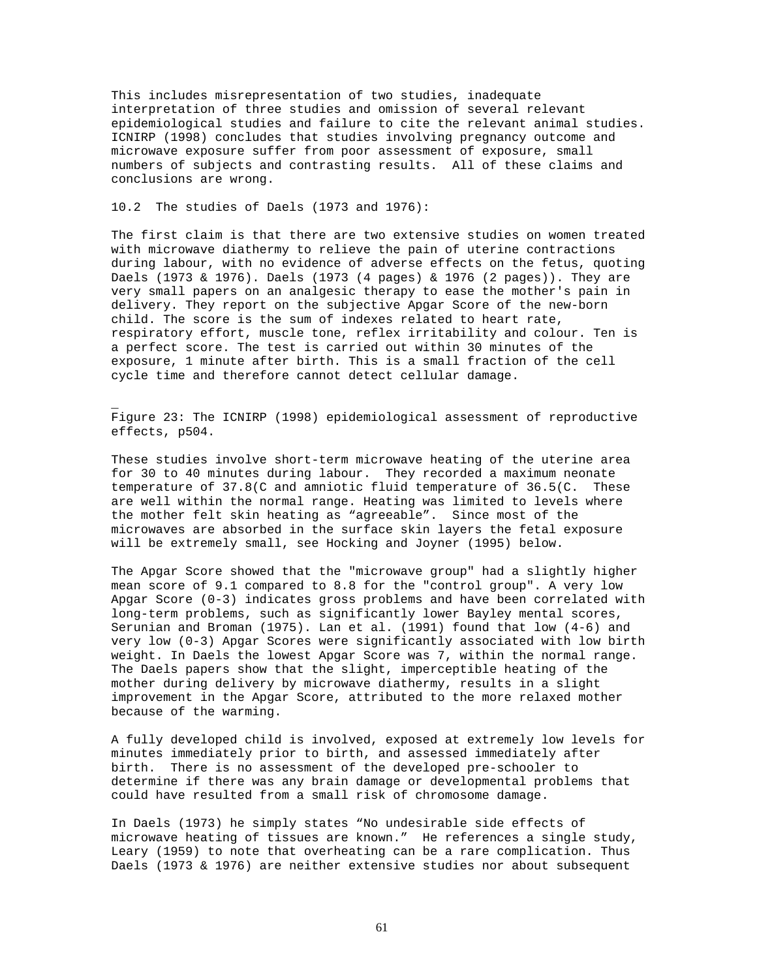This includes misrepresentation of two studies, inadequate interpretation of three studies and omission of several relevant epidemiological studies and failure to cite the relevant animal studies. ICNIRP (1998) concludes that studies involving pregnancy outcome and microwave exposure suffer from poor assessment of exposure, small numbers of subjects and contrasting results. All of these claims and conclusions are wrong.

# 10.2 The studies of Daels (1973 and 1976):

\_

The first claim is that there are two extensive studies on women treated with microwave diathermy to relieve the pain of uterine contractions during labour, with no evidence of adverse effects on the fetus, quoting Daels (1973 & 1976). Daels (1973 (4 pages) & 1976 (2 pages)). They are very small papers on an analgesic therapy to ease the mother's pain in delivery. They report on the subjective Apgar Score of the new-born child. The score is the sum of indexes related to heart rate, respiratory effort, muscle tone, reflex irritability and colour. Ten is a perfect score. The test is carried out within 30 minutes of the exposure, 1 minute after birth. This is a small fraction of the cell cycle time and therefore cannot detect cellular damage.

Figure 23: The ICNIRP (1998) epidemiological assessment of reproductive effects, p504.

These studies involve short-term microwave heating of the uterine area for 30 to 40 minutes during labour. They recorded a maximum neonate temperature of 37.8(C and amniotic fluid temperature of 36.5(C. These are well within the normal range. Heating was limited to levels where the mother felt skin heating as "agreeable". Since most of the microwaves are absorbed in the surface skin layers the fetal exposure will be extremely small, see Hocking and Joyner (1995) below.

The Apgar Score showed that the "microwave group" had a slightly higher mean score of 9.1 compared to 8.8 for the "control group". A very low Apgar Score (0-3) indicates gross problems and have been correlated with long-term problems, such as significantly lower Bayley mental scores, Serunian and Broman (1975). Lan et al. (1991) found that low (4-6) and very low (0-3) Apgar Scores were significantly associated with low birth weight. In Daels the lowest Apgar Score was 7, within the normal range. The Daels papers show that the slight, imperceptible heating of the mother during delivery by microwave diathermy, results in a slight improvement in the Apgar Score, attributed to the more relaxed mother because of the warming.

A fully developed child is involved, exposed at extremely low levels for minutes immediately prior to birth, and assessed immediately after birth. There is no assessment of the developed pre-schooler to determine if there was any brain damage or developmental problems that could have resulted from a small risk of chromosome damage.

In Daels (1973) he simply states "No undesirable side effects of microwave heating of tissues are known." He references a single study, Leary (1959) to note that overheating can be a rare complication. Thus Daels (1973 & 1976) are neither extensive studies nor about subsequent

61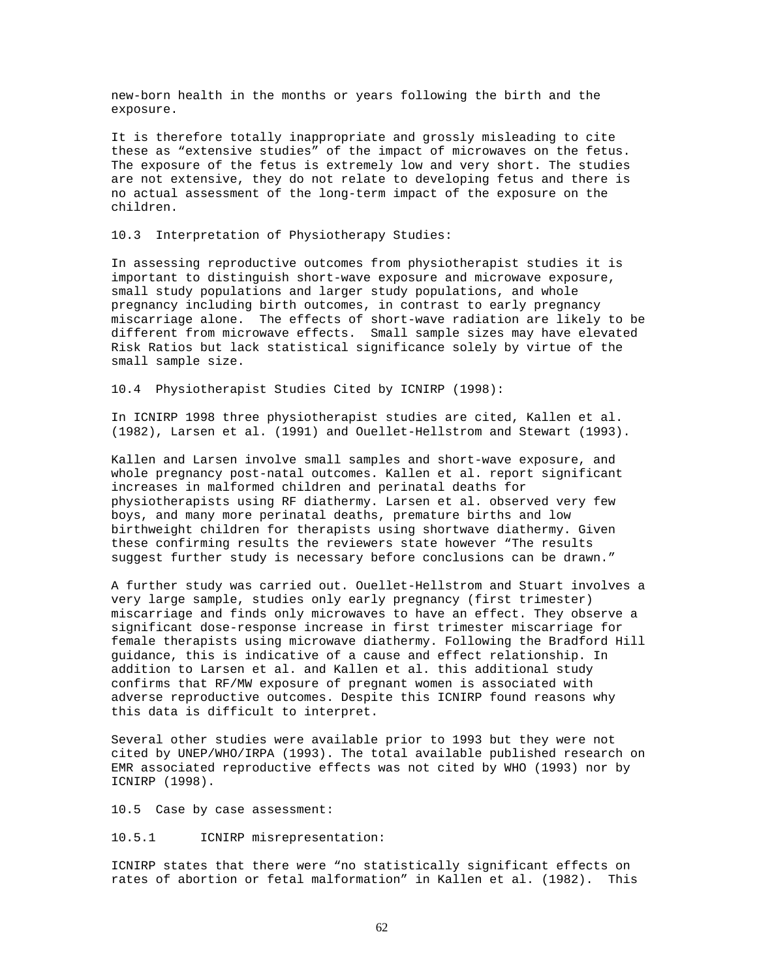new-born health in the months or years following the birth and the exposure.

It is therefore totally inappropriate and grossly misleading to cite these as "extensive studies" of the impact of microwaves on the fetus. The exposure of the fetus is extremely low and very short. The studies are not extensive, they do not relate to developing fetus and there is no actual assessment of the long-term impact of the exposure on the children.

10.3 Interpretation of Physiotherapy Studies:

In assessing reproductive outcomes from physiotherapist studies it is important to distinguish short-wave exposure and microwave exposure, small study populations and larger study populations, and whole pregnancy including birth outcomes, in contrast to early pregnancy miscarriage alone. The effects of short-wave radiation are likely to be different from microwave effects. Small sample sizes may have elevated Risk Ratios but lack statistical significance solely by virtue of the small sample size.

10.4 Physiotherapist Studies Cited by ICNIRP (1998):

In ICNIRP 1998 three physiotherapist studies are cited, Kallen et al. (1982), Larsen et al. (1991) and Ouellet-Hellstrom and Stewart (1993).

Kallen and Larsen involve small samples and short-wave exposure, and whole pregnancy post-natal outcomes. Kallen et al. report significant increases in malformed children and perinatal deaths for physiotherapists using RF diathermy. Larsen et al. observed very few boys, and many more perinatal deaths, premature births and low birthweight children for therapists using shortwave diathermy. Given these confirming results the reviewers state however "The results suggest further study is necessary before conclusions can be drawn."

A further study was carried out. Ouellet-Hellstrom and Stuart involves a very large sample, studies only early pregnancy (first trimester) miscarriage and finds only microwaves to have an effect. They observe a significant dose-response increase in first trimester miscarriage for female therapists using microwave diathermy. Following the Bradford Hill guidance, this is indicative of a cause and effect relationship. In addition to Larsen et al. and Kallen et al. this additional study confirms that RF/MW exposure of pregnant women is associated with adverse reproductive outcomes. Despite this ICNIRP found reasons why this data is difficult to interpret.

Several other studies were available prior to 1993 but they were not cited by UNEP/WHO/IRPA (1993). The total available published research on EMR associated reproductive effects was not cited by WHO (1993) nor by ICNIRP (1998).

10.5 Case by case assessment:

10.5.1 ICNIRP misrepresentation:

ICNIRP states that there were "no statistically significant effects on rates of abortion or fetal malformation" in Kallen et al. (1982). This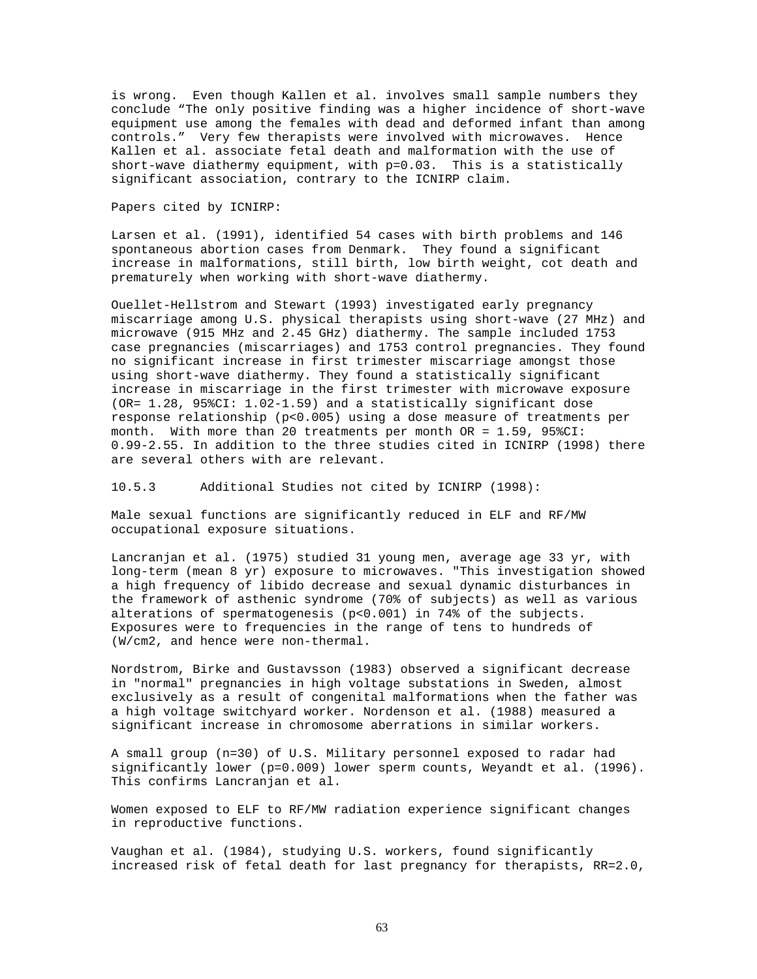is wrong. Even though Kallen et al. involves small sample numbers they conclude "The only positive finding was a higher incidence of short-wave equipment use among the females with dead and deformed infant than among controls." Very few therapists were involved with microwaves. Hence Kallen et al. associate fetal death and malformation with the use of short-wave diathermy equipment, with p=0.03. This is a statistically significant association, contrary to the ICNIRP claim.

# Papers cited by ICNIRP:

Larsen et al. (1991), identified 54 cases with birth problems and 146 spontaneous abortion cases from Denmark. They found a significant increase in malformations, still birth, low birth weight, cot death and prematurely when working with short-wave diathermy.

Ouellet-Hellstrom and Stewart (1993) investigated early pregnancy miscarriage among U.S. physical therapists using short-wave (27 MHz) and microwave (915 MHz and 2.45 GHz) diathermy. The sample included 1753 case pregnancies (miscarriages) and 1753 control pregnancies. They found no significant increase in first trimester miscarriage amongst those using short-wave diathermy. They found a statistically significant increase in miscarriage in the first trimester with microwave exposure (OR= 1.28, 95%CI: 1.02-1.59) and a statistically significant dose response relationship (p<0.005) using a dose measure of treatments per month. With more than 20 treatments per month OR = 1.59, 95%CI: 0.99-2.55. In addition to the three studies cited in ICNIRP (1998) there are several others with are relevant.

10.5.3 Additional Studies not cited by ICNIRP (1998):

Male sexual functions are significantly reduced in ELF and RF/MW occupational exposure situations.

Lancranjan et al. (1975) studied 31 young men, average age 33 yr, with long-term (mean 8 yr) exposure to microwaves. "This investigation showed a high frequency of libido decrease and sexual dynamic disturbances in the framework of asthenic syndrome (70% of subjects) as well as various alterations of spermatogenesis (p<0.001) in 74% of the subjects. Exposures were to frequencies in the range of tens to hundreds of (W/cm2, and hence were non-thermal.

Nordstrom, Birke and Gustavsson (1983) observed a significant decrease in "normal" pregnancies in high voltage substations in Sweden, almost exclusively as a result of congenital malformations when the father was a high voltage switchyard worker. Nordenson et al. (1988) measured a significant increase in chromosome aberrations in similar workers.

A small group (n=30) of U.S. Military personnel exposed to radar had significantly lower (p=0.009) lower sperm counts, Weyandt et al. (1996). This confirms Lancranjan et al.

Women exposed to ELF to RF/MW radiation experience significant changes in reproductive functions.

Vaughan et al. (1984), studying U.S. workers, found significantly increased risk of fetal death for last pregnancy for therapists, RR=2.0,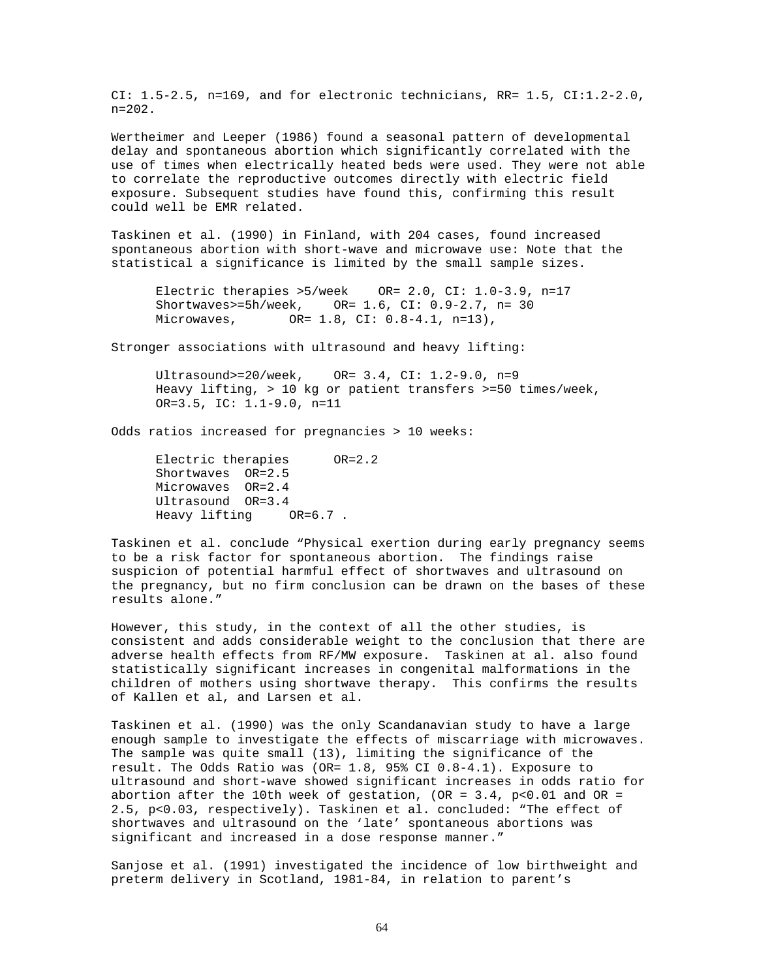CI: 1.5-2.5, n=169, and for electronic technicians, RR= 1.5, CI:1.2-2.0, n=202.

Wertheimer and Leeper (1986) found a seasonal pattern of developmental delay and spontaneous abortion which significantly correlated with the use of times when electrically heated beds were used. They were not able to correlate the reproductive outcomes directly with electric field exposure. Subsequent studies have found this, confirming this result could well be EMR related.

Taskinen et al. (1990) in Finland, with 204 cases, found increased spontaneous abortion with short-wave and microwave use: Note that the statistical a significance is limited by the small sample sizes.

Electric therapies >5/week OR= 2.0, CI: 1.0-3.9, n=17 Shortwaves>=5h/week, OR= 1.6, CI: 0.9-2.7, n= 30 Microwaves, OR= 1.8, CI: 0.8-4.1, n=13),

Stronger associations with ultrasound and heavy lifting:

Ultrasound>=20/week, OR= 3.4, CI: 1.2-9.0, n=9 Heavy lifting, > 10 kg or patient transfers >=50 times/week, OR=3.5, IC: 1.1-9.0, n=11

Odds ratios increased for pregnancies > 10 weeks:

Electric therapies OR=2.2 Shortwaves OR=2.5 Microwaves OR=2.4 Ultrasound OR=3.4 Heavy lifting OR=6.7 .

Taskinen et al. conclude "Physical exertion during early pregnancy seems to be a risk factor for spontaneous abortion. The findings raise suspicion of potential harmful effect of shortwaves and ultrasound on the pregnancy, but no firm conclusion can be drawn on the bases of these results alone."

However, this study, in the context of all the other studies, is consistent and adds considerable weight to the conclusion that there are adverse health effects from RF/MW exposure. Taskinen at al. also found statistically significant increases in congenital malformations in the children of mothers using shortwave therapy. This confirms the results of Kallen et al, and Larsen et al.

Taskinen et al. (1990) was the only Scandanavian study to have a large enough sample to investigate the effects of miscarriage with microwaves. The sample was quite small (13), limiting the significance of the result. The Odds Ratio was (OR= 1.8, 95% CI 0.8-4.1). Exposure to ultrasound and short-wave showed significant increases in odds ratio for abortion after the 10th week of gestation, (OR =  $3.4$ , p<0.01 and OR = 2.5, p<0.03, respectively). Taskinen et al. concluded: "The effect of shortwaves and ultrasound on the 'late' spontaneous abortions was significant and increased in a dose response manner."

Sanjose et al. (1991) investigated the incidence of low birthweight and preterm delivery in Scotland, 1981-84, in relation to parent's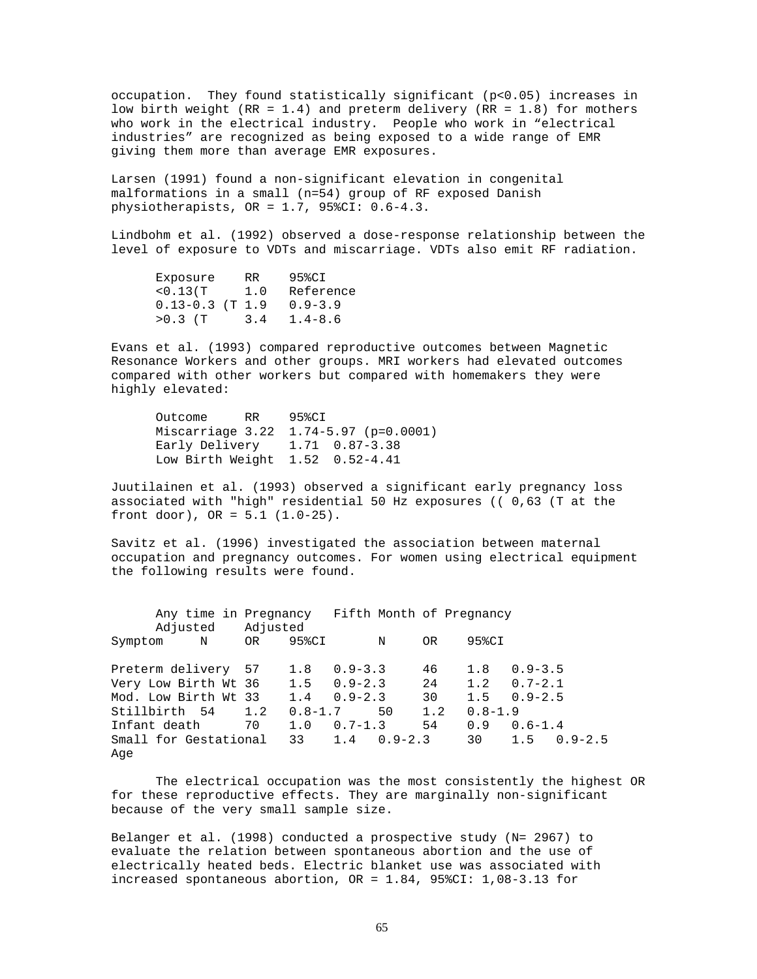occupation. They found statistically significant (p<0.05) increases in low birth weight (RR = 1.4) and preterm delivery (RR = 1.8) for mothers who work in the electrical industry. People who work in "electrical industries" are recognized as being exposed to a wide range of EMR giving them more than average EMR exposures.

Larsen (1991) found a non-significant elevation in congenital malformations in a small (n=54) group of RF exposed Danish physiotherapists, OR = 1.7, 95%CI: 0.6-4.3.

Lindbohm et al. (1992) observed a dose-response relationship between the level of exposure to VDTs and miscarriage. VDTs also emit RF radiation.

| Exposure            | RR. | 95%CI       |
|---------------------|-----|-------------|
| < 0.13(T)           | 1.0 | Reference   |
| $0.13 - 0.3$ (T 1.9 |     | $0.9 - 3.9$ |
| $>0.3$ (T)          | 3.4 | $1.4 - 8.6$ |

Evans et al. (1993) compared reproductive outcomes between Magnetic Resonance Workers and other groups. MRI workers had elevated outcomes compared with other workers but compared with homemakers they were highly elevated:

Outcome RR 95%CI Miscarriage 3.22 1.74-5.97 (p=0.0001) Early Delivery 1.71 0.87-3.38 Low Birth Weight 1.52 0.52-4.41

Juutilainen et al. (1993) observed a significant early pregnancy loss associated with "high" residential 50 Hz exposures (( 0,63 (T at the front door),  $OR = 5.1 (1.0-25)$ .

Savitz et al. (1996) investigated the association between maternal occupation and pregnancy outcomes. For women using electrical equipment the following results were found.

Any time in Pregnancy Fifth Month of Pregnancy Adjusted Adjusted Symptom N OR 95%CI N OR 95%CI Preterm delivery 57 1.8 0.9-3.3 46 1.8 0.9-3.5 Very Low Birth Wt 36 1.5 0.9-2.3 24 1.2 0.7-2.1<br>Mod. Low Birth Wt 33 1.4 0.9-2.3 30 1.5 0.9-2.5 Mod. Low Birth Wt 33 1.4 0.9-2.3 30 1.5 0.9-2.5 Stillbirth 54 1.2 0.8-1.7 50 1.2 0.8-1.9 Infant death 70 1.0 0.7-1.3 Small for Gestational 33 1.4 0.9-2.3 30 1.5 0.9-2.5 Age

The electrical occupation was the most consistently the highest OR for these reproductive effects. They are marginally non-significant because of the very small sample size.

Belanger et al. (1998) conducted a prospective study (N= 2967) to evaluate the relation between spontaneous abortion and the use of electrically heated beds. Electric blanket use was associated with increased spontaneous abortion, OR = 1.84, 95%CI: 1,08-3.13 for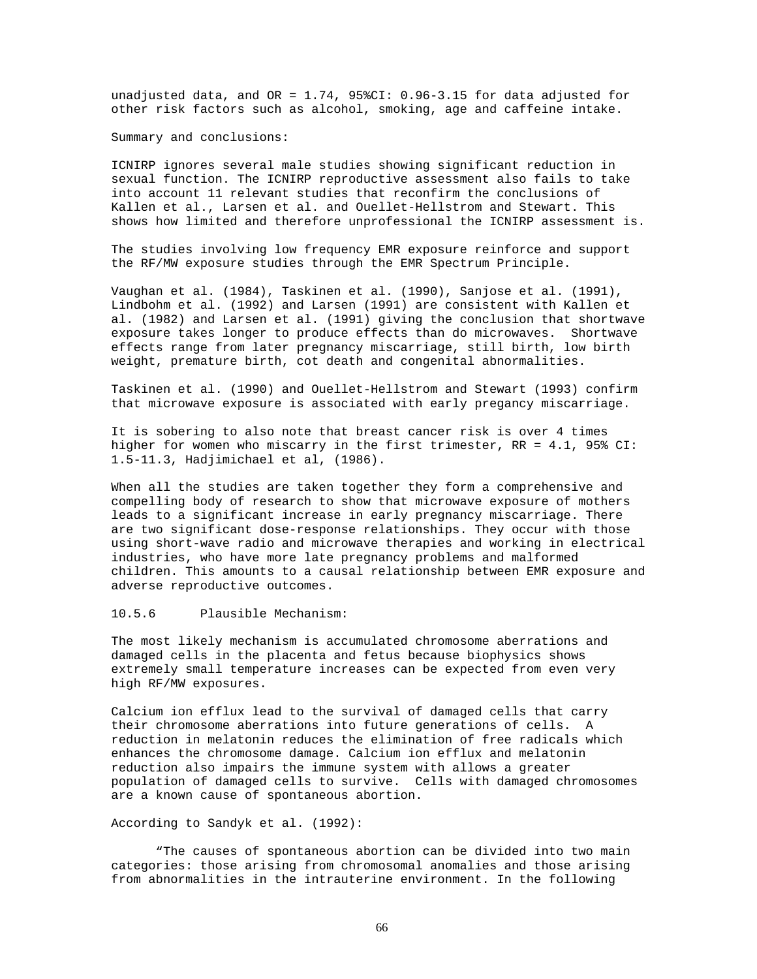unadjusted data, and OR = 1.74, 95%CI: 0.96-3.15 for data adjusted for other risk factors such as alcohol, smoking, age and caffeine intake.

Summary and conclusions:

ICNIRP ignores several male studies showing significant reduction in sexual function. The ICNIRP reproductive assessment also fails to take into account 11 relevant studies that reconfirm the conclusions of Kallen et al., Larsen et al. and Ouellet-Hellstrom and Stewart. This shows how limited and therefore unprofessional the ICNIRP assessment is.

The studies involving low frequency EMR exposure reinforce and support the RF/MW exposure studies through the EMR Spectrum Principle.

Vaughan et al. (1984), Taskinen et al. (1990), Sanjose et al. (1991), Lindbohm et al. (1992) and Larsen (1991) are consistent with Kallen et al. (1982) and Larsen et al. (1991) giving the conclusion that shortwave exposure takes longer to produce effects than do microwaves. Shortwave effects range from later pregnancy miscarriage, still birth, low birth weight, premature birth, cot death and congenital abnormalities.

Taskinen et al. (1990) and Ouellet-Hellstrom and Stewart (1993) confirm that microwave exposure is associated with early pregancy miscarriage.

It is sobering to also note that breast cancer risk is over 4 times higher for women who miscarry in the first trimester, RR = 4.1, 95% CI: 1.5-11.3, Hadjimichael et al, (1986).

When all the studies are taken together they form a comprehensive and compelling body of research to show that microwave exposure of mothers leads to a significant increase in early pregnancy miscarriage. There are two significant dose-response relationships. They occur with those using short-wave radio and microwave therapies and working in electrical industries, who have more late pregnancy problems and malformed children. This amounts to a causal relationship between EMR exposure and adverse reproductive outcomes.

# 10.5.6 Plausible Mechanism:

The most likely mechanism is accumulated chromosome aberrations and damaged cells in the placenta and fetus because biophysics shows extremely small temperature increases can be expected from even very high RF/MW exposures.

Calcium ion efflux lead to the survival of damaged cells that carry their chromosome aberrations into future generations of cells. A reduction in melatonin reduces the elimination of free radicals which enhances the chromosome damage. Calcium ion efflux and melatonin reduction also impairs the immune system with allows a greater population of damaged cells to survive. Cells with damaged chromosomes are a known cause of spontaneous abortion.

#### According to Sandyk et al. (1992):

"The causes of spontaneous abortion can be divided into two main categories: those arising from chromosomal anomalies and those arising from abnormalities in the intrauterine environment. In the following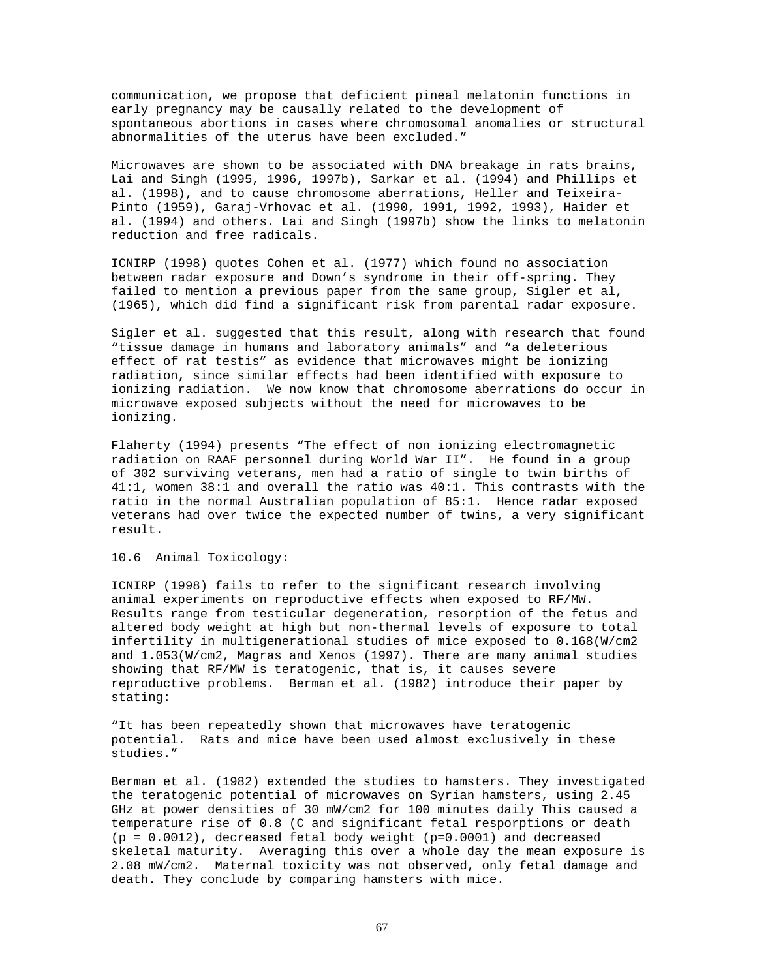communication, we propose that deficient pineal melatonin functions in early pregnancy may be causally related to the development of spontaneous abortions in cases where chromosomal anomalies or structural abnormalities of the uterus have been excluded."

Microwaves are shown to be associated with DNA breakage in rats brains, Lai and Singh (1995, 1996, 1997b), Sarkar et al. (1994) and Phillips et al. (1998), and to cause chromosome aberrations, Heller and Teixeira-Pinto (1959), Garaj-Vrhovac et al. (1990, 1991, 1992, 1993), Haider et al. (1994) and others. Lai and Singh (1997b) show the links to melatonin reduction and free radicals.

ICNIRP (1998) quotes Cohen et al. (1977) which found no association between radar exposure and Down's syndrome in their off-spring. They failed to mention a previous paper from the same group, Sigler et al, (1965), which did find a significant risk from parental radar exposure.

Sigler et al. suggested that this result, along with research that found "tissue damage in humans and laboratory animals" and "a deleterious effect of rat testis" as evidence that microwaves might be ionizing radiation, since similar effects had been identified with exposure to ionizing radiation. We now know that chromosome aberrations do occur in microwave exposed subjects without the need for microwaves to be ionizing.

Flaherty (1994) presents "The effect of non ionizing electromagnetic radiation on RAAF personnel during World War II". He found in a group of 302 surviving veterans, men had a ratio of single to twin births of 41:1, women 38:1 and overall the ratio was 40:1. This contrasts with the ratio in the normal Australian population of 85:1. Hence radar exposed veterans had over twice the expected number of twins, a very significant result.

# 10.6 Animal Toxicology:

ICNIRP (1998) fails to refer to the significant research involving animal experiments on reproductive effects when exposed to RF/MW. Results range from testicular degeneration, resorption of the fetus and altered body weight at high but non-thermal levels of exposure to total infertility in multigenerational studies of mice exposed to 0.168(W/cm2 and 1.053(W/cm2, Magras and Xenos (1997). There are many animal studies showing that RF/MW is teratogenic, that is, it causes severe reproductive problems. Berman et al. (1982) introduce their paper by stating:

"It has been repeatedly shown that microwaves have teratogenic potential. Rats and mice have been used almost exclusively in these studies."

Berman et al. (1982) extended the studies to hamsters. They investigated the teratogenic potential of microwaves on Syrian hamsters, using 2.45 GHz at power densities of 30 mW/cm2 for 100 minutes daily This caused a temperature rise of 0.8 (C and significant fetal resporptions or death  $(p = 0.0012)$ , decreased fetal body weight  $(p=0.0001)$  and decreased skeletal maturity. Averaging this over a whole day the mean exposure is 2.08 mW/cm2. Maternal toxicity was not observed, only fetal damage and death. They conclude by comparing hamsters with mice.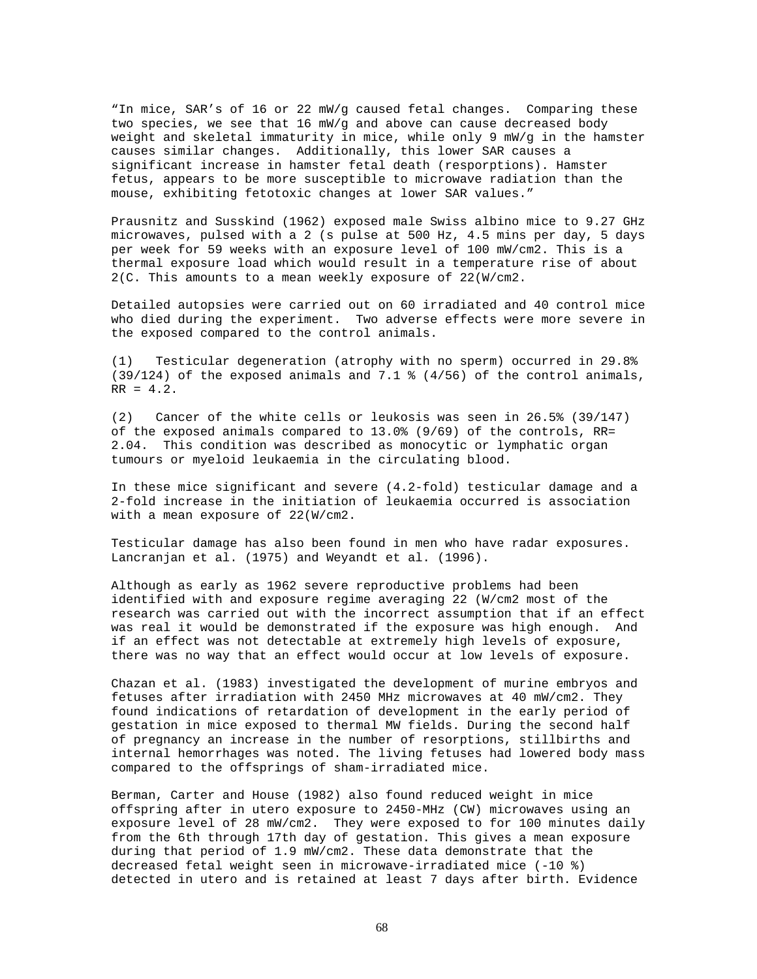"In mice, SAR's of 16 or 22 mW/g caused fetal changes. Comparing these two species, we see that 16 mW/g and above can cause decreased body weight and skeletal immaturity in mice, while only 9 mW/g in the hamster causes similar changes. Additionally, this lower SAR causes a significant increase in hamster fetal death (resporptions). Hamster fetus, appears to be more susceptible to microwave radiation than the mouse, exhibiting fetotoxic changes at lower SAR values."

Prausnitz and Susskind (1962) exposed male Swiss albino mice to 9.27 GHz microwaves, pulsed with a 2 (s pulse at 500 Hz, 4.5 mins per day, 5 days per week for 59 weeks with an exposure level of 100 mW/cm2. This is a thermal exposure load which would result in a temperature rise of about 2(C. This amounts to a mean weekly exposure of 22(W/cm2.

Detailed autopsies were carried out on 60 irradiated and 40 control mice who died during the experiment. Two adverse effects were more severe in the exposed compared to the control animals.

(1) Testicular degeneration (atrophy with no sperm) occurred in 29.8% (39/124) of the exposed animals and 7.1 % (4/56) of the control animals,  $RR = 4.2.$ 

(2) Cancer of the white cells or leukosis was seen in 26.5% (39/147) of the exposed animals compared to 13.0% (9/69) of the controls, RR= 2.04. This condition was described as monocytic or lymphatic organ tumours or myeloid leukaemia in the circulating blood.

In these mice significant and severe (4.2-fold) testicular damage and a 2-fold increase in the initiation of leukaemia occurred is association with a mean exposure of 22(W/cm2.

Testicular damage has also been found in men who have radar exposures. Lancranjan et al. (1975) and Weyandt et al. (1996).

Although as early as 1962 severe reproductive problems had been identified with and exposure regime averaging 22 (W/cm2 most of the research was carried out with the incorrect assumption that if an effect was real it would be demonstrated if the exposure was high enough. And if an effect was not detectable at extremely high levels of exposure, there was no way that an effect would occur at low levels of exposure.

Chazan et al. (1983) investigated the development of murine embryos and fetuses after irradiation with 2450 MHz microwaves at 40 mW/cm2. They found indications of retardation of development in the early period of gestation in mice exposed to thermal MW fields. During the second half of pregnancy an increase in the number of resorptions, stillbirths and internal hemorrhages was noted. The living fetuses had lowered body mass compared to the offsprings of sham-irradiated mice.

Berman, Carter and House (1982) also found reduced weight in mice offspring after in utero exposure to 2450-MHz (CW) microwaves using an exposure level of 28 mW/cm2. They were exposed to for 100 minutes daily from the 6th through 17th day of gestation. This gives a mean exposure during that period of 1.9 mW/cm2. These data demonstrate that the decreased fetal weight seen in microwave-irradiated mice (-10 %) detected in utero and is retained at least 7 days after birth. Evidence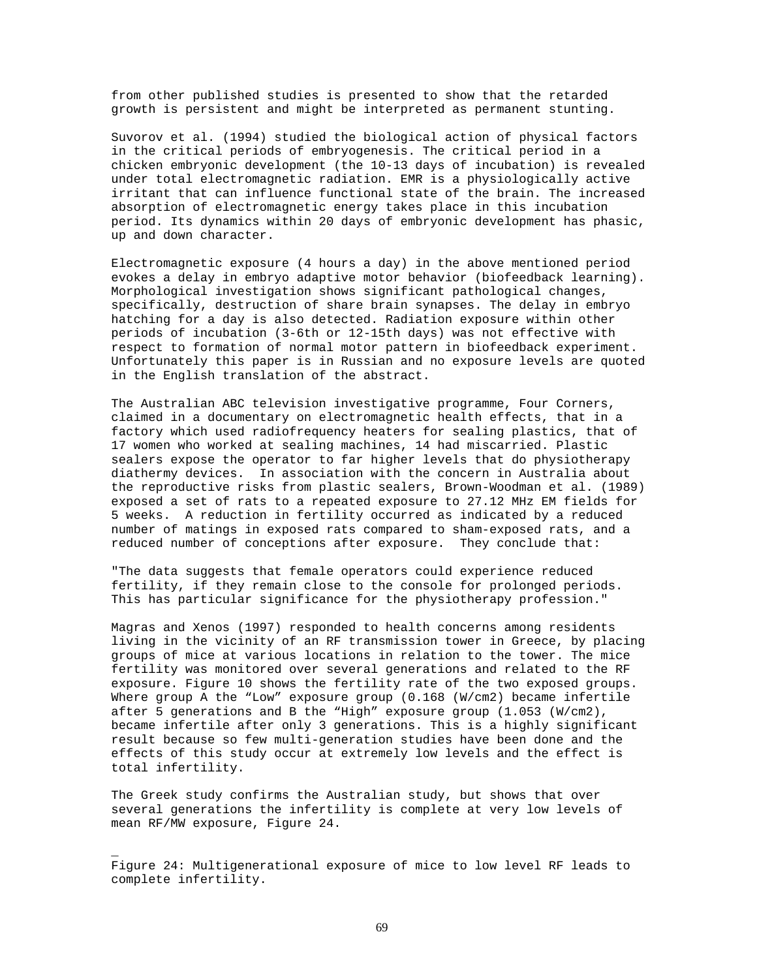from other published studies is presented to show that the retarded growth is persistent and might be interpreted as permanent stunting.

Suvorov et al. (1994) studied the biological action of physical factors in the critical periods of embryogenesis. The critical period in a chicken embryonic development (the 10-13 days of incubation) is revealed under total electromagnetic radiation. EMR is a physiologically active irritant that can influence functional state of the brain. The increased absorption of electromagnetic energy takes place in this incubation period. Its dynamics within 20 days of embryonic development has phasic, up and down character.

Electromagnetic exposure (4 hours a day) in the above mentioned period evokes a delay in embryo adaptive motor behavior (biofeedback learning). Morphological investigation shows significant pathological changes, specifically, destruction of share brain synapses. The delay in embryo hatching for a day is also detected. Radiation exposure within other periods of incubation (3-6th or 12-15th days) was not effective with respect to formation of normal motor pattern in biofeedback experiment. Unfortunately this paper is in Russian and no exposure levels are quoted in the English translation of the abstract.

The Australian ABC television investigative programme, Four Corners, claimed in a documentary on electromagnetic health effects, that in a factory which used radiofrequency heaters for sealing plastics, that of 17 women who worked at sealing machines, 14 had miscarried. Plastic sealers expose the operator to far higher levels that do physiotherapy diathermy devices. In association with the concern in Australia about the reproductive risks from plastic sealers, Brown-Woodman et al. (1989) exposed a set of rats to a repeated exposure to 27.12 MHz EM fields for 5 weeks. A reduction in fertility occurred as indicated by a reduced number of matings in exposed rats compared to sham-exposed rats, and a reduced number of conceptions after exposure. They conclude that:

"The data suggests that female operators could experience reduced fertility, if they remain close to the console for prolonged periods. This has particular significance for the physiotherapy profession."

Magras and Xenos (1997) responded to health concerns among residents living in the vicinity of an RF transmission tower in Greece, by placing groups of mice at various locations in relation to the tower. The mice fertility was monitored over several generations and related to the RF exposure. Figure 10 shows the fertility rate of the two exposed groups. Where group A the "Low" exposure group (0.168 (W/cm2) became infertile after 5 generations and B the "High" exposure group (1.053 (W/cm2), became infertile after only 3 generations. This is a highly significant result because so few multi-generation studies have been done and the effects of this study occur at extremely low levels and the effect is total infertility.

The Greek study confirms the Australian study, but shows that over several generations the infertility is complete at very low levels of mean RF/MW exposure, Figure 24.

Figure 24: Multigenerational exposure of mice to low level RF leads to complete infertility.

\_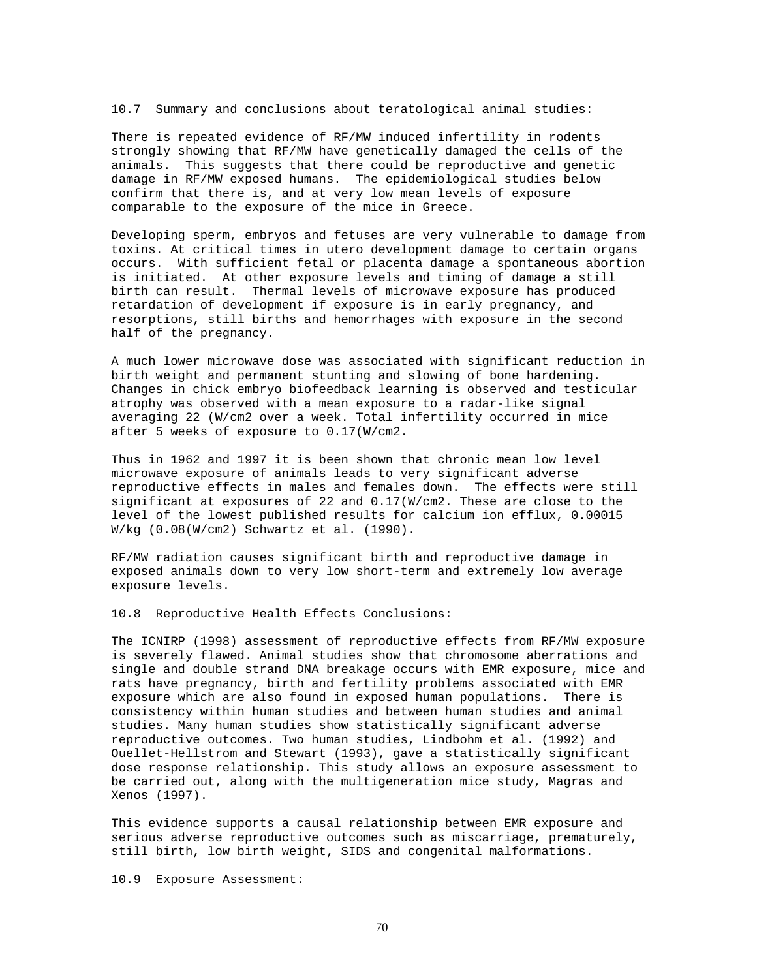10.7 Summary and conclusions about teratological animal studies:

There is repeated evidence of RF/MW induced infertility in rodents strongly showing that RF/MW have genetically damaged the cells of the animals. This suggests that there could be reproductive and genetic damage in RF/MW exposed humans. The epidemiological studies below confirm that there is, and at very low mean levels of exposure comparable to the exposure of the mice in Greece.

Developing sperm, embryos and fetuses are very vulnerable to damage from toxins. At critical times in utero development damage to certain organs occurs. With sufficient fetal or placenta damage a spontaneous abortion is initiated. At other exposure levels and timing of damage a still birth can result. Thermal levels of microwave exposure has produced retardation of development if exposure is in early pregnancy, and resorptions, still births and hemorrhages with exposure in the second half of the pregnancy.

A much lower microwave dose was associated with significant reduction in birth weight and permanent stunting and slowing of bone hardening. Changes in chick embryo biofeedback learning is observed and testicular atrophy was observed with a mean exposure to a radar-like signal averaging 22 (W/cm2 over a week. Total infertility occurred in mice after 5 weeks of exposure to 0.17(W/cm2.

Thus in 1962 and 1997 it is been shown that chronic mean low level microwave exposure of animals leads to very significant adverse reproductive effects in males and females down. The effects were still significant at exposures of 22 and 0.17(W/cm2. These are close to the level of the lowest published results for calcium ion efflux, 0.00015 W/kg (0.08(W/cm2) Schwartz et al. (1990).

RF/MW radiation causes significant birth and reproductive damage in exposed animals down to very low short-term and extremely low average exposure levels.

10.8 Reproductive Health Effects Conclusions:

The ICNIRP (1998) assessment of reproductive effects from RF/MW exposure is severely flawed. Animal studies show that chromosome aberrations and single and double strand DNA breakage occurs with EMR exposure, mice and rats have pregnancy, birth and fertility problems associated with EMR exposure which are also found in exposed human populations. There is consistency within human studies and between human studies and animal studies. Many human studies show statistically significant adverse reproductive outcomes. Two human studies, Lindbohm et al. (1992) and Ouellet-Hellstrom and Stewart (1993), gave a statistically significant dose response relationship. This study allows an exposure assessment to be carried out, along with the multigeneration mice study, Magras and Xenos (1997).

This evidence supports a causal relationship between EMR exposure and serious adverse reproductive outcomes such as miscarriage, prematurely, still birth, low birth weight, SIDS and congenital malformations.

10.9 Exposure Assessment: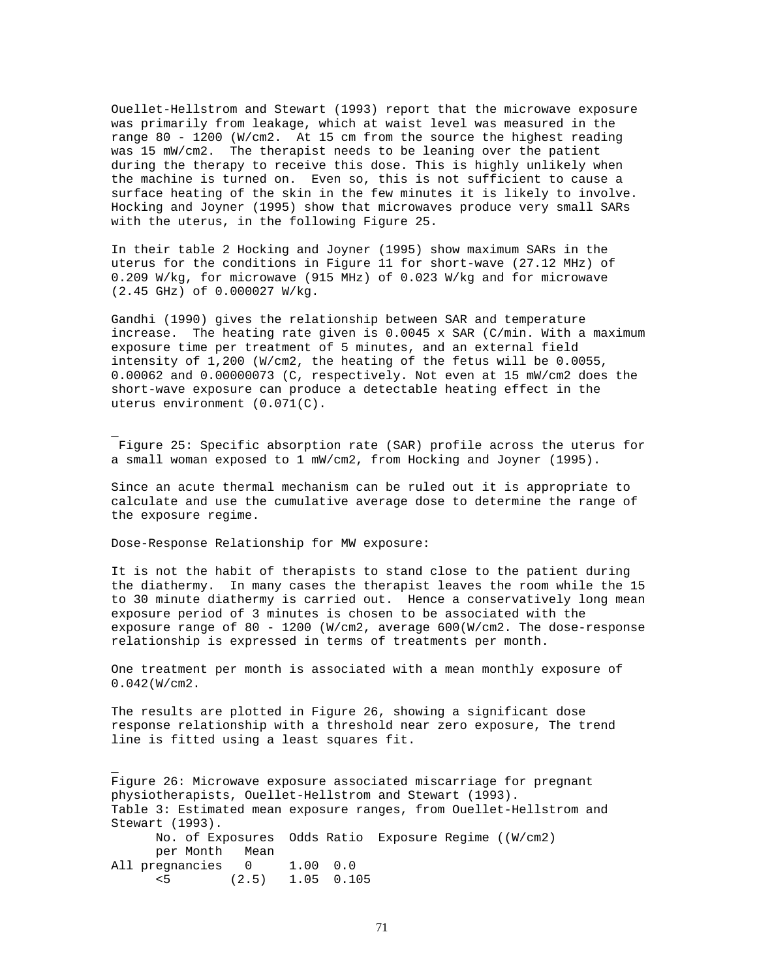Ouellet-Hellstrom and Stewart (1993) report that the microwave exposure was primarily from leakage, which at waist level was measured in the range 80 - 1200 (W/cm2. At 15 cm from the source the highest reading was 15 mW/cm2. The therapist needs to be leaning over the patient during the therapy to receive this dose. This is highly unlikely when the machine is turned on. Even so, this is not sufficient to cause a surface heating of the skin in the few minutes it is likely to involve. Hocking and Joyner (1995) show that microwaves produce very small SARs with the uterus, in the following Figure 25.

In their table 2 Hocking and Joyner (1995) show maximum SARs in the uterus for the conditions in Figure 11 for short-wave (27.12 MHz) of 0.209 W/kg, for microwave (915 MHz) of 0.023 W/kg and for microwave (2.45 GHz) of 0.000027 W/kg.

Gandhi (1990) gives the relationship between SAR and temperature increase. The heating rate given is  $0.0045 \times$  SAR (C/min. With a maximum exposure time per treatment of 5 minutes, and an external field intensity of 1,200 (W/cm2, the heating of the fetus will be 0.0055, 0.00062 and 0.00000073 (C, respectively. Not even at 15 mW/cm2 does the short-wave exposure can produce a detectable heating effect in the uterus environment (0.071(C).

Figure 25: Specific absorption rate (SAR) profile across the uterus for a small woman exposed to 1 mW/cm2, from Hocking and Joyner (1995).

Since an acute thermal mechanism can be ruled out it is appropriate to calculate and use the cumulative average dose to determine the range of the exposure regime.

Dose-Response Relationship for MW exposure:

\_

\_

It is not the habit of therapists to stand close to the patient during the diathermy. In many cases the therapist leaves the room while the 15 to 30 minute diathermy is carried out. Hence a conservatively long mean exposure period of 3 minutes is chosen to be associated with the exposure range of 80 - 1200 (W/cm2, average 600(W/cm2. The dose-response relationship is expressed in terms of treatments per month.

One treatment per month is associated with a mean monthly exposure of 0.042(W/cm2.

The results are plotted in Figure 26, showing a significant dose response relationship with a threshold near zero exposure, The trend line is fitted using a least squares fit.

Figure 26: Microwave exposure associated miscarriage for pregnant physiotherapists, Ouellet-Hellstrom and Stewart (1993). Table 3: Estimated mean exposure ranges, from Ouellet-Hellstrom and Stewart (1993). No. of Exposures Odds Ratio Exposure Regime ((W/cm2) per Month Mean All pregnancies 0 1.00 0.0 <5 (2.5) 1.05 0.105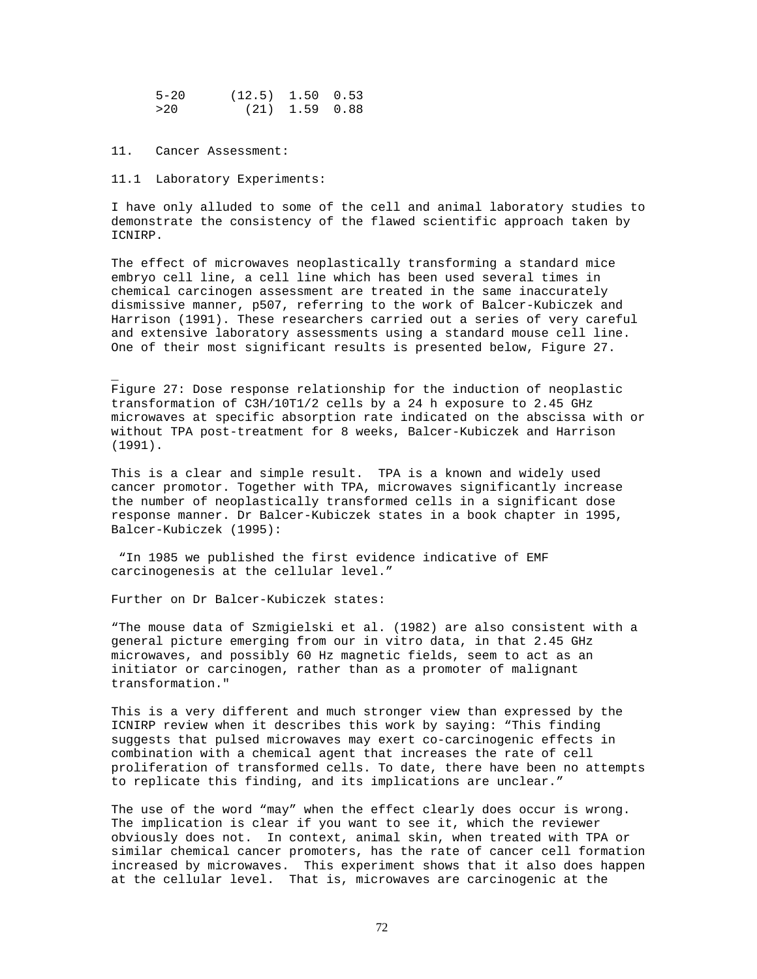| $5 - 20$ | $(12.5)$ 1.50 0.53 |  |
|----------|--------------------|--|
| >20      | $(21)$ 1.59 0.88   |  |

#### 11. Cancer Assessment:

\_

### 11.1 Laboratory Experiments:

I have only alluded to some of the cell and animal laboratory studies to demonstrate the consistency of the flawed scientific approach taken by ICNIRP.

The effect of microwaves neoplastically transforming a standard mice embryo cell line, a cell line which has been used several times in chemical carcinogen assessment are treated in the same inaccurately dismissive manner, p507, referring to the work of Balcer-Kubiczek and Harrison (1991). These researchers carried out a series of very careful and extensive laboratory assessments using a standard mouse cell line. One of their most significant results is presented below, Figure 27.

Figure 27: Dose response relationship for the induction of neoplastic transformation of C3H/10T1/2 cells by a 24 h exposure to 2.45 GHz microwaves at specific absorption rate indicated on the abscissa with or without TPA post-treatment for 8 weeks, Balcer-Kubiczek and Harrison (1991).

This is a clear and simple result. TPA is a known and widely used cancer promotor. Together with TPA, microwaves significantly increase the number of neoplastically transformed cells in a significant dose response manner. Dr Balcer-Kubiczek states in a book chapter in 1995, Balcer-Kubiczek (1995):

"In 1985 we published the first evidence indicative of EMF carcinogenesis at the cellular level."

Further on Dr Balcer-Kubiczek states:

"The mouse data of Szmigielski et al. (1982) are also consistent with a general picture emerging from our in vitro data, in that 2.45 GHz microwaves, and possibly 60 Hz magnetic fields, seem to act as an initiator or carcinogen, rather than as a promoter of malignant transformation."

This is a very different and much stronger view than expressed by the ICNIRP review when it describes this work by saying: "This finding suggests that pulsed microwaves may exert co-carcinogenic effects in combination with a chemical agent that increases the rate of cell proliferation of transformed cells. To date, there have been no attempts to replicate this finding, and its implications are unclear."

The use of the word "may" when the effect clearly does occur is wrong. The implication is clear if you want to see it, which the reviewer obviously does not. In context, animal skin, when treated with TPA or similar chemical cancer promoters, has the rate of cancer cell formation increased by microwaves. This experiment shows that it also does happen at the cellular level. That is, microwaves are carcinogenic at the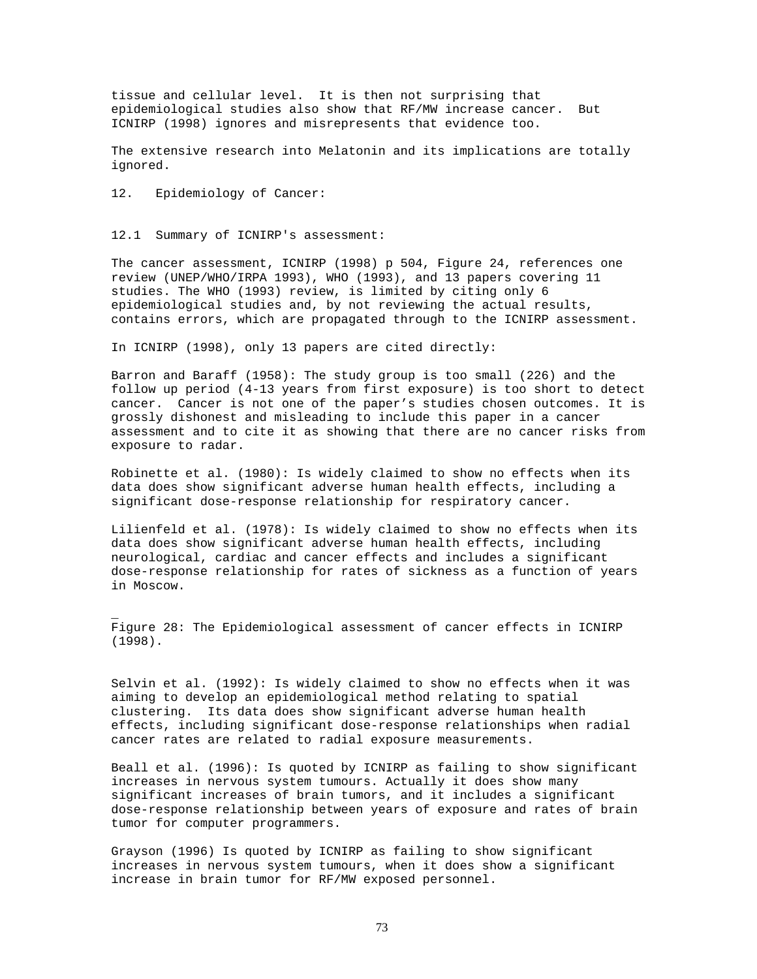tissue and cellular level. It is then not surprising that epidemiological studies also show that RF/MW increase cancer. But ICNIRP (1998) ignores and misrepresents that evidence too.

The extensive research into Melatonin and its implications are totally ignored.

12. Epidemiology of Cancer:

\_

12.1 Summary of ICNIRP's assessment:

The cancer assessment, ICNIRP (1998) p 504, Figure 24, references one review (UNEP/WHO/IRPA 1993), WHO (1993), and 13 papers covering 11 studies. The WHO (1993) review, is limited by citing only 6 epidemiological studies and, by not reviewing the actual results, contains errors, which are propagated through to the ICNIRP assessment.

In ICNIRP (1998), only 13 papers are cited directly:

Barron and Baraff (1958): The study group is too small (226) and the follow up period (4-13 years from first exposure) is too short to detect cancer. Cancer is not one of the paper's studies chosen outcomes. It is grossly dishonest and misleading to include this paper in a cancer assessment and to cite it as showing that there are no cancer risks from exposure to radar.

Robinette et al. (1980): Is widely claimed to show no effects when its data does show significant adverse human health effects, including a significant dose-response relationship for respiratory cancer.

Lilienfeld et al. (1978): Is widely claimed to show no effects when its data does show significant adverse human health effects, including neurological, cardiac and cancer effects and includes a significant dose-response relationship for rates of sickness as a function of years in Moscow.

Figure 28: The Epidemiological assessment of cancer effects in ICNIRP (1998).

Selvin et al. (1992): Is widely claimed to show no effects when it was aiming to develop an epidemiological method relating to spatial clustering. Its data does show significant adverse human health effects, including significant dose-response relationships when radial cancer rates are related to radial exposure measurements.

Beall et al. (1996): Is quoted by ICNIRP as failing to show significant increases in nervous system tumours. Actually it does show many significant increases of brain tumors, and it includes a significant dose-response relationship between years of exposure and rates of brain tumor for computer programmers.

Grayson (1996) Is quoted by ICNIRP as failing to show significant increases in nervous system tumours, when it does show a significant increase in brain tumor for RF/MW exposed personnel.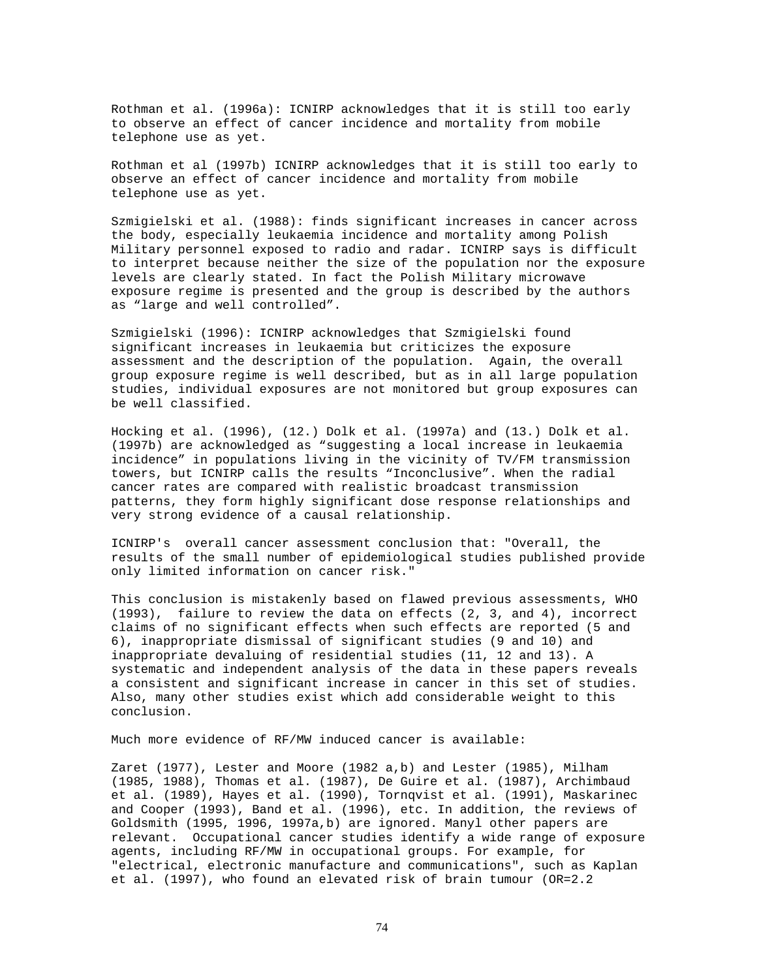Rothman et al. (1996a): ICNIRP acknowledges that it is still too early to observe an effect of cancer incidence and mortality from mobile telephone use as yet.

Rothman et al (1997b) ICNIRP acknowledges that it is still too early to observe an effect of cancer incidence and mortality from mobile telephone use as yet.

Szmigielski et al. (1988): finds significant increases in cancer across the body, especially leukaemia incidence and mortality among Polish Military personnel exposed to radio and radar. ICNIRP says is difficult to interpret because neither the size of the population nor the exposure levels are clearly stated. In fact the Polish Military microwave exposure regime is presented and the group is described by the authors as "large and well controlled".

Szmigielski (1996): ICNIRP acknowledges that Szmigielski found significant increases in leukaemia but criticizes the exposure assessment and the description of the population. Again, the overall group exposure regime is well described, but as in all large population studies, individual exposures are not monitored but group exposures can be well classified.

Hocking et al. (1996), (12.) Dolk et al. (1997a) and (13.) Dolk et al. (1997b) are acknowledged as "suggesting a local increase in leukaemia incidence" in populations living in the vicinity of TV/FM transmission towers, but ICNIRP calls the results "Inconclusive". When the radial cancer rates are compared with realistic broadcast transmission patterns, they form highly significant dose response relationships and very strong evidence of a causal relationship.

ICNIRP's overall cancer assessment conclusion that: "Overall, the results of the small number of epidemiological studies published provide only limited information on cancer risk."

This conclusion is mistakenly based on flawed previous assessments, WHO (1993), failure to review the data on effects (2, 3, and 4), incorrect claims of no significant effects when such effects are reported (5 and 6), inappropriate dismissal of significant studies (9 and 10) and inappropriate devaluing of residential studies (11, 12 and 13). A systematic and independent analysis of the data in these papers reveals a consistent and significant increase in cancer in this set of studies. Also, many other studies exist which add considerable weight to this conclusion.

Much more evidence of RF/MW induced cancer is available:

Zaret (1977), Lester and Moore (1982 a,b) and Lester (1985), Milham (1985, 1988), Thomas et al. (1987), De Guire et al. (1987), Archimbaud et al. (1989), Hayes et al. (1990), Tornqvist et al. (1991), Maskarinec and Cooper (1993), Band et al. (1996), etc. In addition, the reviews of Goldsmith (1995, 1996, 1997a,b) are ignored. Manyl other papers are relevant. Occupational cancer studies identify a wide range of exposure agents, including RF/MW in occupational groups. For example, for "electrical, electronic manufacture and communications", such as Kaplan et al. (1997), who found an elevated risk of brain tumour (OR=2.2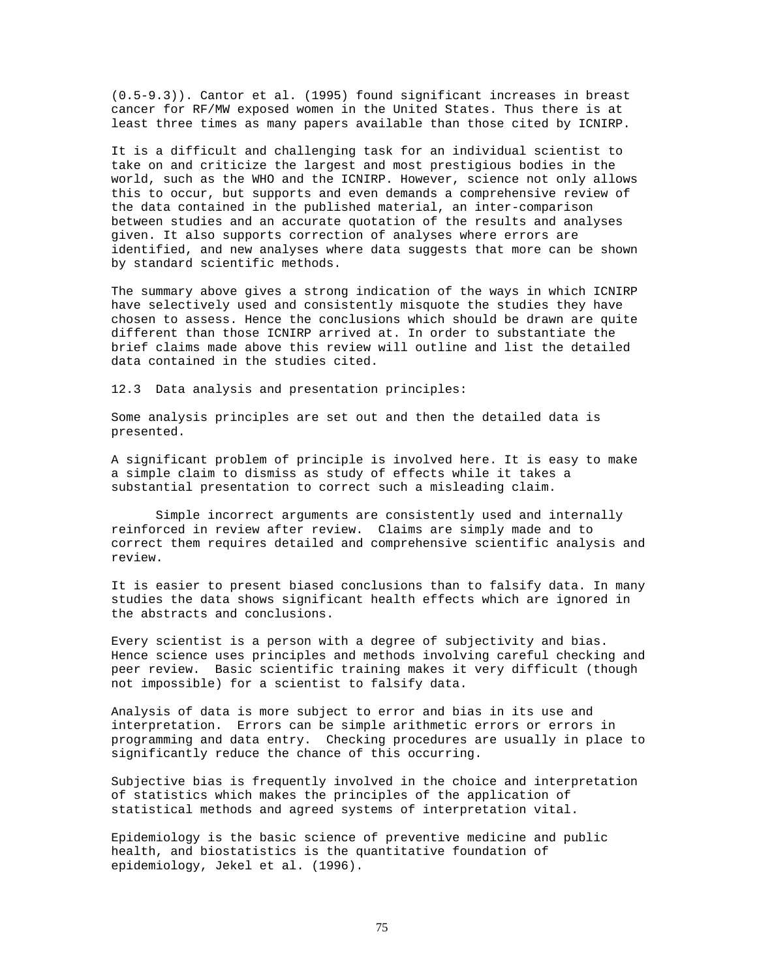(0.5-9.3)). Cantor et al. (1995) found significant increases in breast cancer for RF/MW exposed women in the United States. Thus there is at least three times as many papers available than those cited by ICNIRP.

It is a difficult and challenging task for an individual scientist to take on and criticize the largest and most prestigious bodies in the world, such as the WHO and the ICNIRP. However, science not only allows this to occur, but supports and even demands a comprehensive review of the data contained in the published material, an inter-comparison between studies and an accurate quotation of the results and analyses given. It also supports correction of analyses where errors are identified, and new analyses where data suggests that more can be shown by standard scientific methods.

The summary above gives a strong indication of the ways in which ICNIRP have selectively used and consistently misquote the studies they have chosen to assess. Hence the conclusions which should be drawn are quite different than those ICNIRP arrived at. In order to substantiate the brief claims made above this review will outline and list the detailed data contained in the studies cited.

12.3 Data analysis and presentation principles:

Some analysis principles are set out and then the detailed data is presented.

A significant problem of principle is involved here. It is easy to make a simple claim to dismiss as study of effects while it takes a substantial presentation to correct such a misleading claim.

Simple incorrect arguments are consistently used and internally reinforced in review after review. Claims are simply made and to correct them requires detailed and comprehensive scientific analysis and review.

It is easier to present biased conclusions than to falsify data. In many studies the data shows significant health effects which are ignored in the abstracts and conclusions.

Every scientist is a person with a degree of subjectivity and bias. Hence science uses principles and methods involving careful checking and peer review. Basic scientific training makes it very difficult (though not impossible) for a scientist to falsify data.

Analysis of data is more subject to error and bias in its use and interpretation. Errors can be simple arithmetic errors or errors in programming and data entry. Checking procedures are usually in place to significantly reduce the chance of this occurring.

Subjective bias is frequently involved in the choice and interpretation of statistics which makes the principles of the application of statistical methods and agreed systems of interpretation vital.

Epidemiology is the basic science of preventive medicine and public health, and biostatistics is the quantitative foundation of epidemiology, Jekel et al. (1996).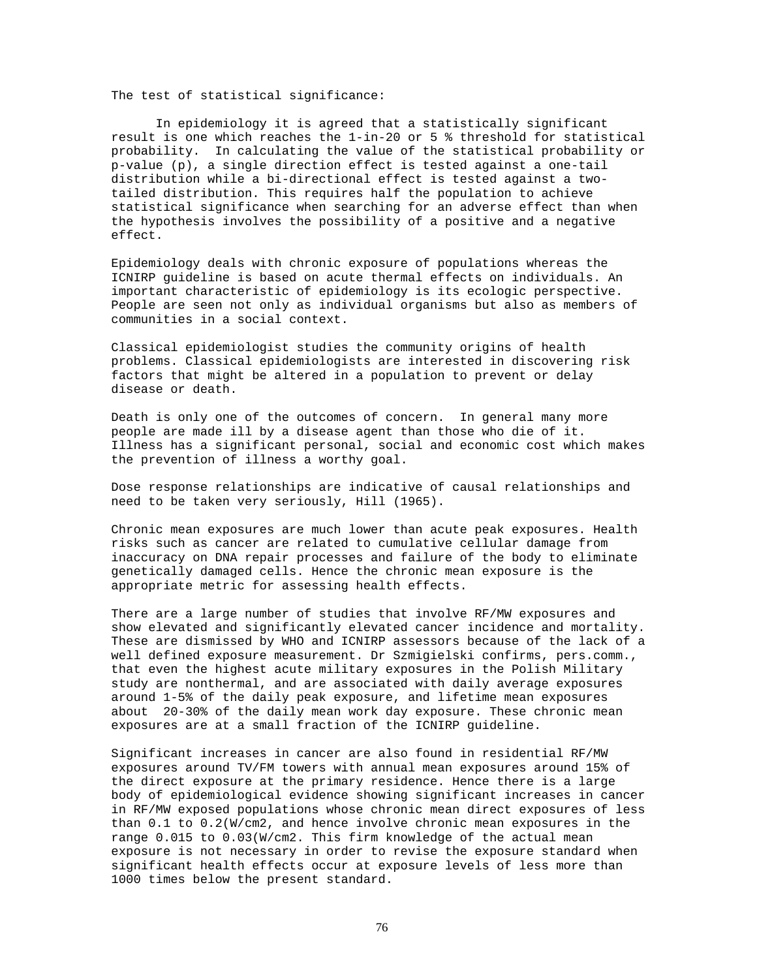The test of statistical significance:

In epidemiology it is agreed that a statistically significant result is one which reaches the 1-in-20 or 5 % threshold for statistical probability. In calculating the value of the statistical probability or p-value (p), a single direction effect is tested against a one-tail distribution while a bi-directional effect is tested against a twotailed distribution. This requires half the population to achieve statistical significance when searching for an adverse effect than when the hypothesis involves the possibility of a positive and a negative effect.

Epidemiology deals with chronic exposure of populations whereas the ICNIRP guideline is based on acute thermal effects on individuals. An important characteristic of epidemiology is its ecologic perspective. People are seen not only as individual organisms but also as members of communities in a social context.

Classical epidemiologist studies the community origins of health problems. Classical epidemiologists are interested in discovering risk factors that might be altered in a population to prevent or delay disease or death.

Death is only one of the outcomes of concern. In general many more people are made ill by a disease agent than those who die of it. Illness has a significant personal, social and economic cost which makes the prevention of illness a worthy goal.

Dose response relationships are indicative of causal relationships and need to be taken very seriously, Hill (1965).

Chronic mean exposures are much lower than acute peak exposures. Health risks such as cancer are related to cumulative cellular damage from inaccuracy on DNA repair processes and failure of the body to eliminate genetically damaged cells. Hence the chronic mean exposure is the appropriate metric for assessing health effects.

There are a large number of studies that involve RF/MW exposures and show elevated and significantly elevated cancer incidence and mortality. These are dismissed by WHO and ICNIRP assessors because of the lack of a well defined exposure measurement. Dr Szmigielski confirms, pers.comm., that even the highest acute military exposures in the Polish Military study are nonthermal, and are associated with daily average exposures around 1-5% of the daily peak exposure, and lifetime mean exposures about 20-30% of the daily mean work day exposure. These chronic mean exposures are at a small fraction of the ICNIRP guideline.

Significant increases in cancer are also found in residential RF/MW exposures around TV/FM towers with annual mean exposures around 15% of the direct exposure at the primary residence. Hence there is a large body of epidemiological evidence showing significant increases in cancer in RF/MW exposed populations whose chronic mean direct exposures of less than 0.1 to 0.2(W/cm2, and hence involve chronic mean exposures in the range 0.015 to 0.03(W/cm2. This firm knowledge of the actual mean exposure is not necessary in order to revise the exposure standard when significant health effects occur at exposure levels of less more than 1000 times below the present standard.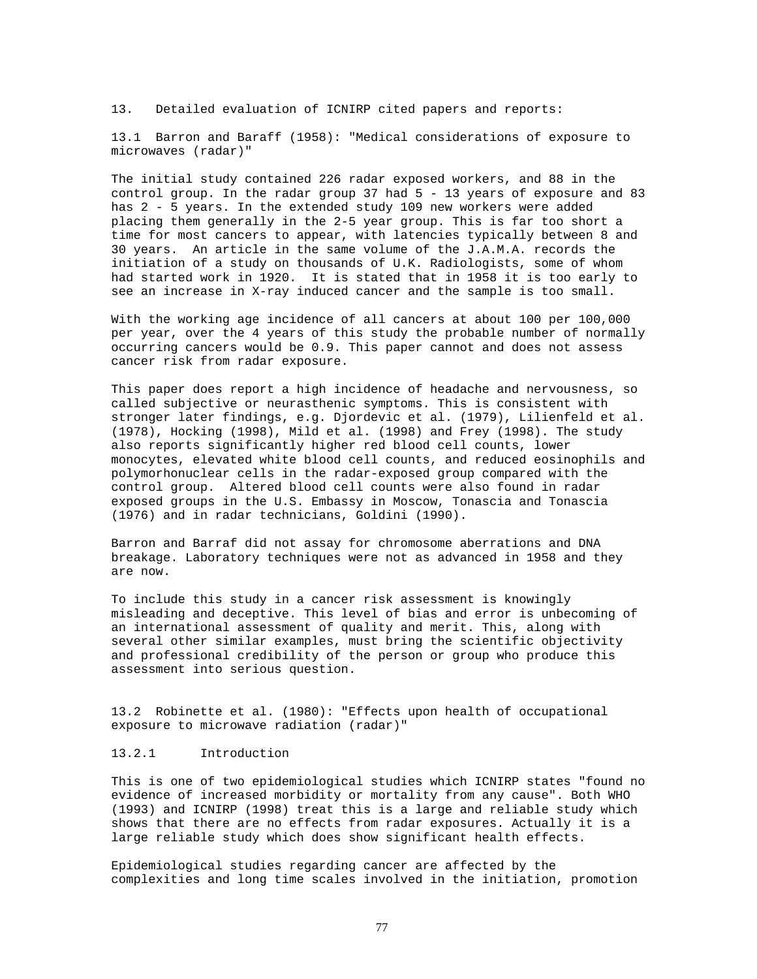13. Detailed evaluation of ICNIRP cited papers and reports:

13.1 Barron and Baraff (1958): "Medical considerations of exposure to microwaves (radar)"

The initial study contained 226 radar exposed workers, and 88 in the control group. In the radar group 37 had 5 - 13 years of exposure and 83 has 2 - 5 years. In the extended study 109 new workers were added placing them generally in the 2-5 year group. This is far too short a time for most cancers to appear, with latencies typically between 8 and 30 years. An article in the same volume of the J.A.M.A. records the initiation of a study on thousands of U.K. Radiologists, some of whom had started work in 1920. It is stated that in 1958 it is too early to see an increase in X-ray induced cancer and the sample is too small.

With the working age incidence of all cancers at about 100 per 100,000 per year, over the 4 years of this study the probable number of normally occurring cancers would be 0.9. This paper cannot and does not assess cancer risk from radar exposure.

This paper does report a high incidence of headache and nervousness, so called subjective or neurasthenic symptoms. This is consistent with stronger later findings, e.g. Djordevic et al. (1979), Lilienfeld et al. (1978), Hocking (1998), Mild et al. (1998) and Frey (1998). The study also reports significantly higher red blood cell counts, lower monocytes, elevated white blood cell counts, and reduced eosinophils and polymorhonuclear cells in the radar-exposed group compared with the control group. Altered blood cell counts were also found in radar exposed groups in the U.S. Embassy in Moscow, Tonascia and Tonascia (1976) and in radar technicians, Goldini (1990).

Barron and Barraf did not assay for chromosome aberrations and DNA breakage. Laboratory techniques were not as advanced in 1958 and they are now.

To include this study in a cancer risk assessment is knowingly misleading and deceptive. This level of bias and error is unbecoming of an international assessment of quality and merit. This, along with several other similar examples, must bring the scientific objectivity and professional credibility of the person or group who produce this assessment into serious question.

13.2 Robinette et al. (1980): "Effects upon health of occupational exposure to microwave radiation (radar)"

## 13.2.1 Introduction

This is one of two epidemiological studies which ICNIRP states "found no evidence of increased morbidity or mortality from any cause". Both WHO (1993) and ICNIRP (1998) treat this is a large and reliable study which shows that there are no effects from radar exposures. Actually it is a large reliable study which does show significant health effects.

Epidemiological studies regarding cancer are affected by the complexities and long time scales involved in the initiation, promotion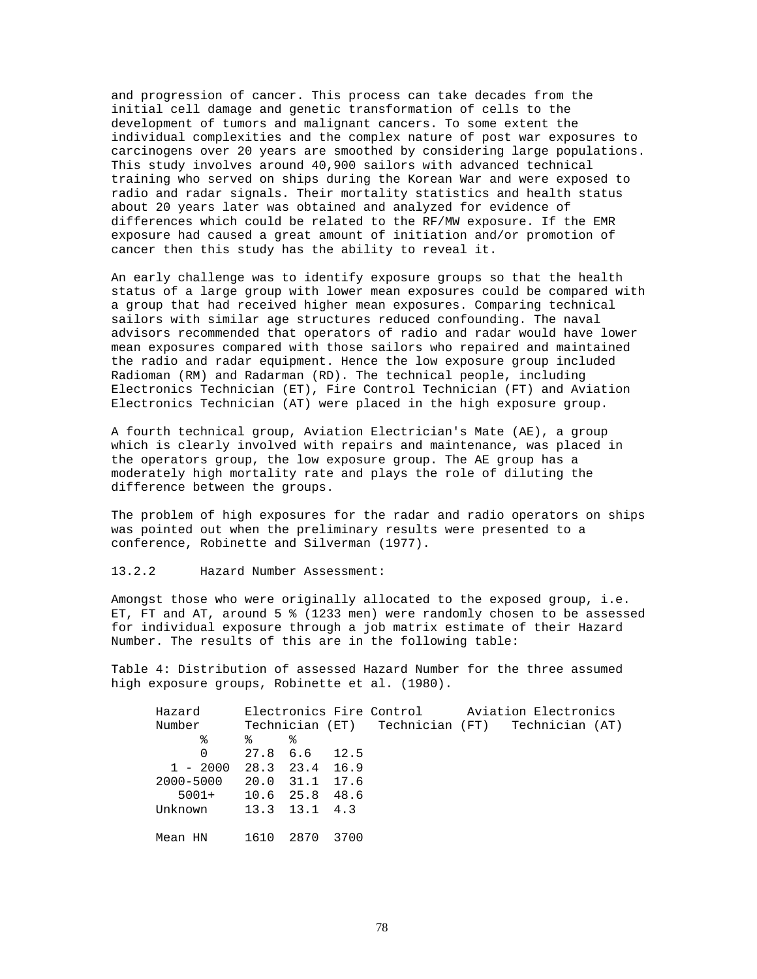and progression of cancer. This process can take decades from the initial cell damage and genetic transformation of cells to the development of tumors and malignant cancers. To some extent the individual complexities and the complex nature of post war exposures to carcinogens over 20 years are smoothed by considering large populations. This study involves around 40,900 sailors with advanced technical training who served on ships during the Korean War and were exposed to radio and radar signals. Their mortality statistics and health status about 20 years later was obtained and analyzed for evidence of differences which could be related to the RF/MW exposure. If the EMR exposure had caused a great amount of initiation and/or promotion of cancer then this study has the ability to reveal it.

An early challenge was to identify exposure groups so that the health status of a large group with lower mean exposures could be compared with a group that had received higher mean exposures. Comparing technical sailors with similar age structures reduced confounding. The naval advisors recommended that operators of radio and radar would have lower mean exposures compared with those sailors who repaired and maintained the radio and radar equipment. Hence the low exposure group included Radioman (RM) and Radarman (RD). The technical people, including Electronics Technician (ET), Fire Control Technician (FT) and Aviation Electronics Technician (AT) were placed in the high exposure group.

A fourth technical group, Aviation Electrician's Mate (AE), a group which is clearly involved with repairs and maintenance, was placed in the operators group, the low exposure group. The AE group has a moderately high mortality rate and plays the role of diluting the difference between the groups.

The problem of high exposures for the radar and radio operators on ships was pointed out when the preliminary results were presented to a conference, Robinette and Silverman (1977).

13.2.2 Hazard Number Assessment:

Amongst those who were originally allocated to the exposed group, i.e. ET, FT and AT, around 5 % (1233 men) were randomly chosen to be assessed for individual exposure through a job matrix estimate of their Hazard Number. The results of this are in the following table:

Table 4: Distribution of assessed Hazard Number for the three assumed high exposure groups, Robinette et al. (1980).

| Hazard                    |      |               |      |  | Electronics Fire Control Aviation Electronics   |
|---------------------------|------|---------------|------|--|-------------------------------------------------|
| Number                    |      |               |      |  | Technician (ET) Technician (FT) Technician (AT) |
| ఄ                         | ిన   | ిన            |      |  |                                                 |
| $\Omega$                  |      | 27.8 6.6 12.5 |      |  |                                                 |
| $1 - 2000$ 28.3 23.4 16.9 |      |               |      |  |                                                 |
| 2000-5000 20.0 31.1 17.6  |      |               |      |  |                                                 |
| $5001+$ 10.6 25.8 48.6    |      |               |      |  |                                                 |
| Unknown 13.3 13.1 4.3     |      |               |      |  |                                                 |
|                           |      |               |      |  |                                                 |
| Mean HN                   | 1610 | 2870          | 3700 |  |                                                 |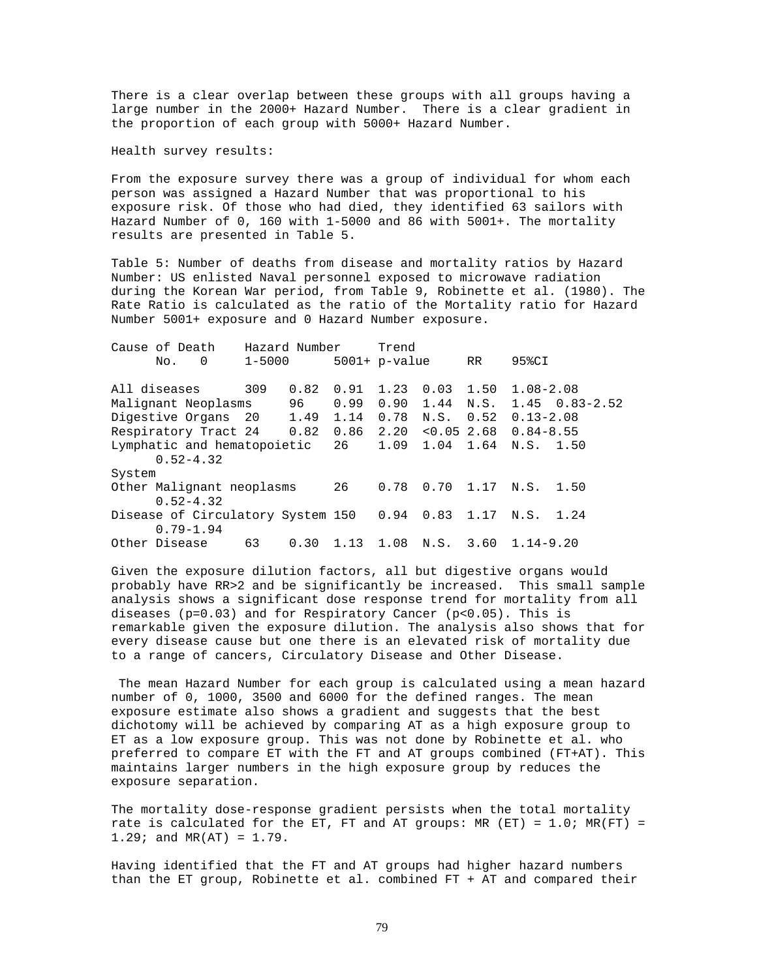There is a clear overlap between these groups with all groups having a large number in the 2000+ Hazard Number. There is a clear gradient in the proportion of each group with 5000+ Hazard Number.

Health survey results:

From the exposure survey there was a group of individual for whom each person was assigned a Hazard Number that was proportional to his exposure risk. Of those who had died, they identified 63 sailors with Hazard Number of 0, 160 with 1-5000 and 86 with 5001+. The mortality results are presented in Table 5.

Table 5: Number of deaths from disease and mortality ratios by Hazard Number: US enlisted Naval personnel exposed to microwave radiation during the Korean War period, from Table 9, Robinette et al. (1980). The Rate Ratio is calculated as the ratio of the Mortality ratio for Hazard Number 5001+ exposure and 0 Hazard Number exposure.

| Cause of Death                                                    | Hazard Number |      |                | Trend           |                              |    |                                      |                          |
|-------------------------------------------------------------------|---------------|------|----------------|-----------------|------------------------------|----|--------------------------------------|--------------------------|
| $\Omega$<br>No.                                                   | 1-5000        |      |                | $5001+$ p-value |                              | RR | 95%CI                                |                          |
| All diseases                                                      | 309           | 0.82 | 0.91           |                 | 1.23 0.03 1.50               |    | $1.08 - 2.08$                        |                          |
| Malignant Neoplasms                                               |               | 96   | 0.99           |                 | $0.90 \quad 1.44 \quad N.S.$ |    |                                      | $1.45 \quad 0.83 - 2.52$ |
| Digestive Organs 20                                               |               |      | 1.49 1.14 0.78 |                 |                              |    | $N.S.$ 0.52 0.13-2.08                |                          |
| Respiratory Tract 24                                              |               | 0.82 |                | 0.86 2.20       |                              |    | $< 0.05$ 2.68 0.84-8.55              |                          |
| Lymphatic and hematopoietic 26 1.09 1.04 1.64 N.S. 1.50           |               |      |                |                 |                              |    |                                      |                          |
| $0.52 - 4.32$                                                     |               |      |                |                 |                              |    |                                      |                          |
| System                                                            |               |      |                |                 |                              |    |                                      |                          |
| Other Malignant neoplasms<br>$0.52 - 4.32$                        |               |      | 26             |                 |                              |    | $0.78$ 0.70 1.17 N.S. 1.50           |                          |
| Disease of Circulatory System 150 0.94 0.83 1.17<br>$0.79 - 1.94$ |               |      |                |                 |                              |    | N.S. 1.24                            |                          |
| Other Disease                                                     | 63            |      |                |                 |                              |    | $0.30$ 1.13 1.08 N.S. 3.60 1.14-9.20 |                          |

Given the exposure dilution factors, all but digestive organs would probably have RR>2 and be significantly be increased. This small sample analysis shows a significant dose response trend for mortality from all diseases (p=0.03) and for Respiratory Cancer (p<0.05). This is remarkable given the exposure dilution. The analysis also shows that for every disease cause but one there is an elevated risk of mortality due to a range of cancers, Circulatory Disease and Other Disease.

The mean Hazard Number for each group is calculated using a mean hazard number of 0, 1000, 3500 and 6000 for the defined ranges. The mean exposure estimate also shows a gradient and suggests that the best dichotomy will be achieved by comparing AT as a high exposure group to ET as a low exposure group. This was not done by Robinette et al. who preferred to compare ET with the FT and AT groups combined (FT+AT). This maintains larger numbers in the high exposure group by reduces the exposure separation.

The mortality dose-response gradient persists when the total mortality rate is calculated for the ET, FT and AT groups: MR (ET) =  $1.0$ ; MR(FT) =  $1.29$ ; and MR(AT) =  $1.79$ .

Having identified that the FT and AT groups had higher hazard numbers than the ET group, Robinette et al. combined FT + AT and compared their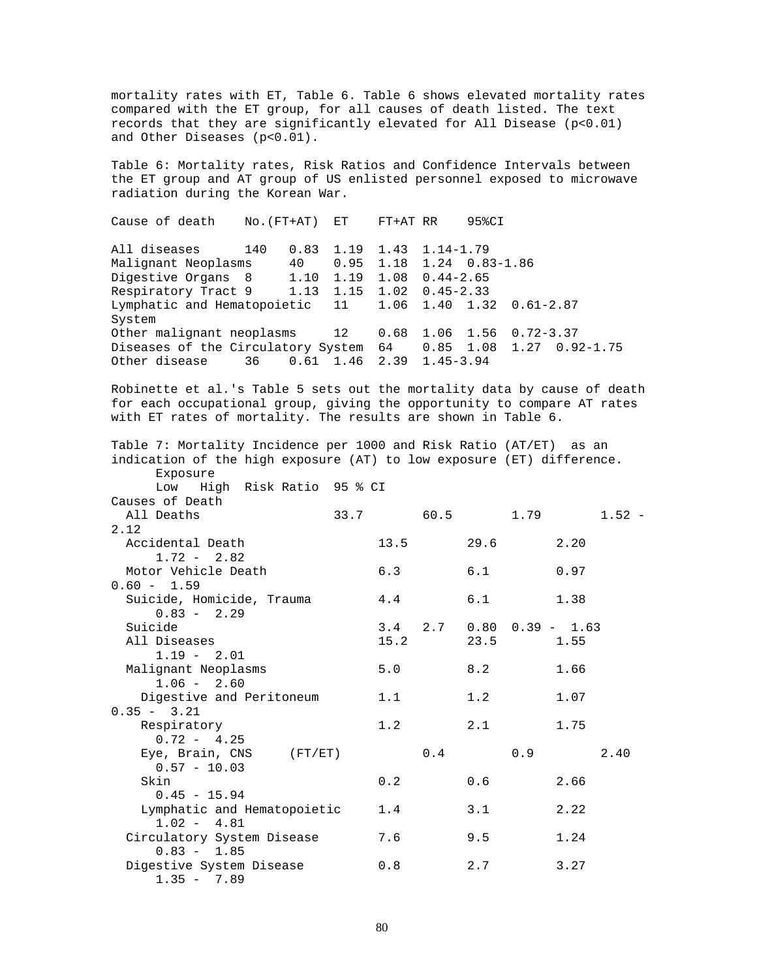mortality rates with ET, Table 6. Table 6 shows elevated mortality rates compared with the ET group, for all causes of death listed. The text records that they are significantly elevated for All Disease (p<0.01) and Other Diseases (p<0.01).

Table 6: Mortality rates, Risk Ratios and Confidence Intervals between the ET group and AT group of US enlisted personnel exposed to microwave radiation during the Korean War.

Cause of death No.(FT+AT) ET FT+AT RR 95%CI All diseases 140 0.83 1.19 1.43 1.14-1.79 Malignant Neoplasms 40 0.95 1.18 1.24 0.83-1.86 Digestive Organs 8 1.10 1.19 1.08 0.44-2.65 Respiratory Tract 9 1.13 1.15 1.02 0.45-2.33<br>Lymphatic and Hematopoietic 11 1.06 1.40 1.32 0.61-2.87 Lymphatic and Hematopoietic 11 System Other malignant neoplasms 12 0.68 1.06 1.56 0.72-3.37 Diseases of the Circulatory System 64 0.85 1.08 1.27 0.92-1.75 Other disease 36 0.61 1.46 2.39 1.45-3.94

Robinette et al.'s Table 5 sets out the mortality data by cause of death for each occupational group, giving the opportunity to compare AT rates with ET rates of mortality. The results are shown in Table 6.

Table 7: Mortality Incidence per 1000 and Risk Ratio (AT/ET) as an indication of the high exposure (AT) to low exposure (ET) difference. Exposure Low High Risk Ratio 95 % CI Causes of Death All Deaths 33.7 60.5 1.79 1.52 - 2.12 Accidental Death 13.5 29.6 2.20  $1.72 - 2.82$ Motor Vehicle Death  $6.3$   $6.1$   $0.97$  $0.60 - 1.59$ Suicide, Homicide, Trauma  $4.4$  6.1 1.38  $0.83 - 2.29$  Suicide 3.4 2.7 0.80 0.39 - 1.63 All Diseases 15.2 23.5 1.55  $1.19 - 2.01$ Malignant Neoplasms  $5.0$  8.2 1.66 1.06 - 2.60 Digestive and Peritoneum 1.1 1.2 1.07  $0.35 - 3.21$ Respiratory 1.2 2.1 1.75  $0.72 - 4.25$ Eye, Brain, CNS  $(FT/ET)$  0.4 0.9 2.40  $0.57 - 10.03$  Skin 0.2 0.6 2.66  $0.45 - 15.94$ Lymphatic and Hematopoietic 1.4 3.1 2.22 1.02 - 4.81 Circulatory System Disease 7.6 9.5 1.24  $0.83 - 1.85$ Digestive System Disease 0.8 2.7 3.27 1.35 - 7.89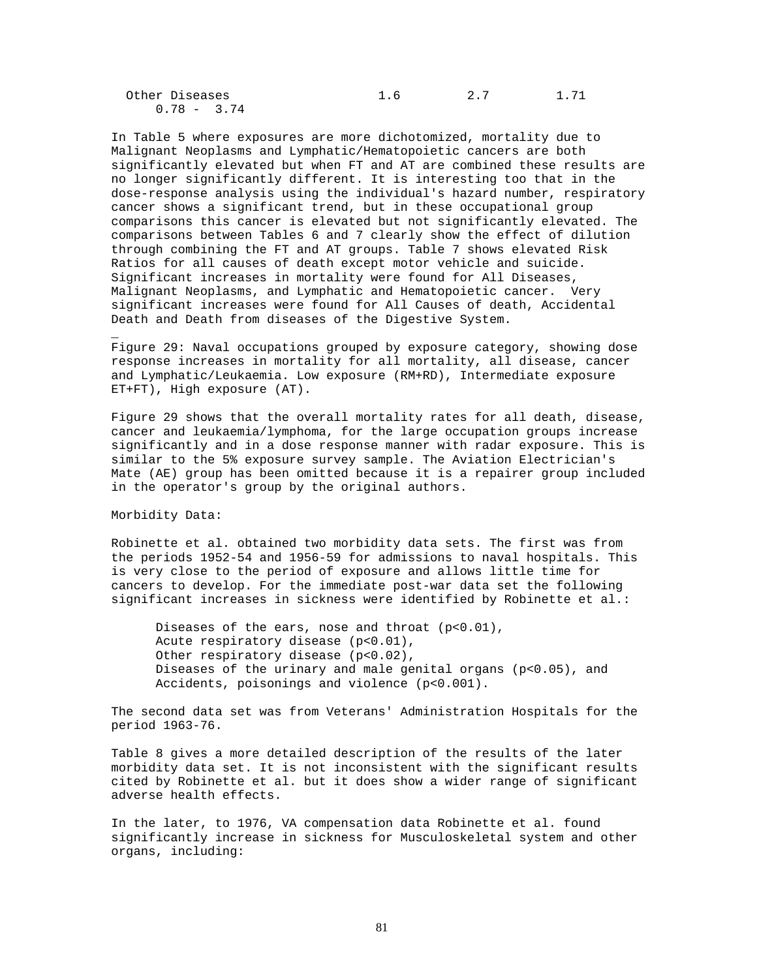| Other Diseases |  | 1.71 |
|----------------|--|------|
| $0.78 - 3.74$  |  |      |

In Table 5 where exposures are more dichotomized, mortality due to Malignant Neoplasms and Lymphatic/Hematopoietic cancers are both significantly elevated but when FT and AT are combined these results are no longer significantly different. It is interesting too that in the dose-response analysis using the individual's hazard number, respiratory cancer shows a significant trend, but in these occupational group comparisons this cancer is elevated but not significantly elevated. The comparisons between Tables 6 and 7 clearly show the effect of dilution through combining the FT and AT groups. Table 7 shows elevated Risk Ratios for all causes of death except motor vehicle and suicide. Significant increases in mortality were found for All Diseases, Malignant Neoplasms, and Lymphatic and Hematopoietic cancer. Very significant increases were found for All Causes of death, Accidental Death and Death from diseases of the Digestive System.

Figure 29: Naval occupations grouped by exposure category, showing dose response increases in mortality for all mortality, all disease, cancer and Lymphatic/Leukaemia. Low exposure (RM+RD), Intermediate exposure ET+FT), High exposure (AT).

Figure 29 shows that the overall mortality rates for all death, disease, cancer and leukaemia/lymphoma, for the large occupation groups increase significantly and in a dose response manner with radar exposure. This is similar to the 5% exposure survey sample. The Aviation Electrician's Mate (AE) group has been omitted because it is a repairer group included in the operator's group by the original authors.

Morbidity Data:

\_

Robinette et al. obtained two morbidity data sets. The first was from the periods 1952-54 and 1956-59 for admissions to naval hospitals. This is very close to the period of exposure and allows little time for cancers to develop. For the immediate post-war data set the following significant increases in sickness were identified by Robinette et al.:

Diseases of the ears, nose and throat (p<0.01), Acute respiratory disease (p<0.01), Other respiratory disease (p<0.02), Diseases of the urinary and male genital organs (p<0.05), and Accidents, poisonings and violence (p<0.001).

The second data set was from Veterans' Administration Hospitals for the period 1963-76.

Table 8 gives a more detailed description of the results of the later morbidity data set. It is not inconsistent with the significant results cited by Robinette et al. but it does show a wider range of significant adverse health effects.

In the later, to 1976, VA compensation data Robinette et al. found significantly increase in sickness for Musculoskeletal system and other organs, including: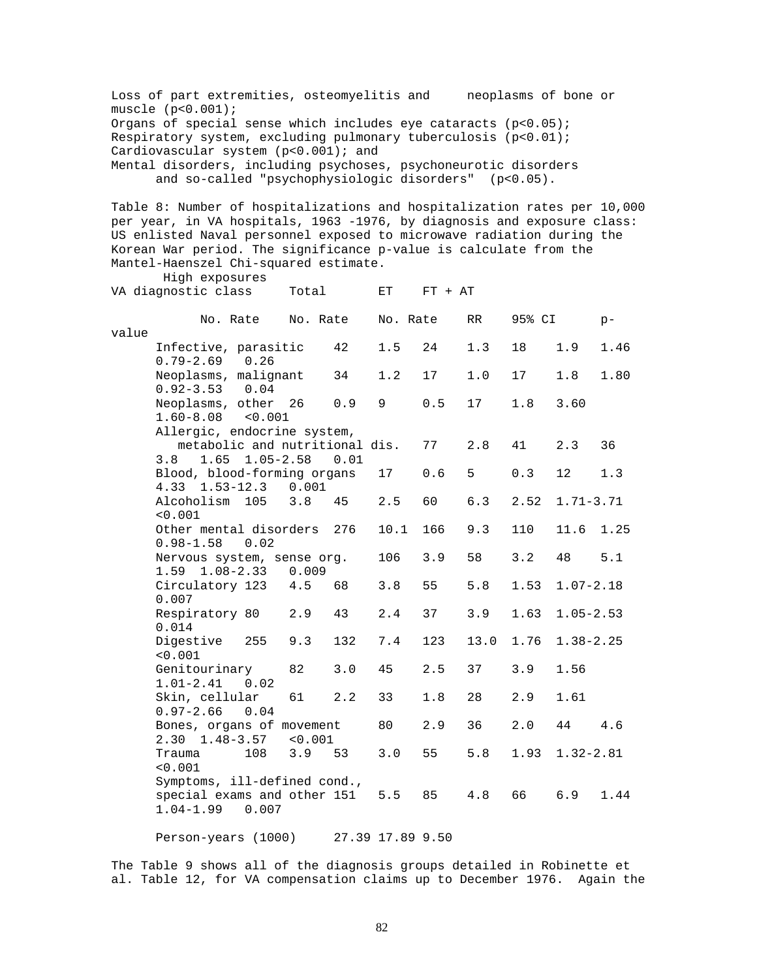Loss of part extremities, osteomyelitis and neoplasms of bone or muscle (p<0.001); Organs of special sense which includes eye cataracts  $(p<0.05)$ ; Respiratory system, excluding pulmonary tuberculosis (p<0.01); Cardiovascular system (p<0.001); and Mental disorders, including psychoses, psychoneurotic disorders and so-called "psychophysiologic disorders" (p<0.05). Table 8: Number of hospitalizations and hospitalization rates per 10,000 per year, in VA hospitals, 1963 -1976, by diagnosis and exposure class: US enlisted Naval personnel exposed to microwave radiation during the Korean War period. The significance p-value is calculate from the Mantel-Haenszel Chi-squared estimate. High exposures VA diagnostic class Total ET FT + AT No. Rate No. Rate No. Rate RR 95% CI pvalue Infective, parasitic 42 1.5 24 1.3 18 1.9 1.46 0.79-2.69 0.26 Neoplasms, malignant 34 1.2 17 1.0 17 1.8 1.80 0.92-3.53 0.04 Neoplasms, other 26 0.9 9 0.5 17 1.8 3.60 1.60-8.08 <0.001 Allergic, endocrine system, metabolic and nutritional dis. 77 2.8 41 2.3 36 3.8 1.65 1.05-2.58 0.01 Blood, blood-forming organs 17 0.6 5 0.3 12 1.3 4.33 1.53-12.3 0.001 Alcoholism 105 3.8 45 2.5 60 6.3 2.52 1.71-3.71  $< 0.001$ Other mental disorders 276 10.1 166 9.3 110 11.6 1.25 0.98-1.58 0.02 Nervous system, sense org. 106 3.9 58 3.2 48 5.1 1.59 1.08-2.33 0.009 Circulatory 123 4.5 68 3.8 55 5.8 1.53 1.07-2.18 0.007 Respiratory 80 2.9 43 2.4 37 3.9 1.63 1.05-2.53 0.014 Digestive 255 9.3 132 7.4 123 13.0 1.76 1.38-2.25  $< 0.001$ Genitourinary 82 3.0 45 2.5 37 3.9 1.56 1.01-2.41 0.02 Skin, cellular 61 2.2 33 1.8 28 2.9 1.61 0.97-2.66 0.04 Bones, organs of movement 80 2.9 36 2.0 44 4.6 2.30 1.48-3.57 <0.001 Trauma 108 3.9 53 3.0 55 5.8 1.93 1.32-2.81 <0.001 Symptoms, ill-defined cond., special exams and other 151 5.5 85 4.8 66 6.9 1.44 1.04-1.99 0.007 Person-years (1000) 27.39 17.89 9.50

The Table 9 shows all of the diagnosis groups detailed in Robinette et al. Table 12, for VA compensation claims up to December 1976. Again the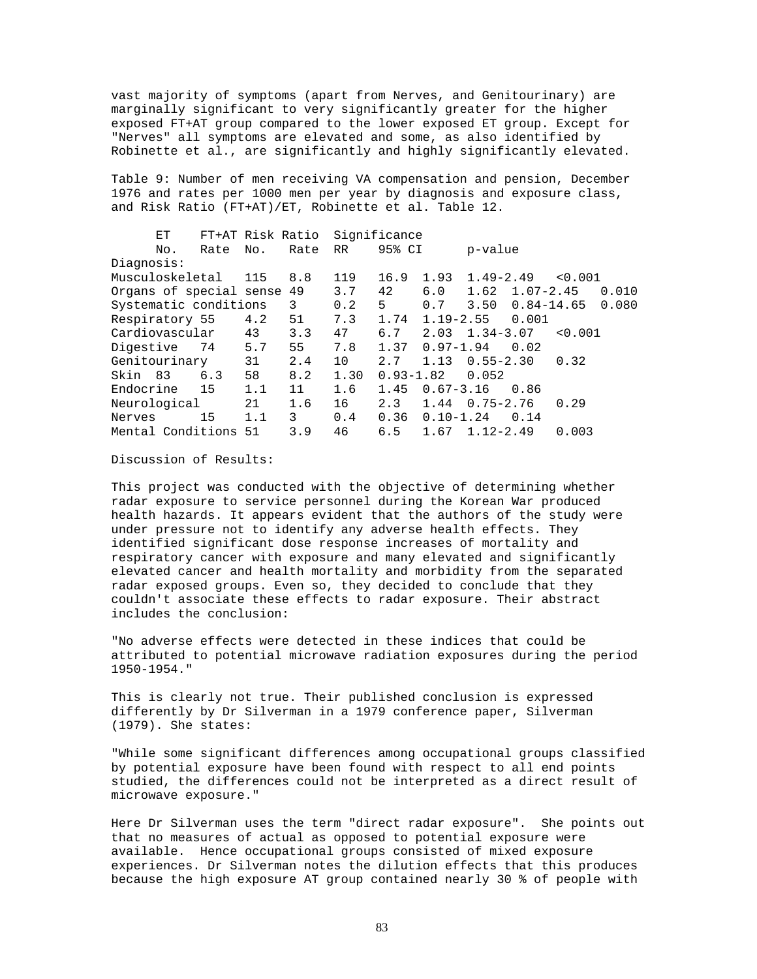vast majority of symptoms (apart from Nerves, and Genitourinary) are marginally significant to very significantly greater for the higher exposed FT+AT group compared to the lower exposed ET group. Except for "Nerves" all symptoms are elevated and some, as also identified by Robinette et al., are significantly and highly significantly elevated.

Table 9: Number of men receiving VA compensation and pension, December 1976 and rates per 1000 men per year by diagnosis and exposure class, and Risk Ratio (FT+AT)/ET, Robinette et al. Table 12.

| ЕT                         |      | FT+AT Risk Ratio |      |      | Significance  |               |                       |         |
|----------------------------|------|------------------|------|------|---------------|---------------|-----------------------|---------|
| No.                        | Rate | No.              | Rate | RR   | 95% CI        |               | p-value               |         |
| Diagnosis:                 |      |                  |      |      |               |               |                       |         |
| Musculoskeletal            |      | 115              | 8.8  | 119  | 16.9          | 1.93          | $1.49 - 2.49$         | < 0.001 |
| Organs of special sense 49 |      |                  |      | 3.7  | 42            | 6.0           | 1.62<br>$1.07 - 2.45$ | 0.010   |
| Systematic conditions      |      |                  | 3    | 0.2  | 5             | 0.7           | $0.84-14.65$<br>3.50  | 0.080   |
| Respiratory 55             |      | 4.2              | 51   | 7.3  | 1.74          | $1.19 - 2.55$ | 0.001                 |         |
| Cardiovascular             |      | 43               | 3.3  | 47   | 6.7           | 2.03          | $1.34 - 3.07$         | < 0.001 |
| Digestive                  | 74   | 5.7              | 55   | 7.8  | 1.37          | $0.97 - 1.94$ | 0.02                  |         |
| Genitourinary              |      | 31               | 2.4  | 10   | 2.7           | 1.13          | $0.55 - 2.30$         | 0.32    |
| Skin 83                    | 6.3  | 58               | 8.2  | 1.30 | $0.93 - 1.82$ |               | 0.052                 |         |
| Endocrine                  | 15   | 1.1              | 11   | 1.6  | 1.45          | $0.67 - 3.16$ | 0.86                  |         |
| Neurological               |      | 21               | 1.6  | 16   | 2.3           | 1.44          | $0.75 - 2.76$         | 0.29    |
| Nerves                     | 15   | 1.1              | 3    | 0.4  | 0.36          | $0.10 - 1.24$ | 0.14                  |         |
| Mental Conditions 51       |      |                  | 3.9  | 46   | 6.5           | 1.67          | $1.12 - 2.49$         | 0.003   |

Discussion of Results:

This project was conducted with the objective of determining whether radar exposure to service personnel during the Korean War produced health hazards. It appears evident that the authors of the study were under pressure not to identify any adverse health effects. They identified significant dose response increases of mortality and respiratory cancer with exposure and many elevated and significantly elevated cancer and health mortality and morbidity from the separated radar exposed groups. Even so, they decided to conclude that they couldn't associate these effects to radar exposure. Their abstract includes the conclusion:

"No adverse effects were detected in these indices that could be attributed to potential microwave radiation exposures during the period 1950-1954."

This is clearly not true. Their published conclusion is expressed differently by Dr Silverman in a 1979 conference paper, Silverman (1979). She states:

"While some significant differences among occupational groups classified by potential exposure have been found with respect to all end points studied, the differences could not be interpreted as a direct result of microwave exposure."

Here Dr Silverman uses the term "direct radar exposure". She points out that no measures of actual as opposed to potential exposure were available. Hence occupational groups consisted of mixed exposure experiences. Dr Silverman notes the dilution effects that this produces because the high exposure AT group contained nearly 30 % of people with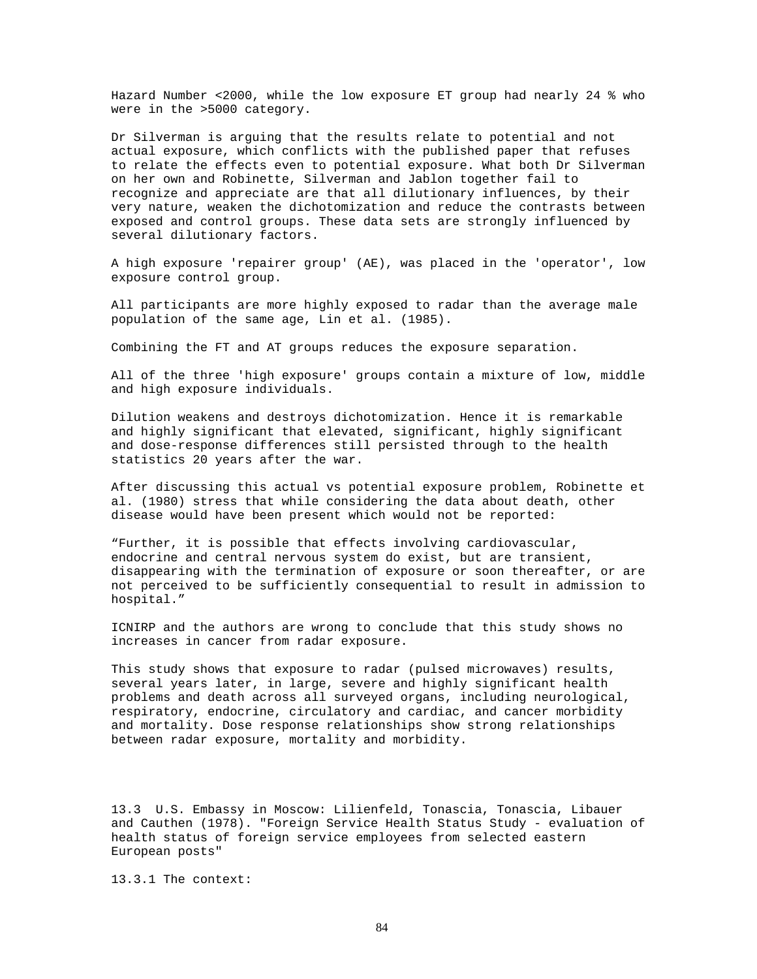Hazard Number <2000, while the low exposure ET group had nearly 24 % who were in the >5000 category.

Dr Silverman is arguing that the results relate to potential and not actual exposure, which conflicts with the published paper that refuses to relate the effects even to potential exposure. What both Dr Silverman on her own and Robinette, Silverman and Jablon together fail to recognize and appreciate are that all dilutionary influences, by their very nature, weaken the dichotomization and reduce the contrasts between exposed and control groups. These data sets are strongly influenced by several dilutionary factors.

A high exposure 'repairer group' (AE), was placed in the 'operator', low exposure control group.

All participants are more highly exposed to radar than the average male population of the same age, Lin et al. (1985).

Combining the FT and AT groups reduces the exposure separation.

All of the three 'high exposure' groups contain a mixture of low, middle and high exposure individuals.

Dilution weakens and destroys dichotomization. Hence it is remarkable and highly significant that elevated, significant, highly significant and dose-response differences still persisted through to the health statistics 20 years after the war.

After discussing this actual vs potential exposure problem, Robinette et al. (1980) stress that while considering the data about death, other disease would have been present which would not be reported:

"Further, it is possible that effects involving cardiovascular, endocrine and central nervous system do exist, but are transient, disappearing with the termination of exposure or soon thereafter, or are not perceived to be sufficiently consequential to result in admission to hospital."

ICNIRP and the authors are wrong to conclude that this study shows no increases in cancer from radar exposure.

This study shows that exposure to radar (pulsed microwaves) results, several years later, in large, severe and highly significant health problems and death across all surveyed organs, including neurological, respiratory, endocrine, circulatory and cardiac, and cancer morbidity and mortality. Dose response relationships show strong relationships between radar exposure, mortality and morbidity.

13.3 U.S. Embassy in Moscow: Lilienfeld, Tonascia, Tonascia, Libauer and Cauthen (1978). "Foreign Service Health Status Study - evaluation of health status of foreign service employees from selected eastern European posts"

13.3.1 The context: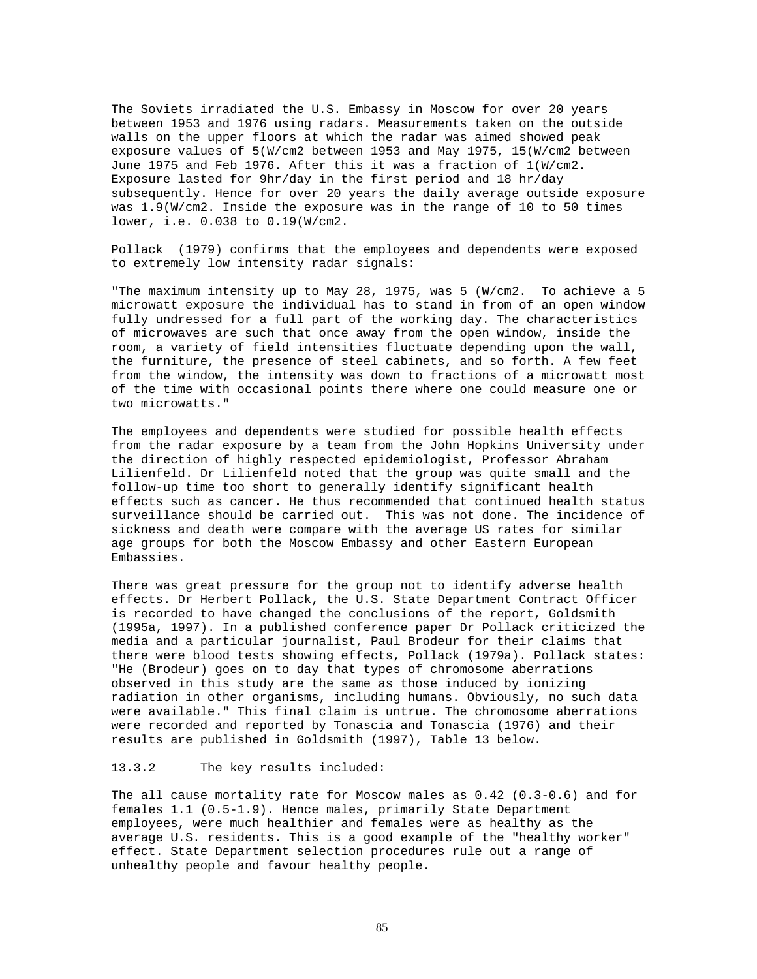The Soviets irradiated the U.S. Embassy in Moscow for over 20 years between 1953 and 1976 using radars. Measurements taken on the outside walls on the upper floors at which the radar was aimed showed peak exposure values of 5(W/cm2 between 1953 and May 1975, 15(W/cm2 between June 1975 and Feb 1976. After this it was a fraction of 1(W/cm2. Exposure lasted for 9hr/day in the first period and 18 hr/day subsequently. Hence for over 20 years the daily average outside exposure was 1.9(W/cm2. Inside the exposure was in the range of 10 to 50 times lower, i.e. 0.038 to 0.19(W/cm2.

Pollack (1979) confirms that the employees and dependents were exposed to extremely low intensity radar signals:

"The maximum intensity up to May 28, 1975, was 5 (W/cm2. To achieve a 5 microwatt exposure the individual has to stand in from of an open window fully undressed for a full part of the working day. The characteristics of microwaves are such that once away from the open window, inside the room, a variety of field intensities fluctuate depending upon the wall, the furniture, the presence of steel cabinets, and so forth. A few feet from the window, the intensity was down to fractions of a microwatt most of the time with occasional points there where one could measure one or two microwatts."

The employees and dependents were studied for possible health effects from the radar exposure by a team from the John Hopkins University under the direction of highly respected epidemiologist, Professor Abraham Lilienfeld. Dr Lilienfeld noted that the group was quite small and the follow-up time too short to generally identify significant health effects such as cancer. He thus recommended that continued health status surveillance should be carried out. This was not done. The incidence of sickness and death were compare with the average US rates for similar age groups for both the Moscow Embassy and other Eastern European Embassies.

There was great pressure for the group not to identify adverse health effects. Dr Herbert Pollack, the U.S. State Department Contract Officer is recorded to have changed the conclusions of the report, Goldsmith (1995a, 1997). In a published conference paper Dr Pollack criticized the media and a particular journalist, Paul Brodeur for their claims that there were blood tests showing effects, Pollack (1979a). Pollack states: "He (Brodeur) goes on to day that types of chromosome aberrations observed in this study are the same as those induced by ionizing radiation in other organisms, including humans. Obviously, no such data were available." This final claim is untrue. The chromosome aberrations were recorded and reported by Tonascia and Tonascia (1976) and their results are published in Goldsmith (1997), Table 13 below.

## 13.3.2 The key results included:

The all cause mortality rate for Moscow males as 0.42 (0.3-0.6) and for females 1.1 (0.5-1.9). Hence males, primarily State Department employees, were much healthier and females were as healthy as the average U.S. residents. This is a good example of the "healthy worker" effect. State Department selection procedures rule out a range of unhealthy people and favour healthy people.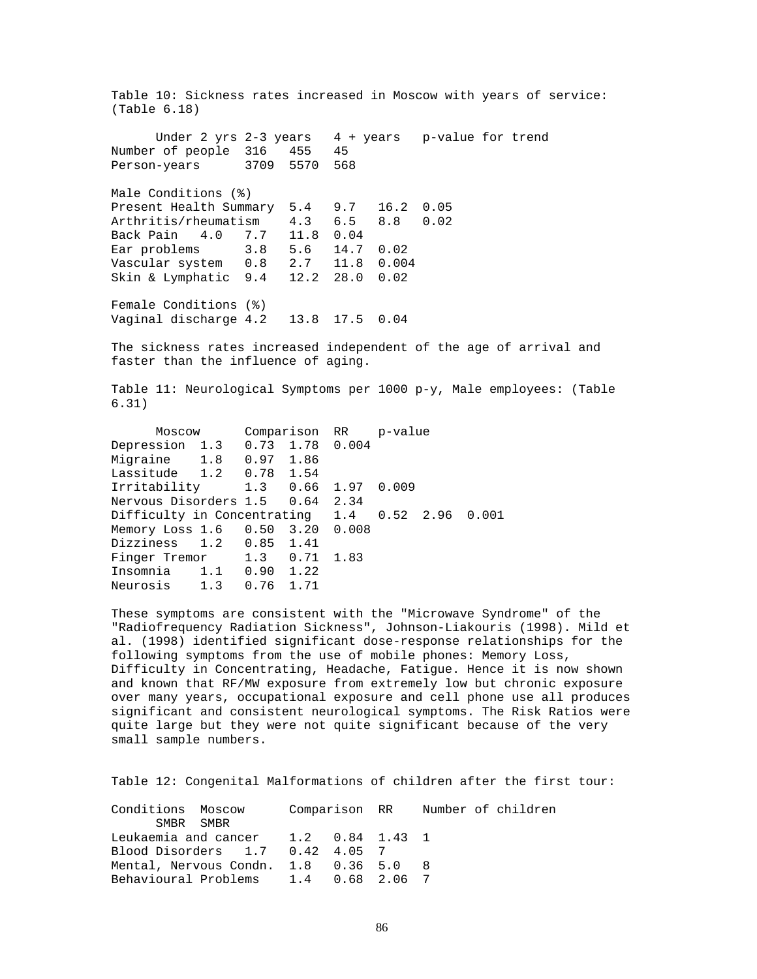Table 10: Sickness rates increased in Moscow with years of service: (Table 6.18) Under 2 yrs 2-3 years  $4 + \text{years}$  p-value for trend Number of people 316 455 45 Person-years 3709 5570 568 Male Conditions (%) Present Health Summary 5.4 9.7 16.2 0.05 Arthritis/rheumatism 4.3 6.5 8.8 0.02 Back Pain 4.0 7.7 Ear problems 3.8 5.6 14.7 0.02 Vascular system 0.8 2.7 11.8 0.004 Skin & Lymphatic 9.4 12.2 28.0 0.02 Female Conditions (%) Vaginal discharge 4.2 13.8 17.5 0.04

The sickness rates increased independent of the age of arrival and faster than the influence of aging.

Table 11: Neurological Symptoms per 1000 p-y, Male employees: (Table 6.31)

| Moscow |  |                                                                                                                                  |                                                                                                                                     |                                  |                                                                          |
|--------|--|----------------------------------------------------------------------------------------------------------------------------------|-------------------------------------------------------------------------------------------------------------------------------------|----------------------------------|--------------------------------------------------------------------------|
|        |  |                                                                                                                                  |                                                                                                                                     |                                  |                                                                          |
|        |  |                                                                                                                                  |                                                                                                                                     |                                  |                                                                          |
|        |  |                                                                                                                                  |                                                                                                                                     |                                  |                                                                          |
|        |  |                                                                                                                                  |                                                                                                                                     |                                  |                                                                          |
|        |  |                                                                                                                                  |                                                                                                                                     |                                  |                                                                          |
|        |  |                                                                                                                                  |                                                                                                                                     |                                  |                                                                          |
|        |  |                                                                                                                                  |                                                                                                                                     |                                  |                                                                          |
|        |  |                                                                                                                                  |                                                                                                                                     |                                  |                                                                          |
|        |  |                                                                                                                                  |                                                                                                                                     |                                  |                                                                          |
|        |  |                                                                                                                                  |                                                                                                                                     |                                  |                                                                          |
|        |  |                                                                                                                                  |                                                                                                                                     |                                  |                                                                          |
|        |  | Migraine 1.8 0.97 1.86<br>Lassitude 1.2 0.78 1.54<br>Dizziness 1.2 0.85 1.41<br>Insomnia 1.1 0.90 1.22<br>Neurosis 1.3 0.76 1.71 | Depression 1.3 0.73 1.78 0.004<br>Nervous Disorders 1.5 0.64 2.34<br>Memory Loss 1.6 0.50 3.20 0.008<br>Finger Tremor 1.3 0.71 1.83 | Irritability 1.3 0.66 1.97 0.009 | Comparison RR p-value<br>Difficulty in Concentrating 1.4 0.52 2.96 0.001 |

These symptoms are consistent with the "Microwave Syndrome" of the "Radiofrequency Radiation Sickness", Johnson-Liakouris (1998). Mild et al. (1998) identified significant dose-response relationships for the following symptoms from the use of mobile phones: Memory Loss, Difficulty in Concentrating, Headache, Fatigue. Hence it is now shown and known that RF/MW exposure from extremely low but chronic exposure over many years, occupational exposure and cell phone use all produces significant and consistent neurological symptoms. The Risk Ratios were quite large but they were not quite significant because of the very small sample numbers.

Table 12: Congenital Malformations of children after the first tour:

| Conditions Moscow Comparison RR Wumber of children |  |  |  |  |
|----------------------------------------------------|--|--|--|--|
| SMBR SMBR                                          |  |  |  |  |
| Leukaemia and cancer 1.2 0.84 1.43 1               |  |  |  |  |
| Blood Disorders 1.7 0.42 4.05 7                    |  |  |  |  |
| Mental, Nervous Condn. 1.8 0.36 5.0 8              |  |  |  |  |
| Behavioural Problems 1.4 0.68 2.06 7               |  |  |  |  |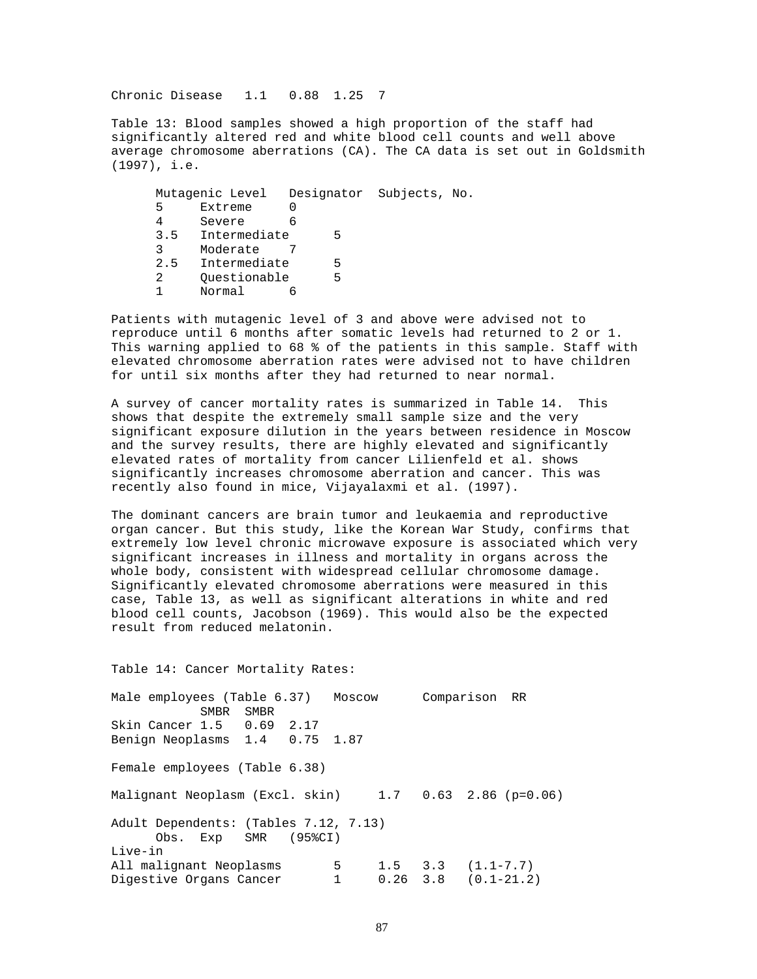Chronic Disease 1.1 0.88 1.25 7

Table 13: Blood samples showed a high proportion of the staff had significantly altered red and white blood cell counts and well above average chromosome aberrations (CA). The CA data is set out in Goldsmith (1997), i.e.

| Mutagenic Level |              |   |   | Designator Subjects, No. |  |
|-----------------|--------------|---|---|--------------------------|--|
| 5               | Extreme      |   |   |                          |  |
| 4               | Severe       | ჩ |   |                          |  |
| 3.5             | Intermediate |   | հ |                          |  |
| 3               | Moderate     |   |   |                          |  |
| 2.5             | Intermediate |   | 5 |                          |  |
| 2               | Ouestionable |   | 5 |                          |  |
|                 | Normal       |   |   |                          |  |

Patients with mutagenic level of 3 and above were advised not to reproduce until 6 months after somatic levels had returned to 2 or 1. This warning applied to 68 % of the patients in this sample. Staff with elevated chromosome aberration rates were advised not to have children for until six months after they had returned to near normal.

A survey of cancer mortality rates is summarized in Table 14. This shows that despite the extremely small sample size and the very significant exposure dilution in the years between residence in Moscow and the survey results, there are highly elevated and significantly elevated rates of mortality from cancer Lilienfeld et al. shows significantly increases chromosome aberration and cancer. This was recently also found in mice, Vijayalaxmi et al. (1997).

The dominant cancers are brain tumor and leukaemia and reproductive organ cancer. But this study, like the Korean War Study, confirms that extremely low level chronic microwave exposure is associated which very significant increases in illness and mortality in organs across the whole body, consistent with widespread cellular chromosome damage. Significantly elevated chromosome aberrations were measured in this case, Table 13, as well as significant alterations in white and red blood cell counts, Jacobson (1969). This would also be the expected result from reduced melatonin.

Table 14: Cancer Mortality Rates:

Male employees (Table 6.37) Moscow Comparison RR SMBR<br>1.5 0.69 2.17 Skin Cancer 1.5 Benign Neoplasms 1.4 0.75 1.87 Female employees (Table 6.38) Malignant Neoplasm (Excl. skin) 1.7 0.63 2.86 (p=0.06) Adult Dependents: (Tables 7.12, 7.13) Obs. Exp SMR (95%CI) Live-in All malignant Neoplasms  $\begin{array}{cccc} 5 & 1.5 & 3.3 & (1.1-7.7) \\ \text{Digective Organs Cancer} & 1 & 0.26 & 3.8 & (0.1-21.2) \end{array}$ Digestive Organs Cancer 1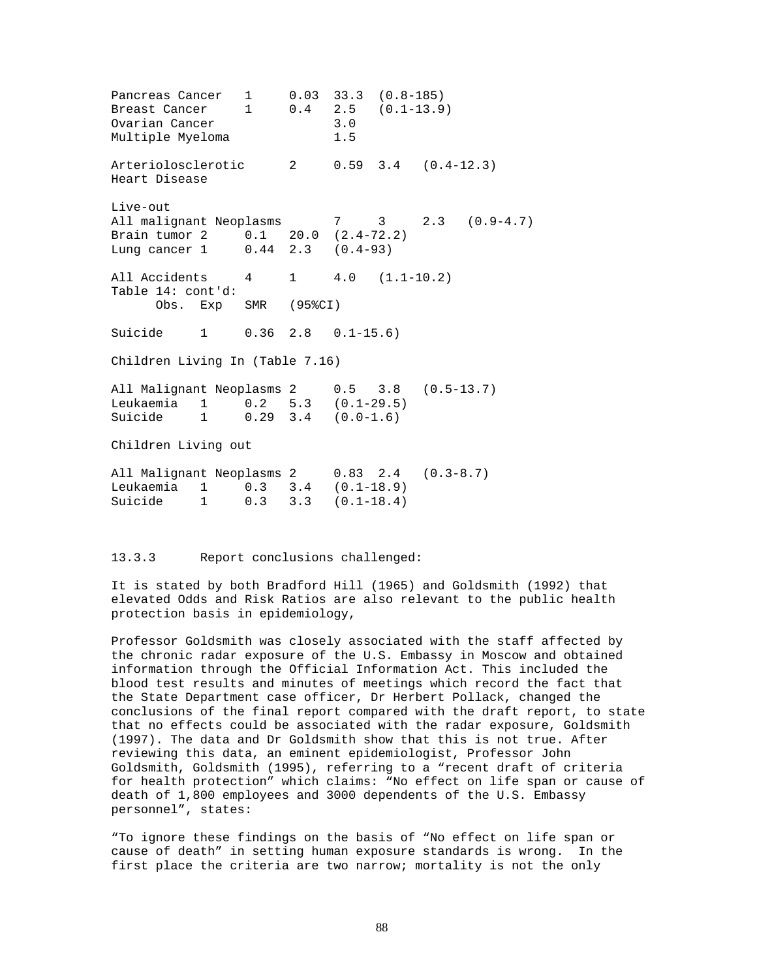Pancreas Cancer 1 0.03 33.3 (0.8-185)<br>Breast Cancer 1 0.4 2.5 (0.1-13.9 Breast Cancer 1 0.4 2.5 (0.1-13.9) Ovarian Cancer 3.0 Multiple Myeloma 1.5 Arteriolosclerotic 2 0.59 3.4 (0.4-12.3) Heart Disease Live-out All malignant Neoplasms 7 3 2.3 (0.9-4.7) Brain tumor 2 0.1 20.0 (2.4-72.2) Lung cancer 1 0.44 2.3 (0.4-93) All Accidents 4 1 4.0 (1.1-10.2) Table 14: cont'd: Obs. Exp SMR (95%CI) Suicide 1 0.36 2.8 0.1-15.6) Children Living In (Table 7.16) All Malignant Neoplasms 2 0.5 3.8 (0.5-13.7) Leukaemia 1 0.2 5.3 (0.1-29.5) Suicide 1 0.29 3.4 (0.0-1.6) Children Living out All Malignant Neoplasms 2 0.83 2.4 (0.3-8.7) Leukaemia 1 0.3 3.4 (0.1-18.9) Suicide 1 0.3 3.3 (0.1-18.4)

# 13.3.3 Report conclusions challenged:

It is stated by both Bradford Hill (1965) and Goldsmith (1992) that elevated Odds and Risk Ratios are also relevant to the public health protection basis in epidemiology,

Professor Goldsmith was closely associated with the staff affected by the chronic radar exposure of the U.S. Embassy in Moscow and obtained information through the Official Information Act. This included the blood test results and minutes of meetings which record the fact that the State Department case officer, Dr Herbert Pollack, changed the conclusions of the final report compared with the draft report, to state that no effects could be associated with the radar exposure, Goldsmith (1997). The data and Dr Goldsmith show that this is not true. After reviewing this data, an eminent epidemiologist, Professor John Goldsmith, Goldsmith (1995), referring to a "recent draft of criteria for health protection" which claims: "No effect on life span or cause of death of 1,800 employees and 3000 dependents of the U.S. Embassy personnel", states:

"To ignore these findings on the basis of "No effect on life span or cause of death" in setting human exposure standards is wrong. In the first place the criteria are two narrow; mortality is not the only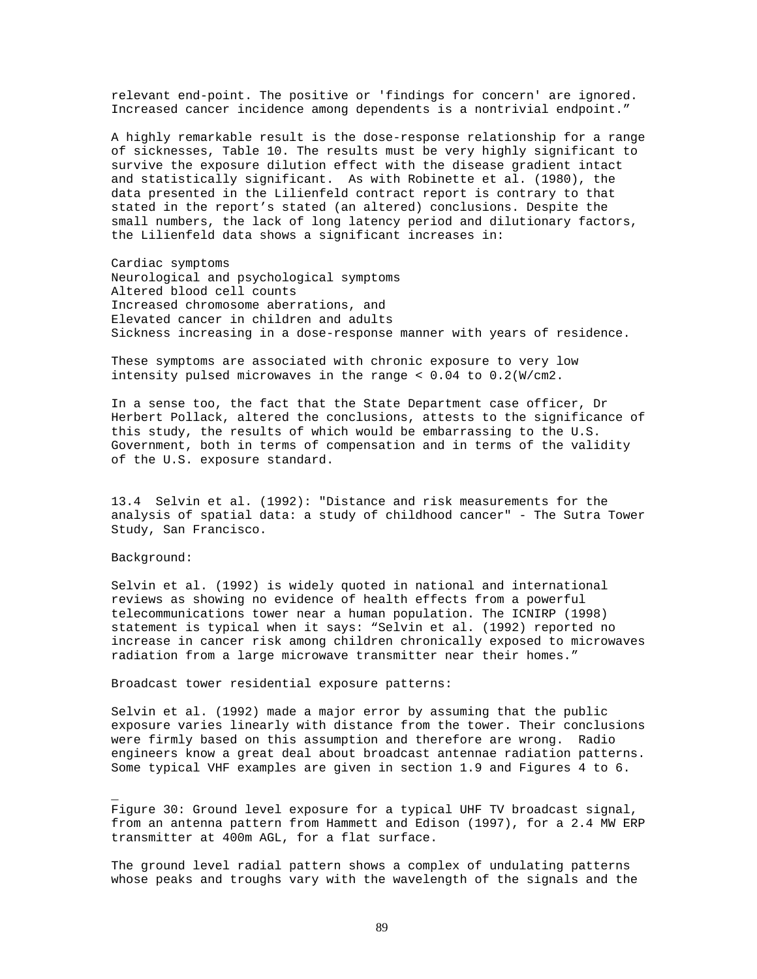relevant end-point. The positive or 'findings for concern' are ignored. Increased cancer incidence among dependents is a nontrivial endpoint."

A highly remarkable result is the dose-response relationship for a range of sicknesses, Table 10. The results must be very highly significant to survive the exposure dilution effect with the disease gradient intact and statistically significant. As with Robinette et al. (1980), the data presented in the Lilienfeld contract report is contrary to that stated in the report's stated (an altered) conclusions. Despite the small numbers, the lack of long latency period and dilutionary factors, the Lilienfeld data shows a significant increases in:

Cardiac symptoms Neurological and psychological symptoms Altered blood cell counts Increased chromosome aberrations, and Elevated cancer in children and adults Sickness increasing in a dose-response manner with years of residence.

These symptoms are associated with chronic exposure to very low intensity pulsed microwaves in the range < 0.04 to 0.2(W/cm2.

In a sense too, the fact that the State Department case officer, Dr Herbert Pollack, altered the conclusions, attests to the significance of this study, the results of which would be embarrassing to the U.S. Government, both in terms of compensation and in terms of the validity of the U.S. exposure standard.

13.4 Selvin et al. (1992): "Distance and risk measurements for the analysis of spatial data: a study of childhood cancer" - The Sutra Tower Study, San Francisco.

#### Background:

\_

Selvin et al. (1992) is widely quoted in national and international reviews as showing no evidence of health effects from a powerful telecommunications tower near a human population. The ICNIRP (1998) statement is typical when it says: "Selvin et al. (1992) reported no increase in cancer risk among children chronically exposed to microwaves radiation from a large microwave transmitter near their homes."

Broadcast tower residential exposure patterns:

Selvin et al. (1992) made a major error by assuming that the public exposure varies linearly with distance from the tower. Their conclusions were firmly based on this assumption and therefore are wrong. Radio engineers know a great deal about broadcast antennae radiation patterns. Some typical VHF examples are given in section 1.9 and Figures 4 to 6.

Figure 30: Ground level exposure for a typical UHF TV broadcast signal, from an antenna pattern from Hammett and Edison (1997), for a 2.4 MW ERP transmitter at 400m AGL, for a flat surface.

The ground level radial pattern shows a complex of undulating patterns whose peaks and troughs vary with the wavelength of the signals and the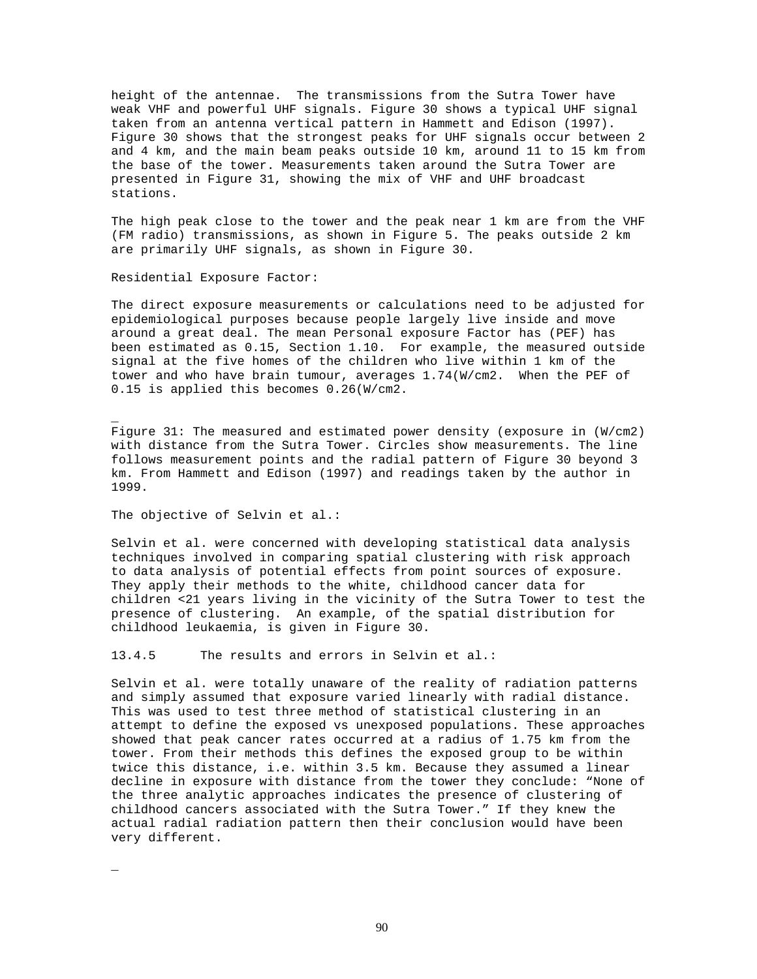height of the antennae. The transmissions from the Sutra Tower have weak VHF and powerful UHF signals. Figure 30 shows a typical UHF signal taken from an antenna vertical pattern in Hammett and Edison (1997). Figure 30 shows that the strongest peaks for UHF signals occur between 2 and 4 km, and the main beam peaks outside 10 km, around 11 to 15 km from the base of the tower. Measurements taken around the Sutra Tower are presented in Figure 31, showing the mix of VHF and UHF broadcast stations.

The high peak close to the tower and the peak near 1 km are from the VHF (FM radio) transmissions, as shown in Figure 5. The peaks outside 2 km are primarily UHF signals, as shown in Figure 30.

Residential Exposure Factor:

The direct exposure measurements or calculations need to be adjusted for epidemiological purposes because people largely live inside and move around a great deal. The mean Personal exposure Factor has (PEF) has been estimated as 0.15, Section 1.10. For example, the measured outside signal at the five homes of the children who live within 1 km of the tower and who have brain tumour, averages  $1.74(W/cm2$ . When the PEF of 0.15 is applied this becomes 0.26(W/cm2.

Figure 31: The measured and estimated power density (exposure in (W/cm2) with distance from the Sutra Tower. Circles show measurements. The line follows measurement points and the radial pattern of Figure 30 beyond 3 km. From Hammett and Edison (1997) and readings taken by the author in 1999.

The objective of Selvin et al.:

Selvin et al. were concerned with developing statistical data analysis techniques involved in comparing spatial clustering with risk approach to data analysis of potential effects from point sources of exposure. They apply their methods to the white, childhood cancer data for children <21 years living in the vicinity of the Sutra Tower to test the presence of clustering. An example, of the spatial distribution for childhood leukaemia, is given in Figure 30.

13.4.5 The results and errors in Selvin et al.:

Selvin et al. were totally unaware of the reality of radiation patterns and simply assumed that exposure varied linearly with radial distance. This was used to test three method of statistical clustering in an attempt to define the exposed vs unexposed populations. These approaches showed that peak cancer rates occurred at a radius of 1.75 km from the tower. From their methods this defines the exposed group to be within twice this distance, i.e. within 3.5 km. Because they assumed a linear decline in exposure with distance from the tower they conclude: "None of the three analytic approaches indicates the presence of clustering of childhood cancers associated with the Sutra Tower." If they knew the actual radial radiation pattern then their conclusion would have been very different.

\_

\_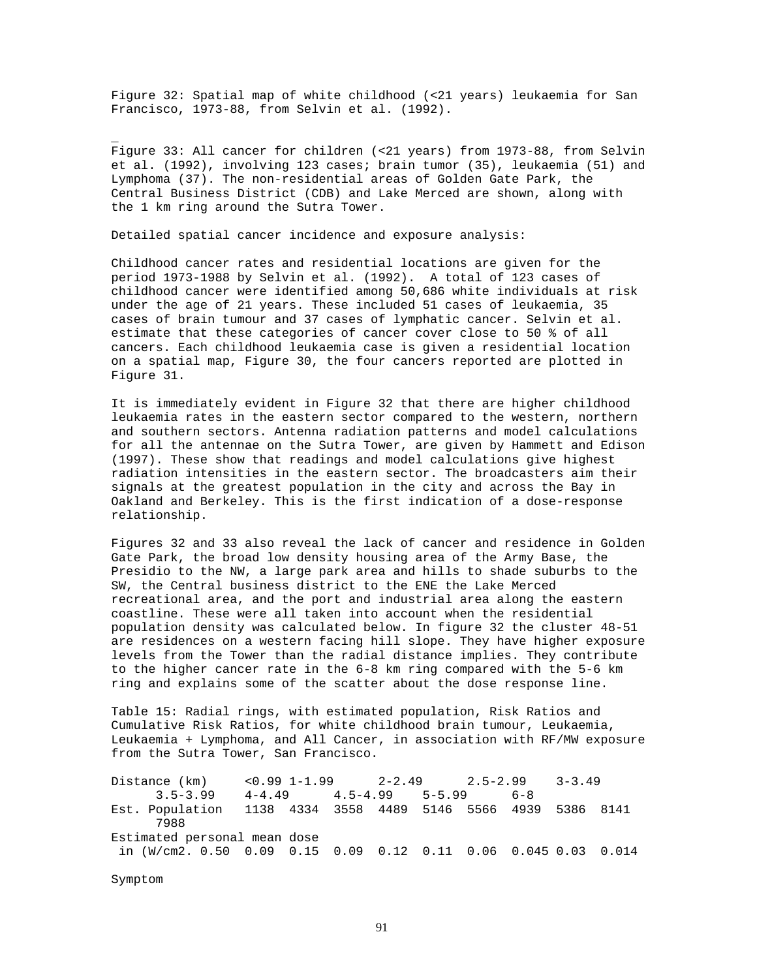Figure 32: Spatial map of white childhood (<21 years) leukaemia for San Francisco, 1973-88, from Selvin et al. (1992).

Figure 33: All cancer for children (<21 years) from 1973-88, from Selvin et al. (1992), involving 123 cases; brain tumor (35), leukaemia (51) and Lymphoma (37). The non-residential areas of Golden Gate Park, the Central Business District (CDB) and Lake Merced are shown, along with the 1 km ring around the Sutra Tower.

Detailed spatial cancer incidence and exposure analysis:

Childhood cancer rates and residential locations are given for the period 1973-1988 by Selvin et al. (1992). A total of 123 cases of childhood cancer were identified among 50,686 white individuals at risk under the age of 21 years. These included 51 cases of leukaemia, 35 cases of brain tumour and 37 cases of lymphatic cancer. Selvin et al. estimate that these categories of cancer cover close to 50 % of all cancers. Each childhood leukaemia case is given a residential location on a spatial map, Figure 30, the four cancers reported are plotted in Figure 31.

It is immediately evident in Figure 32 that there are higher childhood leukaemia rates in the eastern sector compared to the western, northern and southern sectors. Antenna radiation patterns and model calculations for all the antennae on the Sutra Tower, are given by Hammett and Edison (1997). These show that readings and model calculations give highest radiation intensities in the eastern sector. The broadcasters aim their signals at the greatest population in the city and across the Bay in Oakland and Berkeley. This is the first indication of a dose-response relationship.

Figures 32 and 33 also reveal the lack of cancer and residence in Golden Gate Park, the broad low density housing area of the Army Base, the Presidio to the NW, a large park area and hills to shade suburbs to the SW, the Central business district to the ENE the Lake Merced recreational area, and the port and industrial area along the eastern coastline. These were all taken into account when the residential population density was calculated below. In figure 32 the cluster 48-51 are residences on a western facing hill slope. They have higher exposure levels from the Tower than the radial distance implies. They contribute to the higher cancer rate in the 6-8 km ring compared with the 5-6 km ring and explains some of the scatter about the dose response line.

Table 15: Radial rings, with estimated population, Risk Ratios and Cumulative Risk Ratios, for white childhood brain tumour, Leukaemia, Leukaemia + Lymphoma, and All Cancer, in association with RF/MW exposure from the Sutra Tower, San Francisco.

Distance (km) <0.99 1-1.99 2-2.49 2.5-2.99 3-3.49 3.5-3.99 4-4.49 4.5-4.99 5-5.99 6-8 Est. Population 1138 4334 3558 4489 5146 5566 4939 5386 8141 7988 Estimated personal mean dose in (W/cm2. 0.50 0.09 0.15 0.09 0.12 0.11 0.06 0.045 0.03 0.014

Symptom

\_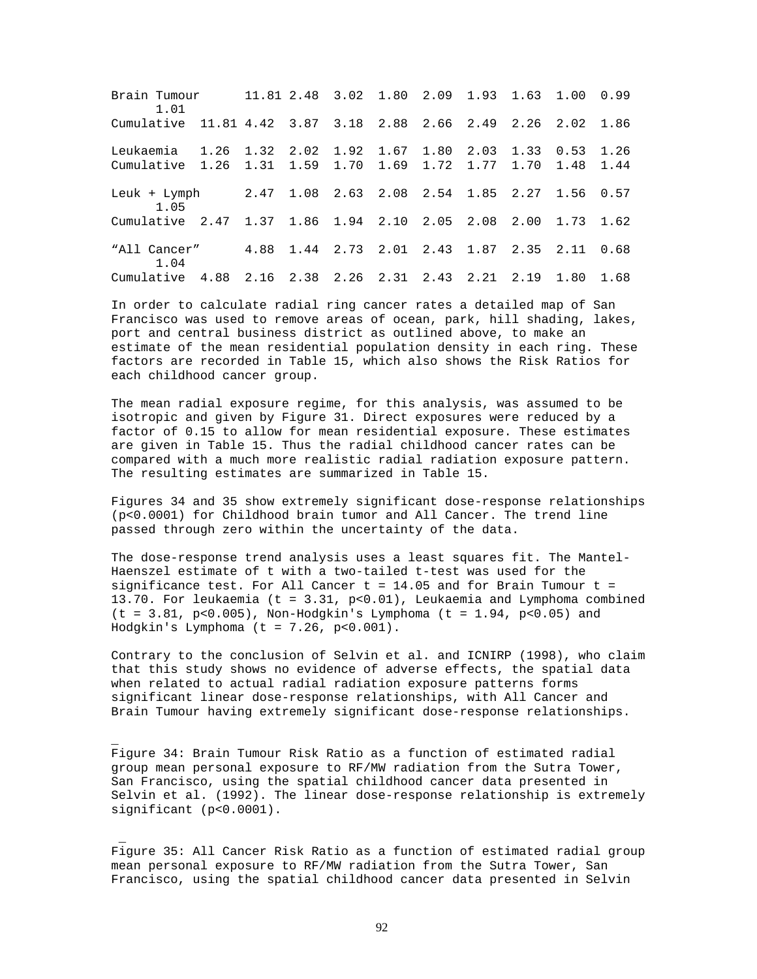Brain Tumour 11.81 2.48 3.02 1.80 2.09 1.93 1.63 1.00 0.99 1.01 Cumulative 11.81 4.42 3.87 3.18 2.88 2.66 2.49 2.26 2.02 1.86 Leukaemia 1.26 1.32 2.02 1.92 1.67 1.80 2.03 1.33 0.53 1.26 Cumulative 1.26 1.31 1.59 1.70 1.69 1.72 1.77 1.70 1.48 1.44 Leuk + Lymph 2.47 1.08 2.63 2.08 2.54 1.85 2.27 1.56 0.57 1.05 Cumulative 2.47 1.37 1.86 1.94 2.10 2.05 2.08 2.00 1.73 1.62 "All Cancer" 4.88 1.44 2.73 2.01 2.43 1.87 2.35 2.11 0.68 1.04 Cumulative 4.88 2.16 2.38 2.26 2.31 2.43 2.21 2.19 1.80 1.68

In order to calculate radial ring cancer rates a detailed map of San Francisco was used to remove areas of ocean, park, hill shading, lakes, port and central business district as outlined above, to make an estimate of the mean residential population density in each ring. These factors are recorded in Table 15, which also shows the Risk Ratios for each childhood cancer group.

The mean radial exposure regime, for this analysis, was assumed to be isotropic and given by Figure 31. Direct exposures were reduced by a factor of 0.15 to allow for mean residential exposure. These estimates are given in Table 15. Thus the radial childhood cancer rates can be compared with a much more realistic radial radiation exposure pattern. The resulting estimates are summarized in Table 15.

Figures 34 and 35 show extremely significant dose-response relationships (p<0.0001) for Childhood brain tumor and All Cancer. The trend line passed through zero within the uncertainty of the data.

The dose-response trend analysis uses a least squares fit. The Mantel-Haenszel estimate of t with a two-tailed t-test was used for the significance test. For All Cancer  $t = 14.05$  and for Brain Tumour  $t =$ 13.70. For leukaemia (t = 3.31, p<0.01), Leukaemia and Lymphoma combined  $(t = 3.81, p < 0.005)$ , Non-Hodgkin's Lymphoma  $(t = 1.94, p < 0.05)$  and Hodgkin's Lymphoma (t = 7.26, p<0.001).

Contrary to the conclusion of Selvin et al. and ICNIRP (1998), who claim that this study shows no evidence of adverse effects, the spatial data when related to actual radial radiation exposure patterns forms significant linear dose-response relationships, with All Cancer and Brain Tumour having extremely significant dose-response relationships.

Figure 34: Brain Tumour Risk Ratio as a function of estimated radial group mean personal exposure to RF/MW radiation from the Sutra Tower, San Francisco, using the spatial childhood cancer data presented in Selvin et al. (1992). The linear dose-response relationship is extremely significant (p<0.0001).

\_

\_

Figure 35: All Cancer Risk Ratio as a function of estimated radial group mean personal exposure to RF/MW radiation from the Sutra Tower, San Francisco, using the spatial childhood cancer data presented in Selvin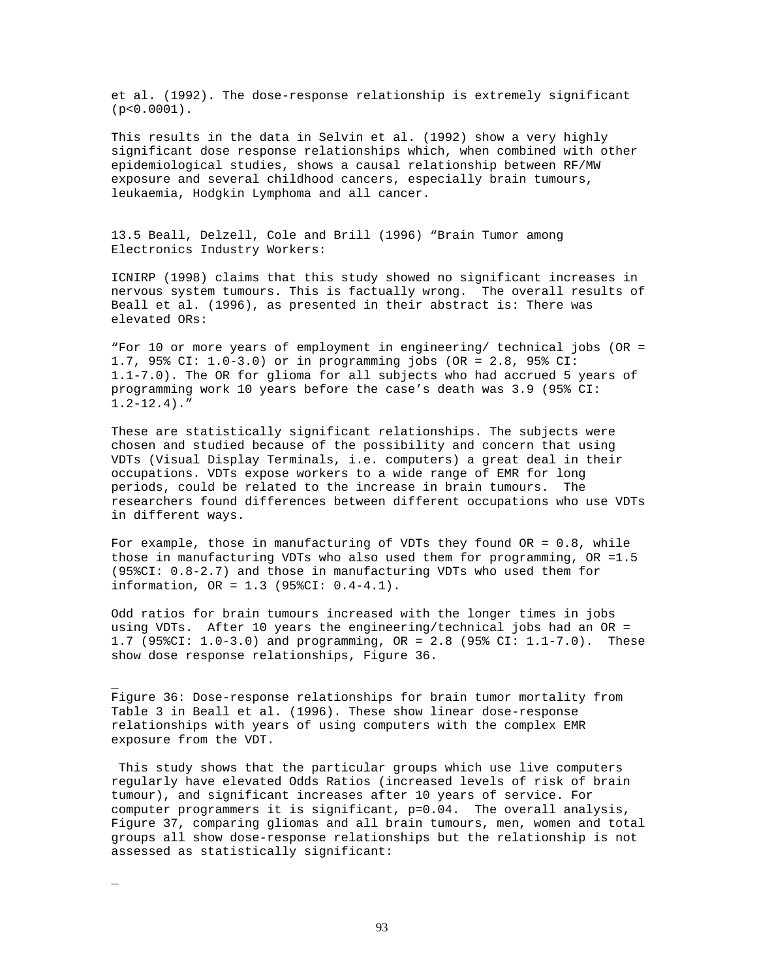et al. (1992). The dose-response relationship is extremely significant (p<0.0001).

This results in the data in Selvin et al. (1992) show a very highly significant dose response relationships which, when combined with other epidemiological studies, shows a causal relationship between RF/MW exposure and several childhood cancers, especially brain tumours, leukaemia, Hodgkin Lymphoma and all cancer.

13.5 Beall, Delzell, Cole and Brill (1996) "Brain Tumor among Electronics Industry Workers:

ICNIRP (1998) claims that this study showed no significant increases in nervous system tumours. This is factually wrong. The overall results of Beall et al. (1996), as presented in their abstract is: There was elevated ORs:

"For 10 or more years of employment in engineering/ technical jobs (OR = 1.7, 95% CI: 1.0-3.0) or in programming jobs (OR = 2.8, 95% CI: 1.1-7.0). The OR for glioma for all subjects who had accrued 5 years of programming work 10 years before the case's death was 3.9 (95% CI:  $1.2 - 12.4$ )."

These are statistically significant relationships. The subjects were chosen and studied because of the possibility and concern that using VDTs (Visual Display Terminals, i.e. computers) a great deal in their occupations. VDTs expose workers to a wide range of EMR for long periods, could be related to the increase in brain tumours. The researchers found differences between different occupations who use VDTs in different ways.

For example, those in manufacturing of VDTs they found  $OR = 0.8$ , while those in manufacturing VDTs who also used them for programming, OR =1.5 (95%CI: 0.8-2.7) and those in manufacturing VDTs who used them for information, OR = 1.3 (95%CI: 0.4-4.1).

Odd ratios for brain tumours increased with the longer times in jobs using VDTs. After 10 years the engineering/technical jobs had an OR = 1.7 (95%CI: 1.0-3.0) and programming, OR = 2.8 (95% CI: 1.1-7.0). These show dose response relationships, Figure 36.

Figure 36: Dose-response relationships for brain tumor mortality from Table 3 in Beall et al. (1996). These show linear dose-response relationships with years of using computers with the complex EMR exposure from the VDT.

\_

\_

This study shows that the particular groups which use live computers regularly have elevated Odds Ratios (increased levels of risk of brain tumour), and significant increases after 10 years of service. For computer programmers it is significant, p=0.04. The overall analysis, Figure 37, comparing gliomas and all brain tumours, men, women and total groups all show dose-response relationships but the relationship is not assessed as statistically significant: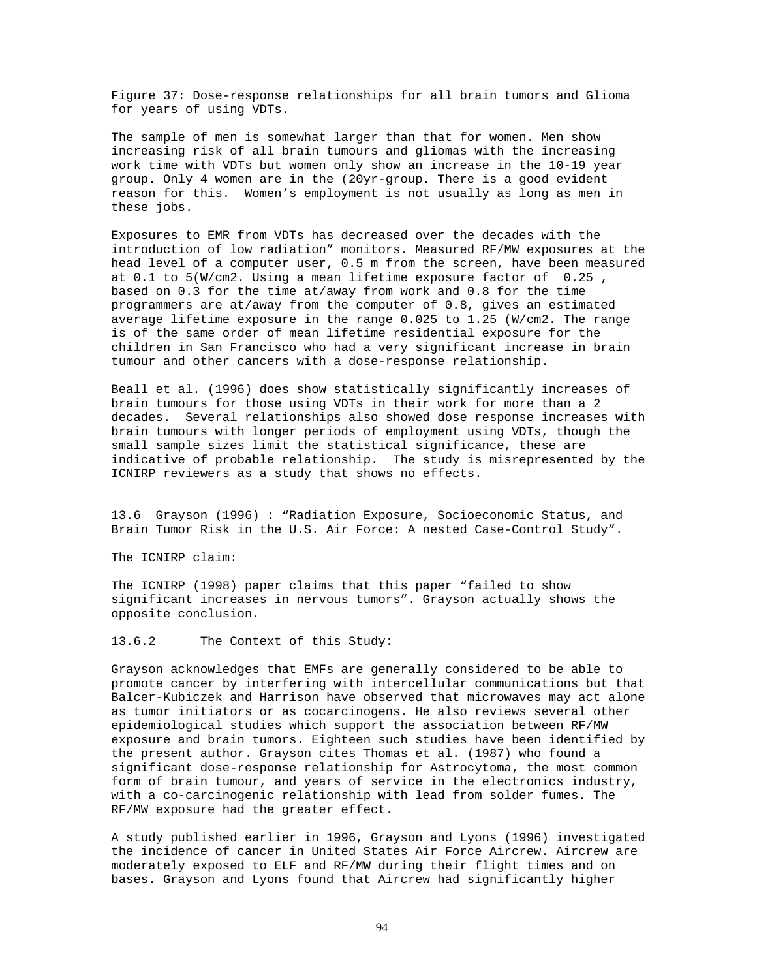Figure 37: Dose-response relationships for all brain tumors and Glioma for years of using VDTs.

The sample of men is somewhat larger than that for women. Men show increasing risk of all brain tumours and gliomas with the increasing work time with VDTs but women only show an increase in the 10-19 year group. Only 4 women are in the (20yr-group. There is a good evident reason for this. Women's employment is not usually as long as men in these jobs.

Exposures to EMR from VDTs has decreased over the decades with the introduction of low radiation" monitors. Measured RF/MW exposures at the head level of a computer user, 0.5 m from the screen, have been measured at 0.1 to 5(W/cm2. Using a mean lifetime exposure factor of 0.25 , based on 0.3 for the time at/away from work and 0.8 for the time programmers are at/away from the computer of 0.8, gives an estimated average lifetime exposure in the range 0.025 to 1.25 (W/cm2. The range is of the same order of mean lifetime residential exposure for the children in San Francisco who had a very significant increase in brain tumour and other cancers with a dose-response relationship.

Beall et al. (1996) does show statistically significantly increases of brain tumours for those using VDTs in their work for more than a 2 decades. Several relationships also showed dose response increases with brain tumours with longer periods of employment using VDTs, though the small sample sizes limit the statistical significance, these are indicative of probable relationship. The study is misrepresented by the ICNIRP reviewers as a study that shows no effects.

13.6 Grayson (1996) : "Radiation Exposure, Socioeconomic Status, and Brain Tumor Risk in the U.S. Air Force: A nested Case-Control Study".

The ICNIRP claim:

The ICNIRP (1998) paper claims that this paper "failed to show significant increases in nervous tumors". Grayson actually shows the opposite conclusion.

13.6.2 The Context of this Study:

Grayson acknowledges that EMFs are generally considered to be able to promote cancer by interfering with intercellular communications but that Balcer-Kubiczek and Harrison have observed that microwaves may act alone as tumor initiators or as cocarcinogens. He also reviews several other epidemiological studies which support the association between RF/MW exposure and brain tumors. Eighteen such studies have been identified by the present author. Grayson cites Thomas et al. (1987) who found a significant dose-response relationship for Astrocytoma, the most common form of brain tumour, and years of service in the electronics industry, with a co-carcinogenic relationship with lead from solder fumes. The RF/MW exposure had the greater effect.

A study published earlier in 1996, Grayson and Lyons (1996) investigated the incidence of cancer in United States Air Force Aircrew. Aircrew are moderately exposed to ELF and RF/MW during their flight times and on bases. Grayson and Lyons found that Aircrew had significantly higher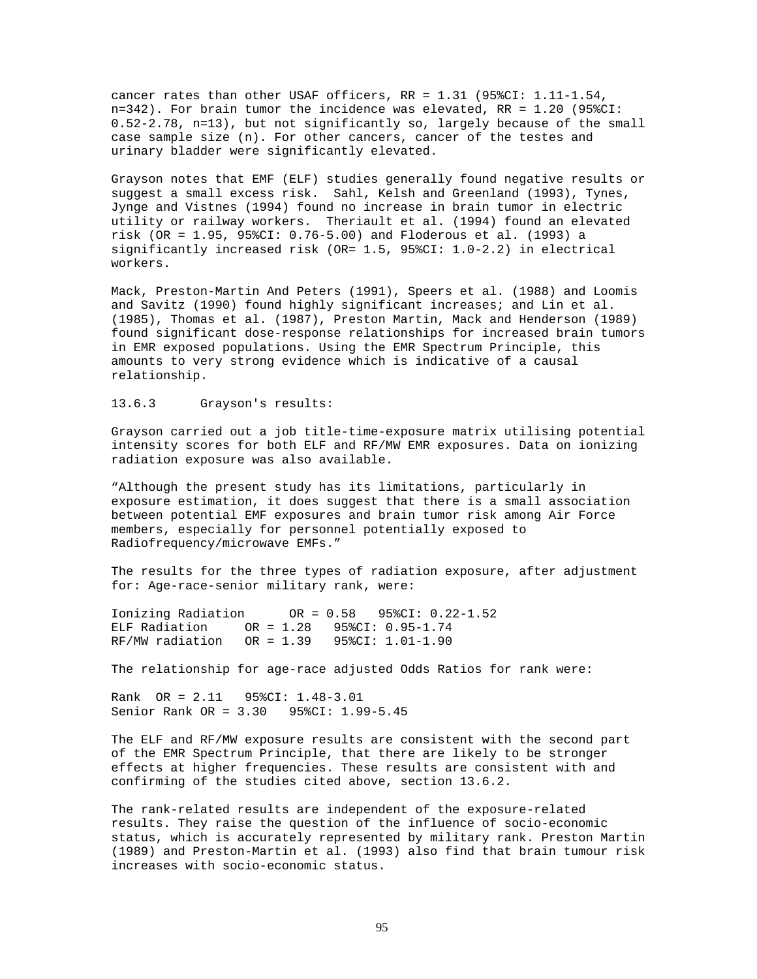cancer rates than other USAF officers, RR = 1.31 (95%CI: 1.11-1.54, n=342). For brain tumor the incidence was elevated, RR = 1.20 (95%CI: 0.52-2.78, n=13), but not significantly so, largely because of the small case sample size (n). For other cancers, cancer of the testes and urinary bladder were significantly elevated.

Grayson notes that EMF (ELF) studies generally found negative results or suggest a small excess risk. Sahl, Kelsh and Greenland (1993), Tynes, Jynge and Vistnes (1994) found no increase in brain tumor in electric utility or railway workers. Theriault et al. (1994) found an elevated risk (OR = 1.95, 95%CI: 0.76-5.00) and Floderous et al. (1993) a significantly increased risk (OR= 1.5, 95%CI: 1.0-2.2) in electrical workers.

Mack, Preston-Martin And Peters (1991), Speers et al. (1988) and Loomis and Savitz (1990) found highly significant increases; and Lin et al. (1985), Thomas et al. (1987), Preston Martin, Mack and Henderson (1989) found significant dose-response relationships for increased brain tumors in EMR exposed populations. Using the EMR Spectrum Principle, this amounts to very strong evidence which is indicative of a causal relationship.

# 13.6.3 Grayson's results:

Grayson carried out a job title-time-exposure matrix utilising potential intensity scores for both ELF and RF/MW EMR exposures. Data on ionizing radiation exposure was also available.

"Although the present study has its limitations, particularly in exposure estimation, it does suggest that there is a small association between potential EMF exposures and brain tumor risk among Air Force members, especially for personnel potentially exposed to Radiofrequency/microwave EMFs."

The results for the three types of radiation exposure, after adjustment for: Age-race-senior military rank, were:

Ionizing Radiation OR = 0.58 95%CI: 0.22-1.52 ELF Radiation OR = 1.28 95%CI: 0.95-1.74 RF/MW radiation OR = 1.39 95%CI: 1.01-1.90

The relationship for age-race adjusted Odds Ratios for rank were:

Rank OR = 2.11 95%CI: 1.48-3.01 Senior Rank OR = 3.30 95%CI: 1.99-5.45

The ELF and RF/MW exposure results are consistent with the second part of the EMR Spectrum Principle, that there are likely to be stronger effects at higher frequencies. These results are consistent with and confirming of the studies cited above, section 13.6.2.

The rank-related results are independent of the exposure-related results. They raise the question of the influence of socio-economic status, which is accurately represented by military rank. Preston Martin (1989) and Preston-Martin et al. (1993) also find that brain tumour risk increases with socio-economic status.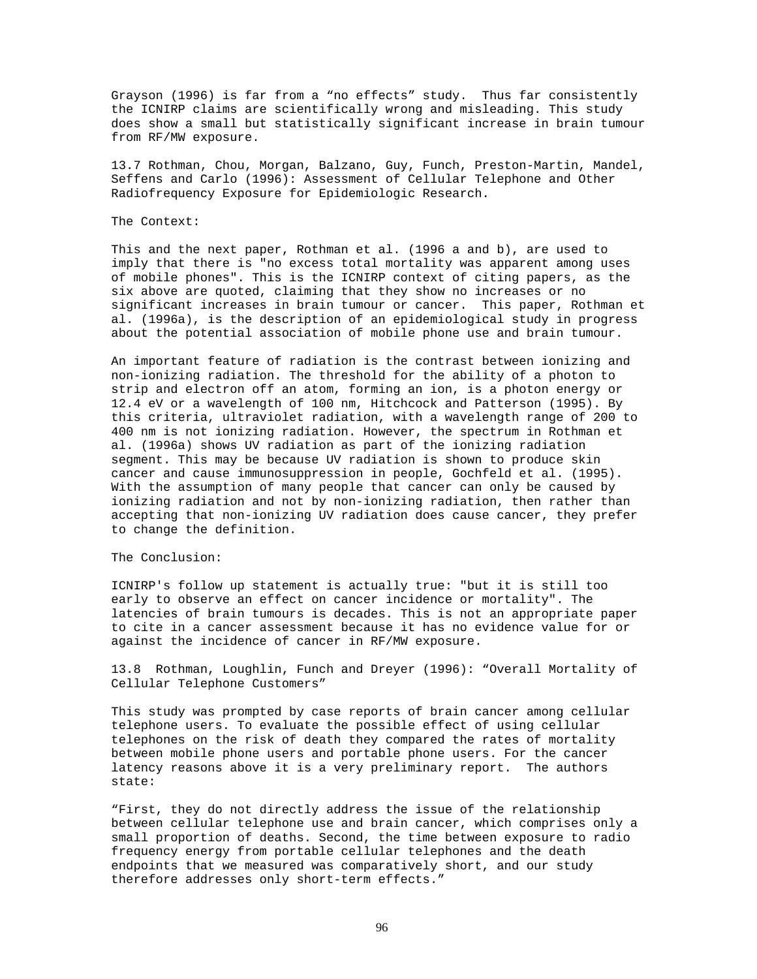Grayson (1996) is far from a "no effects" study. Thus far consistently the ICNIRP claims are scientifically wrong and misleading. This study does show a small but statistically significant increase in brain tumour from RF/MW exposure.

13.7 Rothman, Chou, Morgan, Balzano, Guy, Funch, Preston-Martin, Mandel, Seffens and Carlo (1996): Assessment of Cellular Telephone and Other Radiofrequency Exposure for Epidemiologic Research.

#### The Context:

This and the next paper, Rothman et al. (1996 a and b), are used to imply that there is "no excess total mortality was apparent among uses of mobile phones". This is the ICNIRP context of citing papers, as the six above are quoted, claiming that they show no increases or no significant increases in brain tumour or cancer. This paper, Rothman et al. (1996a), is the description of an epidemiological study in progress about the potential association of mobile phone use and brain tumour.

An important feature of radiation is the contrast between ionizing and non-ionizing radiation. The threshold for the ability of a photon to strip and electron off an atom, forming an ion, is a photon energy or 12.4 eV or a wavelength of 100 nm, Hitchcock and Patterson (1995). By this criteria, ultraviolet radiation, with a wavelength range of 200 to 400 nm is not ionizing radiation. However, the spectrum in Rothman et al. (1996a) shows UV radiation as part of the ionizing radiation segment. This may be because UV radiation is shown to produce skin cancer and cause immunosuppression in people, Gochfeld et al. (1995). With the assumption of many people that cancer can only be caused by ionizing radiation and not by non-ionizing radiation, then rather than accepting that non-ionizing UV radiation does cause cancer, they prefer to change the definition.

#### The Conclusion:

ICNIRP's follow up statement is actually true: "but it is still too early to observe an effect on cancer incidence or mortality". The latencies of brain tumours is decades. This is not an appropriate paper to cite in a cancer assessment because it has no evidence value for or against the incidence of cancer in RF/MW exposure.

13.8 Rothman, Loughlin, Funch and Dreyer (1996): "Overall Mortality of Cellular Telephone Customers"

This study was prompted by case reports of brain cancer among cellular telephone users. To evaluate the possible effect of using cellular telephones on the risk of death they compared the rates of mortality between mobile phone users and portable phone users. For the cancer latency reasons above it is a very preliminary report. The authors state:

"First, they do not directly address the issue of the relationship between cellular telephone use and brain cancer, which comprises only a small proportion of deaths. Second, the time between exposure to radio frequency energy from portable cellular telephones and the death endpoints that we measured was comparatively short, and our study therefore addresses only short-term effects."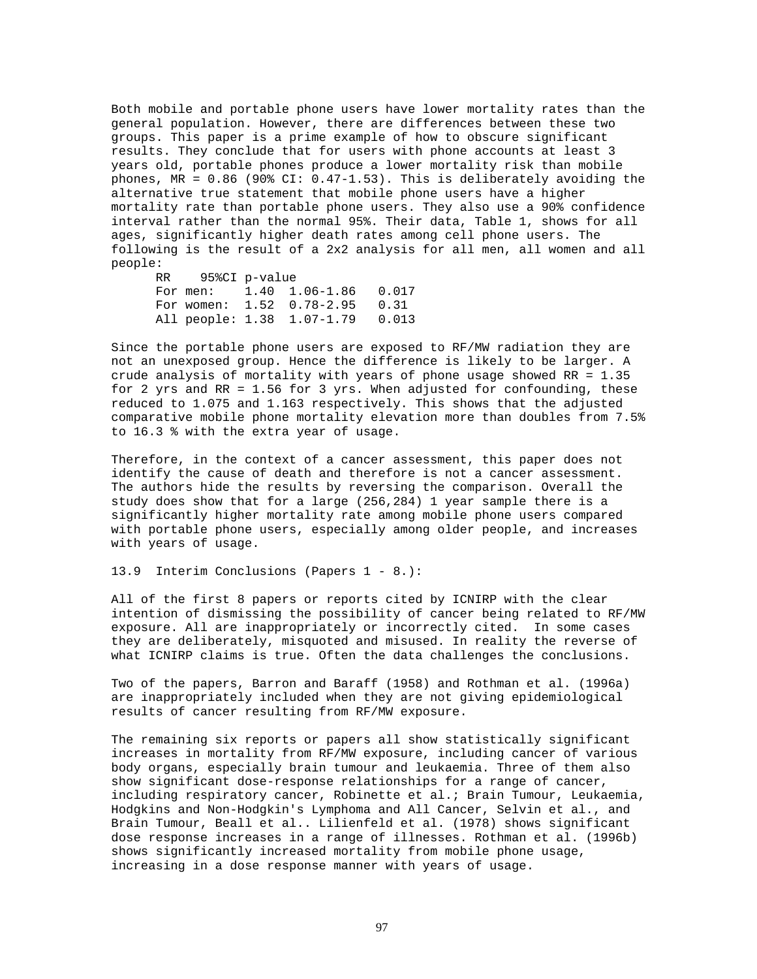Both mobile and portable phone users have lower mortality rates than the general population. However, there are differences between these two groups. This paper is a prime example of how to obscure significant results. They conclude that for users with phone accounts at least 3 years old, portable phones produce a lower mortality risk than mobile phones, MR = 0.86 (90% CI: 0.47-1.53). This is deliberately avoiding the alternative true statement that mobile phone users have a higher mortality rate than portable phone users. They also use a 90% confidence interval rather than the normal 95%. Their data, Table 1, shows for all ages, significantly higher death rates among cell phone users. The following is the result of a 2x2 analysis for all men, all women and all people:

RR 95%CI p-value For men: 1.40 1.06-1.86 0.017 For women: 1.52 0.78-2.95 0.31<br>All people: 1.38 1.07-1.79 0.013 All people: 1.38 1.07-1.79

Since the portable phone users are exposed to RF/MW radiation they are not an unexposed group. Hence the difference is likely to be larger. A crude analysis of mortality with years of phone usage showed RR = 1.35 for 2 yrs and RR = 1.56 for 3 yrs. When adjusted for confounding, these reduced to 1.075 and 1.163 respectively. This shows that the adjusted comparative mobile phone mortality elevation more than doubles from 7.5% to 16.3 % with the extra year of usage.

Therefore, in the context of a cancer assessment, this paper does not identify the cause of death and therefore is not a cancer assessment. The authors hide the results by reversing the comparison. Overall the study does show that for a large (256,284) 1 year sample there is a significantly higher mortality rate among mobile phone users compared with portable phone users, especially among older people, and increases with years of usage.

13.9 Interim Conclusions (Papers 1 - 8.):

All of the first 8 papers or reports cited by ICNIRP with the clear intention of dismissing the possibility of cancer being related to RF/MW exposure. All are inappropriately or incorrectly cited. In some cases they are deliberately, misquoted and misused. In reality the reverse of what ICNIRP claims is true. Often the data challenges the conclusions.

Two of the papers, Barron and Baraff (1958) and Rothman et al. (1996a) are inappropriately included when they are not giving epidemiological results of cancer resulting from RF/MW exposure.

The remaining six reports or papers all show statistically significant increases in mortality from RF/MW exposure, including cancer of various body organs, especially brain tumour and leukaemia. Three of them also show significant dose-response relationships for a range of cancer, including respiratory cancer, Robinette et al.; Brain Tumour, Leukaemia, Hodgkins and Non-Hodgkin's Lymphoma and All Cancer, Selvin et al., and Brain Tumour, Beall et al.. Lilienfeld et al. (1978) shows significant dose response increases in a range of illnesses. Rothman et al. (1996b) shows significantly increased mortality from mobile phone usage, increasing in a dose response manner with years of usage.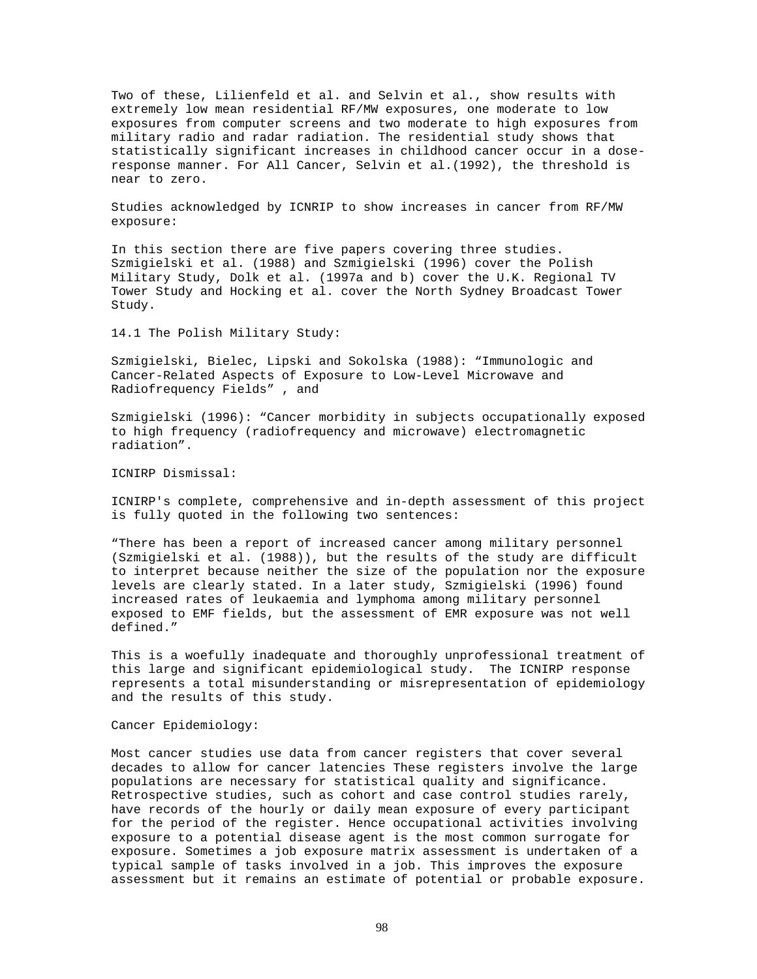Two of these, Lilienfeld et al. and Selvin et al., show results with extremely low mean residential RF/MW exposures, one moderate to low exposures from computer screens and two moderate to high exposures from military radio and radar radiation. The residential study shows that statistically significant increases in childhood cancer occur in a doseresponse manner. For All Cancer, Selvin et al.(1992), the threshold is near to zero.

Studies acknowledged by ICNRIP to show increases in cancer from RF/MW exposure:

In this section there are five papers covering three studies. Szmigielski et al. (1988) and Szmigielski (1996) cover the Polish Military Study, Dolk et al. (1997a and b) cover the U.K. Regional TV Tower Study and Hocking et al. cover the North Sydney Broadcast Tower Study.

14.1 The Polish Military Study:

Szmigielski, Bielec, Lipski and Sokolska (1988): "Immunologic and Cancer-Related Aspects of Exposure to Low-Level Microwave and Radiofrequency Fields" , and

Szmigielski (1996): "Cancer morbidity in subjects occupationally exposed to high frequency (radiofrequency and microwave) electromagnetic radiation".

ICNIRP Dismissal:

ICNIRP's complete, comprehensive and in-depth assessment of this project is fully quoted in the following two sentences:

"There has been a report of increased cancer among military personnel (Szmigielski et al. (1988)), but the results of the study are difficult to interpret because neither the size of the population nor the exposure levels are clearly stated. In a later study, Szmigielski (1996) found increased rates of leukaemia and lymphoma among military personnel exposed to EMF fields, but the assessment of EMR exposure was not well defined."

This is a woefully inadequate and thoroughly unprofessional treatment of this large and significant epidemiological study. The ICNIRP response represents a total misunderstanding or misrepresentation of epidemiology and the results of this study.

Cancer Epidemiology:

Most cancer studies use data from cancer registers that cover several decades to allow for cancer latencies These registers involve the large populations are necessary for statistical quality and significance. Retrospective studies, such as cohort and case control studies rarely, have records of the hourly or daily mean exposure of every participant for the period of the register. Hence occupational activities involving exposure to a potential disease agent is the most common surrogate for exposure. Sometimes a job exposure matrix assessment is undertaken of a typical sample of tasks involved in a job. This improves the exposure assessment but it remains an estimate of potential or probable exposure.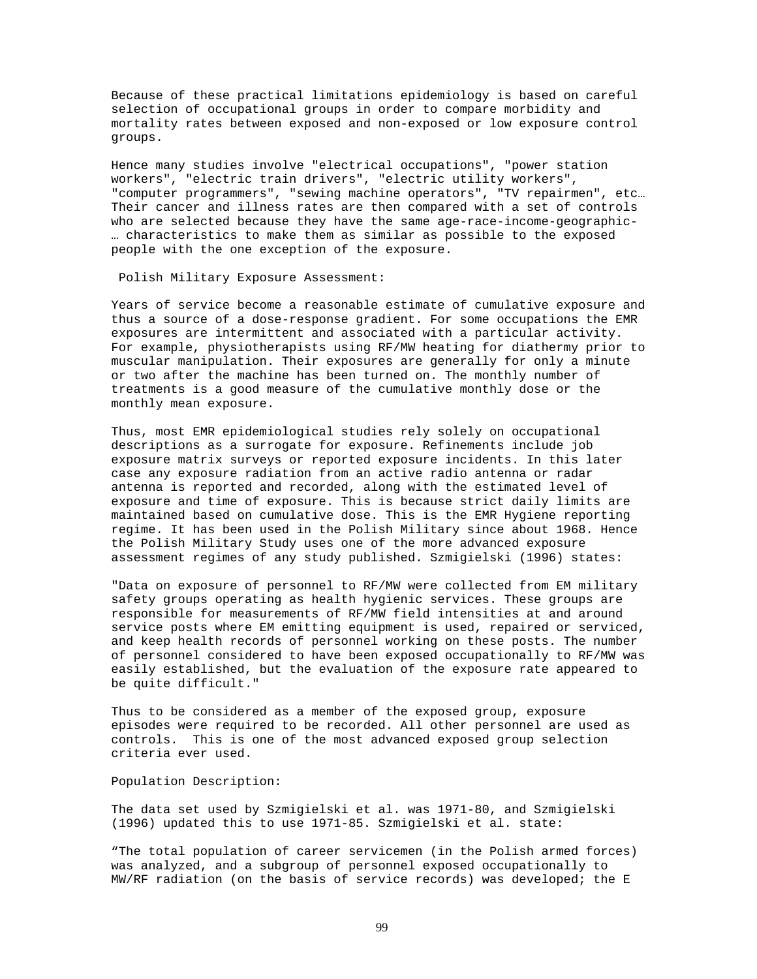Because of these practical limitations epidemiology is based on careful selection of occupational groups in order to compare morbidity and mortality rates between exposed and non-exposed or low exposure control groups.

Hence many studies involve "electrical occupations", "power station workers", "electric train drivers", "electric utility workers", "computer programmers", "sewing machine operators", "TV repairmen", etc… Their cancer and illness rates are then compared with a set of controls who are selected because they have the same age-race-income-geographic- … characteristics to make them as similar as possible to the exposed people with the one exception of the exposure.

Polish Military Exposure Assessment:

Years of service become a reasonable estimate of cumulative exposure and thus a source of a dose-response gradient. For some occupations the EMR exposures are intermittent and associated with a particular activity. For example, physiotherapists using RF/MW heating for diathermy prior to muscular manipulation. Their exposures are generally for only a minute or two after the machine has been turned on. The monthly number of treatments is a good measure of the cumulative monthly dose or the monthly mean exposure.

Thus, most EMR epidemiological studies rely solely on occupational descriptions as a surrogate for exposure. Refinements include job exposure matrix surveys or reported exposure incidents. In this later case any exposure radiation from an active radio antenna or radar antenna is reported and recorded, along with the estimated level of exposure and time of exposure. This is because strict daily limits are maintained based on cumulative dose. This is the EMR Hygiene reporting regime. It has been used in the Polish Military since about 1968. Hence the Polish Military Study uses one of the more advanced exposure assessment regimes of any study published. Szmigielski (1996) states:

"Data on exposure of personnel to RF/MW were collected from EM military safety groups operating as health hygienic services. These groups are responsible for measurements of RF/MW field intensities at and around service posts where EM emitting equipment is used, repaired or serviced, and keep health records of personnel working on these posts. The number of personnel considered to have been exposed occupationally to RF/MW was easily established, but the evaluation of the exposure rate appeared to be quite difficult."

Thus to be considered as a member of the exposed group, exposure episodes were required to be recorded. All other personnel are used as controls. This is one of the most advanced exposed group selection criteria ever used.

Population Description:

The data set used by Szmigielski et al. was 1971-80, and Szmigielski (1996) updated this to use 1971-85. Szmigielski et al. state:

"The total population of career servicemen (in the Polish armed forces) was analyzed, and a subgroup of personnel exposed occupationally to MW/RF radiation (on the basis of service records) was developed; the E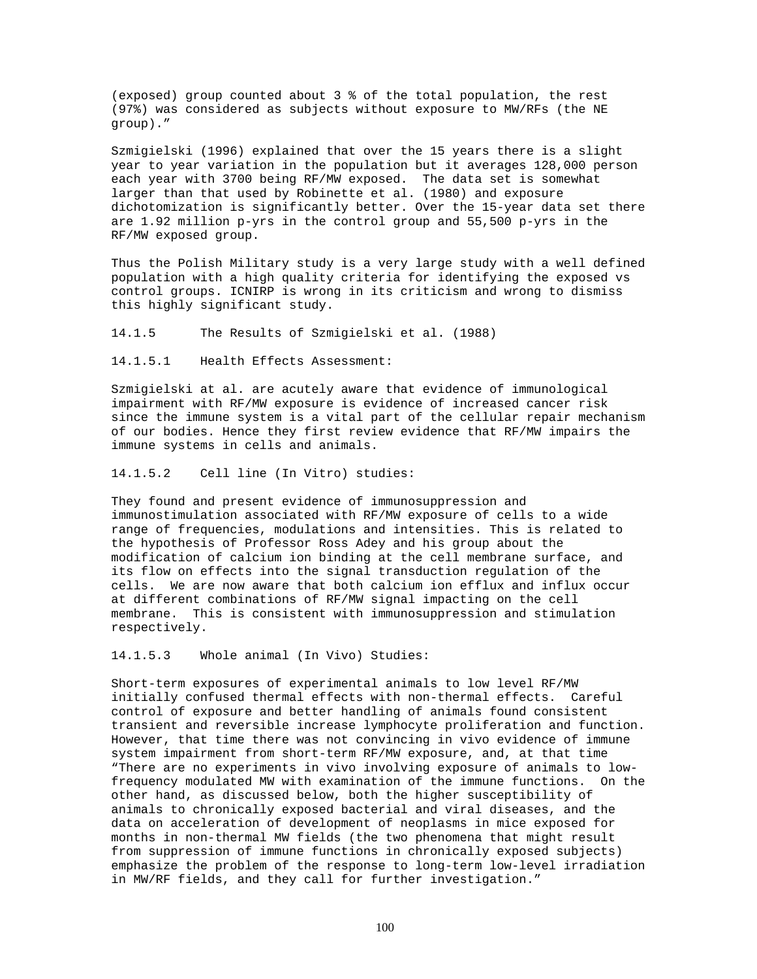(exposed) group counted about 3 % of the total population, the rest (97%) was considered as subjects without exposure to MW/RFs (the NE group)."

Szmigielski (1996) explained that over the 15 years there is a slight year to year variation in the population but it averages 128,000 person each year with 3700 being RF/MW exposed. The data set is somewhat larger than that used by Robinette et al. (1980) and exposure dichotomization is significantly better. Over the 15-year data set there are 1.92 million p-yrs in the control group and 55,500 p-yrs in the RF/MW exposed group.

Thus the Polish Military study is a very large study with a well defined population with a high quality criteria for identifying the exposed vs control groups. ICNIRP is wrong in its criticism and wrong to dismiss this highly significant study.

14.1.5 The Results of Szmigielski et al. (1988)

14.1.5.1 Health Effects Assessment:

Szmigielski at al. are acutely aware that evidence of immunological impairment with RF/MW exposure is evidence of increased cancer risk since the immune system is a vital part of the cellular repair mechanism of our bodies. Hence they first review evidence that RF/MW impairs the immune systems in cells and animals.

14.1.5.2 Cell line (In Vitro) studies:

They found and present evidence of immunosuppression and immunostimulation associated with RF/MW exposure of cells to a wide range of frequencies, modulations and intensities. This is related to the hypothesis of Professor Ross Adey and his group about the modification of calcium ion binding at the cell membrane surface, and its flow on effects into the signal transduction regulation of the cells. We are now aware that both calcium ion efflux and influx occur at different combinations of RF/MW signal impacting on the cell membrane. This is consistent with immunosuppression and stimulation respectively.

14.1.5.3 Whole animal (In Vivo) Studies:

Short-term exposures of experimental animals to low level RF/MW initially confused thermal effects with non-thermal effects. Careful control of exposure and better handling of animals found consistent transient and reversible increase lymphocyte proliferation and function. However, that time there was not convincing in vivo evidence of immune system impairment from short-term RF/MW exposure, and, at that time "There are no experiments in vivo involving exposure of animals to lowfrequency modulated MW with examination of the immune functions. On the other hand, as discussed below, both the higher susceptibility of animals to chronically exposed bacterial and viral diseases, and the data on acceleration of development of neoplasms in mice exposed for months in non-thermal MW fields (the two phenomena that might result from suppression of immune functions in chronically exposed subjects) emphasize the problem of the response to long-term low-level irradiation in MW/RF fields, and they call for further investigation."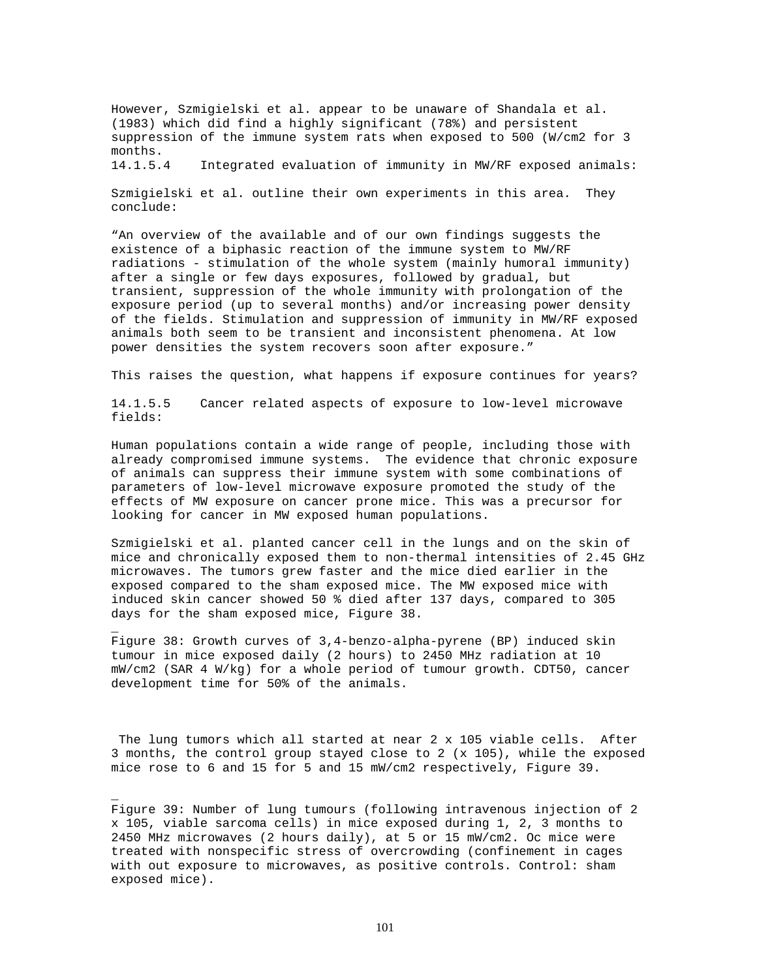However, Szmigielski et al. appear to be unaware of Shandala et al. (1983) which did find a highly significant (78%) and persistent suppression of the immune system rats when exposed to 500 (W/cm2 for 3 months.

14.1.5.4 Integrated evaluation of immunity in MW/RF exposed animals:

Szmigielski et al. outline their own experiments in this area. They conclude:

"An overview of the available and of our own findings suggests the existence of a biphasic reaction of the immune system to MW/RF radiations - stimulation of the whole system (mainly humoral immunity) after a single or few days exposures, followed by gradual, but transient, suppression of the whole immunity with prolongation of the exposure period (up to several months) and/or increasing power density of the fields. Stimulation and suppression of immunity in MW/RF exposed animals both seem to be transient and inconsistent phenomena. At low power densities the system recovers soon after exposure."

This raises the question, what happens if exposure continues for years?

14.1.5.5 Cancer related aspects of exposure to low-level microwave fields:

Human populations contain a wide range of people, including those with already compromised immune systems. The evidence that chronic exposure of animals can suppress their immune system with some combinations of parameters of low-level microwave exposure promoted the study of the effects of MW exposure on cancer prone mice. This was a precursor for looking for cancer in MW exposed human populations.

Szmigielski et al. planted cancer cell in the lungs and on the skin of mice and chronically exposed them to non-thermal intensities of 2.45 GHz microwaves. The tumors grew faster and the mice died earlier in the exposed compared to the sham exposed mice. The MW exposed mice with induced skin cancer showed 50 % died after 137 days, compared to 305 days for the sham exposed mice, Figure 38.

Figure 38: Growth curves of 3,4-benzo-alpha-pyrene (BP) induced skin tumour in mice exposed daily (2 hours) to 2450 MHz radiation at 10 mW/cm2 (SAR 4 W/kg) for a whole period of tumour growth. CDT50, cancer development time for 50% of the animals.

\_

\_

The lung tumors which all started at near 2 x 105 viable cells. After 3 months, the control group stayed close to 2 (x 105), while the exposed mice rose to 6 and 15 for 5 and 15 mW/cm2 respectively, Figure 39.

Figure 39: Number of lung tumours (following intravenous injection of 2 x 105, viable sarcoma cells) in mice exposed during 1, 2, 3 months to 2450 MHz microwaves (2 hours daily), at 5 or 15 mW/cm2. Oc mice were treated with nonspecific stress of overcrowding (confinement in cages with out exposure to microwaves, as positive controls. Control: sham exposed mice).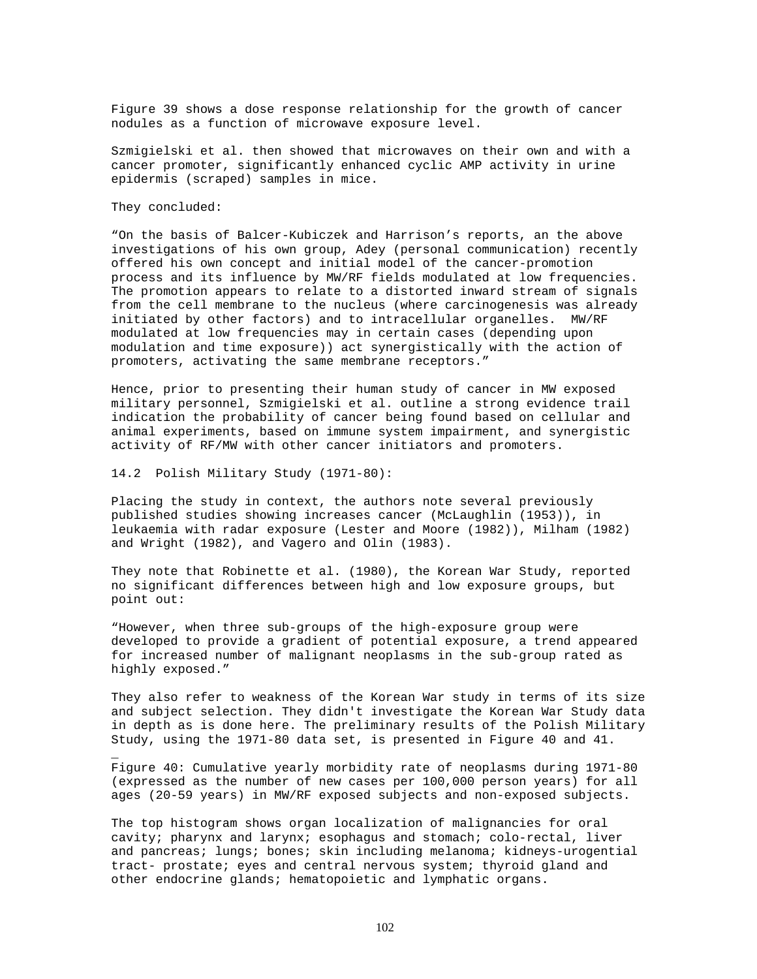Figure 39 shows a dose response relationship for the growth of cancer nodules as a function of microwave exposure level.

Szmigielski et al. then showed that microwaves on their own and with a cancer promoter, significantly enhanced cyclic AMP activity in urine epidermis (scraped) samples in mice.

#### They concluded:

\_

"On the basis of Balcer-Kubiczek and Harrison's reports, an the above investigations of his own group, Adey (personal communication) recently offered his own concept and initial model of the cancer-promotion process and its influence by MW/RF fields modulated at low frequencies. The promotion appears to relate to a distorted inward stream of signals from the cell membrane to the nucleus (where carcinogenesis was already initiated by other factors) and to intracellular organelles. MW/RF modulated at low frequencies may in certain cases (depending upon modulation and time exposure)) act synergistically with the action of promoters, activating the same membrane receptors."

Hence, prior to presenting their human study of cancer in MW exposed military personnel, Szmigielski et al. outline a strong evidence trail indication the probability of cancer being found based on cellular and animal experiments, based on immune system impairment, and synergistic activity of RF/MW with other cancer initiators and promoters.

# 14.2 Polish Military Study (1971-80):

Placing the study in context, the authors note several previously published studies showing increases cancer (McLaughlin (1953)), in leukaemia with radar exposure (Lester and Moore (1982)), Milham (1982) and Wright (1982), and Vagero and Olin (1983).

They note that Robinette et al. (1980), the Korean War Study, reported no significant differences between high and low exposure groups, but point out:

"However, when three sub-groups of the high-exposure group were developed to provide a gradient of potential exposure, a trend appeared for increased number of malignant neoplasms in the sub-group rated as highly exposed."

They also refer to weakness of the Korean War study in terms of its size and subject selection. They didn't investigate the Korean War Study data in depth as is done here. The preliminary results of the Polish Military Study, using the 1971-80 data set, is presented in Figure 40 and 41.

Figure 40: Cumulative yearly morbidity rate of neoplasms during 1971-80 (expressed as the number of new cases per 100,000 person years) for all ages (20-59 years) in MW/RF exposed subjects and non-exposed subjects.

The top histogram shows organ localization of malignancies for oral cavity; pharynx and larynx; esophagus and stomach; colo-rectal, liver and pancreas; lungs; bones; skin including melanoma; kidneys-urogential tract- prostate; eyes and central nervous system; thyroid gland and other endocrine glands; hematopoietic and lymphatic organs.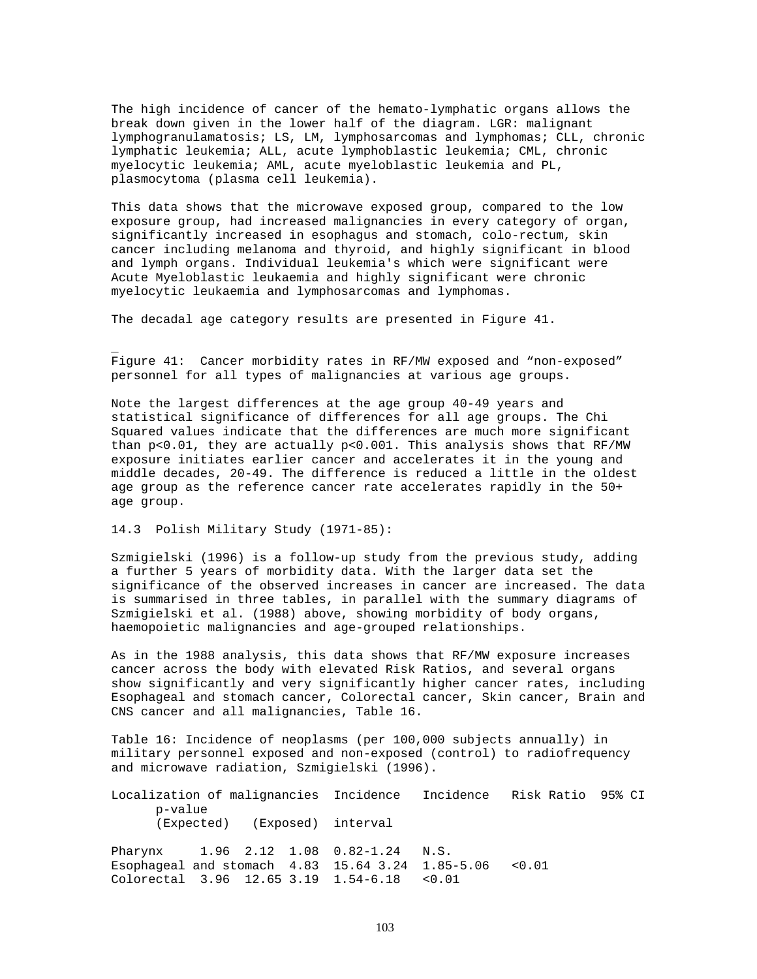The high incidence of cancer of the hemato-lymphatic organs allows the break down given in the lower half of the diagram. LGR: malignant lymphogranulamatosis; LS, LM, lymphosarcomas and lymphomas; CLL, chronic lymphatic leukemia; ALL, acute lymphoblastic leukemia; CML, chronic myelocytic leukemia; AML, acute myeloblastic leukemia and PL, plasmocytoma (plasma cell leukemia).

This data shows that the microwave exposed group, compared to the low exposure group, had increased malignancies in every category of organ, significantly increased in esophagus and stomach, colo-rectum, skin cancer including melanoma and thyroid, and highly significant in blood and lymph organs. Individual leukemia's which were significant were Acute Myeloblastic leukaemia and highly significant were chronic myelocytic leukaemia and lymphosarcomas and lymphomas.

The decadal age category results are presented in Figure 41.

Figure 41: Cancer morbidity rates in RF/MW exposed and "non-exposed" personnel for all types of malignancies at various age groups.

Note the largest differences at the age group 40-49 years and statistical significance of differences for all age groups. The Chi Squared values indicate that the differences are much more significant than p<0.01, they are actually p<0.001. This analysis shows that RF/MW exposure initiates earlier cancer and accelerates it in the young and middle decades, 20-49. The difference is reduced a little in the oldest age group as the reference cancer rate accelerates rapidly in the 50+ age group.

14.3 Polish Military Study (1971-85):

\_

Szmigielski (1996) is a follow-up study from the previous study, adding a further 5 years of morbidity data. With the larger data set the significance of the observed increases in cancer are increased. The data is summarised in three tables, in parallel with the summary diagrams of Szmigielski et al. (1988) above, showing morbidity of body organs, haemopoietic malignancies and age-grouped relationships.

As in the 1988 analysis, this data shows that RF/MW exposure increases cancer across the body with elevated Risk Ratios, and several organs show significantly and very significantly higher cancer rates, including Esophageal and stomach cancer, Colorectal cancer, Skin cancer, Brain and CNS cancer and all malignancies, Table 16.

Table 16: Incidence of neoplasms (per 100,000 subjects annually) in military personnel exposed and non-exposed (control) to radiofrequency and microwave radiation, Szmigielski (1996).

Localization of malignancies Incidence Incidence Risk Ratio 95% CI p-value (Expected) (Exposed) interval

Pharynx 1.96 2.12 1.08 0.82-1.24 N.S. Esophageal and stomach 4.83 15.64 3.24 1.85-5.06 <0.01 Colorectal 3.96 12.65 3.19 1.54-6.18 <0.01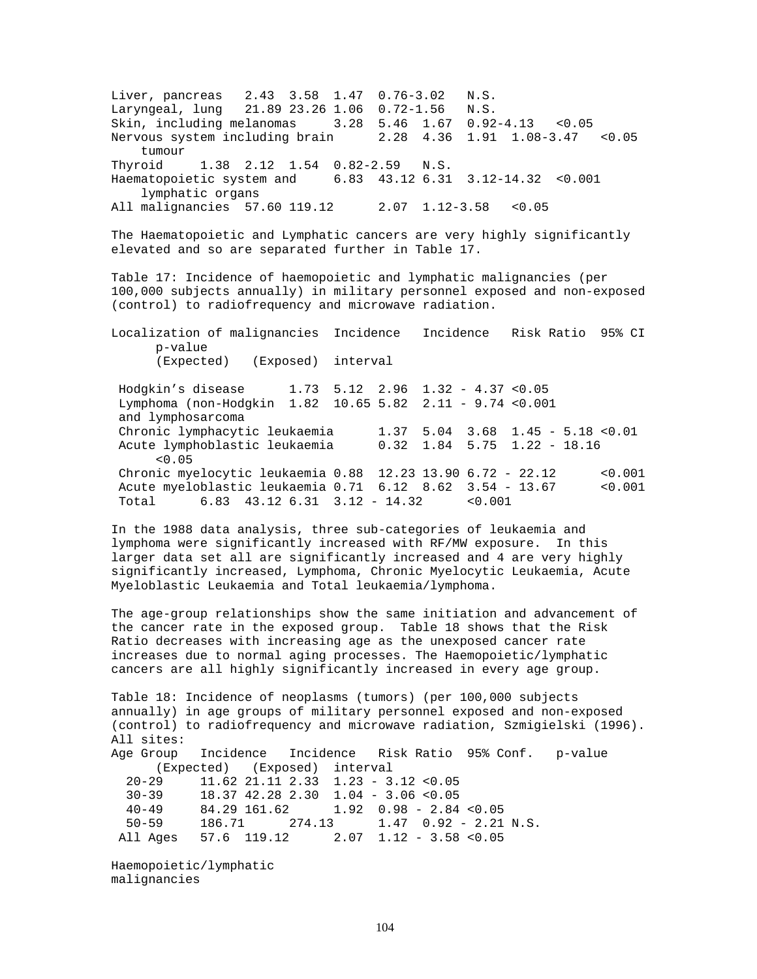Liver, pancreas 2.43 3.58 1.47 0.76-3.02 N.S. Laryngeal, lung 21.89 23.26 1.06 0.72-1.56 N.S. Skin, including melanomas 3.28 5.46 1.67 0.92-4.13 <0.05 Nervous system including brain 2.28 4.36 1.91 1.08-3.47 <0.05 tumour Thyroid 1.38 2.12 1.54 0.82-2.59 N.S. Haematopoietic system and 6.83 43.12 6.31 3.12-14.32 <0.001 lymphatic organs All malignancies 57.60 119.12 2.07 1.12-3.58 <0.05 The Haematopoietic and Lymphatic cancers are very highly significantly elevated and so are separated further in Table 17. Table 17: Incidence of haemopoietic and lymphatic malignancies (per 100,000 subjects annually) in military personnel exposed and non-exposed (control) to radiofrequency and microwave radiation. Localization of malignancies Incidence Incidence Risk Ratio 95% CI p-value (Expected) (Exposed) interval Hodgkin's disease 1.73 5.12 2.96 1.32 - 4.37 <0.05 Lymphoma (non-Hodgkin 1.82 10.65 5.82 2.11 - 9.74 <0.001 and lymphosarcoma Chronic lymphacytic leukaemia 1.37 5.04 3.68 1.45 - 5.18 <0.01 Acute lymphoblastic leukaemia 0.32 1.84 5.75 1.22 - 18.16  $< 0.05$ Chronic myelocytic leukaemia 0.88 12.23 13.90 6.72 - 22.12 <0.001 Acute myeloblastic leukaemia 0.71 6.12 8.62 3.54 - 13.67 <0.001 Total 6.83 43.12 6.31 3.12 - 14.32 <0.001

In the 1988 data analysis, three sub-categories of leukaemia and lymphoma were significantly increased with RF/MW exposure. In this larger data set all are significantly increased and 4 are very highly significantly increased, Lymphoma, Chronic Myelocytic Leukaemia, Acute Myeloblastic Leukaemia and Total leukaemia/lymphoma.

The age-group relationships show the same initiation and advancement of the cancer rate in the exposed group. Table 18 shows that the Risk Ratio decreases with increasing age as the unexposed cancer rate increases due to normal aging processes. The Haemopoietic/lymphatic cancers are all highly significantly increased in every age group.

```
Table 18: Incidence of neoplasms (tumors) (per 100,000 subjects 
annually) in age groups of military personnel exposed and non-exposed 
(control) to radiofrequency and microwave radiation, Szmigielski (1996).
All sites:
Age Group Incidence Incidence Risk Ratio 95% Conf. p-value
      (Expected) (Exposed) interval
  20-29 11.62 21.11 2.33 1.23 - 3.12 <0.05
  30-39 18.37 42.28 2.30 1.04 - 3.06 <0.05
  40-49 84.29 161.62 1.92 0.98 - 2.84 <0.05
  50-59 186.71 274.13 1.47 0.92 - 2.21 N.S.
All Ages 57.6 119.12 2.07 1.12 - 3.58 <0.05
```
Haemopoietic/lymphatic malignancies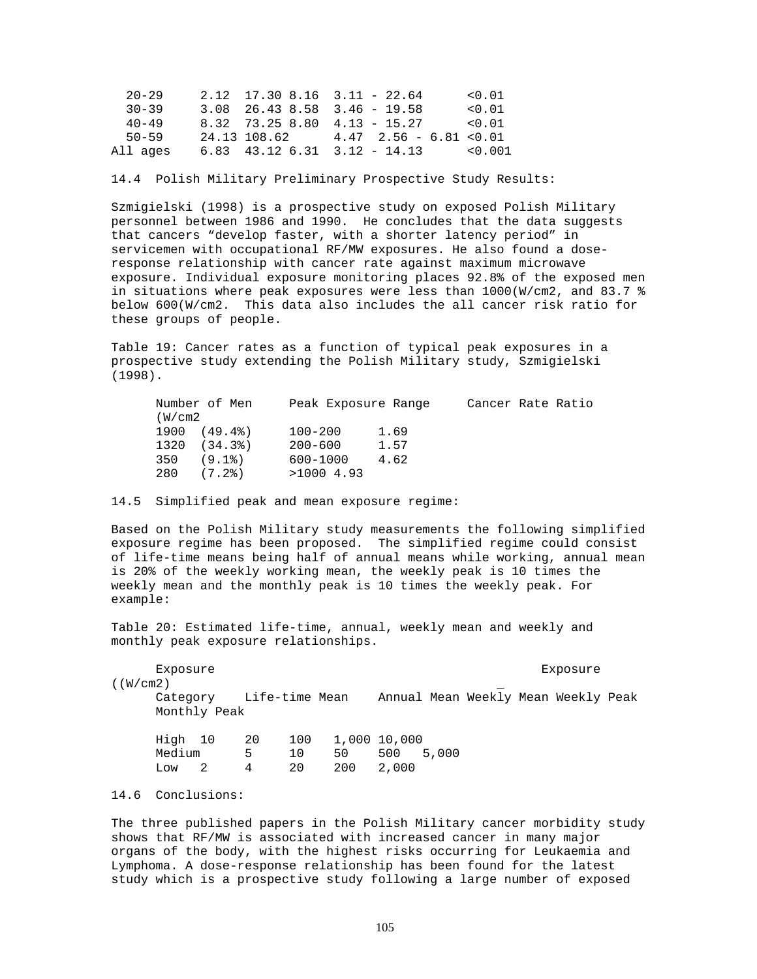| $20 - 29$ |                 | $2.12$ 17.30 8.16 3.11 - 22.64 | < 0.01 |
|-----------|-----------------|--------------------------------|--------|
| $30 - 39$ |                 | $3.08$ 26.43 8.58 3.46 - 19.58 | < 0.01 |
| $40 - 49$ |                 | 8.32 73.25 8.80 4.13 - 15.27   | < 0.01 |
| 50-59     | 24.13 108.62    | $4.47$ $2.56 - 6.81$ < 0.01    |        |
| All ages  | 6.83 43.12 6.31 | $3.12 - 14.13$ < 0.001         |        |

# 14.4 Polish Military Preliminary Prospective Study Results:

Szmigielski (1998) is a prospective study on exposed Polish Military personnel between 1986 and 1990. He concludes that the data suggests that cancers "develop faster, with a shorter latency period" in servicemen with occupational RF/MW exposures. He also found a doseresponse relationship with cancer rate against maximum microwave exposure. Individual exposure monitoring places 92.8% of the exposed men in situations where peak exposures were less than 1000(W/cm2, and 83.7 % below 600(W/cm2. This data also includes the all cancer risk ratio for these groups of people.

Table 19: Cancer rates as a function of typical peak exposures in a prospective study extending the Polish Military study, Szmigielski (1998).

|        | Number of Men | Peak Exposure Range |      | Cancer Rate Ratio |  |
|--------|---------------|---------------------|------|-------------------|--|
| (W/cm2 |               |                     |      |                   |  |
|        | 1900 (49.4%)  | 100-200             | 1.69 |                   |  |
|        | 1320(34.3%)   | $200 - 600$         | 1.57 |                   |  |
|        | 350 (9.1%)    | 600-1000            | 4.62 |                   |  |
| 280    | (7.2)         | $>1000$ 4.93        |      |                   |  |

#### 14.5 Simplified peak and mean exposure regime:

Based on the Polish Military study measurements the following simplified exposure regime has been proposed. The simplified regime could consist of life-time means being half of annual means while working, annual mean is 20% of the weekly working mean, the weekly peak is 10 times the weekly mean and the monthly peak is 10 times the weekly peak. For example:

Table 20: Estimated life-time, annual, weekly mean and weekly and monthly peak exposure relationships.

Exposure Exposure

 $($  (W/cm2)

Category Life-time Mean Annual Mean Weekly Mean Weekly Peak Monthly Peak

| High 10 | 20 | 100  | 1,000 10,000 |           |  |
|---------|----|------|--------------|-----------|--|
| Medium  | Б. | 10 D | 50           | 500 5,000 |  |
| Low     | 4  | 20   | 200 2,000    |           |  |

14.6 Conclusions:

The three published papers in the Polish Military cancer morbidity study shows that RF/MW is associated with increased cancer in many major organs of the body, with the highest risks occurring for Leukaemia and Lymphoma. A dose-response relationship has been found for the latest study which is a prospective study following a large number of exposed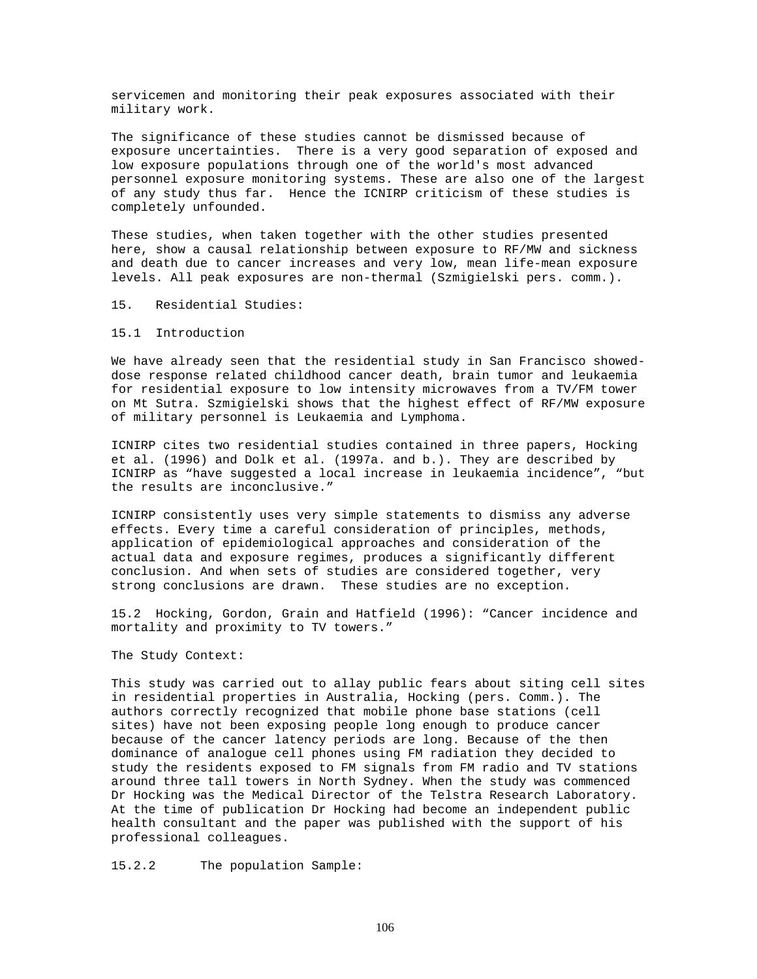servicemen and monitoring their peak exposures associated with their military work.

The significance of these studies cannot be dismissed because of exposure uncertainties. There is a very good separation of exposed and low exposure populations through one of the world's most advanced personnel exposure monitoring systems. These are also one of the largest of any study thus far. Hence the ICNIRP criticism of these studies is completely unfounded.

These studies, when taken together with the other studies presented here, show a causal relationship between exposure to RF/MW and sickness and death due to cancer increases and very low, mean life-mean exposure levels. All peak exposures are non-thermal (Szmigielski pers. comm.).

15. Residential Studies:

# 15.1 Introduction

We have already seen that the residential study in San Francisco showeddose response related childhood cancer death, brain tumor and leukaemia for residential exposure to low intensity microwaves from a TV/FM tower on Mt Sutra. Szmigielski shows that the highest effect of RF/MW exposure of military personnel is Leukaemia and Lymphoma.

ICNIRP cites two residential studies contained in three papers, Hocking et al. (1996) and Dolk et al. (1997a. and b.). They are described by ICNIRP as "have suggested a local increase in leukaemia incidence", "but the results are inconclusive."

ICNIRP consistently uses very simple statements to dismiss any adverse effects. Every time a careful consideration of principles, methods, application of epidemiological approaches and consideration of the actual data and exposure regimes, produces a significantly different conclusion. And when sets of studies are considered together, very strong conclusions are drawn. These studies are no exception.

15.2 Hocking, Gordon, Grain and Hatfield (1996): "Cancer incidence and mortality and proximity to TV towers."

The Study Context:

This study was carried out to allay public fears about siting cell sites in residential properties in Australia, Hocking (pers. Comm.). The authors correctly recognized that mobile phone base stations (cell sites) have not been exposing people long enough to produce cancer because of the cancer latency periods are long. Because of the then dominance of analogue cell phones using FM radiation they decided to study the residents exposed to FM signals from FM radio and TV stations around three tall towers in North Sydney. When the study was commenced Dr Hocking was the Medical Director of the Telstra Research Laboratory. At the time of publication Dr Hocking had become an independent public health consultant and the paper was published with the support of his professional colleagues.

15.2.2 The population Sample: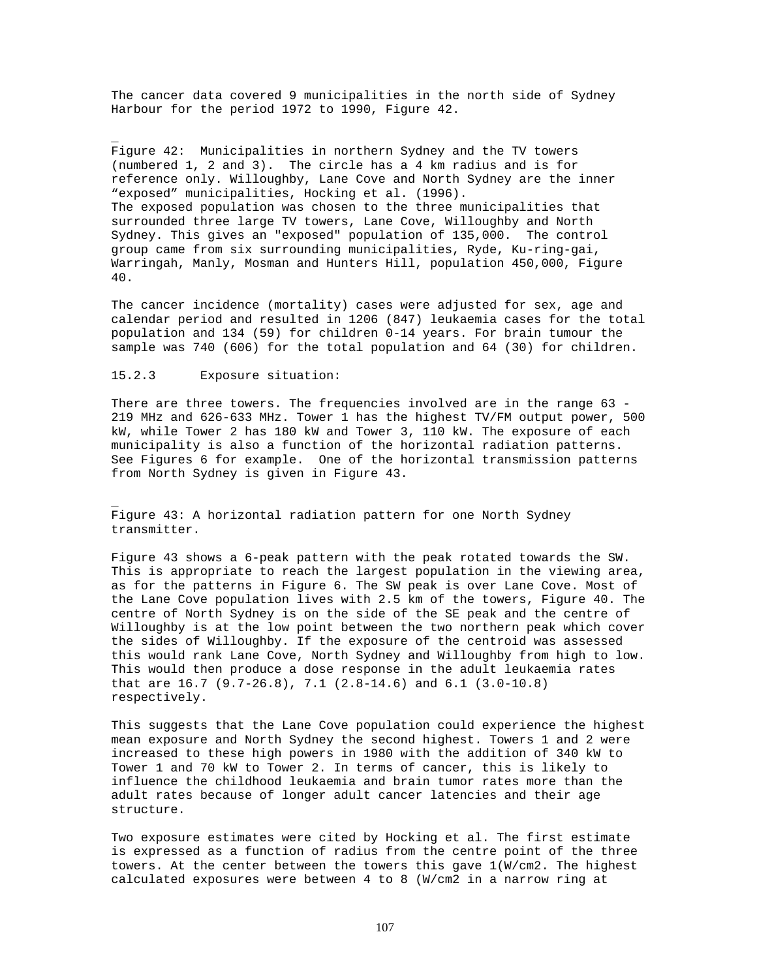The cancer data covered 9 municipalities in the north side of Sydney Harbour for the period 1972 to 1990, Figure 42.

Figure 42: Municipalities in northern Sydney and the TV towers (numbered 1, 2 and 3). The circle has a 4 km radius and is for reference only. Willoughby, Lane Cove and North Sydney are the inner "exposed" municipalities, Hocking et al. (1996). The exposed population was chosen to the three municipalities that surrounded three large TV towers, Lane Cove, Willoughby and North Sydney. This gives an "exposed" population of 135,000. The control group came from six surrounding municipalities, Ryde, Ku-ring-gai, Warringah, Manly, Mosman and Hunters Hill, population 450,000, Figure 40.

The cancer incidence (mortality) cases were adjusted for sex, age and calendar period and resulted in 1206 (847) leukaemia cases for the total population and 134 (59) for children 0-14 years. For brain tumour the sample was 740 (606) for the total population and 64 (30) for children.

## 15.2.3 Exposure situation:

\_

\_

There are three towers. The frequencies involved are in the range 63 - 219 MHz and 626-633 MHz. Tower 1 has the highest TV/FM output power, 500 kW, while Tower 2 has 180 kW and Tower 3, 110 kW. The exposure of each municipality is also a function of the horizontal radiation patterns. See Figures 6 for example. One of the horizontal transmission patterns from North Sydney is given in Figure 43.

Figure 43: A horizontal radiation pattern for one North Sydney transmitter.

Figure 43 shows a 6-peak pattern with the peak rotated towards the SW. This is appropriate to reach the largest population in the viewing area, as for the patterns in Figure 6. The SW peak is over Lane Cove. Most of the Lane Cove population lives with 2.5 km of the towers, Figure 40. The centre of North Sydney is on the side of the SE peak and the centre of Willoughby is at the low point between the two northern peak which cover the sides of Willoughby. If the exposure of the centroid was assessed this would rank Lane Cove, North Sydney and Willoughby from high to low. This would then produce a dose response in the adult leukaemia rates that are 16.7 (9.7-26.8), 7.1 (2.8-14.6) and 6.1 (3.0-10.8) respectively.

This suggests that the Lane Cove population could experience the highest mean exposure and North Sydney the second highest. Towers 1 and 2 were increased to these high powers in 1980 with the addition of 340 kW to Tower 1 and 70 kW to Tower 2. In terms of cancer, this is likely to influence the childhood leukaemia and brain tumor rates more than the adult rates because of longer adult cancer latencies and their age structure.

Two exposure estimates were cited by Hocking et al. The first estimate is expressed as a function of radius from the centre point of the three towers. At the center between the towers this gave 1(W/cm2. The highest calculated exposures were between 4 to 8 (W/cm2 in a narrow ring at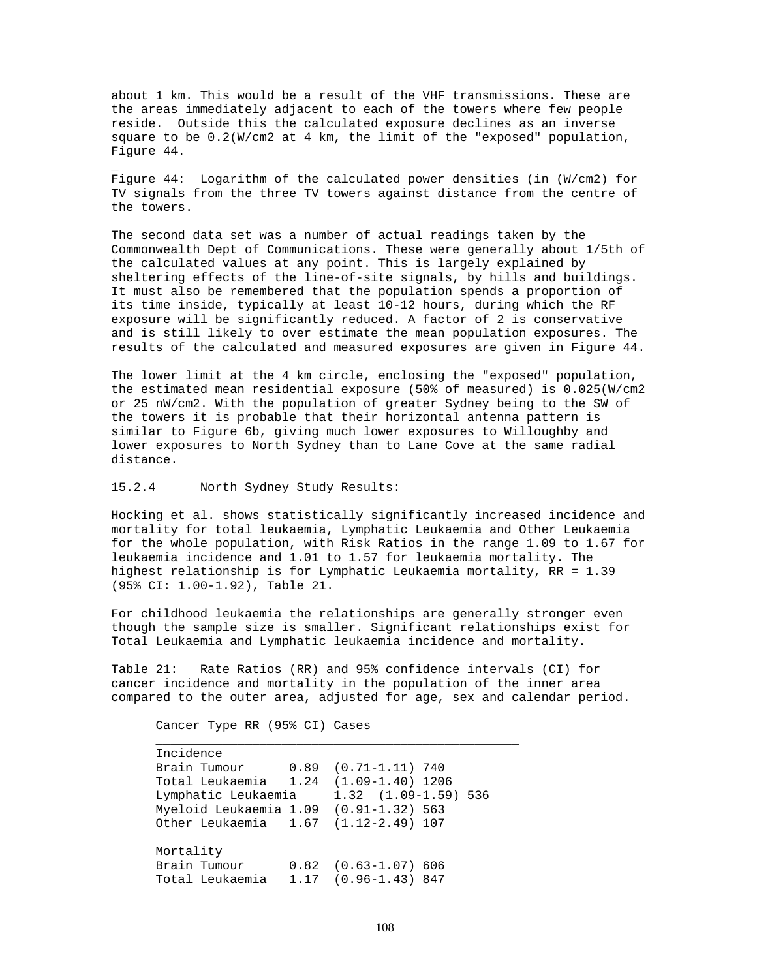about 1 km. This would be a result of the VHF transmissions. These are the areas immediately adjacent to each of the towers where few people reside. Outside this the calculated exposure declines as an inverse square to be 0.2(W/cm2 at 4 km, the limit of the "exposed" population, Figure 44.

Figure 44: Logarithm of the calculated power densities (in (W/cm2) for TV signals from the three TV towers against distance from the centre of the towers.

The second data set was a number of actual readings taken by the Commonwealth Dept of Communications. These were generally about 1/5th of the calculated values at any point. This is largely explained by sheltering effects of the line-of-site signals, by hills and buildings. It must also be remembered that the population spends a proportion of its time inside, typically at least 10-12 hours, during which the RF exposure will be significantly reduced. A factor of 2 is conservative and is still likely to over estimate the mean population exposures. The results of the calculated and measured exposures are given in Figure 44.

The lower limit at the 4 km circle, enclosing the "exposed" population, the estimated mean residential exposure (50% of measured) is 0.025(W/cm2 or 25 nW/cm2. With the population of greater Sydney being to the SW of the towers it is probable that their horizontal antenna pattern is similar to Figure 6b, giving much lower exposures to Willoughby and lower exposures to North Sydney than to Lane Cove at the same radial distance.

# 15.2.4 North Sydney Study Results:

\_

Hocking et al. shows statistically significantly increased incidence and mortality for total leukaemia, Lymphatic Leukaemia and Other Leukaemia for the whole population, with Risk Ratios in the range 1.09 to 1.67 for leukaemia incidence and 1.01 to 1.57 for leukaemia mortality. The highest relationship is for Lymphatic Leukaemia mortality, RR = 1.39 (95% CI: 1.00-1.92), Table 21.

For childhood leukaemia the relationships are generally stronger even though the sample size is smaller. Significant relationships exist for Total Leukaemia and Lymphatic leukaemia incidence and mortality.

Table 21: Rate Ratios (RR) and 95% confidence intervals (CI) for cancer incidence and mortality in the population of the inner area compared to the outer area, adjusted for age, sex and calendar period.

Cancer Type RR (95% CI) Cases

| Incidence                                 |                          |                          |  |
|-------------------------------------------|--------------------------|--------------------------|--|
| Brain Tumour 0.89 (0.71-1.11) 740         |                          |                          |  |
| Total Leukaemia   1.24   (1.09-1.40) 1206 |                          |                          |  |
| Lymphatic Leukaemia                       |                          | $1.32$ $(1.09-1.59)$ 536 |  |
| Myeloid Leukaemia 1.09 (0.91-1.32) 563    |                          |                          |  |
| Other Leukaemia 1.67 (1.12-2.49) 107      |                          |                          |  |
|                                           |                          |                          |  |
| Mortality                                 |                          |                          |  |
| Brain Tumour                              | $0.82$ $(0.63-1.07)$ 606 |                          |  |
| Total Leukaemia 1.17 (0.96-1.43) 847      |                          |                          |  |
|                                           |                          |                          |  |

\_\_\_\_\_\_\_\_\_\_\_\_\_\_\_\_\_\_\_\_\_\_\_\_\_\_\_\_\_\_\_\_\_\_\_\_\_\_\_\_\_\_\_\_\_\_\_\_\_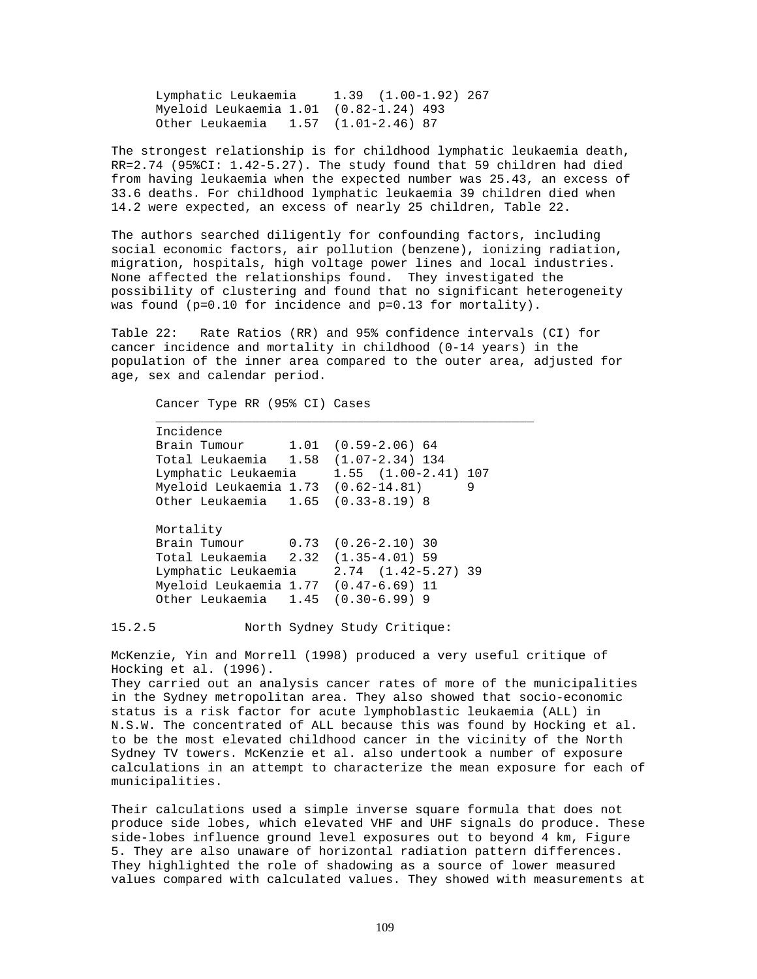Lymphatic Leukaemia 1.39 (1.00-1.92) 267 Myeloid Leukaemia 1.01 (0.82-1.24) 493 Other Leukaemia 1.57 (1.01-2.46) 87

The strongest relationship is for childhood lymphatic leukaemia death, RR=2.74 (95%CI: 1.42-5.27). The study found that 59 children had died from having leukaemia when the expected number was 25.43, an excess of 33.6 deaths. For childhood lymphatic leukaemia 39 children died when 14.2 were expected, an excess of nearly 25 children, Table 22.

The authors searched diligently for confounding factors, including social economic factors, air pollution (benzene), ionizing radiation, migration, hospitals, high voltage power lines and local industries. None affected the relationships found. They investigated the possibility of clustering and found that no significant heterogeneity was found (p=0.10 for incidence and p=0.13 for mortality).

Table 22: Rate Ratios (RR) and 95% confidence intervals (CI) for cancer incidence and mortality in childhood (0-14 years) in the population of the inner area compared to the outer area, adjusted for age, sex and calendar period.

\_\_\_\_\_\_\_\_\_\_\_\_\_\_\_\_\_\_\_\_\_\_\_\_\_\_\_\_\_\_\_\_\_\_\_\_\_\_\_\_\_\_\_\_\_\_\_\_\_\_\_

Cancer Type RR (95% CI) Cases

| Incidence                             |                          |   |
|---------------------------------------|--------------------------|---|
| Brain Tumour 1.01 (0.59-2.06) 64      |                          |   |
| Total Leukaemia 1.58 (1.07-2.34) 134  |                          |   |
| Lymphatic Leukaemia                   | $1.55$ $(1.00-2.41)$ 107 |   |
| Myeloid Leukaemia 1.73 (0.62-14.81)   |                          | 9 |
| Other Leukaemia 1.65 (0.33-8.19) 8    |                          |   |
| Mortality                             |                          |   |
| Brain Tumour 0.73 (0.26-2.10) 30      |                          |   |
| Total Leukaemia 2.32 (1.35-4.01) 59   |                          |   |
| Lymphatic Leukaemia                   | $2.74$ $(1.42-5.27)$ 39  |   |
| Myeloid Leukaemia 1.77 (0.47-6.69) 11 |                          |   |
| Other Leukaemia 1.45 (0.30-6.99) 9    |                          |   |

15.2.5 North Sydney Study Critique:

McKenzie, Yin and Morrell (1998) produced a very useful critique of Hocking et al. (1996).

They carried out an analysis cancer rates of more of the municipalities in the Sydney metropolitan area. They also showed that socio-economic status is a risk factor for acute lymphoblastic leukaemia (ALL) in N.S.W. The concentrated of ALL because this was found by Hocking et al. to be the most elevated childhood cancer in the vicinity of the North Sydney TV towers. McKenzie et al. also undertook a number of exposure calculations in an attempt to characterize the mean exposure for each of municipalities.

Their calculations used a simple inverse square formula that does not produce side lobes, which elevated VHF and UHF signals do produce. These side-lobes influence ground level exposures out to beyond 4 km, Figure 5. They are also unaware of horizontal radiation pattern differences. They highlighted the role of shadowing as a source of lower measured values compared with calculated values. They showed with measurements at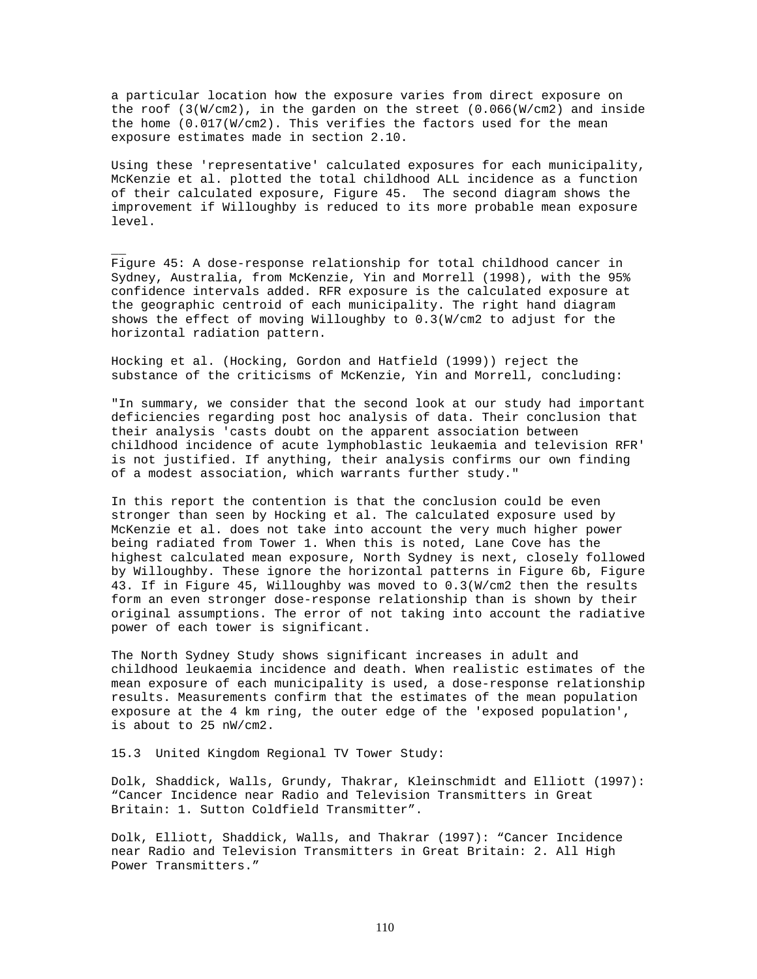a particular location how the exposure varies from direct exposure on the roof (3(W/cm2), in the garden on the street (0.066(W/cm2) and inside the home  $(0.017(W/cm2)$ . This verifies the factors used for the mean exposure estimates made in section 2.10.

Using these 'representative' calculated exposures for each municipality, McKenzie et al. plotted the total childhood ALL incidence as a function of their calculated exposure, Figure 45. The second diagram shows the improvement if Willoughby is reduced to its more probable mean exposure level.

Figure 45: A dose-response relationship for total childhood cancer in Sydney, Australia, from McKenzie, Yin and Morrell (1998), with the 95% confidence intervals added. RFR exposure is the calculated exposure at the geographic centroid of each municipality. The right hand diagram shows the effect of moving Willoughby to 0.3(W/cm2 to adjust for the horizontal radiation pattern.

Hocking et al. (Hocking, Gordon and Hatfield (1999)) reject the substance of the criticisms of McKenzie, Yin and Morrell, concluding:

"In summary, we consider that the second look at our study had important deficiencies regarding post hoc analysis of data. Their conclusion that their analysis 'casts doubt on the apparent association between childhood incidence of acute lymphoblastic leukaemia and television RFR' is not justified. If anything, their analysis confirms our own finding of a modest association, which warrants further study."

In this report the contention is that the conclusion could be even stronger than seen by Hocking et al. The calculated exposure used by McKenzie et al. does not take into account the very much higher power being radiated from Tower 1. When this is noted, Lane Cove has the highest calculated mean exposure, North Sydney is next, closely followed by Willoughby. These ignore the horizontal patterns in Figure 6b, Figure 43. If in Figure 45, Willoughby was moved to 0.3(W/cm2 then the results form an even stronger dose-response relationship than is shown by their original assumptions. The error of not taking into account the radiative power of each tower is significant.

The North Sydney Study shows significant increases in adult and childhood leukaemia incidence and death. When realistic estimates of the mean exposure of each municipality is used, a dose-response relationship results. Measurements confirm that the estimates of the mean population exposure at the 4 km ring, the outer edge of the 'exposed population', is about to 25 nW/cm2.

15.3 United Kingdom Regional TV Tower Study:

 $\overline{\phantom{a}}$ 

Dolk, Shaddick, Walls, Grundy, Thakrar, Kleinschmidt and Elliott (1997): "Cancer Incidence near Radio and Television Transmitters in Great Britain: 1. Sutton Coldfield Transmitter".

Dolk, Elliott, Shaddick, Walls, and Thakrar (1997): "Cancer Incidence near Radio and Television Transmitters in Great Britain: 2. All High Power Transmitters."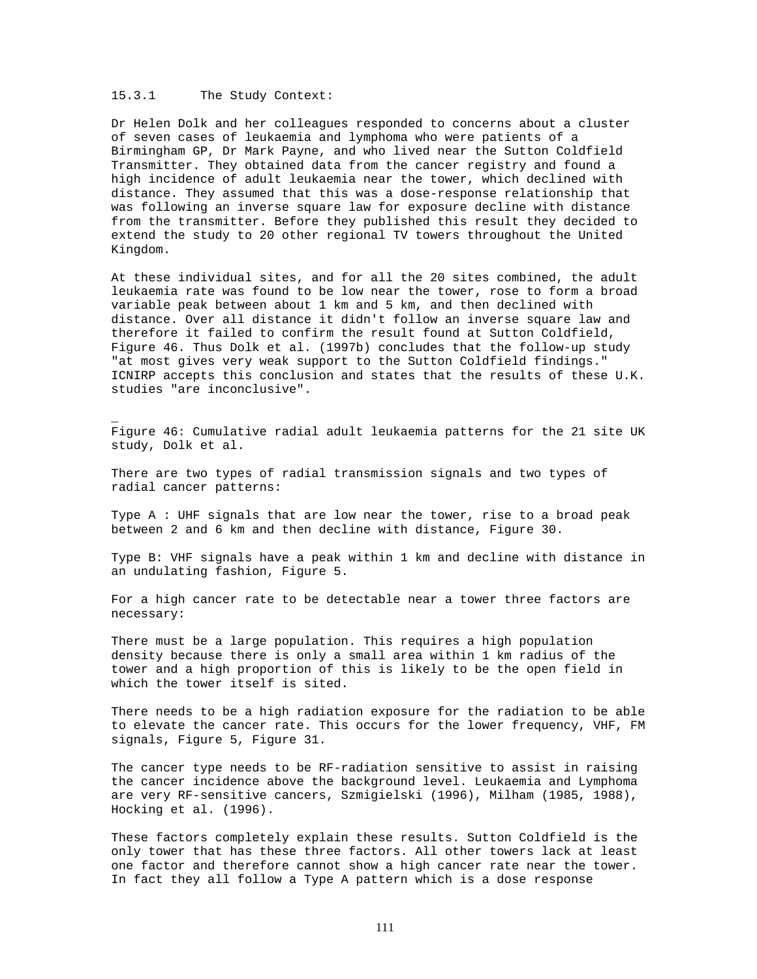# 15.3.1 The Study Context:

\_

Dr Helen Dolk and her colleagues responded to concerns about a cluster of seven cases of leukaemia and lymphoma who were patients of a Birmingham GP, Dr Mark Payne, and who lived near the Sutton Coldfield Transmitter. They obtained data from the cancer registry and found a high incidence of adult leukaemia near the tower, which declined with distance. They assumed that this was a dose-response relationship that was following an inverse square law for exposure decline with distance from the transmitter. Before they published this result they decided to extend the study to 20 other regional TV towers throughout the United Kingdom.

At these individual sites, and for all the 20 sites combined, the adult leukaemia rate was found to be low near the tower, rose to form a broad variable peak between about 1 km and 5 km, and then declined with distance. Over all distance it didn't follow an inverse square law and therefore it failed to confirm the result found at Sutton Coldfield, Figure 46. Thus Dolk et al. (1997b) concludes that the follow-up study "at most gives very weak support to the Sutton Coldfield findings." ICNIRP accepts this conclusion and states that the results of these U.K. studies "are inconclusive".

Figure 46: Cumulative radial adult leukaemia patterns for the 21 site UK study, Dolk et al.

There are two types of radial transmission signals and two types of radial cancer patterns:

Type A : UHF signals that are low near the tower, rise to a broad peak between 2 and 6 km and then decline with distance, Figure 30.

Type B: VHF signals have a peak within 1 km and decline with distance in an undulating fashion, Figure 5.

For a high cancer rate to be detectable near a tower three factors are necessary:

There must be a large population. This requires a high population density because there is only a small area within 1 km radius of the tower and a high proportion of this is likely to be the open field in which the tower itself is sited.

There needs to be a high radiation exposure for the radiation to be able to elevate the cancer rate. This occurs for the lower frequency, VHF, FM signals, Figure 5, Figure 31.

The cancer type needs to be RF-radiation sensitive to assist in raising the cancer incidence above the background level. Leukaemia and Lymphoma are very RF-sensitive cancers, Szmigielski (1996), Milham (1985, 1988), Hocking et al. (1996).

These factors completely explain these results. Sutton Coldfield is the only tower that has these three factors. All other towers lack at least one factor and therefore cannot show a high cancer rate near the tower. In fact they all follow a Type A pattern which is a dose response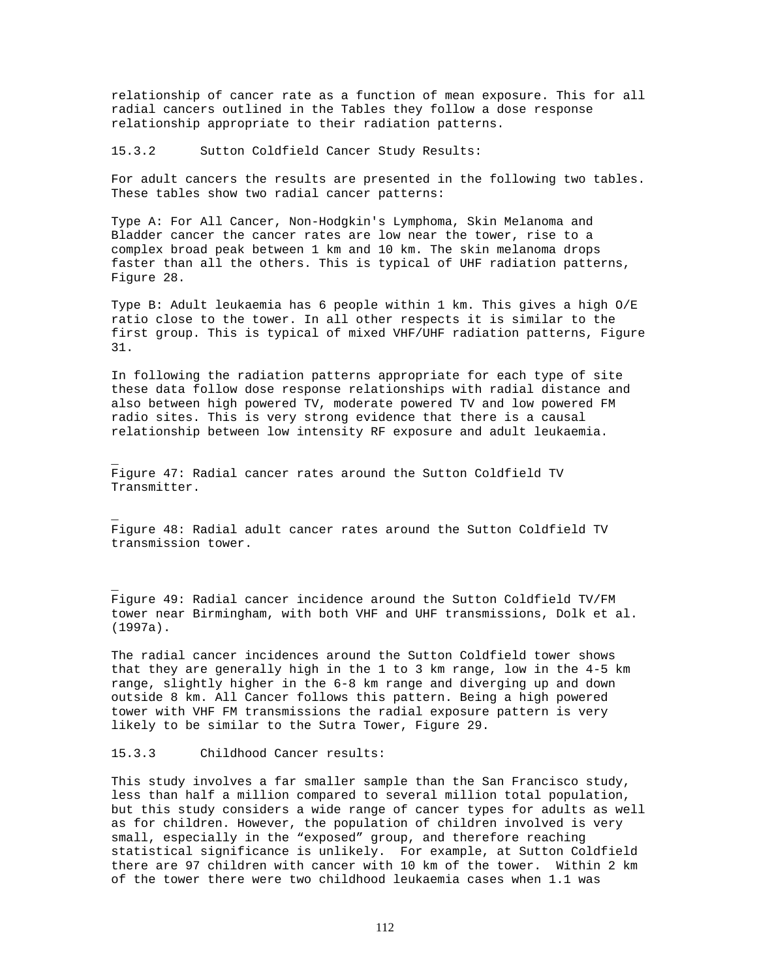relationship of cancer rate as a function of mean exposure. This for all radial cancers outlined in the Tables they follow a dose response relationship appropriate to their radiation patterns.

15.3.2 Sutton Coldfield Cancer Study Results:

For adult cancers the results are presented in the following two tables. These tables show two radial cancer patterns:

Type A: For All Cancer, Non-Hodgkin's Lymphoma, Skin Melanoma and Bladder cancer the cancer rates are low near the tower, rise to a complex broad peak between 1 km and 10 km. The skin melanoma drops faster than all the others. This is typical of UHF radiation patterns, Figure 28.

Type B: Adult leukaemia has 6 people within 1 km. This gives a high O/E ratio close to the tower. In all other respects it is similar to the first group. This is typical of mixed VHF/UHF radiation patterns, Figure 31.

In following the radiation patterns appropriate for each type of site these data follow dose response relationships with radial distance and also between high powered TV, moderate powered TV and low powered FM radio sites. This is very strong evidence that there is a causal relationship between low intensity RF exposure and adult leukaemia.

Figure 47: Radial cancer rates around the Sutton Coldfield TV Transmitter.

Figure 48: Radial adult cancer rates around the Sutton Coldfield TV transmission tower.

Figure 49: Radial cancer incidence around the Sutton Coldfield TV/FM tower near Birmingham, with both VHF and UHF transmissions, Dolk et al. (1997a).

The radial cancer incidences around the Sutton Coldfield tower shows that they are generally high in the 1 to 3 km range, low in the 4-5 km range, slightly higher in the 6-8 km range and diverging up and down outside 8 km. All Cancer follows this pattern. Being a high powered tower with VHF FM transmissions the radial exposure pattern is very likely to be similar to the Sutra Tower, Figure 29.

15.3.3 Childhood Cancer results:

\_

\_

\_

This study involves a far smaller sample than the San Francisco study, less than half a million compared to several million total population, but this study considers a wide range of cancer types for adults as well as for children. However, the population of children involved is very small, especially in the "exposed" group, and therefore reaching statistical significance is unlikely. For example, at Sutton Coldfield there are 97 children with cancer with 10 km of the tower. Within 2 km of the tower there were two childhood leukaemia cases when 1.1 was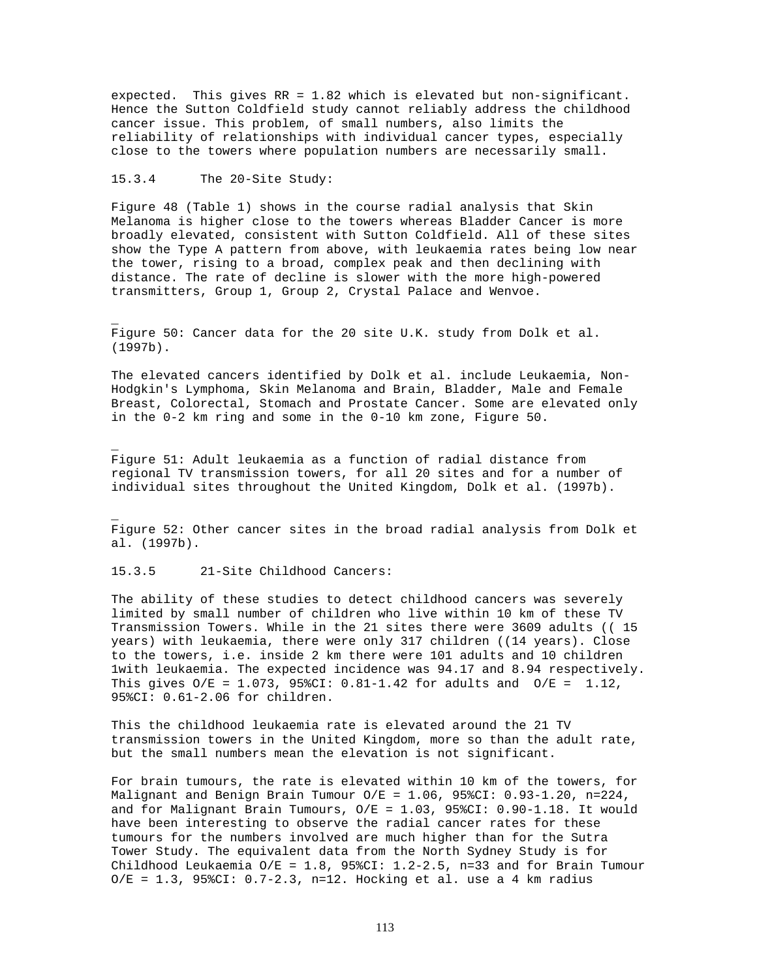expected. This gives RR = 1.82 which is elevated but non-significant. Hence the Sutton Coldfield study cannot reliably address the childhood cancer issue. This problem, of small numbers, also limits the reliability of relationships with individual cancer types, especially close to the towers where population numbers are necessarily small.

### 15.3.4 The 20-Site Study:

\_

\_

\_

Figure 48 (Table 1) shows in the course radial analysis that Skin Melanoma is higher close to the towers whereas Bladder Cancer is more broadly elevated, consistent with Sutton Coldfield. All of these sites show the Type A pattern from above, with leukaemia rates being low near the tower, rising to a broad, complex peak and then declining with distance. The rate of decline is slower with the more high-powered transmitters, Group 1, Group 2, Crystal Palace and Wenvoe.

Figure 50: Cancer data for the 20 site U.K. study from Dolk et al. (1997b).

The elevated cancers identified by Dolk et al. include Leukaemia, Non-Hodgkin's Lymphoma, Skin Melanoma and Brain, Bladder, Male and Female Breast, Colorectal, Stomach and Prostate Cancer. Some are elevated only in the 0-2 km ring and some in the 0-10 km zone, Figure 50.

Figure 51: Adult leukaemia as a function of radial distance from regional TV transmission towers, for all 20 sites and for a number of individual sites throughout the United Kingdom, Dolk et al. (1997b).

Figure 52: Other cancer sites in the broad radial analysis from Dolk et al. (1997b).

## 15.3.5 21-Site Childhood Cancers:

The ability of these studies to detect childhood cancers was severely limited by small number of children who live within 10 km of these TV Transmission Towers. While in the 21 sites there were 3609 adults (( 15 years) with leukaemia, there were only 317 children ((14 years). Close to the towers, i.e. inside 2 km there were 101 adults and 10 children 1with leukaemia. The expected incidence was 94.17 and 8.94 respectively. This gives  $O/E = 1.073$ , 95%CI: 0.81-1.42 for adults and  $O/E = 1.12$ , 95%CI: 0.61-2.06 for children.

This the childhood leukaemia rate is elevated around the 21 TV transmission towers in the United Kingdom, more so than the adult rate, but the small numbers mean the elevation is not significant.

For brain tumours, the rate is elevated within 10 km of the towers, for Malignant and Benign Brain Tumour  $O/E = 1.06$ , 95%CI: 0.93-1.20, n=224, and for Malignant Brain Tumours,  $0/E = 1.03$ , 95%CI: 0.90-1.18. It would have been interesting to observe the radial cancer rates for these tumours for the numbers involved are much higher than for the Sutra Tower Study. The equivalent data from the North Sydney Study is for Childhood Leukaemia O/E = 1.8, 95%CI: 1.2-2.5, n=33 and for Brain Tumour  $O/E = 1.3$ , 95%CI: 0.7-2.3, n=12. Hocking et al. use a 4 km radius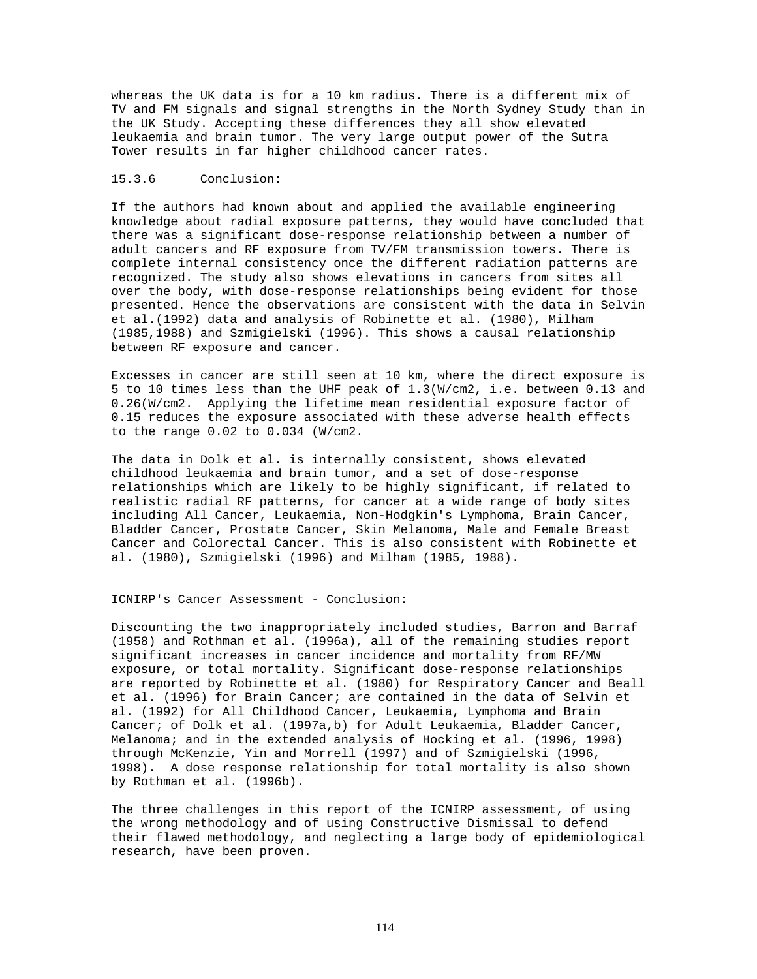whereas the UK data is for a 10 km radius. There is a different mix of TV and FM signals and signal strengths in the North Sydney Study than in the UK Study. Accepting these differences they all show elevated leukaemia and brain tumor. The very large output power of the Sutra Tower results in far higher childhood cancer rates.

### 15.3.6 Conclusion:

If the authors had known about and applied the available engineering knowledge about radial exposure patterns, they would have concluded that there was a significant dose-response relationship between a number of adult cancers and RF exposure from TV/FM transmission towers. There is complete internal consistency once the different radiation patterns are recognized. The study also shows elevations in cancers from sites all over the body, with dose-response relationships being evident for those presented. Hence the observations are consistent with the data in Selvin et al.(1992) data and analysis of Robinette et al. (1980), Milham (1985,1988) and Szmigielski (1996). This shows a causal relationship between RF exposure and cancer.

Excesses in cancer are still seen at 10 km, where the direct exposure is 5 to 10 times less than the UHF peak of 1.3(W/cm2, i.e. between 0.13 and 0.26(W/cm2. Applying the lifetime mean residential exposure factor of 0.15 reduces the exposure associated with these adverse health effects to the range 0.02 to 0.034 (W/cm2.

The data in Dolk et al. is internally consistent, shows elevated childhood leukaemia and brain tumor, and a set of dose-response relationships which are likely to be highly significant, if related to realistic radial RF patterns, for cancer at a wide range of body sites including All Cancer, Leukaemia, Non-Hodgkin's Lymphoma, Brain Cancer, Bladder Cancer, Prostate Cancer, Skin Melanoma, Male and Female Breast Cancer and Colorectal Cancer. This is also consistent with Robinette et al. (1980), Szmigielski (1996) and Milham (1985, 1988).

#### ICNIRP's Cancer Assessment - Conclusion:

Discounting the two inappropriately included studies, Barron and Barraf (1958) and Rothman et al. (1996a), all of the remaining studies report significant increases in cancer incidence and mortality from RF/MW exposure, or total mortality. Significant dose-response relationships are reported by Robinette et al. (1980) for Respiratory Cancer and Beall et al. (1996) for Brain Cancer; are contained in the data of Selvin et al. (1992) for All Childhood Cancer, Leukaemia, Lymphoma and Brain Cancer; of Dolk et al. (1997a,b) for Adult Leukaemia, Bladder Cancer, Melanoma; and in the extended analysis of Hocking et al. (1996, 1998) through McKenzie, Yin and Morrell (1997) and of Szmigielski (1996, 1998). A dose response relationship for total mortality is also shown by Rothman et al. (1996b).

The three challenges in this report of the ICNIRP assessment, of using the wrong methodology and of using Constructive Dismissal to defend their flawed methodology, and neglecting a large body of epidemiological research, have been proven.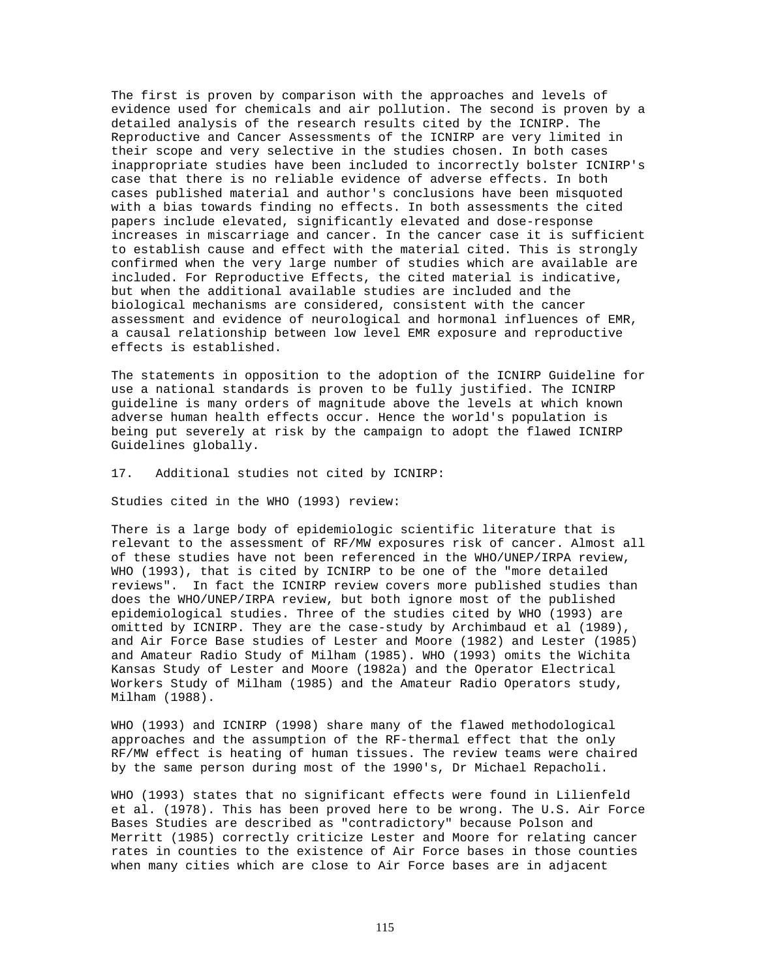The first is proven by comparison with the approaches and levels of evidence used for chemicals and air pollution. The second is proven by a detailed analysis of the research results cited by the ICNIRP. The Reproductive and Cancer Assessments of the ICNIRP are very limited in their scope and very selective in the studies chosen. In both cases inappropriate studies have been included to incorrectly bolster ICNIRP's case that there is no reliable evidence of adverse effects. In both cases published material and author's conclusions have been misquoted with a bias towards finding no effects. In both assessments the cited papers include elevated, significantly elevated and dose-response increases in miscarriage and cancer. In the cancer case it is sufficient to establish cause and effect with the material cited. This is strongly confirmed when the very large number of studies which are available are included. For Reproductive Effects, the cited material is indicative, but when the additional available studies are included and the biological mechanisms are considered, consistent with the cancer assessment and evidence of neurological and hormonal influences of EMR, a causal relationship between low level EMR exposure and reproductive effects is established.

The statements in opposition to the adoption of the ICNIRP Guideline for use a national standards is proven to be fully justified. The ICNIRP guideline is many orders of magnitude above the levels at which known adverse human health effects occur. Hence the world's population is being put severely at risk by the campaign to adopt the flawed ICNIRP Guidelines globally.

### 17. Additional studies not cited by ICNIRP:

Studies cited in the WHO (1993) review:

There is a large body of epidemiologic scientific literature that is relevant to the assessment of RF/MW exposures risk of cancer. Almost all of these studies have not been referenced in the WHO/UNEP/IRPA review, WHO (1993), that is cited by ICNIRP to be one of the "more detailed reviews". In fact the ICNIRP review covers more published studies than does the WHO/UNEP/IRPA review, but both ignore most of the published epidemiological studies. Three of the studies cited by WHO (1993) are omitted by ICNIRP. They are the case-study by Archimbaud et al (1989), and Air Force Base studies of Lester and Moore (1982) and Lester (1985) and Amateur Radio Study of Milham (1985). WHO (1993) omits the Wichita Kansas Study of Lester and Moore (1982a) and the Operator Electrical Workers Study of Milham (1985) and the Amateur Radio Operators study, Milham (1988).

WHO (1993) and ICNIRP (1998) share many of the flawed methodological approaches and the assumption of the RF-thermal effect that the only RF/MW effect is heating of human tissues. The review teams were chaired by the same person during most of the 1990's, Dr Michael Repacholi.

WHO (1993) states that no significant effects were found in Lilienfeld et al. (1978). This has been proved here to be wrong. The U.S. Air Force Bases Studies are described as "contradictory" because Polson and Merritt (1985) correctly criticize Lester and Moore for relating cancer rates in counties to the existence of Air Force bases in those counties when many cities which are close to Air Force bases are in adjacent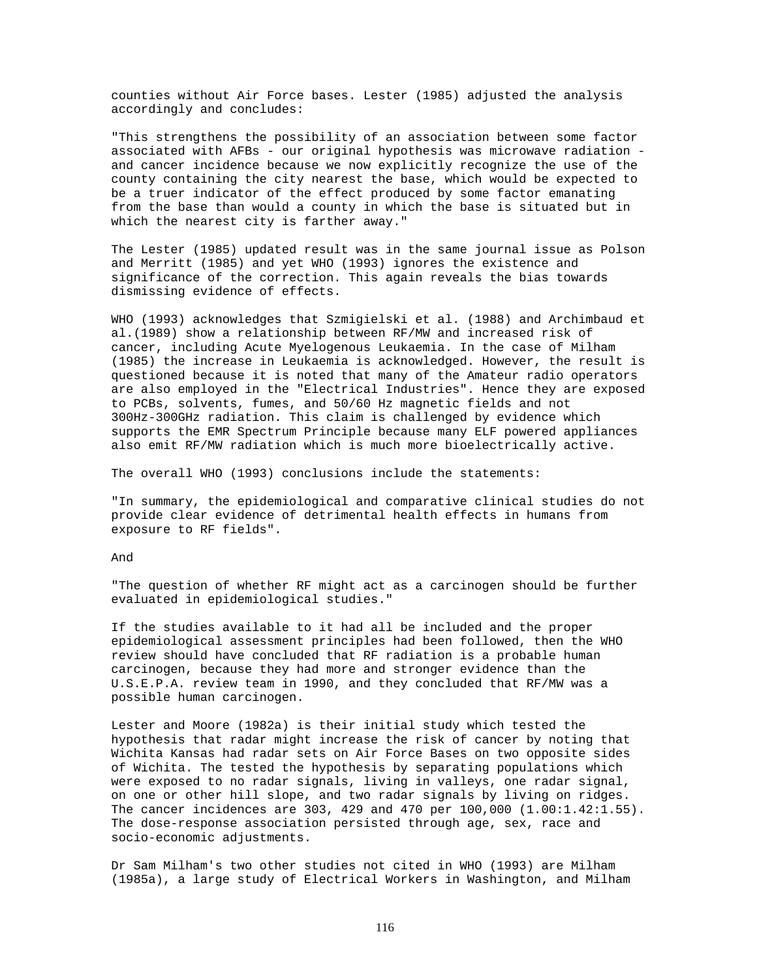counties without Air Force bases. Lester (1985) adjusted the analysis accordingly and concludes:

"This strengthens the possibility of an association between some factor associated with AFBs - our original hypothesis was microwave radiation and cancer incidence because we now explicitly recognize the use of the county containing the city nearest the base, which would be expected to be a truer indicator of the effect produced by some factor emanating from the base than would a county in which the base is situated but in which the nearest city is farther away."

The Lester (1985) updated result was in the same journal issue as Polson and Merritt (1985) and yet WHO (1993) ignores the existence and significance of the correction. This again reveals the bias towards dismissing evidence of effects.

WHO (1993) acknowledges that Szmigielski et al. (1988) and Archimbaud et al.(1989) show a relationship between RF/MW and increased risk of cancer, including Acute Myelogenous Leukaemia. In the case of Milham (1985) the increase in Leukaemia is acknowledged. However, the result is questioned because it is noted that many of the Amateur radio operators are also employed in the "Electrical Industries". Hence they are exposed to PCBs, solvents, fumes, and 50/60 Hz magnetic fields and not 300Hz-300GHz radiation. This claim is challenged by evidence which supports the EMR Spectrum Principle because many ELF powered appliances also emit RF/MW radiation which is much more bioelectrically active.

The overall WHO (1993) conclusions include the statements:

"In summary, the epidemiological and comparative clinical studies do not provide clear evidence of detrimental health effects in humans from exposure to RF fields".

# And

"The question of whether RF might act as a carcinogen should be further evaluated in epidemiological studies."

If the studies available to it had all be included and the proper epidemiological assessment principles had been followed, then the WHO review should have concluded that RF radiation is a probable human carcinogen, because they had more and stronger evidence than the U.S.E.P.A. review team in 1990, and they concluded that RF/MW was a possible human carcinogen.

Lester and Moore (1982a) is their initial study which tested the hypothesis that radar might increase the risk of cancer by noting that Wichita Kansas had radar sets on Air Force Bases on two opposite sides of Wichita. The tested the hypothesis by separating populations which were exposed to no radar signals, living in valleys, one radar signal, on one or other hill slope, and two radar signals by living on ridges. The cancer incidences are 303, 429 and 470 per 100,000 (1.00:1.42:1.55). The dose-response association persisted through age, sex, race and socio-economic adjustments.

Dr Sam Milham's two other studies not cited in WHO (1993) are Milham (1985a), a large study of Electrical Workers in Washington, and Milham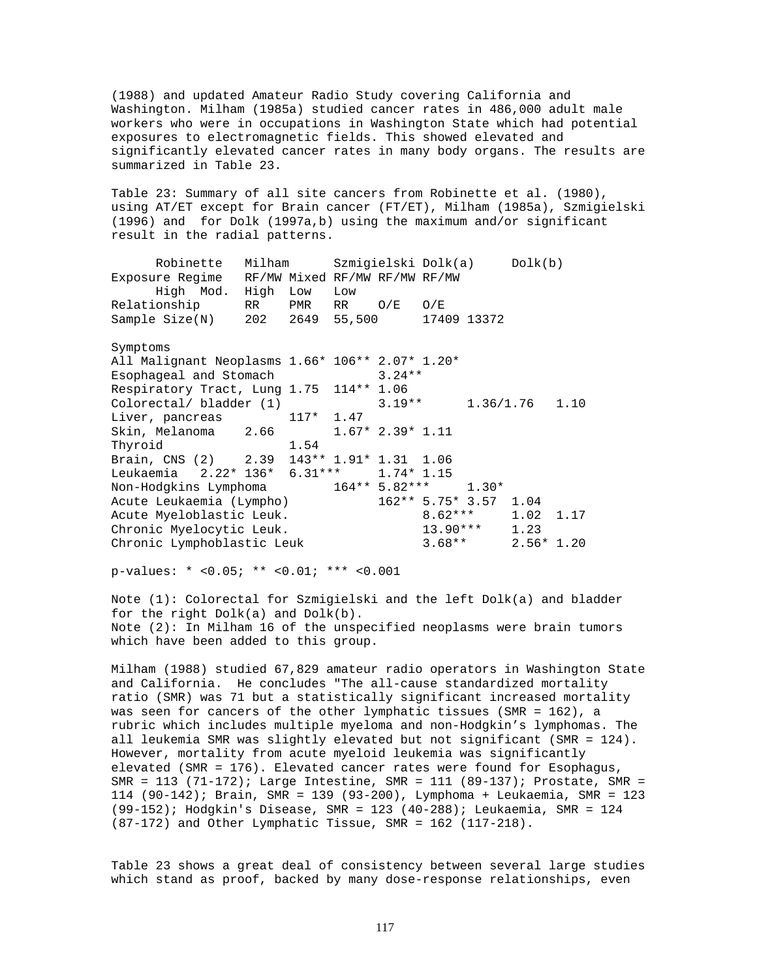(1988) and updated Amateur Radio Study covering California and Washington. Milham (1985a) studied cancer rates in 486,000 adult male workers who were in occupations in Washington State which had potential exposures to electromagnetic fields. This showed elevated and significantly elevated cancer rates in many body organs. The results are summarized in Table 23.

Table 23: Summary of all site cancers from Robinette et al. (1980), using AT/ET except for Brain cancer (FT/ET), Milham (1985a), Szmigielski (1996) and for Dolk (1997a,b) using the maximum and/or significant result in the radial patterns.

Robinette Milham Szmigielski Dolk(a) Dolk(b) Exposure Regime RF/MW Mixed RF/MW RF/MW RF/MW High Mod. High Low Low Relationship RR PMR RR O/E O/E<br>Sample Size(N) 202 2649 55,500 174 Sample Size(N) 202 2649 55,500 17409 13372

Symptoms

All Malignant Neoplasms 1.66\* 106\*\* 2.07\* 1.20\* Esophageal and Stomach 3.24\*\* Respiratory Tract, Lung 1.75 114\*\* 1.06 Colorectal/ bladder (1) 3.19\*\* 1.36/1.76 1.10 Liver, pancreas 117\* 1.47 Skin, Melanoma 2.66 1.67\* 2.39\* 1.11 Thyroid 1.54 Brain, CNS (2) 2.39 143\*\* 1.91\* 1.31 1.06<br>Leukaemia 2.22\* 136\* 6.31\*\*\* 1.74\* 1.15 Leukaemia 2.22\* 136\* 6.31\*\*\* 1.74\* 1.<br>Non-Hodgkins Lymphoma 164\*\* 5.82\*\*\* Non-Hodgkins Lymphoma  $164**$  5.82\*\*\* 1.30\*<br>Acute Leukaemia (Lympho) 162\*\* 5.75\* 3.57 1.04 Acute Leukaemia (Lympho) Acute Myeloblastic Leuk.  $8.62***$  1.02 1.17<br>Chronic Myelocytic Leuk. 13.90\*\*\* 1.23 Chronic Myelocytic Leuk. 13.90\*\*\* 1.23<br>
Chronic Lymphoblastic Leuk 3.68\*\* 2.56\* 1.20 Chronic Lymphoblastic Leuk

p-values: \* <0.05; \*\* <0.01; \*\*\* <0.001

Note (1): Colorectal for Szmigielski and the left Dolk(a) and bladder for the right Dolk(a) and Dolk(b). Note (2): In Milham 16 of the unspecified neoplasms were brain tumors which have been added to this group.

Milham (1988) studied 67,829 amateur radio operators in Washington State and California. He concludes "The all-cause standardized mortality ratio (SMR) was 71 but a statistically significant increased mortality was seen for cancers of the other lymphatic tissues (SMR = 162), a rubric which includes multiple myeloma and non-Hodgkin's lymphomas. The all leukemia SMR was slightly elevated but not significant (SMR = 124). However, mortality from acute myeloid leukemia was significantly elevated (SMR = 176). Elevated cancer rates were found for Esophagus, SMR = 113 (71-172); Large Intestine, SMR = 111 (89-137); Prostate, SMR = 114 (90-142); Brain, SMR = 139 (93-200), Lymphoma + Leukaemia, SMR = 123 (99-152); Hodgkin's Disease, SMR = 123 (40-288); Leukaemia, SMR = 124 (87-172) and Other Lymphatic Tissue, SMR = 162 (117-218).

Table 23 shows a great deal of consistency between several large studies which stand as proof, backed by many dose-response relationships, even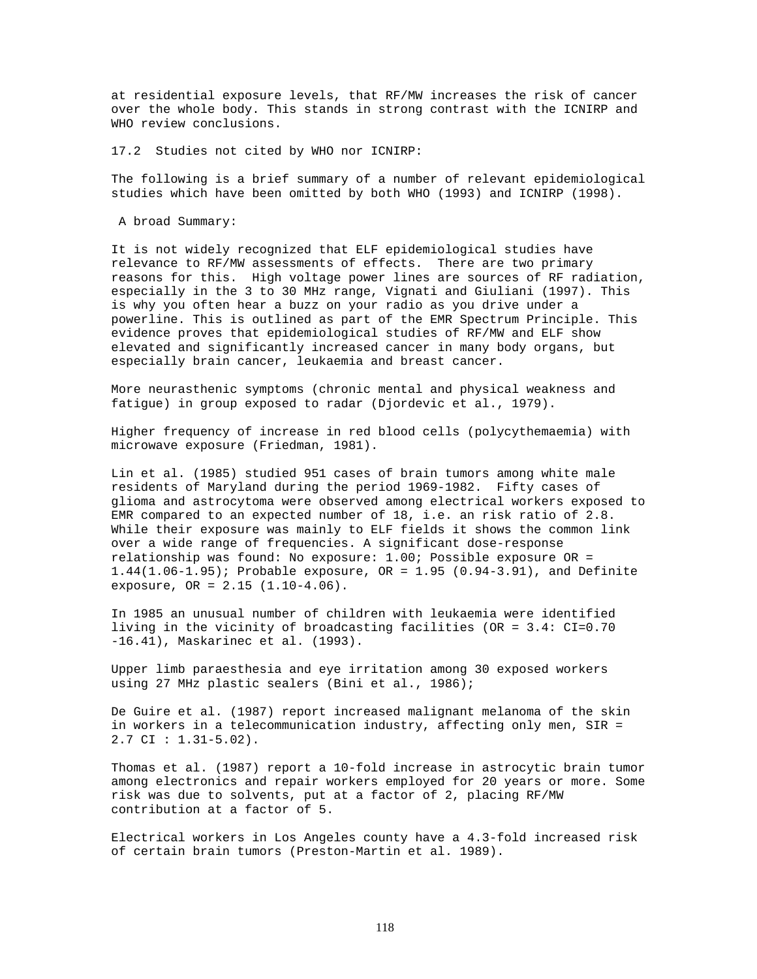at residential exposure levels, that RF/MW increases the risk of cancer over the whole body. This stands in strong contrast with the ICNIRP and WHO review conclusions.

17.2 Studies not cited by WHO nor ICNIRP:

The following is a brief summary of a number of relevant epidemiological studies which have been omitted by both WHO (1993) and ICNIRP (1998).

A broad Summary:

It is not widely recognized that ELF epidemiological studies have relevance to RF/MW assessments of effects. There are two primary reasons for this. High voltage power lines are sources of RF radiation, especially in the 3 to 30 MHz range, Vignati and Giuliani (1997). This is why you often hear a buzz on your radio as you drive under a powerline. This is outlined as part of the EMR Spectrum Principle. This evidence proves that epidemiological studies of RF/MW and ELF show elevated and significantly increased cancer in many body organs, but especially brain cancer, leukaemia and breast cancer.

More neurasthenic symptoms (chronic mental and physical weakness and fatigue) in group exposed to radar (Djordevic et al., 1979).

Higher frequency of increase in red blood cells (polycythemaemia) with microwave exposure (Friedman, 1981).

Lin et al. (1985) studied 951 cases of brain tumors among white male residents of Maryland during the period 1969-1982. Fifty cases of glioma and astrocytoma were observed among electrical workers exposed to EMR compared to an expected number of 18, i.e. an risk ratio of 2.8. While their exposure was mainly to ELF fields it shows the common link over a wide range of frequencies. A significant dose-response relationship was found: No exposure: 1.00; Possible exposure OR = 1.44(1.06-1.95); Probable exposure, OR = 1.95 (0.94-3.91), and Definite exposure, OR = 2.15 (1.10-4.06).

In 1985 an unusual number of children with leukaemia were identified living in the vicinity of broadcasting facilities (OR = 3.4: CI=0.70 -16.41), Maskarinec et al. (1993).

Upper limb paraesthesia and eye irritation among 30 exposed workers using 27 MHz plastic sealers (Bini et al., 1986);

De Guire et al. (1987) report increased malignant melanoma of the skin in workers in a telecommunication industry, affecting only men, SIR = 2.7 CI : 1.31-5.02).

Thomas et al. (1987) report a 10-fold increase in astrocytic brain tumor among electronics and repair workers employed for 20 years or more. Some risk was due to solvents, put at a factor of 2, placing RF/MW contribution at a factor of 5.

Electrical workers in Los Angeles county have a 4.3-fold increased risk of certain brain tumors (Preston-Martin et al. 1989).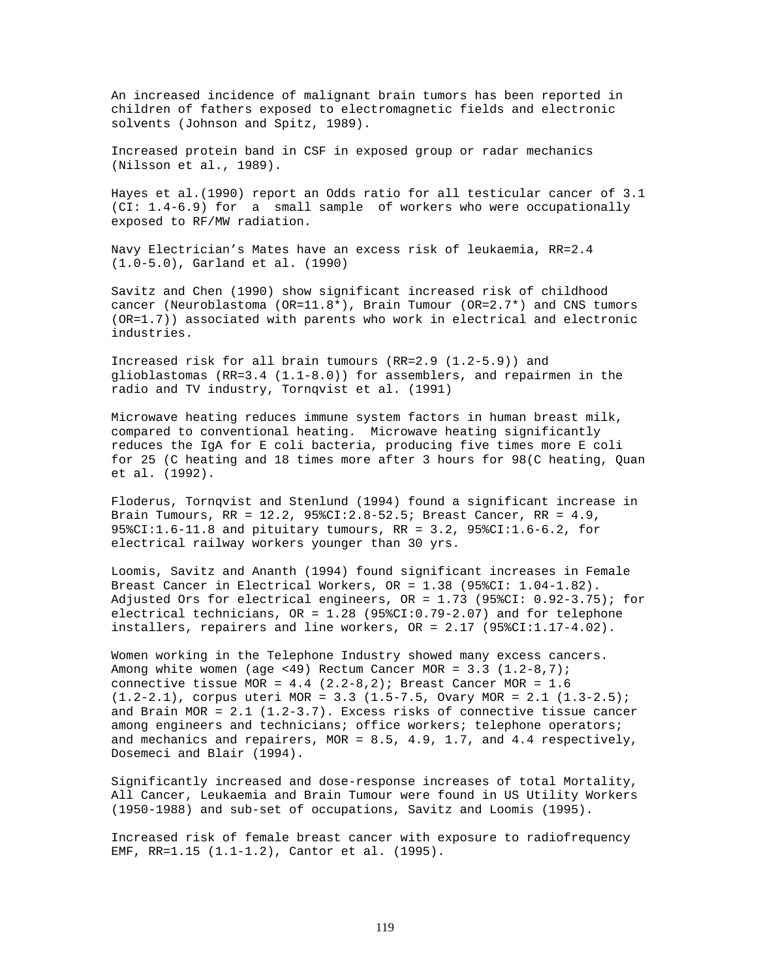An increased incidence of malignant brain tumors has been reported in children of fathers exposed to electromagnetic fields and electronic solvents (Johnson and Spitz, 1989).

Increased protein band in CSF in exposed group or radar mechanics (Nilsson et al., 1989).

Hayes et al.(1990) report an Odds ratio for all testicular cancer of 3.1 (CI: 1.4-6.9) for a small sample of workers who were occupationally exposed to RF/MW radiation.

Navy Electrician's Mates have an excess risk of leukaemia, RR=2.4 (1.0-5.0), Garland et al. (1990)

Savitz and Chen (1990) show significant increased risk of childhood cancer (Neuroblastoma (OR=11.8\*), Brain Tumour (OR=2.7\*) and CNS tumors (OR=1.7)) associated with parents who work in electrical and electronic industries.

Increased risk for all brain tumours (RR=2.9 (1.2-5.9)) and glioblastomas (RR=3.4 (1.1-8.0)) for assemblers, and repairmen in the radio and TV industry, Tornqvist et al. (1991)

Microwave heating reduces immune system factors in human breast milk, compared to conventional heating. Microwave heating significantly reduces the IgA for E coli bacteria, producing five times more E coli for 25 (C heating and 18 times more after 3 hours for 98(C heating, Quan et al. (1992).

Floderus, Tornqvist and Stenlund (1994) found a significant increase in Brain Tumours, RR = 12.2, 95%CI:2.8-52.5; Breast Cancer, RR = 4.9, 95%CI:1.6-11.8 and pituitary tumours, RR = 3.2, 95%CI:1.6-6.2, for electrical railway workers younger than 30 yrs.

Loomis, Savitz and Ananth (1994) found significant increases in Female Breast Cancer in Electrical Workers, OR = 1.38 (95%CI: 1.04-1.82). Adjusted Ors for electrical engineers, OR = 1.73 (95%CI: 0.92-3.75); for electrical technicians, OR = 1.28 (95%CI:0.79-2.07) and for telephone installers, repairers and line workers, OR = 2.17 (95%CI:1.17-4.02).

Women working in the Telephone Industry showed many excess cancers. Among white women (age <49) Rectum Cancer MOR =  $3.3$  (1.2-8,7); connective tissue MOR =  $4.4$  (2.2-8,2); Breast Cancer MOR = 1.6  $(1.2-2.1)$ , corpus uteri MOR = 3.3  $(1.5-7.5,$  Ovary MOR = 2.1  $(1.3-2.5)$ ; and Brain MOR =  $2.1$  (1.2-3.7). Excess risks of connective tissue cancer among engineers and technicians; office workers; telephone operators; and mechanics and repairers, MOR = 8.5, 4.9, 1.7, and 4.4 respectively, Dosemeci and Blair (1994).

Significantly increased and dose-response increases of total Mortality, All Cancer, Leukaemia and Brain Tumour were found in US Utility Workers (1950-1988) and sub-set of occupations, Savitz and Loomis (1995).

Increased risk of female breast cancer with exposure to radiofrequency EMF, RR=1.15 (1.1-1.2), Cantor et al. (1995).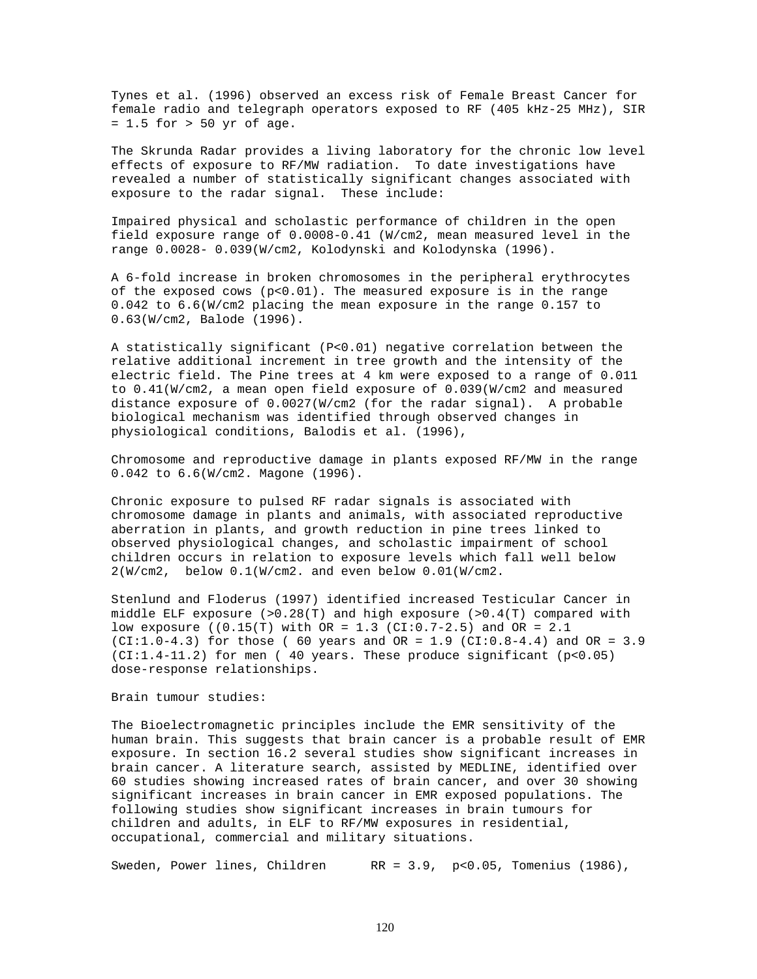Tynes et al. (1996) observed an excess risk of Female Breast Cancer for female radio and telegraph operators exposed to RF (405 kHz-25 MHz), SIR = 1.5 for > 50 yr of age.

The Skrunda Radar provides a living laboratory for the chronic low level effects of exposure to RF/MW radiation. To date investigations have revealed a number of statistically significant changes associated with exposure to the radar signal. These include:

Impaired physical and scholastic performance of children in the open field exposure range of 0.0008-0.41 (W/cm2, mean measured level in the range 0.0028- 0.039(W/cm2, Kolodynski and Kolodynska (1996).

A 6-fold increase in broken chromosomes in the peripheral erythrocytes of the exposed cows (p<0.01). The measured exposure is in the range 0.042 to 6.6(W/cm2 placing the mean exposure in the range 0.157 to 0.63(W/cm2, Balode (1996).

A statistically significant (P<0.01) negative correlation between the relative additional increment in tree growth and the intensity of the electric field. The Pine trees at 4 km were exposed to a range of 0.011 to 0.41(W/cm2, a mean open field exposure of 0.039(W/cm2 and measured distance exposure of 0.0027(W/cm2 (for the radar signal). A probable biological mechanism was identified through observed changes in physiological conditions, Balodis et al. (1996),

Chromosome and reproductive damage in plants exposed RF/MW in the range 0.042 to 6.6(W/cm2. Magone (1996).

Chronic exposure to pulsed RF radar signals is associated with chromosome damage in plants and animals, with associated reproductive aberration in plants, and growth reduction in pine trees linked to observed physiological changes, and scholastic impairment of school children occurs in relation to exposure levels which fall well below 2(W/cm2, below 0.1(W/cm2. and even below 0.01(W/cm2.

Stenlund and Floderus (1997) identified increased Testicular Cancer in middle ELF exposure  $(>0.28(T))$  and high exposure  $(>0.4(T))$  compared with low exposure ((0.15(T) with  $OR = 1.3$  (CI:0.7-2.5) and  $OR = 2.1$ (CI:1.0-4.3) for those (  $60$  years and  $OR = 1.9$  (CI:0.8-4.4) and  $OR = 3.9$  $(CI:1.4-11.2)$  for men (40 years. These produce significant (p<0.05) dose-response relationships.

## Brain tumour studies:

The Bioelectromagnetic principles include the EMR sensitivity of the human brain. This suggests that brain cancer is a probable result of EMR exposure. In section 16.2 several studies show significant increases in brain cancer. A literature search, assisted by MEDLINE, identified over 60 studies showing increased rates of brain cancer, and over 30 showing significant increases in brain cancer in EMR exposed populations. The following studies show significant increases in brain tumours for children and adults, in ELF to RF/MW exposures in residential, occupational, commercial and military situations.

Sweden, Power lines, Children RR = 3.9, p<0.05, Tomenius (1986),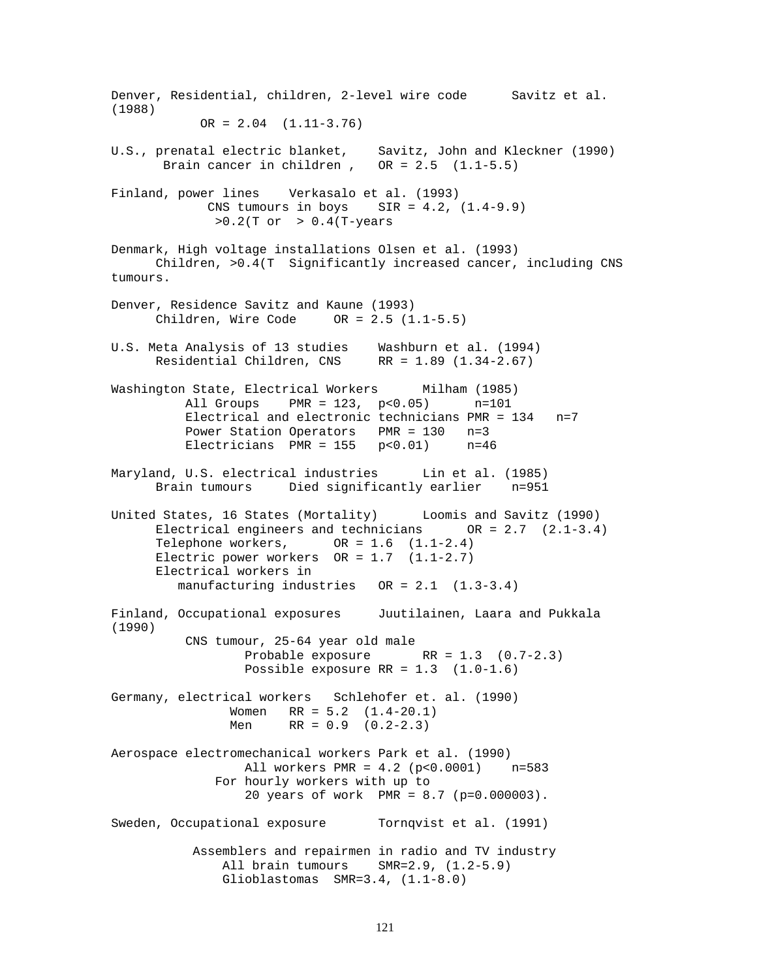Denver, Residential, children, 2-level wire code Savitz et al. (1988)  $OR = 2.04$   $(1.11-3.76)$ U.S., prenatal electric blanket, Savitz, John and Kleckner (1990) Brain cancer in children,  $OR = 2.5$   $(1.1-5.5)$ Finland, power lines Verkasalo et al. (1993) CNS tumours in boys SIR =  $4.2$ ,  $(1.4-9.9)$  $>0.2(T \text{ or } > 0.4(T-years))$ Denmark, High voltage installations Olsen et al. (1993) Children, >0.4(T Significantly increased cancer, including CNS tumours. Denver, Residence Savitz and Kaune (1993) Children, Wire Code  $OR = 2.5 (1.1-5.5)$ U.S. Meta Analysis of 13 studies Washburn et al. (1994) Residential Children, CNS RR = 1.89 (1.34-2.67) Washington State, Electrical Workers Milham (1985) All Groups PMR = 123, p<0.05) n=101 Electrical and electronic technicians PMR = 134 n=7 Power Station Operators PMR = 130 n=3 Electricians PMR =  $155$  p<0.01) n=46 Maryland, U.S. electrical industries Lin et al. (1985) Brain tumours Died significantly earlier n=951 United States, 16 States (Mortality) Loomis and Savitz (1990) Electrical engineers and technicians OR = 2.7 (2.1-3.4) Telephone workers,  $OR = 1.6 (1.1-2.4)$ Electric power workers  $OR = 1.7$   $(1.1-2.7)$  Electrical workers in manufacturing industries OR = 2.1 (1.3-3.4) Finland, Occupational exposures Juutilainen, Laara and Pukkala (1990) CNS tumour, 25-64 year old male Probable exposure RR = 1.3 (0.7-2.3) Possible exposure  $RR = 1.3$   $(1.0-1.6)$ Germany, electrical workers Schlehofer et. al. (1990) Women RR = 5.2 (1.4-20.1) Men RR =  $0.9$  (0.2-2.3) Aerospace electromechanical workers Park et al. (1990) All workers PMR = 4.2 (p<0.0001) n=583 For hourly workers with up to 20 years of work PMR = 8.7 (p=0.000003). Sweden, Occupational exposure Tornqvist et al. (1991) Assemblers and repairmen in radio and TV industry All brain tumours SMR=2.9, (1.2-5.9) Glioblastomas SMR=3.4, (1.1-8.0)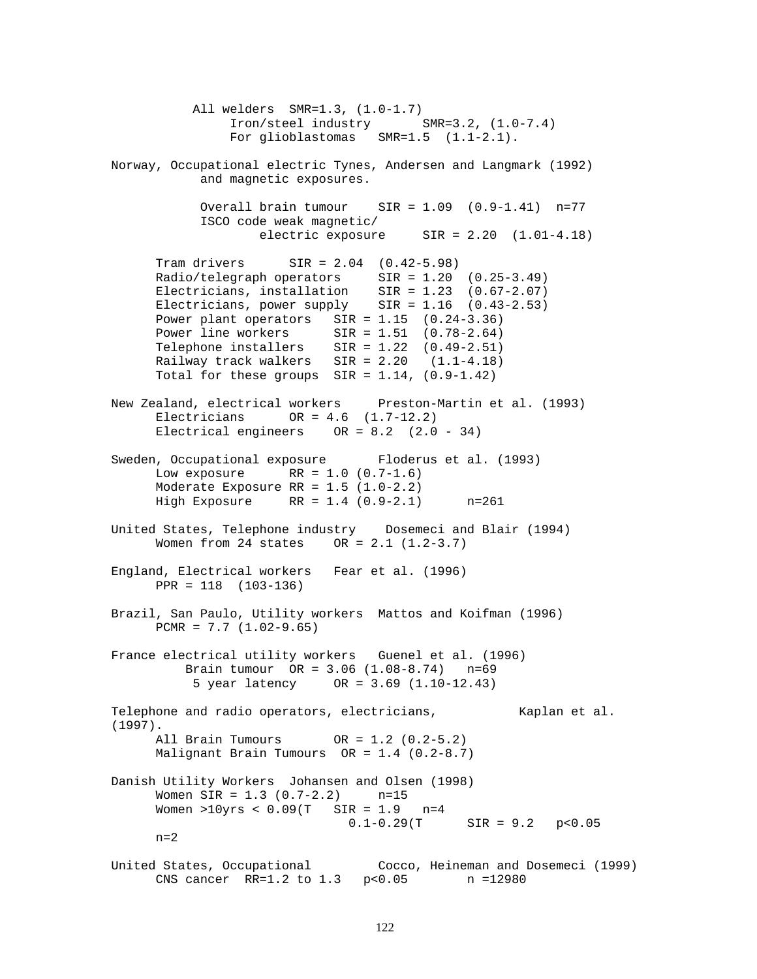All welders SMR=1.3, (1.0-1.7) Iron/steel industry SMR=3.2, (1.0-7.4) For glioblastomas SMR=1.5 (1.1-2.1). Norway, Occupational electric Tynes, Andersen and Langmark (1992) and magnetic exposures. Overall brain tumour SIR = 1.09 (0.9-1.41) n=77 ISCO code weak magnetic/ electric exposure  $SIR = 2.20 (1.01-4.18)$ Tram drivers SIR = 2.04 (0.42-5.98) Radio/telegraph operators SIR = 1.20 (0.25-3.49) Electricians, installation SIR = 1.23 (0.67-2.07) Electricians, power supply  $SIR = 1.16$   $(0.43-2.53)$ Power plant operators SIR = 1.15 (0.24-3.36) Power line workers SIR = 1.51 (0.78-2.64) Telephone installers SIR = 1.22 (0.49-2.51) Railway track walkers SIR = 2.20 (1.1-4.18) Total for these groups  $SIR = 1.14$ ,  $(0.9-1.42)$ New Zealand, electrical workers Preston-Martin et al. (1993)  $Electricians$  OR = 4.6  $(1.7-12.2)$ Electrical engineers OR = 8.2 (2.0 - 34) Sweden, Occupational exposure Floderus et al. (1993) Low exposure RR =  $1.0$  (0.7-1.6) Moderate Exposure RR = 1.5 (1.0-2.2) High Exposure RR = 1.4 (0.9-2.1) n=261 United States, Telephone industry Dosemeci and Blair (1994) Women from 24 states OR = 2.1 (1.2-3.7) England, Electrical workers Fear et al. (1996) PPR = 118 (103-136) Brazil, San Paulo, Utility workers Mattos and Koifman (1996)  $PCMR = 7.7 (1.02-9.65)$ France electrical utility workers Guenel et al. (1996) Brain tumour OR = 3.06 (1.08-8.74) n=69 5 year latency OR = 3.69 (1.10-12.43) Telephone and radio operators, electricians, and Kaplan et al. (1997). All Brain Tumours OR = 1.2 (0.2-5.2) Malignant Brain Tumours OR = 1.4 (0.2-8.7) Danish Utility Workers Johansen and Olsen (1998) Women  $SIR = 1.3 (0.7-2.2)$  n=15 Women >10yrs <  $0.09(T$  SIR =  $1.9$  n=4<br>0.1-0.29(T  $SIR = 9.2$  p<0.05  $n=2$ United States, Occupational Cocco, Heineman and Dosemeci (1999) CNS cancer RR=1.2 to 1.3 p<0.05 n =12980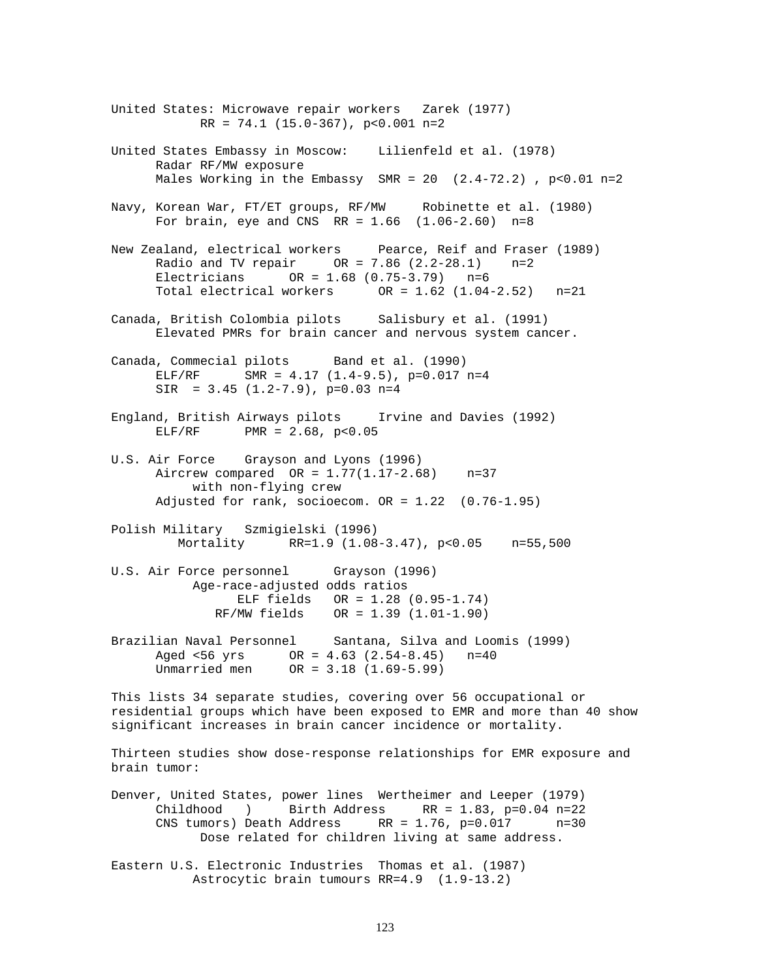United States: Microwave repair workers Zarek (1977)  $RR = 74.1 (15.0-367)$ , p<0.001 n=2 United States Embassy in Moscow: Lilienfeld et al. (1978) Radar RF/MW exposure Males Working in the Embassy SMR =  $20$   $(2.4-72.2)$ , p<0.01 n=2 Navy, Korean War, FT/ET groups, RF/MW Robinette et al. (1980) For brain, eye and CNS  $RR = 1.66$   $(1.06-2.60)$  n=8 New Zealand, electrical workers Pearce, Reif and Fraser (1989) Radio and TV repair  $OR = 7.86 (2.2 - 28.1)$  n=2 Electricians  $OR = 1.68 (0.75-3.79)$  n=6<br>Total electrical workers  $OR = 1.62 (1.04$  $OR = 1.62 (1.04-2.52)$  n=21 Canada, British Colombia pilots Salisbury et al. (1991) Elevated PMRs for brain cancer and nervous system cancer. Canada, Commecial pilots Band et al. (1990) ELF/RF SMR =  $4.17$  (1.4-9.5), p=0.017 n=4  $SIR = 3.45 (1.2-7.9), p=0.03 n=4$ England, British Airways pilots Irvine and Davies (1992)  $ELF/RF$  PMR = 2.68, p<0.05 U.S. Air Force Grayson and Lyons (1996) Aircrew compared  $OR = 1.77(1.17 - 2.68)$  n=37 with non-flying crew Adjusted for rank, socioecom. OR = 1.22 (0.76-1.95) Polish Military Szmigielski (1996) Mortality RR=1.9 (1.08-3.47), p<0.05 n=55,500 U.S. Air Force personnel Grayson (1996) Age-race-adjusted odds ratios ELF fields OR = 1.28 (0.95-1.74) RF/MW fields OR = 1.39 (1.01-1.90) Brazilian Naval Personnel Santana, Silva and Loomis (1999) Aged <56 yrs OR = 4.63 (2.54-8.45) n=40 Unmarried men OR = 3.18 (1.69-5.99) This lists 34 separate studies, covering over 56 occupational or residential groups which have been exposed to EMR and more than 40 show significant increases in brain cancer incidence or mortality. Thirteen studies show dose-response relationships for EMR exposure and brain tumor: Denver, United States, power lines Wertheimer and Leeper (1979) Childhood ) Birth Address RR =  $1.83$ , p=0.04 n=22<br>CNS tumors) Death Address RR =  $1.76$ , p=0.017 n=30  $CNS$  tumors) Death Address RR = 1.76, p= $0.017$  Dose related for children living at same address. Eastern U.S. Electronic Industries Thomas et al. (1987) Astrocytic brain tumours RR=4.9 (1.9-13.2)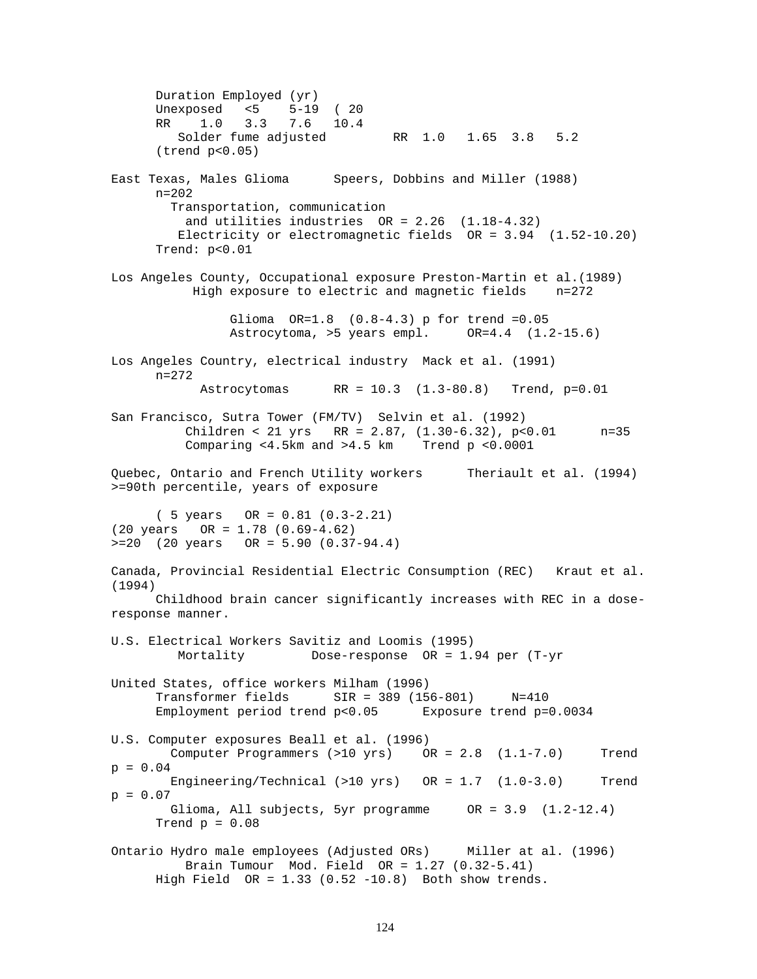Duration Employed (yr) Unexposed <5 5-19 ( 20 RR 1.0 3.3 7.6 10.4 Solder fume adjusted RR 1.0 1.65 3.8 5.2 (trend p<0.05) East Texas, Males Glioma Speers, Dobbins and Miller (1988)  $n = 202$  Transportation, communication and utilities industries  $OR = 2.26$   $(1.18-4.32)$  Electricity or electromagnetic fields OR = 3.94 (1.52-10.20) Trend: p<0.01 Los Angeles County, Occupational exposure Preston-Martin et al.(1989) High exposure to electric and magnetic fields n=272 Glioma OR=1.8 (0.8-4.3) p for trend =0.05 Astrocytoma, >5 years empl. OR=4.4 (1.2-15.6) Los Angeles Country, electrical industry Mack et al. (1991) n=272 Astrocytomas RR = 10.3 (1.3-80.8) Trend, p=0.01 San Francisco, Sutra Tower (FM/TV) Selvin et al. (1992) Children < 21 yrs RR = 2.87, (1.30-6.32), p<0.01 n=35 Comparing <4.5km and >4.5 km Trend p <0.0001 Quebec, Ontario and French Utility workers Theriault et al. (1994) >=90th percentile, years of exposure ( 5 years OR = 0.81 (0.3-2.21) (20 years OR = 1.78 (0.69-4.62) >=20 (20 years OR = 5.90 (0.37-94.4) Canada, Provincial Residential Electric Consumption (REC) Kraut et al. (1994) Childhood brain cancer significantly increases with REC in a doseresponse manner. U.S. Electrical Workers Savitiz and Loomis (1995) Mortality Dose-response OR = 1.94 per (T-yr United States, office workers Milham (1996) Transformer fields SIR = 389 (156-801) N=410 Employment period trend p<0.05 Exposure trend p=0.0034 U.S. Computer exposures Beall et al. (1996) Computer Programmers (>10 yrs) OR = 2.8 (1.1-7.0) Trend  $p = 0.04$  Engineering/Technical (>10 yrs) OR = 1.7 (1.0-3.0) Trend  $p = 0.07$  Glioma, All subjects, 5yr programme OR = 3.9 (1.2-12.4) Trend  $p = 0.08$ Ontario Hydro male employees (Adjusted ORs) Miller at al. (1996) Brain Tumour Mod. Field OR = 1.27 (0.32-5.41) High Field  $OR = 1.33$  (0.52 -10.8) Both show trends.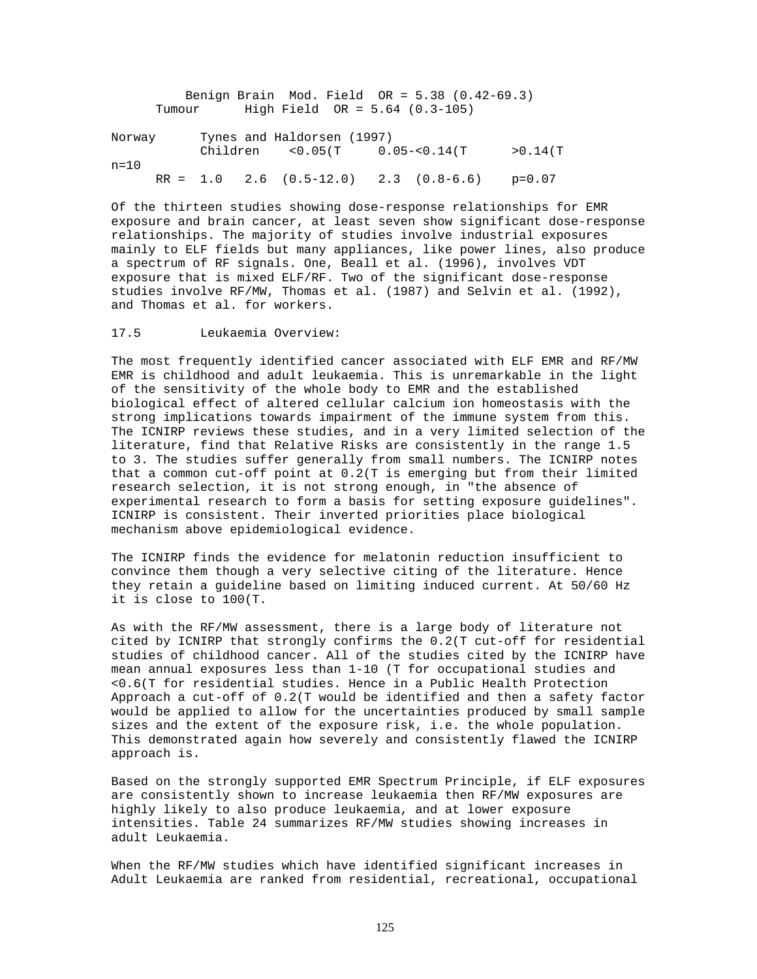|        |        |  | Benign Brain Mod. Field $OR = 5.38$ $(0.42-69.3)$  |  |          |
|--------|--------|--|----------------------------------------------------|--|----------|
|        | Tumour |  | High Field $OR = 5.64 (0.3-105)$                   |  |          |
| Norway |        |  | Tynes and Haldorsen (1997)                         |  |          |
|        |        |  | $Children$ < 0.05(T 0.05-< 0.14(T                  |  | >0.14(T) |
| $n=10$ |        |  | $RR = 1.0$ 2.6 $(0.5-12.0)$ 2.3 $(0.8-6.6)$ p=0.07 |  |          |

Of the thirteen studies showing dose-response relationships for EMR exposure and brain cancer, at least seven show significant dose-response relationships. The majority of studies involve industrial exposures mainly to ELF fields but many appliances, like power lines, also produce a spectrum of RF signals. One, Beall et al. (1996), involves VDT exposure that is mixed ELF/RF. Two of the significant dose-response studies involve RF/MW, Thomas et al. (1987) and Selvin et al. (1992), and Thomas et al. for workers.

# 17.5 Leukaemia Overview:

The most frequently identified cancer associated with ELF EMR and RF/MW EMR is childhood and adult leukaemia. This is unremarkable in the light of the sensitivity of the whole body to EMR and the established biological effect of altered cellular calcium ion homeostasis with the strong implications towards impairment of the immune system from this. The ICNIRP reviews these studies, and in a very limited selection of the literature, find that Relative Risks are consistently in the range 1.5 to 3. The studies suffer generally from small numbers. The ICNIRP notes that a common cut-off point at 0.2(T is emerging but from their limited research selection, it is not strong enough, in "the absence of experimental research to form a basis for setting exposure guidelines". ICNIRP is consistent. Their inverted priorities place biological mechanism above epidemiological evidence.

The ICNIRP finds the evidence for melatonin reduction insufficient to convince them though a very selective citing of the literature. Hence they retain a guideline based on limiting induced current. At 50/60 Hz it is close to 100(T.

As with the RF/MW assessment, there is a large body of literature not cited by ICNIRP that strongly confirms the 0.2(T cut-off for residential studies of childhood cancer. All of the studies cited by the ICNIRP have mean annual exposures less than 1-10 (T for occupational studies and <0.6(T for residential studies. Hence in a Public Health Protection Approach a cut-off of 0.2(T would be identified and then a safety factor would be applied to allow for the uncertainties produced by small sample sizes and the extent of the exposure risk, i.e. the whole population. This demonstrated again how severely and consistently flawed the ICNIRP approach is.

Based on the strongly supported EMR Spectrum Principle, if ELF exposures are consistently shown to increase leukaemia then RF/MW exposures are highly likely to also produce leukaemia, and at lower exposure intensities. Table 24 summarizes RF/MW studies showing increases in adult Leukaemia.

When the RF/MW studies which have identified significant increases in Adult Leukaemia are ranked from residential, recreational, occupational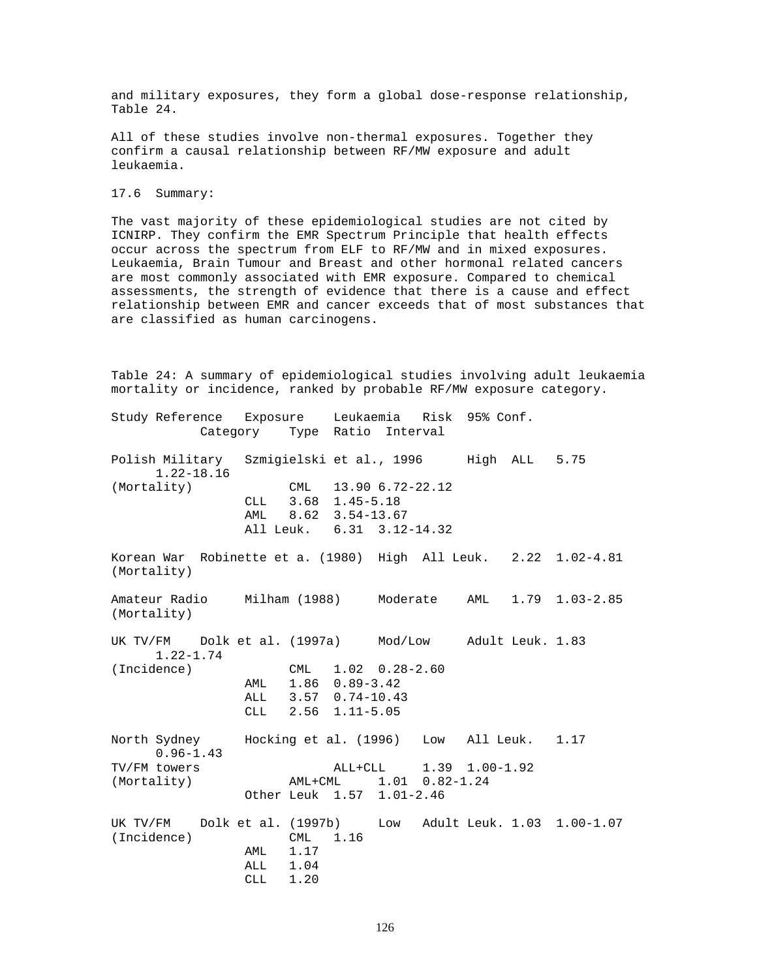and military exposures, they form a global dose-response relationship, Table 24.

All of these studies involve non-thermal exposures. Together they confirm a causal relationship between RF/MW exposure and adult leukaemia.

17.6 Summary:

The vast majority of these epidemiological studies are not cited by ICNIRP. They confirm the EMR Spectrum Principle that health effects occur across the spectrum from ELF to RF/MW and in mixed exposures. Leukaemia, Brain Tumour and Breast and other hormonal related cancers are most commonly associated with EMR exposure. Compared to chemical assessments, the strength of evidence that there is a cause and effect relationship between EMR and cancer exceeds that of most substances that are classified as human carcinogens.

Table 24: A summary of epidemiological studies involving adult leukaemia mortality or incidence, ranked by probable RF/MW exposure category.

Study Reference Exposure Leukaemia Risk 95% Conf. Category Type Ratio Interval Polish Military Szmigielski et al., 1996 High ALL 5.75 1.22-18.16 (Mortality) CML 13.90 6.72-22.12 CLL 3.68 1.45-5.18 AML 8.62 3.54-13.67 All Leuk. 6.31 3.12-14.32 Korean War Robinette et a. (1980) High All Leuk. 2.22 1.02-4.81 (Mortality) Amateur Radio Milham (1988) Moderate AML 1.79 1.03-2.85 (Mortality) UK TV/FM Dolk et al. (1997a) Mod/Low Adult Leuk. 1.83 1.22-1.74 (Incidence) CML 1.02 0.28-2.60 AML 1.86 0.89-3.42 ALL 3.57 0.74-10.43 CLL 2.56 1.11-5.05 North Sydney Hocking et al. (1996) Low All Leuk. 1.17 0.96-1.43 TV/FM towers <br>  $\lambda$ LL+CLL 1.39 1.00-1.92<br>  $\lambda$ ML+CML 1.01 0.82-1.24 (Mortality)  $AML+CML$  1.01 0.82-1.24 Other Leuk 1.57 1.01-2.46 UK TV/FM Dolk et al. (1997b) Low Adult Leuk. 1.03 1.00-1.07 (Incidence) CML 1.16 AML 1.17 ALL 1.04<br>CLL 1.20 CLL 1.20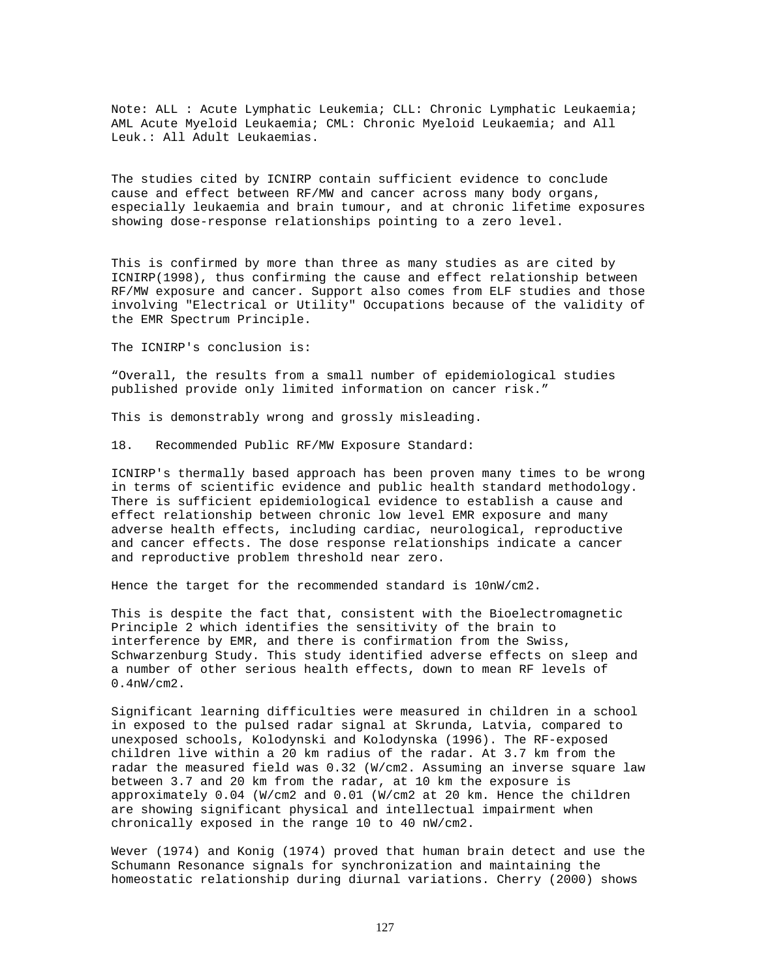Note: ALL : Acute Lymphatic Leukemia; CLL: Chronic Lymphatic Leukaemia; AML Acute Myeloid Leukaemia; CML: Chronic Myeloid Leukaemia; and All Leuk.: All Adult Leukaemias.

The studies cited by ICNIRP contain sufficient evidence to conclude cause and effect between RF/MW and cancer across many body organs, especially leukaemia and brain tumour, and at chronic lifetime exposures showing dose-response relationships pointing to a zero level.

This is confirmed by more than three as many studies as are cited by ICNIRP(1998), thus confirming the cause and effect relationship between RF/MW exposure and cancer. Support also comes from ELF studies and those involving "Electrical or Utility" Occupations because of the validity of the EMR Spectrum Principle.

The ICNIRP's conclusion is:

"Overall, the results from a small number of epidemiological studies published provide only limited information on cancer risk."

This is demonstrably wrong and grossly misleading.

18. Recommended Public RF/MW Exposure Standard:

ICNIRP's thermally based approach has been proven many times to be wrong in terms of scientific evidence and public health standard methodology. There is sufficient epidemiological evidence to establish a cause and effect relationship between chronic low level EMR exposure and many adverse health effects, including cardiac, neurological, reproductive and cancer effects. The dose response relationships indicate a cancer and reproductive problem threshold near zero.

Hence the target for the recommended standard is 10nW/cm2.

This is despite the fact that, consistent with the Bioelectromagnetic Principle 2 which identifies the sensitivity of the brain to interference by EMR, and there is confirmation from the Swiss, Schwarzenburg Study. This study identified adverse effects on sleep and a number of other serious health effects, down to mean RF levels of 0.4nW/cm2.

Significant learning difficulties were measured in children in a school in exposed to the pulsed radar signal at Skrunda, Latvia, compared to unexposed schools, Kolodynski and Kolodynska (1996). The RF-exposed children live within a 20 km radius of the radar. At 3.7 km from the radar the measured field was 0.32 (W/cm2. Assuming an inverse square law between 3.7 and 20 km from the radar, at 10 km the exposure is approximately 0.04 (W/cm2 and 0.01 (W/cm2 at 20 km. Hence the children are showing significant physical and intellectual impairment when chronically exposed in the range 10 to 40 nW/cm2.

Wever (1974) and Konig (1974) proved that human brain detect and use the Schumann Resonance signals for synchronization and maintaining the homeostatic relationship during diurnal variations. Cherry (2000) shows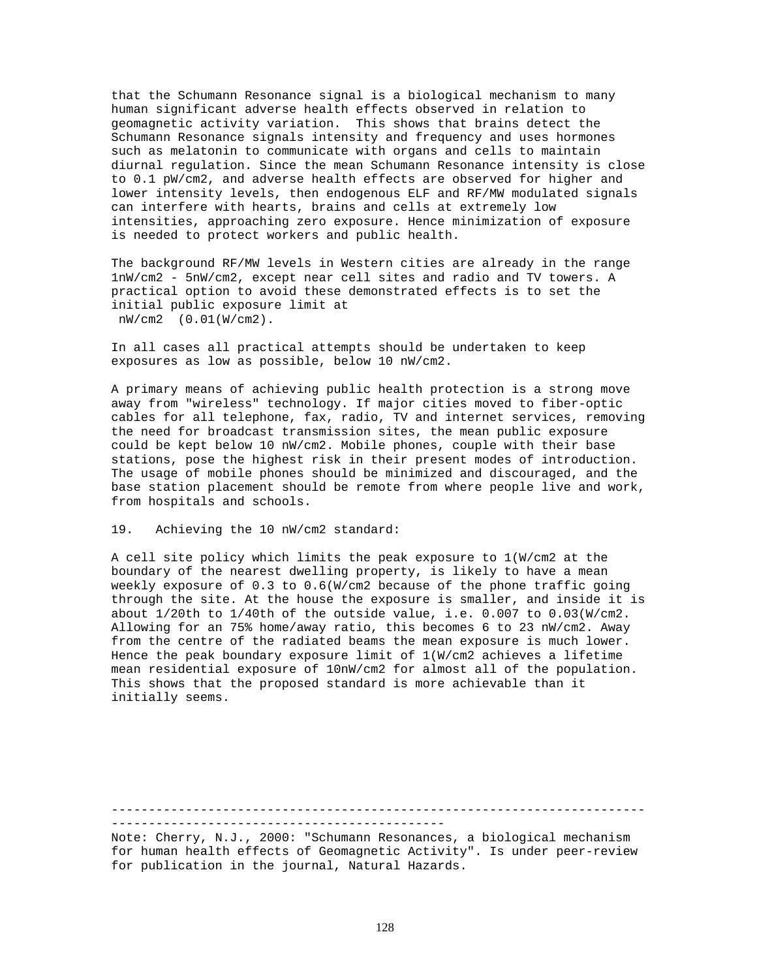that the Schumann Resonance signal is a biological mechanism to many human significant adverse health effects observed in relation to geomagnetic activity variation. This shows that brains detect the Schumann Resonance signals intensity and frequency and uses hormones such as melatonin to communicate with organs and cells to maintain diurnal regulation. Since the mean Schumann Resonance intensity is close to 0.1 pW/cm2, and adverse health effects are observed for higher and lower intensity levels, then endogenous ELF and RF/MW modulated signals can interfere with hearts, brains and cells at extremely low intensities, approaching zero exposure. Hence minimization of exposure is needed to protect workers and public health.

The background RF/MW levels in Western cities are already in the range 1nW/cm2 - 5nW/cm2, except near cell sites and radio and TV towers. A practical option to avoid these demonstrated effects is to set the initial public exposure limit at nW/cm2 (0.01(W/cm2).

In all cases all practical attempts should be undertaken to keep exposures as low as possible, below 10 nW/cm2.

A primary means of achieving public health protection is a strong move away from "wireless" technology. If major cities moved to fiber-optic cables for all telephone, fax, radio, TV and internet services, removing the need for broadcast transmission sites, the mean public exposure could be kept below 10 nW/cm2. Mobile phones, couple with their base stations, pose the highest risk in their present modes of introduction. The usage of mobile phones should be minimized and discouraged, and the base station placement should be remote from where people live and work, from hospitals and schools.

19. Achieving the 10 nW/cm2 standard:

A cell site policy which limits the peak exposure to 1(W/cm2 at the boundary of the nearest dwelling property, is likely to have a mean weekly exposure of 0.3 to 0.6(W/cm2 because of the phone traffic going through the site. At the house the exposure is smaller, and inside it is about 1/20th to 1/40th of the outside value, i.e. 0.007 to 0.03(W/cm2. Allowing for an 75% home/away ratio, this becomes 6 to 23 nW/cm2. Away from the centre of the radiated beams the mean exposure is much lower. Hence the peak boundary exposure limit of 1(W/cm2 achieves a lifetime mean residential exposure of 10nW/cm2 for almost all of the population. This shows that the proposed standard is more achievable than it initially seems.

------------------------------------------------------------------------

---------------------------------------------

Note: Cherry, N.J., 2000: "Schumann Resonances, a biological mechanism for human health effects of Geomagnetic Activity". Is under peer-review for publication in the journal, Natural Hazards.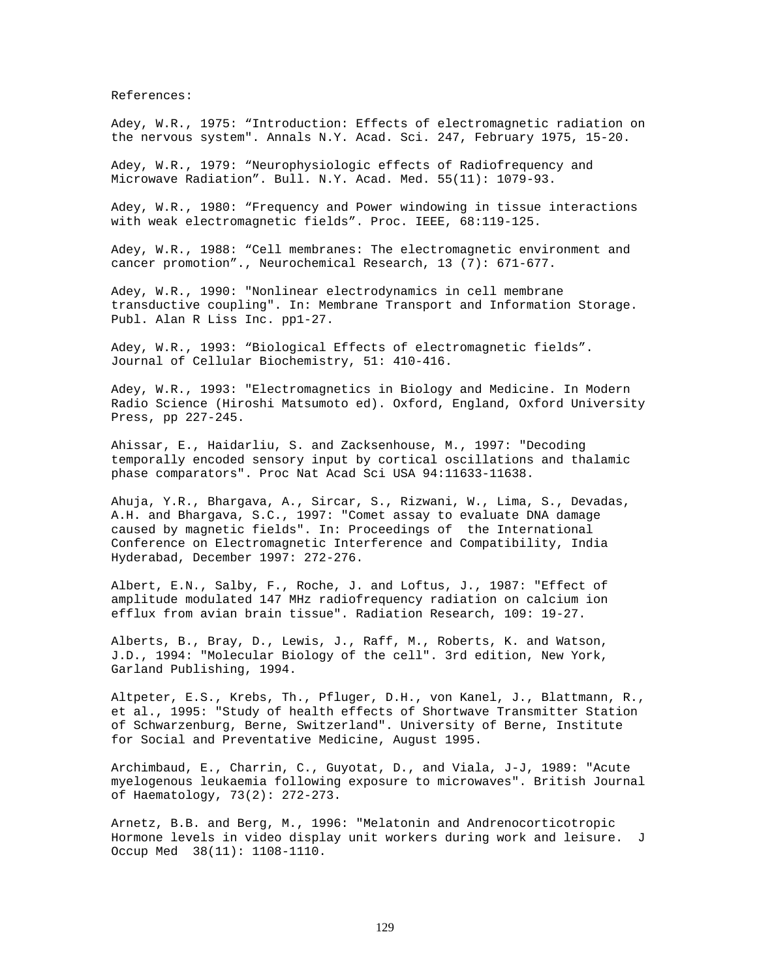References:

Adey, W.R., 1975: "Introduction: Effects of electromagnetic radiation on the nervous system". Annals N.Y. Acad. Sci. 247, February 1975, 15-20.

Adey, W.R., 1979: "Neurophysiologic effects of Radiofrequency and Microwave Radiation". Bull. N.Y. Acad. Med. 55(11): 1079-93.

Adey, W.R., 1980: "Frequency and Power windowing in tissue interactions with weak electromagnetic fields". Proc. IEEE, 68:119-125.

Adey, W.R., 1988: "Cell membranes: The electromagnetic environment and cancer promotion"., Neurochemical Research, 13 (7): 671-677.

Adey, W.R., 1990: "Nonlinear electrodynamics in cell membrane transductive coupling". In: Membrane Transport and Information Storage. Publ. Alan R Liss Inc. pp1-27.

Adey, W.R., 1993: "Biological Effects of electromagnetic fields". Journal of Cellular Biochemistry, 51: 410-416.

Adey, W.R., 1993: "Electromagnetics in Biology and Medicine. In Modern Radio Science (Hiroshi Matsumoto ed). Oxford, England, Oxford University Press, pp 227-245.

Ahissar, E., Haidarliu, S. and Zacksenhouse, M., 1997: "Decoding temporally encoded sensory input by cortical oscillations and thalamic phase comparators". Proc Nat Acad Sci USA 94:11633-11638.

Ahuja, Y.R., Bhargava, A., Sircar, S., Rizwani, W., Lima, S., Devadas, A.H. and Bhargava, S.C., 1997: "Comet assay to evaluate DNA damage caused by magnetic fields". In: Proceedings of the International Conference on Electromagnetic Interference and Compatibility, India Hyderabad, December 1997: 272-276.

Albert, E.N., Salby, F., Roche, J. and Loftus, J., 1987: "Effect of amplitude modulated 147 MHz radiofrequency radiation on calcium ion efflux from avian brain tissue". Radiation Research, 109: 19-27.

Alberts, B., Bray, D., Lewis, J., Raff, M., Roberts, K. and Watson, J.D., 1994: "Molecular Biology of the cell". 3rd edition, New York, Garland Publishing, 1994.

Altpeter, E.S., Krebs, Th., Pfluger, D.H., von Kanel, J., Blattmann, R., et al., 1995: "Study of health effects of Shortwave Transmitter Station of Schwarzenburg, Berne, Switzerland". University of Berne, Institute for Social and Preventative Medicine, August 1995.

Archimbaud, E., Charrin, C., Guyotat, D., and Viala, J-J, 1989: "Acute myelogenous leukaemia following exposure to microwaves". British Journal of Haematology, 73(2): 272-273.

Arnetz, B.B. and Berg, M., 1996: "Melatonin and Andrenocorticotropic Hormone levels in video display unit workers during work and leisure. J Occup Med 38(11): 1108-1110.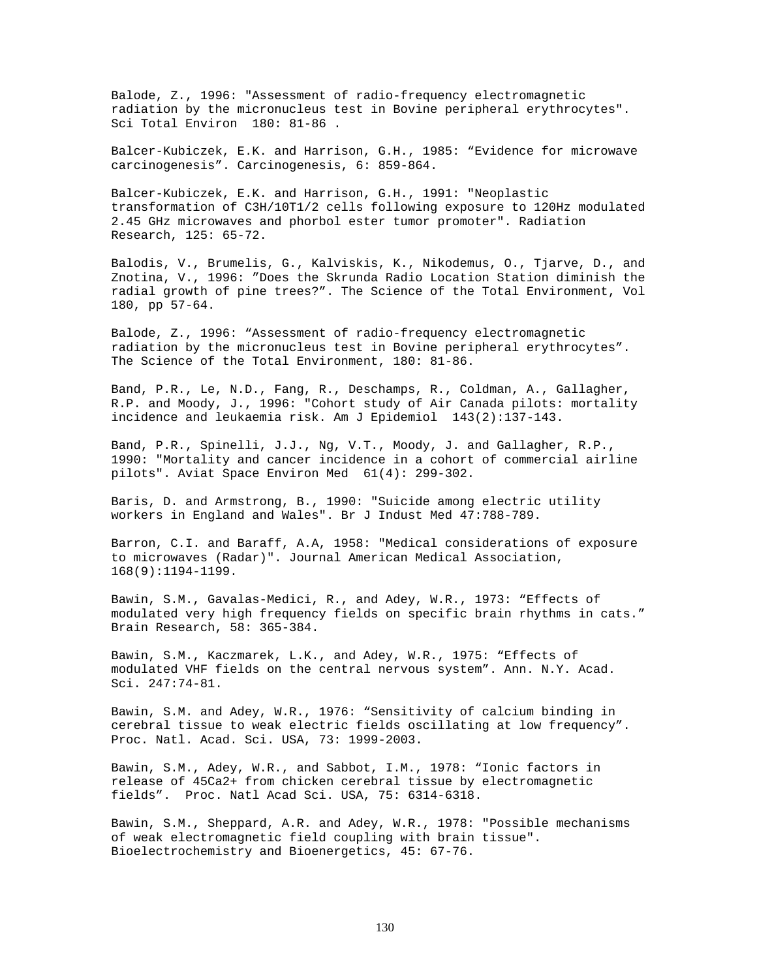Balode, Z., 1996: "Assessment of radio-frequency electromagnetic radiation by the micronucleus test in Bovine peripheral erythrocytes". Sci Total Environ 180: 81-86 .

Balcer-Kubiczek, E.K. and Harrison, G.H., 1985: "Evidence for microwave carcinogenesis". Carcinogenesis, 6: 859-864.

Balcer-Kubiczek, E.K. and Harrison, G.H., 1991: "Neoplastic transformation of C3H/10T1/2 cells following exposure to 120Hz modulated 2.45 GHz microwaves and phorbol ester tumor promoter". Radiation Research, 125: 65-72.

Balodis, V., Brumelis, G., Kalviskis, K., Nikodemus, O., Tjarve, D., and Znotina, V., 1996: "Does the Skrunda Radio Location Station diminish the radial growth of pine trees?". The Science of the Total Environment, Vol 180, pp 57-64.

Balode, Z., 1996: "Assessment of radio-frequency electromagnetic radiation by the micronucleus test in Bovine peripheral erythrocytes". The Science of the Total Environment, 180: 81-86.

Band, P.R., Le, N.D., Fang, R., Deschamps, R., Coldman, A., Gallagher, R.P. and Moody, J., 1996: "Cohort study of Air Canada pilots: mortality incidence and leukaemia risk. Am J Epidemiol 143(2):137-143.

Band, P.R., Spinelli, J.J., Ng, V.T., Moody, J. and Gallagher, R.P., 1990: "Mortality and cancer incidence in a cohort of commercial airline pilots". Aviat Space Environ Med 61(4): 299-302.

Baris, D. and Armstrong, B., 1990: "Suicide among electric utility workers in England and Wales". Br J Indust Med 47:788-789.

Barron, C.I. and Baraff, A.A, 1958: "Medical considerations of exposure to microwaves (Radar)". Journal American Medical Association, 168(9):1194-1199.

Bawin, S.M., Gavalas-Medici, R., and Adey, W.R., 1973: "Effects of modulated very high frequency fields on specific brain rhythms in cats." Brain Research, 58: 365-384.

Bawin, S.M., Kaczmarek, L.K., and Adey, W.R., 1975: "Effects of modulated VHF fields on the central nervous system". Ann. N.Y. Acad. Sci. 247:74-81.

Bawin, S.M. and Adey, W.R., 1976: "Sensitivity of calcium binding in cerebral tissue to weak electric fields oscillating at low frequency". Proc. Natl. Acad. Sci. USA, 73: 1999-2003.

Bawin, S.M., Adey, W.R., and Sabbot, I.M., 1978: "Ionic factors in release of 45Ca2+ from chicken cerebral tissue by electromagnetic fields". Proc. Natl Acad Sci. USA, 75: 6314-6318.

Bawin, S.M., Sheppard, A.R. and Adey, W.R., 1978: "Possible mechanisms of weak electromagnetic field coupling with brain tissue". Bioelectrochemistry and Bioenergetics, 45: 67-76.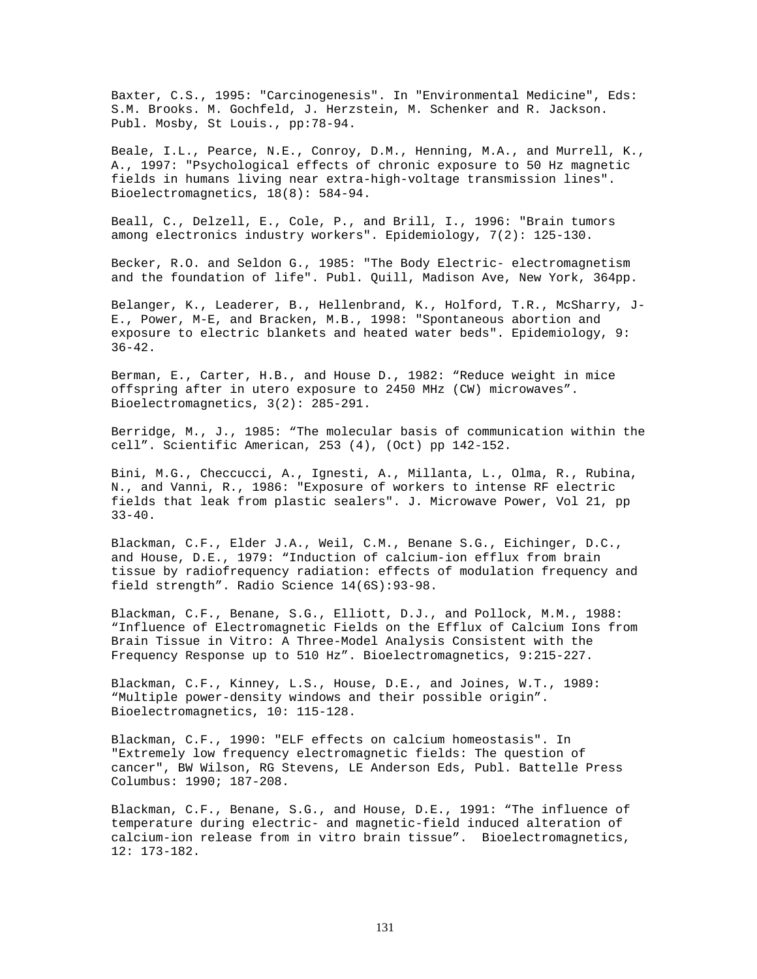Baxter, C.S., 1995: "Carcinogenesis". In "Environmental Medicine", Eds: S.M. Brooks. M. Gochfeld, J. Herzstein, M. Schenker and R. Jackson. Publ. Mosby, St Louis., pp:78-94.

Beale, I.L., Pearce, N.E., Conroy, D.M., Henning, M.A., and Murrell, K., A., 1997: "Psychological effects of chronic exposure to 50 Hz magnetic fields in humans living near extra-high-voltage transmission lines". Bioelectromagnetics, 18(8): 584-94.

Beall, C., Delzell, E., Cole, P., and Brill, I., 1996: "Brain tumors among electronics industry workers". Epidemiology, 7(2): 125-130.

Becker, R.O. and Seldon G., 1985: "The Body Electric- electromagnetism and the foundation of life". Publ. Quill, Madison Ave, New York, 364pp.

Belanger, K., Leaderer, B., Hellenbrand, K., Holford, T.R., McSharry, J-E., Power, M-E, and Bracken, M.B., 1998: "Spontaneous abortion and exposure to electric blankets and heated water beds". Epidemiology, 9: 36-42.

Berman, E., Carter, H.B., and House D., 1982: "Reduce weight in mice offspring after in utero exposure to 2450 MHz (CW) microwaves". Bioelectromagnetics, 3(2): 285-291.

Berridge, M., J., 1985: "The molecular basis of communication within the cell". Scientific American, 253 (4), (Oct) pp 142-152.

Bini, M.G., Checcucci, A., Ignesti, A., Millanta, L., Olma, R., Rubina, N., and Vanni, R., 1986: "Exposure of workers to intense RF electric fields that leak from plastic sealers". J. Microwave Power, Vol 21, pp  $33 - 40$ .

Blackman, C.F., Elder J.A., Weil, C.M., Benane S.G., Eichinger, D.C., and House, D.E., 1979: "Induction of calcium-ion efflux from brain tissue by radiofrequency radiation: effects of modulation frequency and field strength". Radio Science 14(6S):93-98.

Blackman, C.F., Benane, S.G., Elliott, D.J., and Pollock, M.M., 1988: "Influence of Electromagnetic Fields on the Efflux of Calcium Ions from Brain Tissue in Vitro: A Three-Model Analysis Consistent with the Frequency Response up to 510 Hz". Bioelectromagnetics, 9:215-227.

Blackman, C.F., Kinney, L.S., House, D.E., and Joines, W.T., 1989: "Multiple power-density windows and their possible origin". Bioelectromagnetics, 10: 115-128.

Blackman, C.F., 1990: "ELF effects on calcium homeostasis". In "Extremely low frequency electromagnetic fields: The question of cancer", BW Wilson, RG Stevens, LE Anderson Eds, Publ. Battelle Press Columbus: 1990; 187-208.

Blackman, C.F., Benane, S.G., and House, D.E., 1991: "The influence of temperature during electric- and magnetic-field induced alteration of calcium-ion release from in vitro brain tissue". Bioelectromagnetics, 12: 173-182.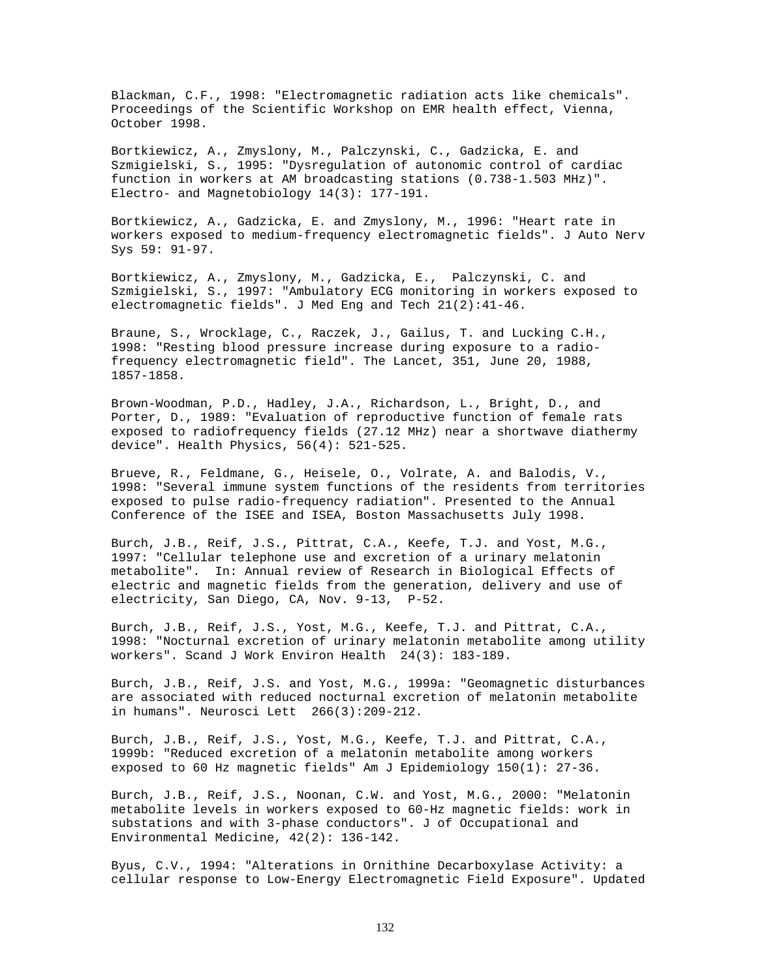Blackman, C.F., 1998: "Electromagnetic radiation acts like chemicals". Proceedings of the Scientific Workshop on EMR health effect, Vienna, October 1998.

Bortkiewicz, A., Zmyslony, M., Palczynski, C., Gadzicka, E. and Szmigielski, S., 1995: "Dysregulation of autonomic control of cardiac function in workers at AM broadcasting stations (0.738-1.503 MHz)". Electro- and Magnetobiology 14(3): 177-191.

Bortkiewicz, A., Gadzicka, E. and Zmyslony, M., 1996: "Heart rate in workers exposed to medium-frequency electromagnetic fields". J Auto Nerv Sys 59: 91-97.

Bortkiewicz, A., Zmyslony, M., Gadzicka, E., Palczynski, C. and Szmigielski, S., 1997: "Ambulatory ECG monitoring in workers exposed to electromagnetic fields". J Med Eng and Tech 21(2):41-46.

Braune, S., Wrocklage, C., Raczek, J., Gailus, T. and Lucking C.H., 1998: "Resting blood pressure increase during exposure to a radiofrequency electromagnetic field". The Lancet, 351, June 20, 1988, 1857-1858.

Brown-Woodman, P.D., Hadley, J.A., Richardson, L., Bright, D., and Porter, D., 1989: "Evaluation of reproductive function of female rats exposed to radiofrequency fields (27.12 MHz) near a shortwave diathermy device". Health Physics, 56(4): 521-525.

Brueve, R., Feldmane, G., Heisele, O., Volrate, A. and Balodis, V., 1998: "Several immune system functions of the residents from territories exposed to pulse radio-frequency radiation". Presented to the Annual Conference of the ISEE and ISEA, Boston Massachusetts July 1998.

Burch, J.B., Reif, J.S., Pittrat, C.A., Keefe, T.J. and Yost, M.G., 1997: "Cellular telephone use and excretion of a urinary melatonin metabolite". In: Annual review of Research in Biological Effects of electric and magnetic fields from the generation, delivery and use of electricity, San Diego, CA, Nov. 9-13, P-52.

Burch, J.B., Reif, J.S., Yost, M.G., Keefe, T.J. and Pittrat, C.A., 1998: "Nocturnal excretion of urinary melatonin metabolite among utility workers". Scand J Work Environ Health 24(3): 183-189.

Burch, J.B., Reif, J.S. and Yost, M.G., 1999a: "Geomagnetic disturbances are associated with reduced nocturnal excretion of melatonin metabolite in humans". Neurosci Lett 266(3):209-212.

Burch, J.B., Reif, J.S., Yost, M.G., Keefe, T.J. and Pittrat, C.A., 1999b: "Reduced excretion of a melatonin metabolite among workers exposed to 60 Hz magnetic fields" Am J Epidemiology 150(1): 27-36.

Burch, J.B., Reif, J.S., Noonan, C.W. and Yost, M.G., 2000: "Melatonin metabolite levels in workers exposed to 60-Hz magnetic fields: work in substations and with 3-phase conductors". J of Occupational and Environmental Medicine, 42(2): 136-142.

Byus, C.V., 1994: "Alterations in Ornithine Decarboxylase Activity: a cellular response to Low-Energy Electromagnetic Field Exposure". Updated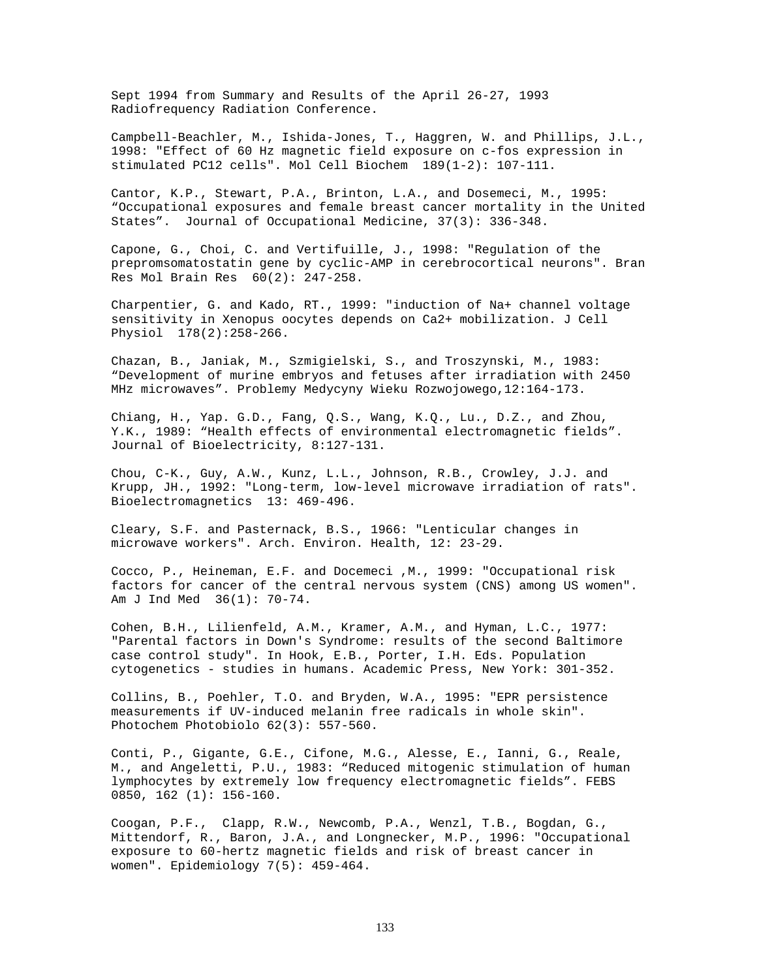Sept 1994 from Summary and Results of the April 26-27, 1993 Radiofrequency Radiation Conference.

Campbell-Beachler, M., Ishida-Jones, T., Haggren, W. and Phillips, J.L., 1998: "Effect of 60 Hz magnetic field exposure on c-fos expression in stimulated PC12 cells". Mol Cell Biochem 189(1-2): 107-111.

Cantor, K.P., Stewart, P.A., Brinton, L.A., and Dosemeci, M., 1995: "Occupational exposures and female breast cancer mortality in the United States". Journal of Occupational Medicine, 37(3): 336-348.

Capone, G., Choi, C. and Vertifuille, J., 1998: "Regulation of the prepromsomatostatin gene by cyclic-AMP in cerebrocortical neurons". Bran Res Mol Brain Res 60(2): 247-258.

Charpentier, G. and Kado, RT., 1999: "induction of Na+ channel voltage sensitivity in Xenopus oocytes depends on Ca2+ mobilization. J Cell Physiol 178(2):258-266.

Chazan, B., Janiak, M., Szmigielski, S., and Troszynski, M., 1983: "Development of murine embryos and fetuses after irradiation with 2450 MHz microwaves". Problemy Medycyny Wieku Rozwojowego,12:164-173.

Chiang, H., Yap. G.D., Fang, Q.S., Wang, K.Q., Lu., D.Z., and Zhou, Y.K., 1989: "Health effects of environmental electromagnetic fields". Journal of Bioelectricity, 8:127-131.

Chou, C-K., Guy, A.W., Kunz, L.L., Johnson, R.B., Crowley, J.J. and Krupp, JH., 1992: "Long-term, low-level microwave irradiation of rats". Bioelectromagnetics 13: 469-496.

Cleary, S.F. and Pasternack, B.S., 1966: "Lenticular changes in microwave workers". Arch. Environ. Health, 12: 23-29.

Cocco, P., Heineman, E.F. and Docemeci ,M., 1999: "Occupational risk factors for cancer of the central nervous system (CNS) among US women". Am J Ind Med 36(1): 70-74.

Cohen, B.H., Lilienfeld, A.M., Kramer, A.M., and Hyman, L.C., 1977: "Parental factors in Down's Syndrome: results of the second Baltimore case control study". In Hook, E.B., Porter, I.H. Eds. Population cytogenetics - studies in humans. Academic Press, New York: 301-352.

Collins, B., Poehler, T.O. and Bryden, W.A., 1995: "EPR persistence measurements if UV-induced melanin free radicals in whole skin". Photochem Photobiolo 62(3): 557-560.

Conti, P., Gigante, G.E., Cifone, M.G., Alesse, E., Ianni, G., Reale, M., and Angeletti, P.U., 1983: "Reduced mitogenic stimulation of human lymphocytes by extremely low frequency electromagnetic fields". FEBS 0850, 162 (1): 156-160.

Coogan, P.F., Clapp, R.W., Newcomb, P.A., Wenzl, T.B., Bogdan, G., Mittendorf, R., Baron, J.A., and Longnecker, M.P., 1996: "Occupational exposure to 60-hertz magnetic fields and risk of breast cancer in women". Epidemiology 7(5): 459-464.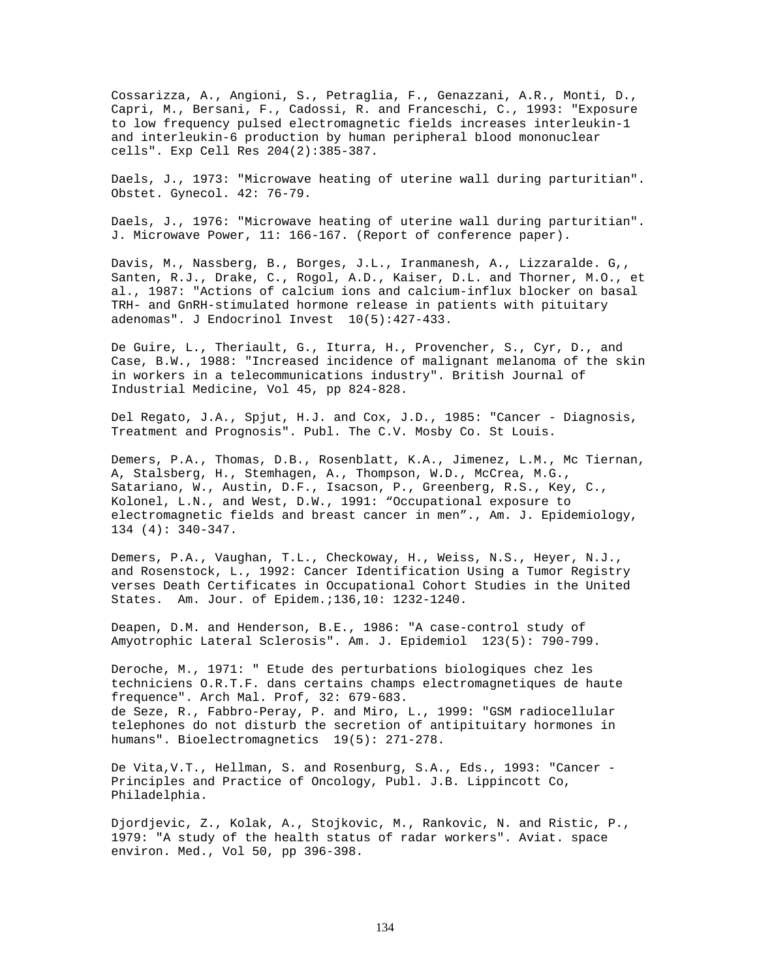Cossarizza, A., Angioni, S., Petraglia, F., Genazzani, A.R., Monti, D., Capri, M., Bersani, F., Cadossi, R. and Franceschi, C., 1993: "Exposure to low frequency pulsed electromagnetic fields increases interleukin-1 and interleukin-6 production by human peripheral blood mononuclear cells". Exp Cell Res 204(2):385-387.

Daels, J., 1973: "Microwave heating of uterine wall during parturitian". Obstet. Gynecol. 42: 76-79.

Daels, J., 1976: "Microwave heating of uterine wall during parturitian". J. Microwave Power, 11: 166-167. (Report of conference paper).

Davis, M., Nassberg, B., Borges, J.L., Iranmanesh, A., Lizzaralde. G,, Santen, R.J., Drake, C., Rogol, A.D., Kaiser, D.L. and Thorner, M.O., et al., 1987: "Actions of calcium ions and calcium-influx blocker on basal TRH- and GnRH-stimulated hormone release in patients with pituitary adenomas". J Endocrinol Invest 10(5):427-433.

De Guire, L., Theriault, G., Iturra, H., Provencher, S., Cyr, D., and Case, B.W., 1988: "Increased incidence of malignant melanoma of the skin in workers in a telecommunications industry". British Journal of Industrial Medicine, Vol 45, pp 824-828.

Del Regato, J.A., Spjut, H.J. and Cox, J.D., 1985: "Cancer - Diagnosis, Treatment and Prognosis". Publ. The C.V. Mosby Co. St Louis.

Demers, P.A., Thomas, D.B., Rosenblatt, K.A., Jimenez, L.M., Mc Tiernan, A, Stalsberg, H., Stemhagen, A., Thompson, W.D., McCrea, M.G., Satariano, W., Austin, D.F., Isacson, P., Greenberg, R.S., Key, C., Kolonel, L.N., and West, D.W., 1991: "Occupational exposure to electromagnetic fields and breast cancer in men"., Am. J. Epidemiology, 134 (4): 340-347.

Demers, P.A., Vaughan, T.L., Checkoway, H., Weiss, N.S., Heyer, N.J., and Rosenstock, L., 1992: Cancer Identification Using a Tumor Registry verses Death Certificates in Occupational Cohort Studies in the United States. Am. Jour. of Epidem.;136,10: 1232-1240.

Deapen, D.M. and Henderson, B.E., 1986: "A case-control study of Amyotrophic Lateral Sclerosis". Am. J. Epidemiol 123(5): 790-799.

Deroche, M., 1971: " Etude des perturbations biologiques chez les techniciens O.R.T.F. dans certains champs electromagnetiques de haute frequence". Arch Mal. Prof, 32: 679-683. de Seze, R., Fabbro-Peray, P. and Miro, L., 1999: "GSM radiocellular telephones do not disturb the secretion of antipituitary hormones in humans". Bioelectromagnetics 19(5): 271-278.

De Vita,V.T., Hellman, S. and Rosenburg, S.A., Eds., 1993: "Cancer - Principles and Practice of Oncology, Publ. J.B. Lippincott Co, Philadelphia.

Djordjevic, Z., Kolak, A., Stojkovic, M., Rankovic, N. and Ristic, P., 1979: "A study of the health status of radar workers". Aviat. space environ. Med., Vol 50, pp 396-398.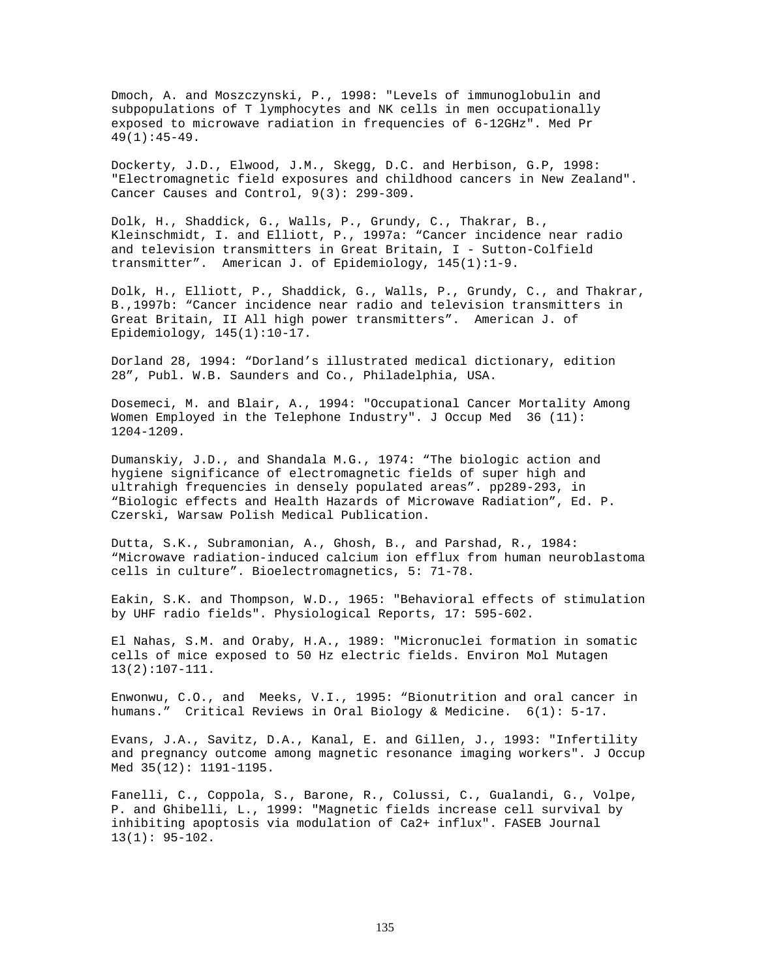Dmoch, A. and Moszczynski, P., 1998: "Levels of immunoglobulin and subpopulations of T lymphocytes and NK cells in men occupationally exposed to microwave radiation in frequencies of 6-12GHz". Med Pr 49(1):45-49.

Dockerty, J.D., Elwood, J.M., Skegg, D.C. and Herbison, G.P, 1998: "Electromagnetic field exposures and childhood cancers in New Zealand". Cancer Causes and Control, 9(3): 299-309.

Dolk, H., Shaddick, G., Walls, P., Grundy, C., Thakrar, B., Kleinschmidt, I. and Elliott, P., 1997a: "Cancer incidence near radio and television transmitters in Great Britain, I - Sutton-Colfield transmitter". American J. of Epidemiology, 145(1):1-9.

Dolk, H., Elliott, P., Shaddick, G., Walls, P., Grundy, C., and Thakrar, B.,1997b: "Cancer incidence near radio and television transmitters in Great Britain, II All high power transmitters". American J. of Epidemiology, 145(1):10-17.

Dorland 28, 1994: "Dorland's illustrated medical dictionary, edition 28", Publ. W.B. Saunders and Co., Philadelphia, USA.

Dosemeci, M. and Blair, A., 1994: "Occupational Cancer Mortality Among Women Employed in the Telephone Industry". J Occup Med 36 (11): 1204-1209.

Dumanskiy, J.D., and Shandala M.G., 1974: "The biologic action and hygiene significance of electromagnetic fields of super high and ultrahigh frequencies in densely populated areas". pp289-293, in "Biologic effects and Health Hazards of Microwave Radiation", Ed. P. Czerski, Warsaw Polish Medical Publication.

Dutta, S.K., Subramonian, A., Ghosh, B., and Parshad, R., 1984: "Microwave radiation-induced calcium ion efflux from human neuroblastoma cells in culture". Bioelectromagnetics, 5: 71-78.

Eakin, S.K. and Thompson, W.D., 1965: "Behavioral effects of stimulation by UHF radio fields". Physiological Reports, 17: 595-602.

El Nahas, S.M. and Oraby, H.A., 1989: "Micronuclei formation in somatic cells of mice exposed to 50 Hz electric fields. Environ Mol Mutagen 13(2):107-111.

Enwonwu, C.O., and Meeks, V.I., 1995: "Bionutrition and oral cancer in humans." Critical Reviews in Oral Biology & Medicine. 6(1): 5-17.

Evans, J.A., Savitz, D.A., Kanal, E. and Gillen, J., 1993: "Infertility and pregnancy outcome among magnetic resonance imaging workers". J Occup Med 35(12): 1191-1195.

Fanelli, C., Coppola, S., Barone, R., Colussi, C., Gualandi, G., Volpe, P. and Ghibelli, L., 1999: "Magnetic fields increase cell survival by inhibiting apoptosis via modulation of Ca2+ influx". FASEB Journal  $13(1): 95-102.$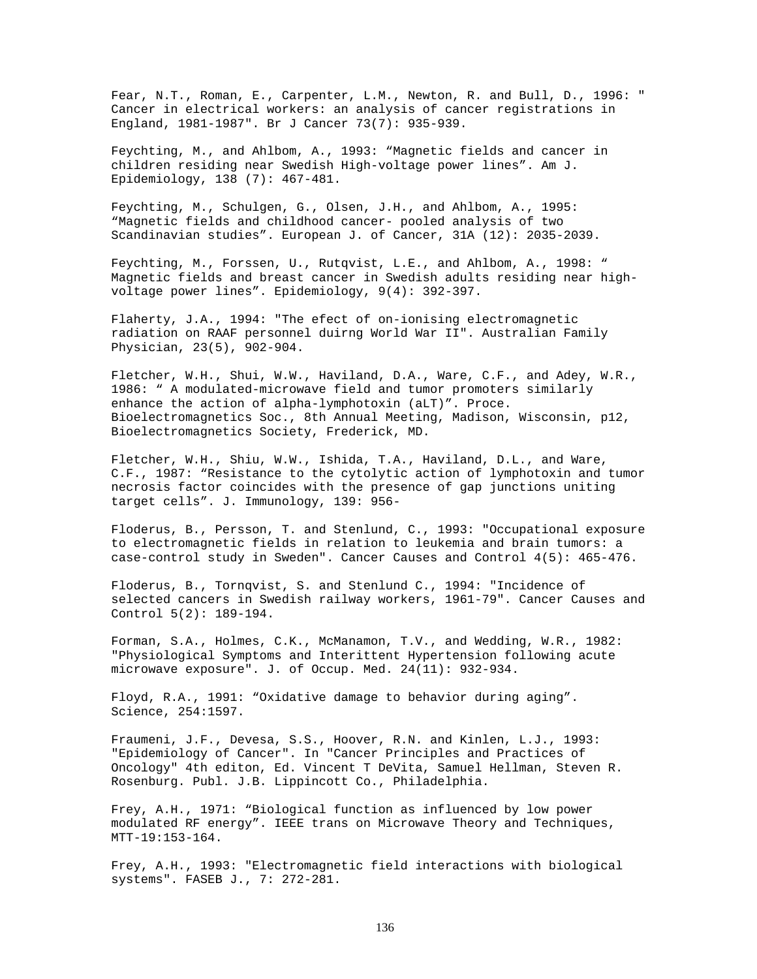Fear, N.T., Roman, E., Carpenter, L.M., Newton, R. and Bull, D., 1996: " Cancer in electrical workers: an analysis of cancer registrations in England, 1981-1987". Br J Cancer 73(7): 935-939.

Feychting, M., and Ahlbom, A., 1993: "Magnetic fields and cancer in children residing near Swedish High-voltage power lines". Am J. Epidemiology, 138 (7): 467-481.

Feychting, M., Schulgen, G., Olsen, J.H., and Ahlbom, A., 1995: "Magnetic fields and childhood cancer- pooled analysis of two Scandinavian studies". European J. of Cancer, 31A (12): 2035-2039.

Feychting, M., Forssen, U., Rutqvist, L.E., and Ahlbom, A., 1998: " Magnetic fields and breast cancer in Swedish adults residing near highvoltage power lines". Epidemiology, 9(4): 392-397.

Flaherty, J.A., 1994: "The efect of on-ionising electromagnetic radiation on RAAF personnel duirng World War II". Australian Family Physician, 23(5), 902-904.

Fletcher, W.H., Shui, W.W., Haviland, D.A., Ware, C.F., and Adey, W.R., 1986: " A modulated-microwave field and tumor promoters similarly enhance the action of alpha-lymphotoxin (aLT)". Proce. Bioelectromagnetics Soc., 8th Annual Meeting, Madison, Wisconsin, p12, Bioelectromagnetics Society, Frederick, MD.

Fletcher, W.H., Shiu, W.W., Ishida, T.A., Haviland, D.L., and Ware, C.F., 1987: "Resistance to the cytolytic action of lymphotoxin and tumor necrosis factor coincides with the presence of gap junctions uniting target cells". J. Immunology, 139: 956-

Floderus, B., Persson, T. and Stenlund, C., 1993: "Occupational exposure to electromagnetic fields in relation to leukemia and brain tumors: a case-control study in Sweden". Cancer Causes and Control 4(5): 465-476.

Floderus, B., Tornqvist, S. and Stenlund C., 1994: "Incidence of selected cancers in Swedish railway workers, 1961-79". Cancer Causes and Control 5(2): 189-194.

Forman, S.A., Holmes, C.K., McManamon, T.V., and Wedding, W.R., 1982: "Physiological Symptoms and Interittent Hypertension following acute microwave exposure". J. of Occup. Med. 24(11): 932-934.

Floyd, R.A., 1991: "Oxidative damage to behavior during aging". Science, 254:1597.

Fraumeni, J.F., Devesa, S.S., Hoover, R.N. and Kinlen, L.J., 1993: "Epidemiology of Cancer". In "Cancer Principles and Practices of Oncology" 4th editon, Ed. Vincent T DeVita, Samuel Hellman, Steven R. Rosenburg. Publ. J.B. Lippincott Co., Philadelphia.

Frey, A.H., 1971: "Biological function as influenced by low power modulated RF energy". IEEE trans on Microwave Theory and Techniques, MTT-19:153-164.

Frey, A.H., 1993: "Electromagnetic field interactions with biological systems". FASEB J., 7: 272-281.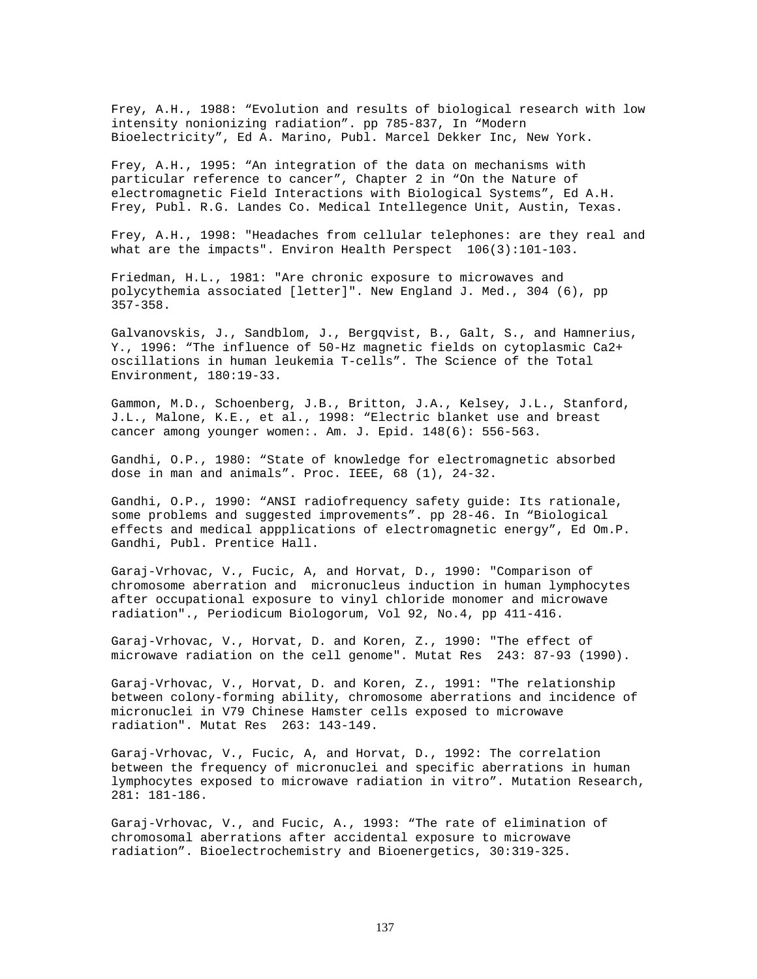Frey, A.H., 1988: "Evolution and results of biological research with low intensity nonionizing radiation". pp 785-837, In "Modern Bioelectricity", Ed A. Marino, Publ. Marcel Dekker Inc, New York.

Frey, A.H., 1995: "An integration of the data on mechanisms with particular reference to cancer", Chapter 2 in "On the Nature of electromagnetic Field Interactions with Biological Systems", Ed A.H. Frey, Publ. R.G. Landes Co. Medical Intellegence Unit, Austin, Texas.

Frey, A.H., 1998: "Headaches from cellular telephones: are they real and what are the impacts". Environ Health Perspect 106(3):101-103.

Friedman, H.L., 1981: "Are chronic exposure to microwaves and polycythemia associated [letter]". New England J. Med., 304 (6), pp 357-358.

Galvanovskis, J., Sandblom, J., Bergqvist, B., Galt, S., and Hamnerius, Y., 1996: "The influence of 50-Hz magnetic fields on cytoplasmic Ca2+ oscillations in human leukemia T-cells". The Science of the Total Environment, 180:19-33.

Gammon, M.D., Schoenberg, J.B., Britton, J.A., Kelsey, J.L., Stanford, J.L., Malone, K.E., et al., 1998: "Electric blanket use and breast cancer among younger women:. Am. J. Epid. 148(6): 556-563.

Gandhi, O.P., 1980: "State of knowledge for electromagnetic absorbed dose in man and animals". Proc. IEEE, 68 (1), 24-32.

Gandhi, O.P., 1990: "ANSI radiofrequency safety guide: Its rationale, some problems and suggested improvements". pp 28-46. In "Biological effects and medical appplications of electromagnetic energy", Ed Om.P. Gandhi, Publ. Prentice Hall.

Garaj-Vrhovac, V., Fucic, A, and Horvat, D., 1990: "Comparison of chromosome aberration and micronucleus induction in human lymphocytes after occupational exposure to vinyl chloride monomer and microwave radiation"., Periodicum Biologorum, Vol 92, No.4, pp 411-416.

Garaj-Vrhovac, V., Horvat, D. and Koren, Z., 1990: "The effect of microwave radiation on the cell genome". Mutat Res 243: 87-93 (1990).

Garaj-Vrhovac, V., Horvat, D. and Koren, Z., 1991: "The relationship between colony-forming ability, chromosome aberrations and incidence of micronuclei in V79 Chinese Hamster cells exposed to microwave radiation". Mutat Res 263: 143-149.

Garaj-Vrhovac, V., Fucic, A, and Horvat, D., 1992: The correlation between the frequency of micronuclei and specific aberrations in human lymphocytes exposed to microwave radiation in vitro". Mutation Research, 281: 181-186.

Garaj-Vrhovac, V., and Fucic, A., 1993: "The rate of elimination of chromosomal aberrations after accidental exposure to microwave radiation". Bioelectrochemistry and Bioenergetics, 30:319-325.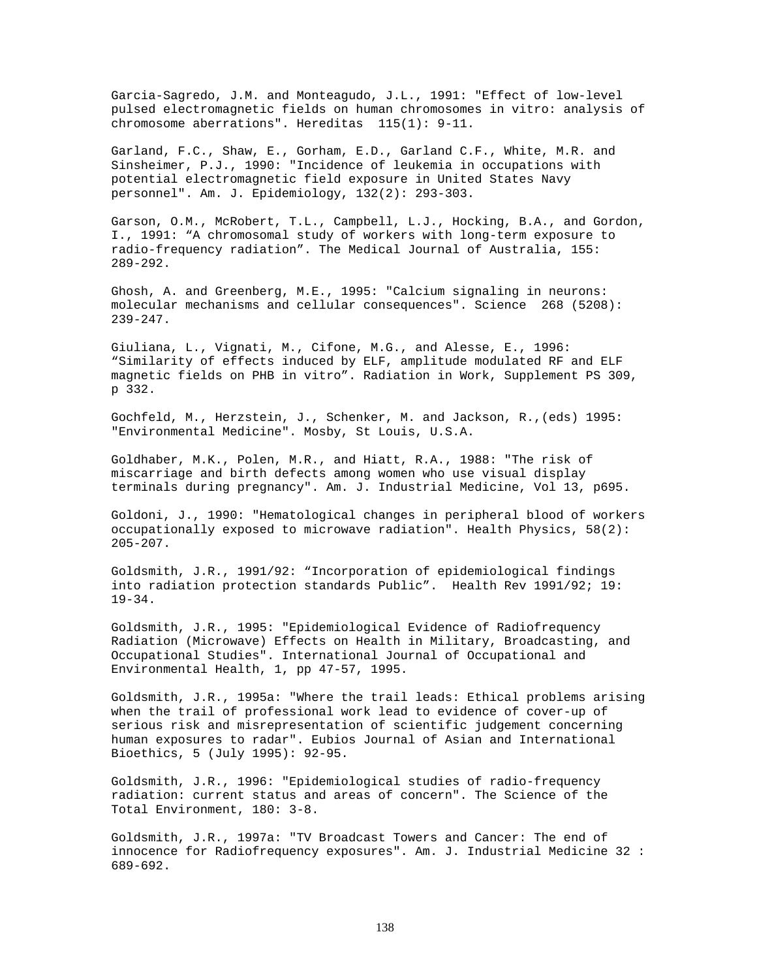Garcia-Sagredo, J.M. and Monteagudo, J.L., 1991: "Effect of low-level pulsed electromagnetic fields on human chromosomes in vitro: analysis of chromosome aberrations". Hereditas 115(1): 9-11.

Garland, F.C., Shaw, E., Gorham, E.D., Garland C.F., White, M.R. and Sinsheimer, P.J., 1990: "Incidence of leukemia in occupations with potential electromagnetic field exposure in United States Navy personnel". Am. J. Epidemiology, 132(2): 293-303.

Garson, O.M., McRobert, T.L., Campbell, L.J., Hocking, B.A., and Gordon, I., 1991: "A chromosomal study of workers with long-term exposure to radio-frequency radiation". The Medical Journal of Australia, 155: 289-292.

Ghosh, A. and Greenberg, M.E., 1995: "Calcium signaling in neurons: molecular mechanisms and cellular consequences". Science 268 (5208): 239-247.

Giuliana, L., Vignati, M., Cifone, M.G., and Alesse, E., 1996: "Similarity of effects induced by ELF, amplitude modulated RF and ELF magnetic fields on PHB in vitro". Radiation in Work, Supplement PS 309, p 332.

Gochfeld, M., Herzstein, J., Schenker, M. and Jackson, R.,(eds) 1995: "Environmental Medicine". Mosby, St Louis, U.S.A.

Goldhaber, M.K., Polen, M.R., and Hiatt, R.A., 1988: "The risk of miscarriage and birth defects among women who use visual display terminals during pregnancy". Am. J. Industrial Medicine, Vol 13, p695.

Goldoni, J., 1990: "Hematological changes in peripheral blood of workers occupationally exposed to microwave radiation". Health Physics, 58(2): 205-207.

Goldsmith, J.R., 1991/92: "Incorporation of epidemiological findings into radiation protection standards Public". Health Rev 1991/92; 19: 19-34.

Goldsmith, J.R., 1995: "Epidemiological Evidence of Radiofrequency Radiation (Microwave) Effects on Health in Military, Broadcasting, and Occupational Studies". International Journal of Occupational and Environmental Health, 1, pp 47-57, 1995.

Goldsmith, J.R., 1995a: "Where the trail leads: Ethical problems arising when the trail of professional work lead to evidence of cover-up of serious risk and misrepresentation of scientific judgement concerning human exposures to radar". Eubios Journal of Asian and International Bioethics, 5 (July 1995): 92-95.

Goldsmith, J.R., 1996: "Epidemiological studies of radio-frequency radiation: current status and areas of concern". The Science of the Total Environment, 180: 3-8.

Goldsmith, J.R., 1997a: "TV Broadcast Towers and Cancer: The end of innocence for Radiofrequency exposures". Am. J. Industrial Medicine 32 : 689-692.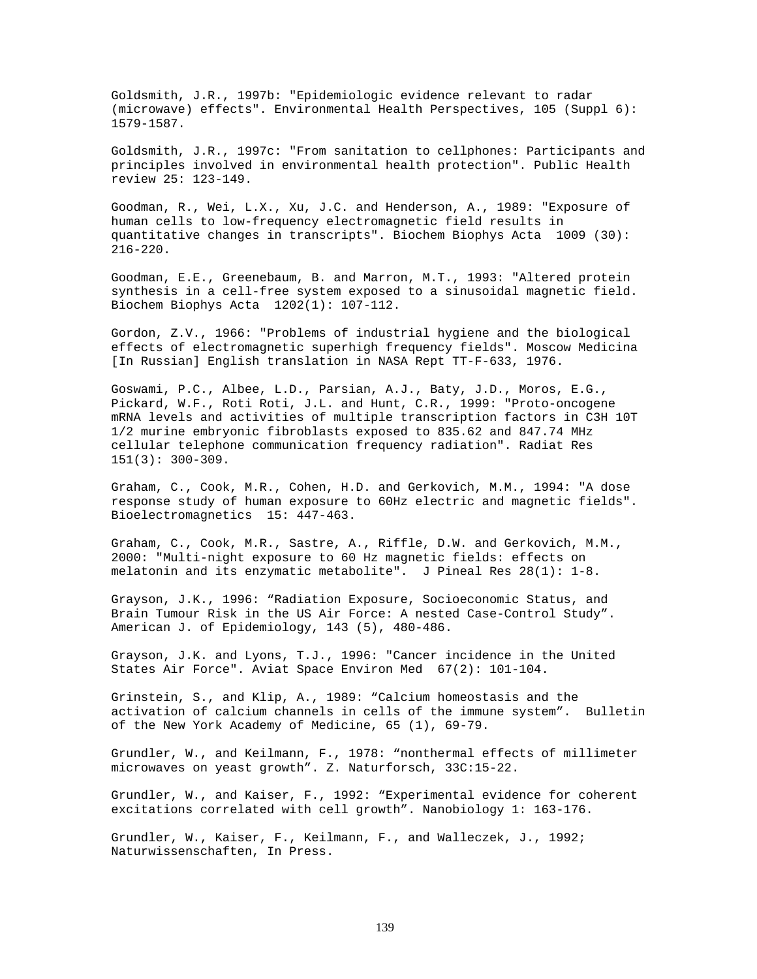Goldsmith, J.R., 1997b: "Epidemiologic evidence relevant to radar (microwave) effects". Environmental Health Perspectives, 105 (Suppl 6): 1579-1587.

Goldsmith, J.R., 1997c: "From sanitation to cellphones: Participants and principles involved in environmental health protection". Public Health review 25: 123-149.

Goodman, R., Wei, L.X., Xu, J.C. and Henderson, A., 1989: "Exposure of human cells to low-frequency electromagnetic field results in quantitative changes in transcripts". Biochem Biophys Acta 1009 (30): 216-220.

Goodman, E.E., Greenebaum, B. and Marron, M.T., 1993: "Altered protein synthesis in a cell-free system exposed to a sinusoidal magnetic field. Biochem Biophys Acta 1202(1): 107-112.

Gordon, Z.V., 1966: "Problems of industrial hygiene and the biological effects of electromagnetic superhigh frequency fields". Moscow Medicina [In Russian] English translation in NASA Rept TT-F-633, 1976.

Goswami, P.C., Albee, L.D., Parsian, A.J., Baty, J.D., Moros, E.G., Pickard, W.F., Roti Roti, J.L. and Hunt, C.R., 1999: "Proto-oncogene mRNA levels and activities of multiple transcription factors in C3H 10T 1/2 murine embryonic fibroblasts exposed to 835.62 and 847.74 MHz cellular telephone communication frequency radiation". Radiat Res  $151(3): 300-309.$ 

Graham, C., Cook, M.R., Cohen, H.D. and Gerkovich, M.M., 1994: "A dose response study of human exposure to 60Hz electric and magnetic fields". Bioelectromagnetics 15: 447-463.

Graham, C., Cook, M.R., Sastre, A., Riffle, D.W. and Gerkovich, M.M., 2000: "Multi-night exposure to 60 Hz magnetic fields: effects on melatonin and its enzymatic metabolite". J Pineal Res 28(1): 1-8.

Grayson, J.K., 1996: "Radiation Exposure, Socioeconomic Status, and Brain Tumour Risk in the US Air Force: A nested Case-Control Study". American J. of Epidemiology, 143 (5), 480-486.

Grayson, J.K. and Lyons, T.J., 1996: "Cancer incidence in the United States Air Force". Aviat Space Environ Med 67(2): 101-104.

Grinstein, S., and Klip, A., 1989: "Calcium homeostasis and the activation of calcium channels in cells of the immune system". Bulletin of the New York Academy of Medicine, 65 (1), 69-79.

Grundler, W., and Keilmann, F., 1978: "nonthermal effects of millimeter microwaves on yeast growth". Z. Naturforsch, 33C:15-22.

Grundler, W., and Kaiser, F., 1992: "Experimental evidence for coherent excitations correlated with cell growth". Nanobiology 1: 163-176.

Grundler, W., Kaiser, F., Keilmann, F., and Walleczek, J., 1992; Naturwissenschaften, In Press.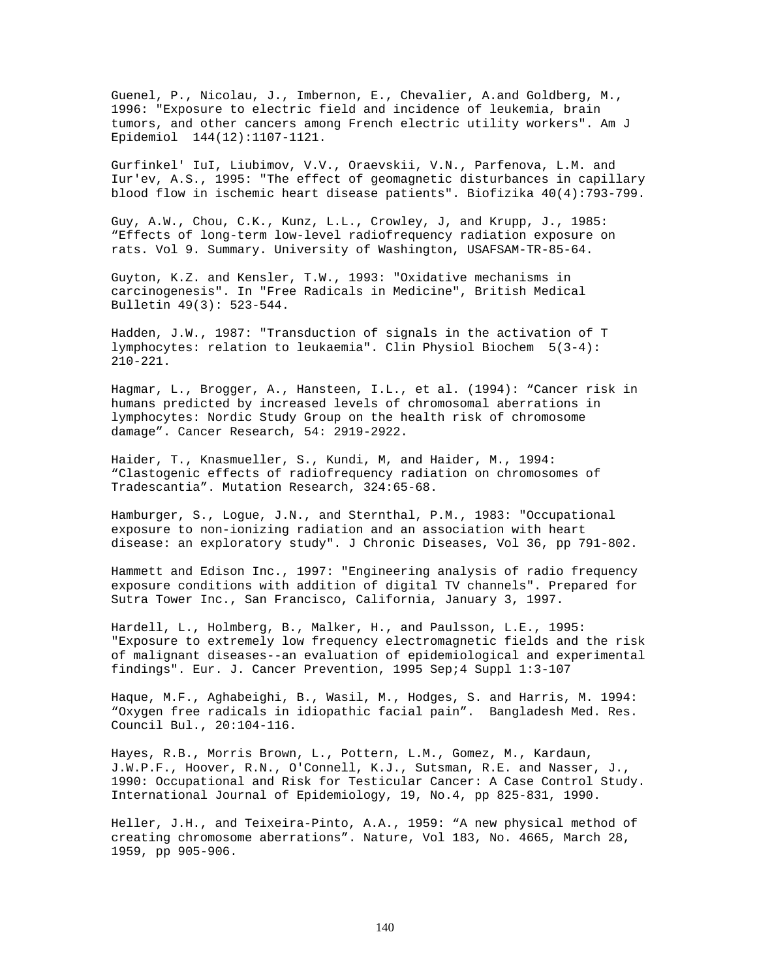Guenel, P., Nicolau, J., Imbernon, E., Chevalier, A.and Goldberg, M., 1996: "Exposure to electric field and incidence of leukemia, brain tumors, and other cancers among French electric utility workers". Am J Epidemiol 144(12):1107-1121.

Gurfinkel' IuI, Liubimov, V.V., Oraevskii, V.N., Parfenova, L.M. and Iur'ev, A.S., 1995: "The effect of geomagnetic disturbances in capillary blood flow in ischemic heart disease patients". Biofizika 40(4):793-799.

Guy, A.W., Chou, C.K., Kunz, L.L., Crowley, J, and Krupp, J., 1985: "Effects of long-term low-level radiofrequency radiation exposure on rats. Vol 9. Summary. University of Washington, USAFSAM-TR-85-64.

Guyton, K.Z. and Kensler, T.W., 1993: "Oxidative mechanisms in carcinogenesis". In "Free Radicals in Medicine", British Medical Bulletin 49(3): 523-544.

Hadden, J.W., 1987: "Transduction of signals in the activation of T lymphocytes: relation to leukaemia". Clin Physiol Biochem 5(3-4): 210-221.

Hagmar, L., Brogger, A., Hansteen, I.L., et al. (1994): "Cancer risk in humans predicted by increased levels of chromosomal aberrations in lymphocytes: Nordic Study Group on the health risk of chromosome damage". Cancer Research, 54: 2919-2922.

Haider, T., Knasmueller, S., Kundi, M, and Haider, M., 1994: "Clastogenic effects of radiofrequency radiation on chromosomes of Tradescantia". Mutation Research, 324:65-68.

Hamburger, S., Logue, J.N., and Sternthal, P.M., 1983: "Occupational exposure to non-ionizing radiation and an association with heart disease: an exploratory study". J Chronic Diseases, Vol 36, pp 791-802.

Hammett and Edison Inc., 1997: "Engineering analysis of radio frequency exposure conditions with addition of digital TV channels". Prepared for Sutra Tower Inc., San Francisco, California, January 3, 1997.

Hardell, L., Holmberg, B., Malker, H., and Paulsson, L.E., 1995: "Exposure to extremely low frequency electromagnetic fields and the risk of malignant diseases--an evaluation of epidemiological and experimental findings". Eur. J. Cancer Prevention, 1995 Sep;4 Suppl 1:3-107

Haque, M.F., Aghabeighi, B., Wasil, M., Hodges, S. and Harris, M. 1994: "Oxygen free radicals in idiopathic facial pain". Bangladesh Med. Res. Council Bul., 20:104-116.

Hayes, R.B., Morris Brown, L., Pottern, L.M., Gomez, M., Kardaun, J.W.P.F., Hoover, R.N., O'Connell, K.J., Sutsman, R.E. and Nasser, J., 1990: Occupational and Risk for Testicular Cancer: A Case Control Study. International Journal of Epidemiology, 19, No.4, pp 825-831, 1990.

Heller, J.H., and Teixeira-Pinto, A.A., 1959: "A new physical method of creating chromosome aberrations". Nature, Vol 183, No. 4665, March 28, 1959, pp 905-906.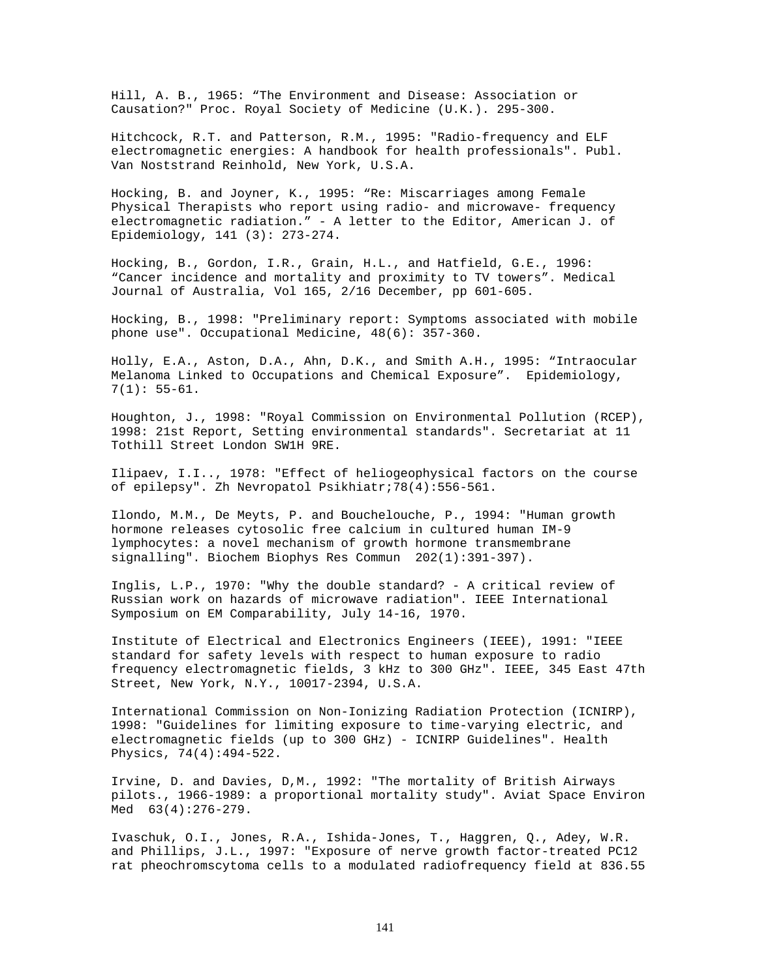Hill, A. B., 1965: "The Environment and Disease: Association or Causation?" Proc. Royal Society of Medicine (U.K.). 295-300.

Hitchcock, R.T. and Patterson, R.M., 1995: "Radio-frequency and ELF electromagnetic energies: A handbook for health professionals". Publ. Van Noststrand Reinhold, New York, U.S.A.

Hocking, B. and Joyner, K., 1995: "Re: Miscarriages among Female Physical Therapists who report using radio- and microwave- frequency electromagnetic radiation." - A letter to the Editor, American J. of Epidemiology, 141 (3): 273-274.

Hocking, B., Gordon, I.R., Grain, H.L., and Hatfield, G.E., 1996: "Cancer incidence and mortality and proximity to TV towers". Medical Journal of Australia, Vol 165, 2/16 December, pp 601-605.

Hocking, B., 1998: "Preliminary report: Symptoms associated with mobile phone use". Occupational Medicine, 48(6): 357-360.

Holly, E.A., Aston, D.A., Ahn, D.K., and Smith A.H., 1995: "Intraocular Melanoma Linked to Occupations and Chemical Exposure". Epidemiology, 7(1): 55-61.

Houghton, J., 1998: "Royal Commission on Environmental Pollution (RCEP), 1998: 21st Report, Setting environmental standards". Secretariat at 11 Tothill Street London SW1H 9RE.

Ilipaev, I.I.., 1978: "Effect of heliogeophysical factors on the course of epilepsy". Zh Nevropatol Psikhiatr;78(4):556-561.

Ilondo, M.M., De Meyts, P. and Bouchelouche, P., 1994: "Human growth hormone releases cytosolic free calcium in cultured human IM-9 lymphocytes: a novel mechanism of growth hormone transmembrane signalling". Biochem Biophys Res Commun 202(1):391-397).

Inglis, L.P., 1970: "Why the double standard? - A critical review of Russian work on hazards of microwave radiation". IEEE International Symposium on EM Comparability, July 14-16, 1970.

Institute of Electrical and Electronics Engineers (IEEE), 1991: "IEEE standard for safety levels with respect to human exposure to radio frequency electromagnetic fields, 3 kHz to 300 GHz". IEEE, 345 East 47th Street, New York, N.Y., 10017-2394, U.S.A.

International Commission on Non-Ionizing Radiation Protection (ICNIRP), 1998: "Guidelines for limiting exposure to time-varying electric, and electromagnetic fields (up to 300 GHz) - ICNIRP Guidelines". Health Physics, 74(4):494-522.

Irvine, D. and Davies, D,M., 1992: "The mortality of British Airways pilots., 1966-1989: a proportional mortality study". Aviat Space Environ Med  $63(4):276-279$ .

Ivaschuk, O.I., Jones, R.A., Ishida-Jones, T., Haggren, Q., Adey, W.R. and Phillips, J.L., 1997: "Exposure of nerve growth factor-treated PC12 rat pheochromscytoma cells to a modulated radiofrequency field at 836.55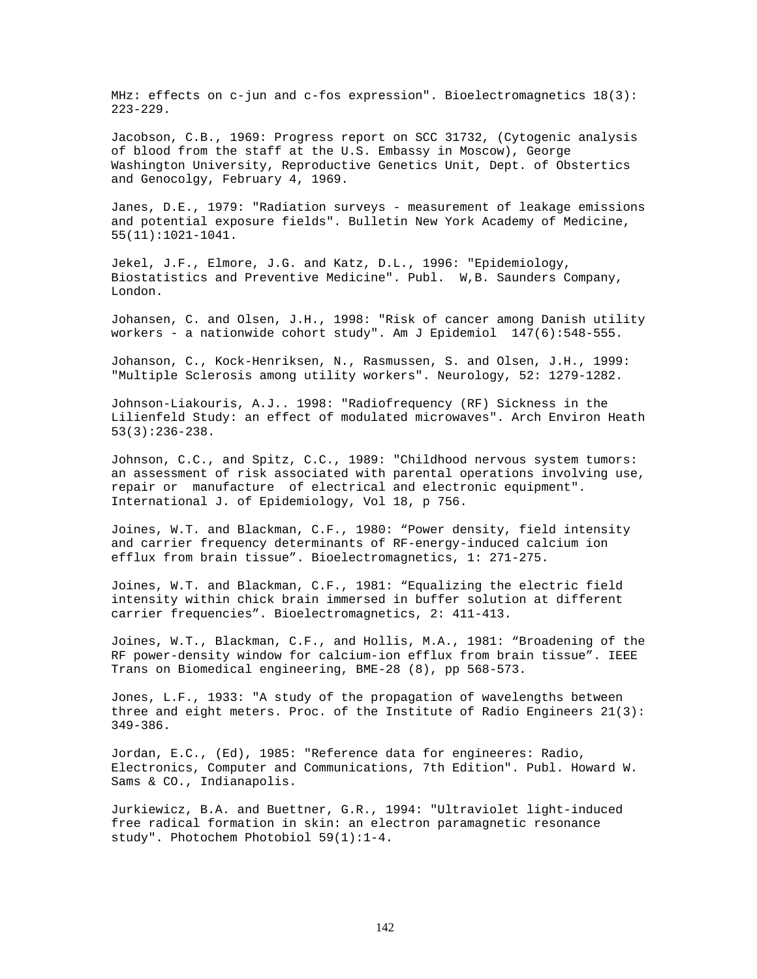MHz: effects on c-jun and c-fos expression". Bioelectromagnetics 18(3): 223-229.

Jacobson, C.B., 1969: Progress report on SCC 31732, (Cytogenic analysis of blood from the staff at the U.S. Embassy in Moscow), George Washington University, Reproductive Genetics Unit, Dept. of Obstertics and Genocolgy, February 4, 1969.

Janes, D.E., 1979: "Radiation surveys - measurement of leakage emissions and potential exposure fields". Bulletin New York Academy of Medicine, 55(11):1021-1041.

Jekel, J.F., Elmore, J.G. and Katz, D.L., 1996: "Epidemiology, Biostatistics and Preventive Medicine". Publ. W,B. Saunders Company, London.

Johansen, C. and Olsen, J.H., 1998: "Risk of cancer among Danish utility workers - a nationwide cohort study". Am J Epidemiol 147(6):548-555.

Johanson, C., Kock-Henriksen, N., Rasmussen, S. and Olsen, J.H., 1999: "Multiple Sclerosis among utility workers". Neurology, 52: 1279-1282.

Johnson-Liakouris, A.J.. 1998: "Radiofrequency (RF) Sickness in the Lilienfeld Study: an effect of modulated microwaves". Arch Environ Heath 53(3):236-238.

Johnson, C.C., and Spitz, C.C., 1989: "Childhood nervous system tumors: an assessment of risk associated with parental operations involving use, repair or manufacture of electrical and electronic equipment". International J. of Epidemiology, Vol 18, p 756.

Joines, W.T. and Blackman, C.F., 1980: "Power density, field intensity and carrier frequency determinants of RF-energy-induced calcium ion efflux from brain tissue". Bioelectromagnetics, 1: 271-275.

Joines, W.T. and Blackman, C.F., 1981: "Equalizing the electric field intensity within chick brain immersed in buffer solution at different carrier frequencies". Bioelectromagnetics, 2: 411-413.

Joines, W.T., Blackman, C.F., and Hollis, M.A., 1981: "Broadening of the RF power-density window for calcium-ion efflux from brain tissue". IEEE Trans on Biomedical engineering, BME-28 (8), pp 568-573.

Jones, L.F., 1933: "A study of the propagation of wavelengths between three and eight meters. Proc. of the Institute of Radio Engineers 21(3): 349-386.

Jordan, E.C., (Ed), 1985: "Reference data for engineeres: Radio, Electronics, Computer and Communications, 7th Edition". Publ. Howard W. Sams & CO., Indianapolis.

Jurkiewicz, B.A. and Buettner, G.R., 1994: "Ultraviolet light-induced free radical formation in skin: an electron paramagnetic resonance study". Photochem Photobiol 59(1):1-4.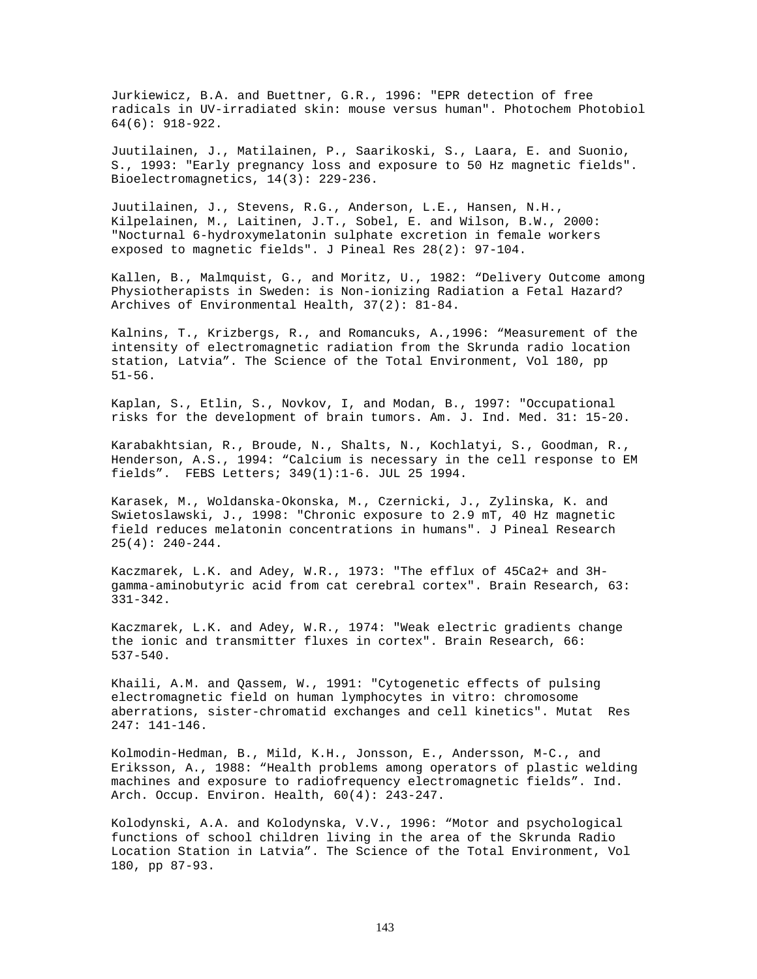Jurkiewicz, B.A. and Buettner, G.R., 1996: "EPR detection of free radicals in UV-irradiated skin: mouse versus human". Photochem Photobiol 64(6): 918-922.

Juutilainen, J., Matilainen, P., Saarikoski, S., Laara, E. and Suonio, S., 1993: "Early pregnancy loss and exposure to 50 Hz magnetic fields". Bioelectromagnetics, 14(3): 229-236.

Juutilainen, J., Stevens, R.G., Anderson, L.E., Hansen, N.H., Kilpelainen, M., Laitinen, J.T., Sobel, E. and Wilson, B.W., 2000: "Nocturnal 6-hydroxymelatonin sulphate excretion in female workers exposed to magnetic fields". J Pineal Res 28(2): 97-104.

Kallen, B., Malmquist, G., and Moritz, U., 1982: "Delivery Outcome among Physiotherapists in Sweden: is Non-ionizing Radiation a Fetal Hazard? Archives of Environmental Health, 37(2): 81-84.

Kalnins, T., Krizbergs, R., and Romancuks, A.,1996: "Measurement of the intensity of electromagnetic radiation from the Skrunda radio location station, Latvia". The Science of the Total Environment, Vol 180, pp 51-56.

Kaplan, S., Etlin, S., Novkov, I, and Modan, B., 1997: "Occupational risks for the development of brain tumors. Am. J. Ind. Med. 31: 15-20.

Karabakhtsian, R., Broude, N., Shalts, N., Kochlatyi, S., Goodman, R., Henderson, A.S., 1994: "Calcium is necessary in the cell response to EM fields". FEBS Letters; 349(1):1-6. JUL 25 1994.

Karasek, M., Woldanska-Okonska, M., Czernicki, J., Zylinska, K. and Swietoslawski, J., 1998: "Chronic exposure to 2.9 mT, 40 Hz magnetic field reduces melatonin concentrations in humans". J Pineal Research 25(4): 240-244.

Kaczmarek, L.K. and Adey, W.R., 1973: "The efflux of 45Ca2+ and 3Hgamma-aminobutyric acid from cat cerebral cortex". Brain Research, 63: 331-342.

Kaczmarek, L.K. and Adey, W.R., 1974: "Weak electric gradients change the ionic and transmitter fluxes in cortex". Brain Research, 66: 537-540.

Khaili, A.M. and Qassem, W., 1991: "Cytogenetic effects of pulsing electromagnetic field on human lymphocytes in vitro: chromosome aberrations, sister-chromatid exchanges and cell kinetics". Mutat Res 247: 141-146.

Kolmodin-Hedman, B., Mild, K.H., Jonsson, E., Andersson, M-C., and Eriksson, A., 1988: "Health problems among operators of plastic welding machines and exposure to radiofrequency electromagnetic fields". Ind. Arch. Occup. Environ. Health, 60(4): 243-247.

Kolodynski, A.A. and Kolodynska, V.V., 1996: "Motor and psychological functions of school children living in the area of the Skrunda Radio Location Station in Latvia". The Science of the Total Environment, Vol 180, pp 87-93.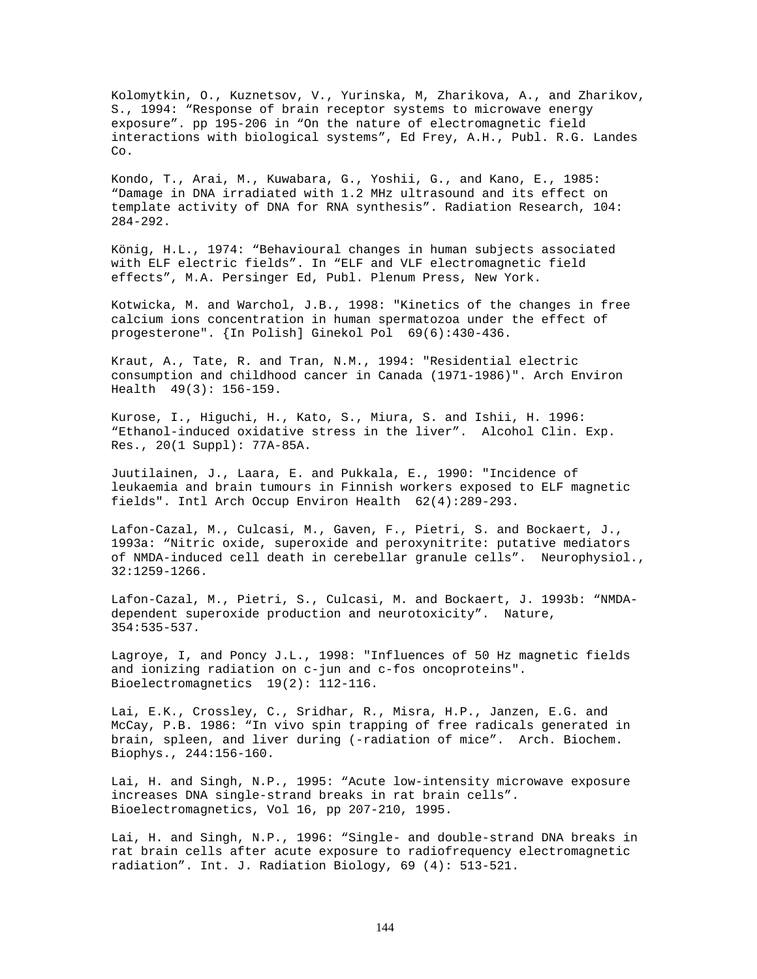Kolomytkin, O., Kuznetsov, V., Yurinska, M, Zharikova, A., and Zharikov, S., 1994: "Response of brain receptor systems to microwave energy exposure". pp 195-206 in "On the nature of electromagnetic field interactions with biological systems", Ed Frey, A.H., Publ. R.G. Landes Co.

Kondo, T., Arai, M., Kuwabara, G., Yoshii, G., and Kano, E., 1985: "Damage in DNA irradiated with 1.2 MHz ultrasound and its effect on template activity of DNA for RNA synthesis". Radiation Research, 104: 284-292.

König, H.L., 1974: "Behavioural changes in human subjects associated with ELF electric fields". In "ELF and VLF electromagnetic field effects", M.A. Persinger Ed, Publ. Plenum Press, New York.

Kotwicka, M. and Warchol, J.B., 1998: "Kinetics of the changes in free calcium ions concentration in human spermatozoa under the effect of progesterone". {In Polish] Ginekol Pol 69(6):430-436.

Kraut, A., Tate, R. and Tran, N.M., 1994: "Residential electric consumption and childhood cancer in Canada (1971-1986)". Arch Environ Health 49(3): 156-159.

Kurose, I., Higuchi, H., Kato, S., Miura, S. and Ishii, H. 1996: "Ethanol-induced oxidative stress in the liver". Alcohol Clin. Exp. Res., 20(1 Suppl): 77A-85A.

Juutilainen, J., Laara, E. and Pukkala, E., 1990: "Incidence of leukaemia and brain tumours in Finnish workers exposed to ELF magnetic fields". Intl Arch Occup Environ Health 62(4):289-293.

Lafon-Cazal, M., Culcasi, M., Gaven, F., Pietri, S. and Bockaert, J., 1993a: "Nitric oxide, superoxide and peroxynitrite: putative mediators of NMDA-induced cell death in cerebellar granule cells". Neurophysiol., 32:1259-1266.

Lafon-Cazal, M., Pietri, S., Culcasi, M. and Bockaert, J. 1993b: "NMDAdependent superoxide production and neurotoxicity". Nature, 354:535-537.

Lagroye, I, and Poncy J.L., 1998: "Influences of 50 Hz magnetic fields and ionizing radiation on c-jun and c-fos oncoproteins". Bioelectromagnetics 19(2): 112-116.

Lai, E.K., Crossley, C., Sridhar, R., Misra, H.P., Janzen, E.G. and McCay, P.B. 1986: "In vivo spin trapping of free radicals generated in brain, spleen, and liver during (-radiation of mice". Arch. Biochem. Biophys., 244:156-160.

Lai, H. and Singh, N.P., 1995: "Acute low-intensity microwave exposure increases DNA single-strand breaks in rat brain cells". Bioelectromagnetics, Vol 16, pp 207-210, 1995.

Lai, H. and Singh, N.P., 1996: "Single- and double-strand DNA breaks in rat brain cells after acute exposure to radiofrequency electromagnetic radiation". Int. J. Radiation Biology, 69 (4): 513-521.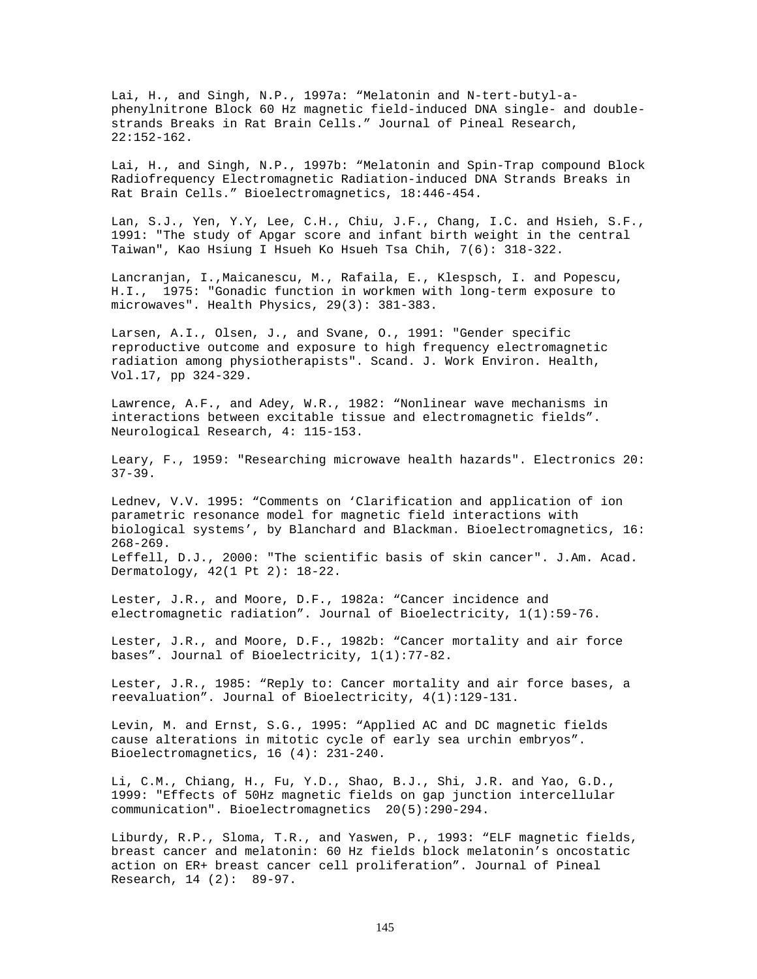Lai, H., and Singh, N.P., 1997a: "Melatonin and N-tert-butyl-aphenylnitrone Block 60 Hz magnetic field-induced DNA single- and doublestrands Breaks in Rat Brain Cells." Journal of Pineal Research, 22:152-162.

Lai, H., and Singh, N.P., 1997b: "Melatonin and Spin-Trap compound Block Radiofrequency Electromagnetic Radiation-induced DNA Strands Breaks in Rat Brain Cells." Bioelectromagnetics, 18:446-454.

Lan, S.J., Yen, Y.Y, Lee, C.H., Chiu, J.F., Chang, I.C. and Hsieh, S.F., 1991: "The study of Apgar score and infant birth weight in the central Taiwan", Kao Hsiung I Hsueh Ko Hsueh Tsa Chih, 7(6): 318-322.

Lancranjan, I.,Maicanescu, M., Rafaila, E., Klespsch, I. and Popescu, H.I., 1975: "Gonadic function in workmen with long-term exposure to microwaves". Health Physics, 29(3): 381-383.

Larsen, A.I., Olsen, J., and Svane, O., 1991: "Gender specific reproductive outcome and exposure to high frequency electromagnetic radiation among physiotherapists". Scand. J. Work Environ. Health, Vol.17, pp 324-329.

Lawrence, A.F., and Adey, W.R., 1982: "Nonlinear wave mechanisms in interactions between excitable tissue and electromagnetic fields". Neurological Research, 4: 115-153.

Leary, F., 1959: "Researching microwave health hazards". Electronics 20:  $37 - 39$ .

Lednev, V.V. 1995: "Comments on 'Clarification and application of ion parametric resonance model for magnetic field interactions with biological systems', by Blanchard and Blackman. Bioelectromagnetics, 16: 268-269. Leffell, D.J., 2000: "The scientific basis of skin cancer". J.Am. Acad. Dermatology, 42(1 Pt 2): 18-22.

Lester, J.R., and Moore, D.F., 1982a: "Cancer incidence and electromagnetic radiation". Journal of Bioelectricity, 1(1):59-76.

Lester, J.R., and Moore, D.F., 1982b: "Cancer mortality and air force bases". Journal of Bioelectricity, 1(1):77-82.

Lester, J.R., 1985: "Reply to: Cancer mortality and air force bases, a reevaluation". Journal of Bioelectricity, 4(1):129-131.

Levin, M. and Ernst, S.G., 1995: "Applied AC and DC magnetic fields cause alterations in mitotic cycle of early sea urchin embryos". Bioelectromagnetics, 16 (4): 231-240.

Li, C.M., Chiang, H., Fu, Y.D., Shao, B.J., Shi, J.R. and Yao, G.D., 1999: "Effects of 50Hz magnetic fields on gap junction intercellular communication". Bioelectromagnetics 20(5):290-294.

Liburdy, R.P., Sloma, T.R., and Yaswen, P., 1993: "ELF magnetic fields, breast cancer and melatonin: 60 Hz fields block melatonin's oncostatic action on ER+ breast cancer cell proliferation". Journal of Pineal Research, 14 (2): 89-97.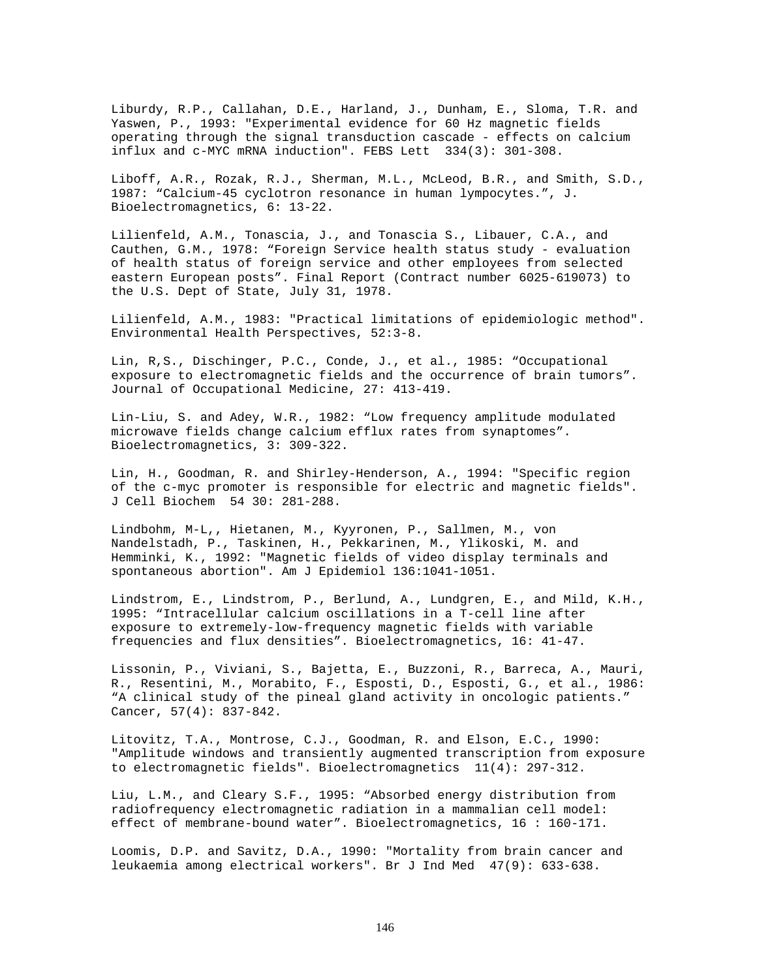Liburdy, R.P., Callahan, D.E., Harland, J., Dunham, E., Sloma, T.R. and Yaswen, P., 1993: "Experimental evidence for 60 Hz magnetic fields operating through the signal transduction cascade - effects on calcium influx and c-MYC mRNA induction". FEBS Lett 334(3): 301-308.

Liboff, A.R., Rozak, R.J., Sherman, M.L., McLeod, B.R., and Smith, S.D., 1987: "Calcium-45 cyclotron resonance in human lympocytes.", J. Bioelectromagnetics, 6: 13-22.

Lilienfeld, A.M., Tonascia, J., and Tonascia S., Libauer, C.A., and Cauthen, G.M., 1978: "Foreign Service health status study - evaluation of health status of foreign service and other employees from selected eastern European posts". Final Report (Contract number 6025-619073) to the U.S. Dept of State, July 31, 1978.

Lilienfeld, A.M., 1983: "Practical limitations of epidemiologic method". Environmental Health Perspectives, 52:3-8.

Lin, R,S., Dischinger, P.C., Conde, J., et al., 1985: "Occupational exposure to electromagnetic fields and the occurrence of brain tumors". Journal of Occupational Medicine, 27: 413-419.

Lin-Liu, S. and Adey, W.R., 1982: "Low frequency amplitude modulated microwave fields change calcium efflux rates from synaptomes". Bioelectromagnetics, 3: 309-322.

Lin, H., Goodman, R. and Shirley-Henderson, A., 1994: "Specific region of the c-myc promoter is responsible for electric and magnetic fields". J Cell Biochem 54 30: 281-288.

Lindbohm, M-L,, Hietanen, M., Kyyronen, P., Sallmen, M., von Nandelstadh, P., Taskinen, H., Pekkarinen, M., Ylikoski, M. and Hemminki, K., 1992: "Magnetic fields of video display terminals and spontaneous abortion". Am J Epidemiol 136:1041-1051.

Lindstrom, E., Lindstrom, P., Berlund, A., Lundgren, E., and Mild, K.H., 1995: "Intracellular calcium oscillations in a T-cell line after exposure to extremely-low-frequency magnetic fields with variable frequencies and flux densities". Bioelectromagnetics, 16: 41-47.

Lissonin, P., Viviani, S., Bajetta, E., Buzzoni, R., Barreca, A., Mauri, R., Resentini, M., Morabito, F., Esposti, D., Esposti, G., et al., 1986: "A clinical study of the pineal gland activity in oncologic patients." Cancer, 57(4): 837-842.

Litovitz, T.A., Montrose, C.J., Goodman, R. and Elson, E.C., 1990: "Amplitude windows and transiently augmented transcription from exposure to electromagnetic fields". Bioelectromagnetics 11(4): 297-312.

Liu, L.M., and Cleary S.F., 1995: "Absorbed energy distribution from radiofrequency electromagnetic radiation in a mammalian cell model: effect of membrane-bound water". Bioelectromagnetics, 16 : 160-171.

Loomis, D.P. and Savitz, D.A., 1990: "Mortality from brain cancer and leukaemia among electrical workers". Br J Ind Med 47(9): 633-638.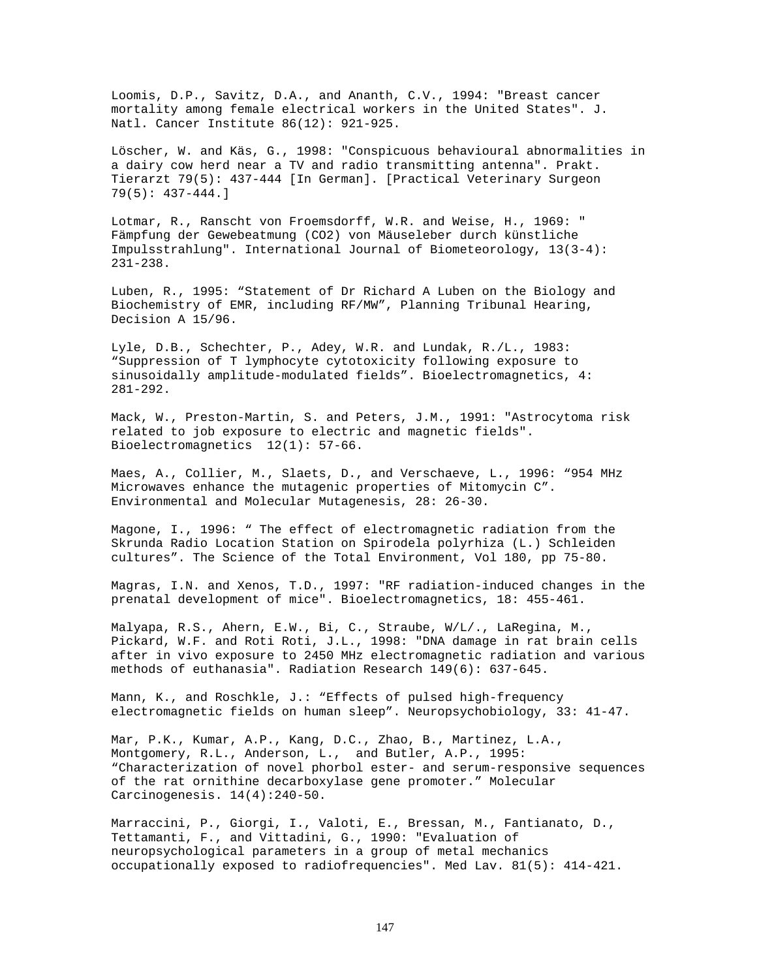Loomis, D.P., Savitz, D.A., and Ananth, C.V., 1994: "Breast cancer mortality among female electrical workers in the United States". J. Natl. Cancer Institute 86(12): 921-925.

Löscher, W. and Käs, G., 1998: "Conspicuous behavioural abnormalities in a dairy cow herd near a TV and radio transmitting antenna". Prakt. Tierarzt 79(5): 437-444 [In German]. [Practical Veterinary Surgeon 79(5): 437-444.]

Lotmar, R., Ranscht von Froemsdorff, W.R. and Weise, H., 1969: " Fämpfung der Gewebeatmung (CO2) von Mäuseleber durch künstliche Impulsstrahlung". International Journal of Biometeorology, 13(3-4): 231-238.

Luben, R., 1995: "Statement of Dr Richard A Luben on the Biology and Biochemistry of EMR, including RF/MW", Planning Tribunal Hearing, Decision A 15/96.

Lyle, D.B., Schechter, P., Adey, W.R. and Lundak, R./L., 1983: "Suppression of T lymphocyte cytotoxicity following exposure to sinusoidally amplitude-modulated fields". Bioelectromagnetics, 4: 281-292.

Mack, W., Preston-Martin, S. and Peters, J.M., 1991: "Astrocytoma risk related to job exposure to electric and magnetic fields". Bioelectromagnetics 12(1): 57-66.

Maes, A., Collier, M., Slaets, D., and Verschaeve, L., 1996: "954 MHz Microwaves enhance the mutagenic properties of Mitomycin C". Environmental and Molecular Mutagenesis, 28: 26-30.

Magone, I., 1996: " The effect of electromagnetic radiation from the Skrunda Radio Location Station on Spirodela polyrhiza (L.) Schleiden cultures". The Science of the Total Environment, Vol 180, pp 75-80.

Magras, I.N. and Xenos, T.D., 1997: "RF radiation-induced changes in the prenatal development of mice". Bioelectromagnetics, 18: 455-461.

Malyapa, R.S., Ahern, E.W., Bi, C., Straube, W/L/., LaRegina, M., Pickard, W.F. and Roti Roti, J.L., 1998: "DNA damage in rat brain cells after in vivo exposure to 2450 MHz electromagnetic radiation and various methods of euthanasia". Radiation Research 149(6): 637-645.

Mann, K., and Roschkle, J.: "Effects of pulsed high-frequency electromagnetic fields on human sleep". Neuropsychobiology, 33: 41-47.

Mar, P.K., Kumar, A.P., Kang, D.C., Zhao, B., Martinez, L.A., Montgomery, R.L., Anderson, L., and Butler, A.P., 1995: "Characterization of novel phorbol ester- and serum-responsive sequences of the rat ornithine decarboxylase gene promoter." Molecular Carcinogenesis. 14(4):240-50.

Marraccini, P., Giorgi, I., Valoti, E., Bressan, M., Fantianato, D., Tettamanti, F., and Vittadini, G., 1990: "Evaluation of neuropsychological parameters in a group of metal mechanics occupationally exposed to radiofrequencies". Med Lav. 81(5): 414-421.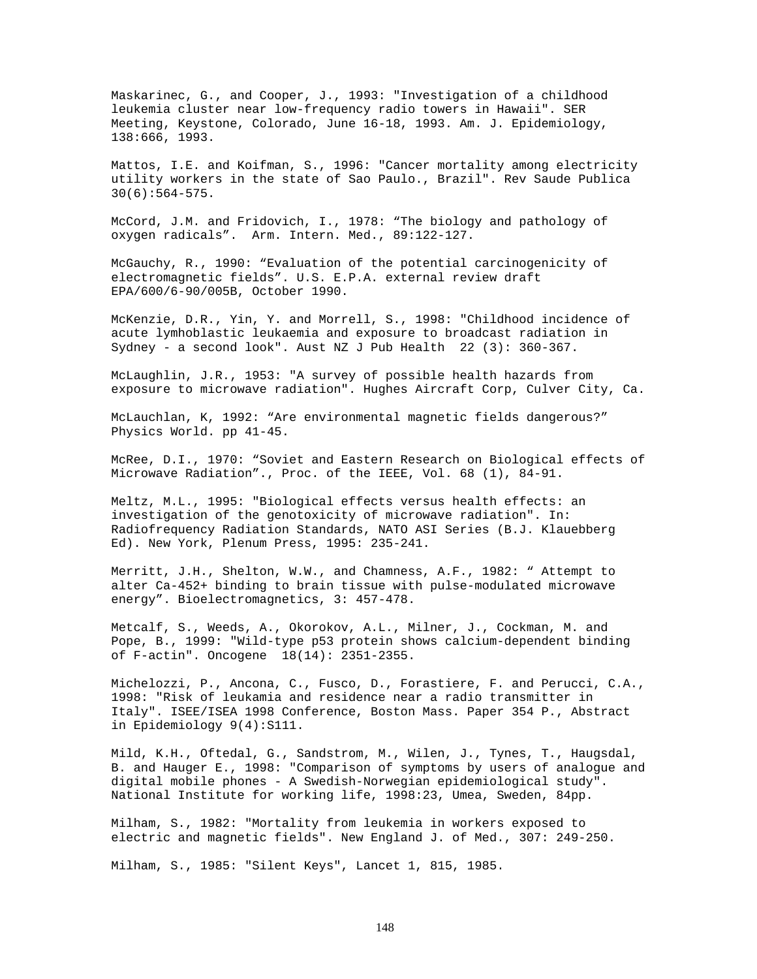Maskarinec, G., and Cooper, J., 1993: "Investigation of a childhood leukemia cluster near low-frequency radio towers in Hawaii". SER Meeting, Keystone, Colorado, June 16-18, 1993. Am. J. Epidemiology, 138:666, 1993.

Mattos, I.E. and Koifman, S., 1996: "Cancer mortality among electricity utility workers in the state of Sao Paulo., Brazil". Rev Saude Publica 30(6):564-575.

McCord, J.M. and Fridovich, I., 1978: "The biology and pathology of oxygen radicals". Arm. Intern. Med., 89:122-127.

McGauchy, R., 1990: "Evaluation of the potential carcinogenicity of electromagnetic fields". U.S. E.P.A. external review draft EPA/600/6-90/005B, October 1990.

McKenzie, D.R., Yin, Y. and Morrell, S., 1998: "Childhood incidence of acute lymhoblastic leukaemia and exposure to broadcast radiation in Sydney - a second look". Aust NZ J Pub Health 22 (3): 360-367.

McLaughlin, J.R., 1953: "A survey of possible health hazards from exposure to microwave radiation". Hughes Aircraft Corp, Culver City, Ca.

McLauchlan, K, 1992: "Are environmental magnetic fields dangerous?" Physics World. pp 41-45.

McRee, D.I., 1970: "Soviet and Eastern Research on Biological effects of Microwave Radiation"., Proc. of the IEEE, Vol. 68 (1), 84-91.

Meltz, M.L., 1995: "Biological effects versus health effects: an investigation of the genotoxicity of microwave radiation". In: Radiofrequency Radiation Standards, NATO ASI Series (B.J. Klauebberg Ed). New York, Plenum Press, 1995: 235-241.

Merritt, J.H., Shelton, W.W., and Chamness, A.F., 1982: " Attempt to alter Ca-452+ binding to brain tissue with pulse-modulated microwave energy". Bioelectromagnetics, 3: 457-478.

Metcalf, S., Weeds, A., Okorokov, A.L., Milner, J., Cockman, M. and Pope, B., 1999: "Wild-type p53 protein shows calcium-dependent binding of F-actin". Oncogene 18(14): 2351-2355.

Michelozzi, P., Ancona, C., Fusco, D., Forastiere, F. and Perucci, C.A., 1998: "Risk of leukamia and residence near a radio transmitter in Italy". ISEE/ISEA 1998 Conference, Boston Mass. Paper 354 P., Abstract in Epidemiology 9(4):S111.

Mild, K.H., Oftedal, G., Sandstrom, M., Wilen, J., Tynes, T., Haugsdal, B. and Hauger E., 1998: "Comparison of symptoms by users of analogue and digital mobile phones - A Swedish-Norwegian epidemiological study". National Institute for working life, 1998:23, Umea, Sweden, 84pp.

Milham, S., 1982: "Mortality from leukemia in workers exposed to electric and magnetic fields". New England J. of Med., 307: 249-250.

Milham, S., 1985: "Silent Keys", Lancet 1, 815, 1985.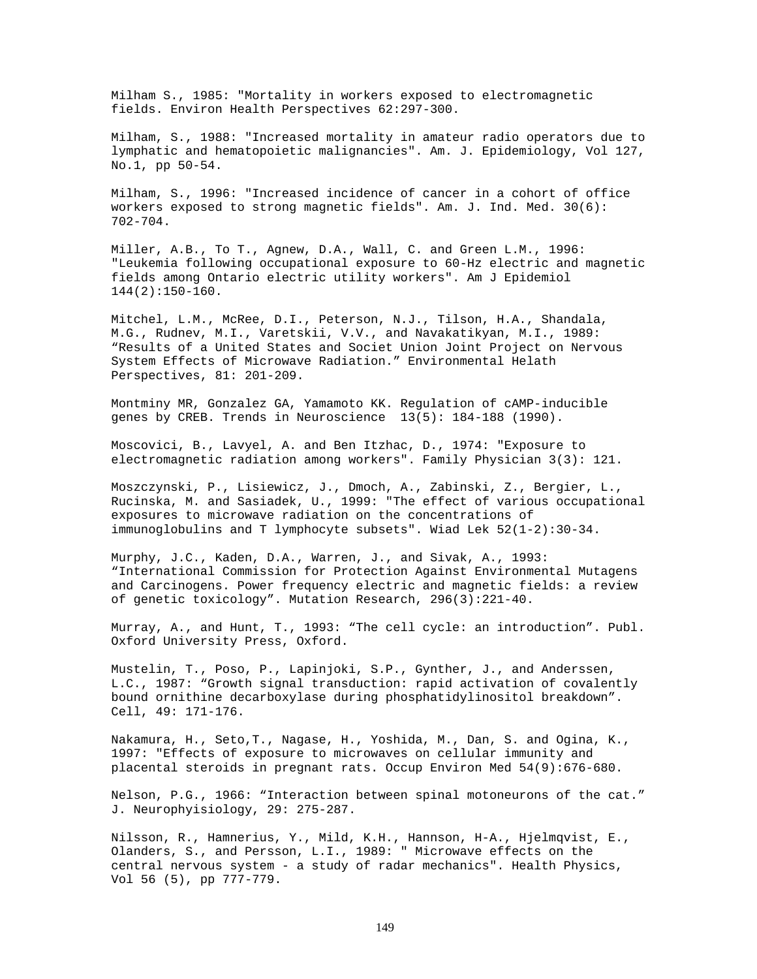Milham S., 1985: "Mortality in workers exposed to electromagnetic fields. Environ Health Perspectives 62:297-300.

Milham, S., 1988: "Increased mortality in amateur radio operators due to lymphatic and hematopoietic malignancies". Am. J. Epidemiology, Vol 127, No.1, pp 50-54.

Milham, S., 1996: "Increased incidence of cancer in a cohort of office workers exposed to strong magnetic fields". Am. J. Ind. Med. 30(6): 702-704.

Miller, A.B., To T., Agnew, D.A., Wall, C. and Green L.M., 1996: "Leukemia following occupational exposure to 60-Hz electric and magnetic fields among Ontario electric utility workers". Am J Epidemiol 144(2):150-160.

Mitchel, L.M., McRee, D.I., Peterson, N.J., Tilson, H.A., Shandala, M.G., Rudnev, M.I., Varetskii, V.V., and Navakatikyan, M.I., 1989: "Results of a United States and Societ Union Joint Project on Nervous System Effects of Microwave Radiation." Environmental Helath Perspectives, 81: 201-209.

Montminy MR, Gonzalez GA, Yamamoto KK. Regulation of cAMP-inducible genes by CREB. Trends in Neuroscience 13(5): 184-188 (1990).

Moscovici, B., Lavyel, A. and Ben Itzhac, D., 1974: "Exposure to electromagnetic radiation among workers". Family Physician 3(3): 121.

Moszczynski, P., Lisiewicz, J., Dmoch, A., Zabinski, Z., Bergier, L., Rucinska, M. and Sasiadek, U., 1999: "The effect of various occupational exposures to microwave radiation on the concentrations of immunoglobulins and T lymphocyte subsets". Wiad Lek 52(1-2):30-34.

Murphy, J.C., Kaden, D.A., Warren, J., and Sivak, A., 1993: "International Commission for Protection Against Environmental Mutagens and Carcinogens. Power frequency electric and magnetic fields: a review of genetic toxicology". Mutation Research, 296(3):221-40.

Murray, A., and Hunt, T., 1993: "The cell cycle: an introduction". Publ. Oxford University Press, Oxford.

Mustelin, T., Poso, P., Lapinjoki, S.P., Gynther, J., and Anderssen, L.C., 1987: "Growth signal transduction: rapid activation of covalently bound ornithine decarboxylase during phosphatidylinositol breakdown". Cell, 49: 171-176.

Nakamura, H., Seto,T., Nagase, H., Yoshida, M., Dan, S. and Ogina, K., 1997: "Effects of exposure to microwaves on cellular immunity and placental steroids in pregnant rats. Occup Environ Med 54(9):676-680.

Nelson, P.G., 1966: "Interaction between spinal motoneurons of the cat." J. Neurophyisiology, 29: 275-287.

Nilsson, R., Hamnerius, Y., Mild, K.H., Hannson, H-A., Hjelmqvist, E., Olanders, S., and Persson, L.I., 1989: " Microwave effects on the central nervous system - a study of radar mechanics". Health Physics, Vol 56 (5), pp 777-779.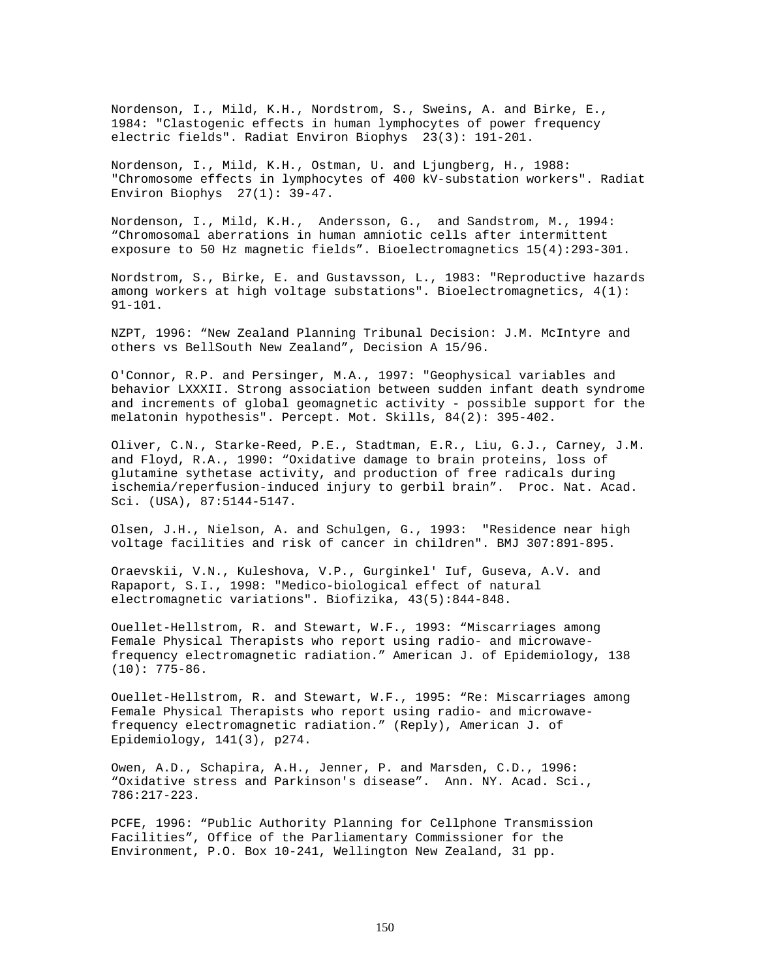Nordenson, I., Mild, K.H., Nordstrom, S., Sweins, A. and Birke, E., 1984: "Clastogenic effects in human lymphocytes of power frequency electric fields". Radiat Environ Biophys 23(3): 191-201.

Nordenson, I., Mild, K.H., Ostman, U. and Ljungberg, H., 1988: "Chromosome effects in lymphocytes of 400 kV-substation workers". Radiat Environ Biophys 27(1): 39-47.

Nordenson, I., Mild, K.H., Andersson, G., and Sandstrom, M., 1994: "Chromosomal aberrations in human amniotic cells after intermittent exposure to 50 Hz magnetic fields". Bioelectromagnetics 15(4):293-301.

Nordstrom, S., Birke, E. and Gustavsson, L., 1983: "Reproductive hazards among workers at high voltage substations". Bioelectromagnetics, 4(1): 91-101.

NZPT, 1996: "New Zealand Planning Tribunal Decision: J.M. McIntyre and others vs BellSouth New Zealand", Decision A 15/96.

O'Connor, R.P. and Persinger, M.A., 1997: "Geophysical variables and behavior LXXXII. Strong association between sudden infant death syndrome and increments of global geomagnetic activity - possible support for the melatonin hypothesis". Percept. Mot. Skills, 84(2): 395-402.

Oliver, C.N., Starke-Reed, P.E., Stadtman, E.R., Liu, G.J., Carney, J.M. and Floyd, R.A., 1990: "Oxidative damage to brain proteins, loss of glutamine sythetase activity, and production of free radicals during ischemia/reperfusion-induced injury to gerbil brain". Proc. Nat. Acad. Sci. (USA), 87:5144-5147.

Olsen, J.H., Nielson, A. and Schulgen, G., 1993: "Residence near high voltage facilities and risk of cancer in children". BMJ 307:891-895.

Oraevskii, V.N., Kuleshova, V.P., Gurginkel' Iuf, Guseva, A.V. and Rapaport, S.I., 1998: "Medico-biological effect of natural electromagnetic variations". Biofizika, 43(5):844-848.

Ouellet-Hellstrom, R. and Stewart, W.F., 1993: "Miscarriages among Female Physical Therapists who report using radio- and microwavefrequency electromagnetic radiation." American J. of Epidemiology, 138  $(10): 775-86.$ 

Ouellet-Hellstrom, R. and Stewart, W.F., 1995: "Re: Miscarriages among Female Physical Therapists who report using radio- and microwavefrequency electromagnetic radiation." (Reply), American J. of Epidemiology, 141(3), p274.

Owen, A.D., Schapira, A.H., Jenner, P. and Marsden, C.D., 1996: "Oxidative stress and Parkinson's disease". Ann. NY. Acad. Sci., 786:217-223.

PCFE, 1996: "Public Authority Planning for Cellphone Transmission Facilities", Office of the Parliamentary Commissioner for the Environment, P.O. Box 10-241, Wellington New Zealand, 31 pp.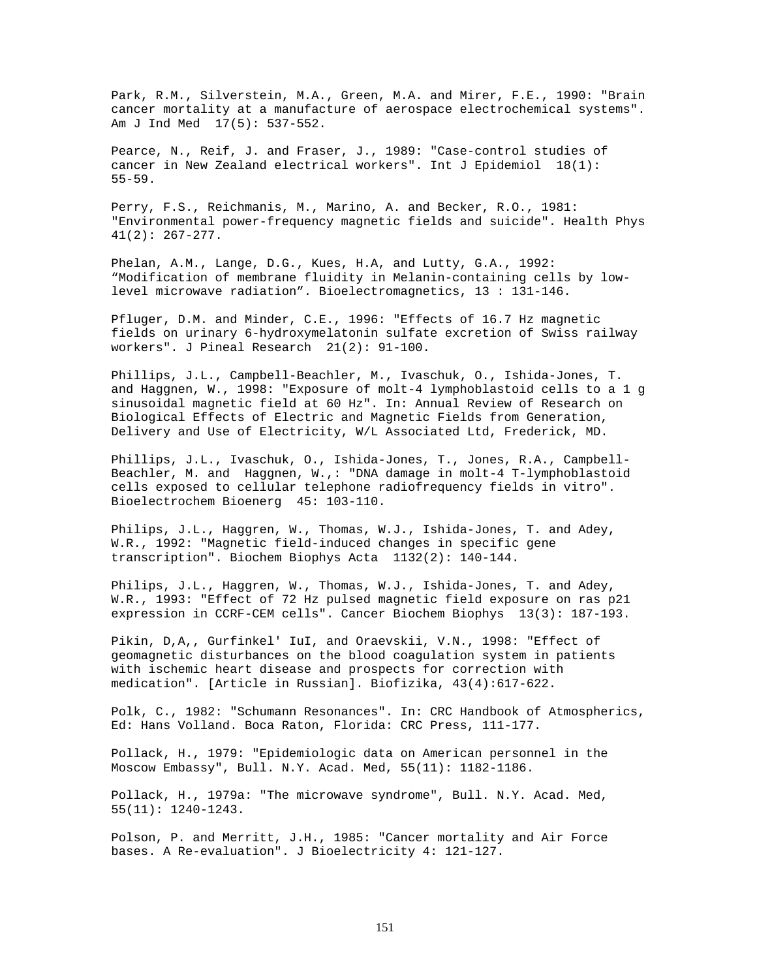Park, R.M., Silverstein, M.A., Green, M.A. and Mirer, F.E., 1990: "Brain cancer mortality at a manufacture of aerospace electrochemical systems". Am J Ind Med 17(5): 537-552.

Pearce, N., Reif, J. and Fraser, J., 1989: "Case-control studies of cancer in New Zealand electrical workers". Int J Epidemiol 18(1): 55-59.

Perry, F.S., Reichmanis, M., Marino, A. and Becker, R.O., 1981: "Environmental power-frequency magnetic fields and suicide". Health Phys 41(2): 267-277.

Phelan, A.M., Lange, D.G., Kues, H.A, and Lutty, G.A., 1992: "Modification of membrane fluidity in Melanin-containing cells by lowlevel microwave radiation". Bioelectromagnetics, 13 : 131-146.

Pfluger, D.M. and Minder, C.E., 1996: "Effects of 16.7 Hz magnetic fields on urinary 6-hydroxymelatonin sulfate excretion of Swiss railway workers". J Pineal Research 21(2): 91-100.

Phillips, J.L., Campbell-Beachler, M., Ivaschuk, O., Ishida-Jones, T. and Haggnen, W., 1998: "Exposure of molt-4 lymphoblastoid cells to a 1 g sinusoidal magnetic field at 60 Hz". In: Annual Review of Research on Biological Effects of Electric and Magnetic Fields from Generation, Delivery and Use of Electricity, W/L Associated Ltd, Frederick, MD.

Phillips, J.L., Ivaschuk, O., Ishida-Jones, T., Jones, R.A., Campbell-Beachler, M. and Haggnen, W.,: "DNA damage in molt-4 T-lymphoblastoid cells exposed to cellular telephone radiofrequency fields in vitro". Bioelectrochem Bioenerg 45: 103-110.

Philips, J.L., Haggren, W., Thomas, W.J., Ishida-Jones, T. and Adey, W.R., 1992: "Magnetic field-induced changes in specific gene transcription". Biochem Biophys Acta 1132(2): 140-144.

Philips, J.L., Haggren, W., Thomas, W.J., Ishida-Jones, T. and Adey, W.R., 1993: "Effect of 72 Hz pulsed magnetic field exposure on ras p21 expression in CCRF-CEM cells". Cancer Biochem Biophys 13(3): 187-193.

Pikin, D,A,, Gurfinkel' IuI, and Oraevskii, V.N., 1998: "Effect of geomagnetic disturbances on the blood coagulation system in patients with ischemic heart disease and prospects for correction with medication". [Article in Russian]. Biofizika, 43(4):617-622.

Polk, C., 1982: "Schumann Resonances". In: CRC Handbook of Atmospherics, Ed: Hans Volland. Boca Raton, Florida: CRC Press, 111-177.

Pollack, H., 1979: "Epidemiologic data on American personnel in the Moscow Embassy", Bull. N.Y. Acad. Med, 55(11): 1182-1186.

Pollack, H., 1979a: "The microwave syndrome", Bull. N.Y. Acad. Med, 55(11): 1240-1243.

Polson, P. and Merritt, J.H., 1985: "Cancer mortality and Air Force bases. A Re-evaluation". J Bioelectricity 4: 121-127.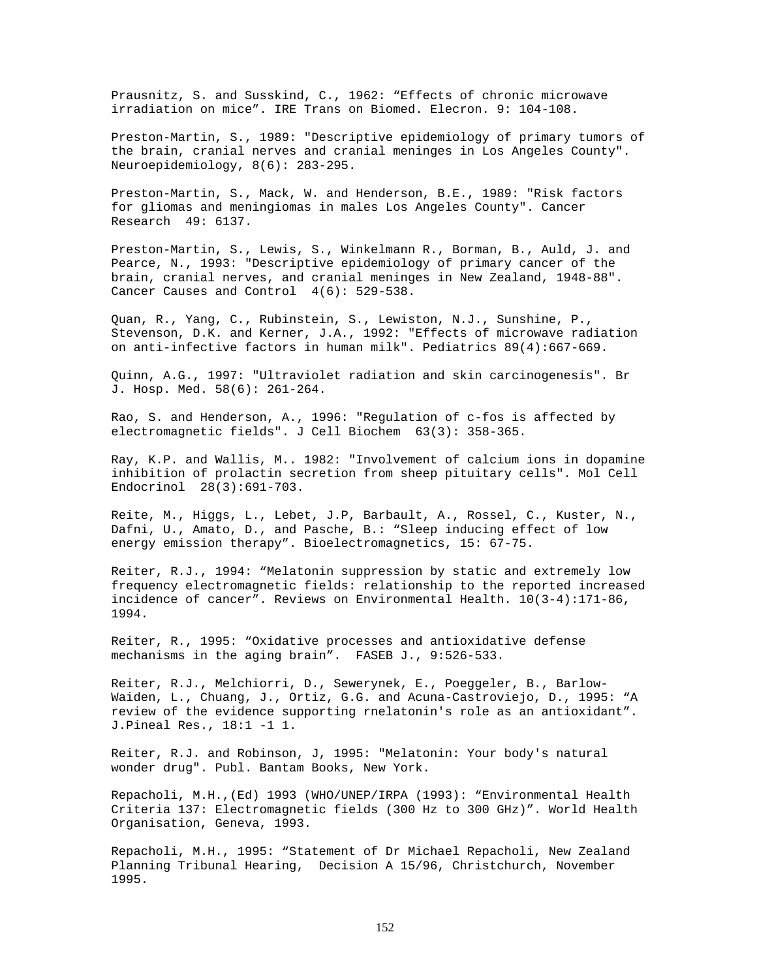Prausnitz, S. and Susskind, C., 1962: "Effects of chronic microwave irradiation on mice". IRE Trans on Biomed. Elecron. 9: 104-108.

Preston-Martin, S., 1989: "Descriptive epidemiology of primary tumors of the brain, cranial nerves and cranial meninges in Los Angeles County". Neuroepidemiology, 8(6): 283-295.

Preston-Martin, S., Mack, W. and Henderson, B.E., 1989: "Risk factors for gliomas and meningiomas in males Los Angeles County". Cancer Research 49: 6137.

Preston-Martin, S., Lewis, S., Winkelmann R., Borman, B., Auld, J. and Pearce, N., 1993: "Descriptive epidemiology of primary cancer of the brain, cranial nerves, and cranial meninges in New Zealand, 1948-88". Cancer Causes and Control 4(6): 529-538.

Quan, R., Yang, C., Rubinstein, S., Lewiston, N.J., Sunshine, P., Stevenson, D.K. and Kerner, J.A., 1992: "Effects of microwave radiation on anti-infective factors in human milk". Pediatrics 89(4):667-669.

Quinn, A.G., 1997: "Ultraviolet radiation and skin carcinogenesis". Br J. Hosp. Med. 58(6): 261-264.

Rao, S. and Henderson, A., 1996: "Regulation of c-fos is affected by electromagnetic fields". J Cell Biochem 63(3): 358-365.

Ray, K.P. and Wallis, M.. 1982: "Involvement of calcium ions in dopamine inhibition of prolactin secretion from sheep pituitary cells". Mol Cell Endocrinol 28(3):691-703.

Reite, M., Higgs, L., Lebet, J.P, Barbault, A., Rossel, C., Kuster, N., Dafni, U., Amato, D., and Pasche, B.: "Sleep inducing effect of low energy emission therapy". Bioelectromagnetics, 15: 67-75.

Reiter, R.J., 1994: "Melatonin suppression by static and extremely low frequency electromagnetic fields: relationship to the reported increased incidence of cancer". Reviews on Environmental Health. 10(3-4):171-86, 1994.

Reiter, R., 1995: "Oxidative processes and antioxidative defense mechanisms in the aging brain". FASEB J., 9:526-533.

Reiter, R.J., Melchiorri, D., Sewerynek, E., Poeggeler, B., Barlow-Waiden, L., Chuang, J., Ortiz, G.G. and Acuna-Castroviejo, D., 1995: "A review of the evidence supporting rnelatonin's role as an antioxidant". J.Pineal Res., 18:1 -1 1.

Reiter, R.J. and Robinson, J, 1995: "Melatonin: Your body's natural wonder drug". Publ. Bantam Books, New York.

Repacholi, M.H.,(Ed) 1993 (WHO/UNEP/IRPA (1993): "Environmental Health Criteria 137: Electromagnetic fields (300 Hz to 300 GHz)". World Health Organisation, Geneva, 1993.

Repacholi, M.H., 1995: "Statement of Dr Michael Repacholi, New Zealand Planning Tribunal Hearing, Decision A 15/96, Christchurch, November 1995.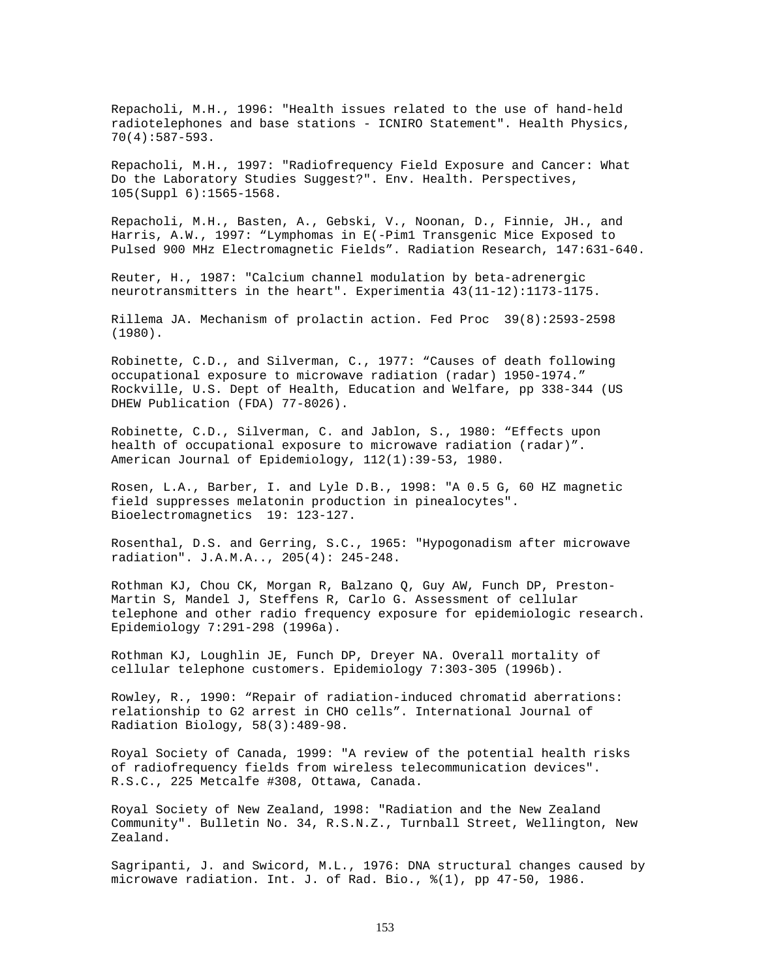Repacholi, M.H., 1996: "Health issues related to the use of hand-held radiotelephones and base stations - ICNIRO Statement". Health Physics, 70(4):587-593.

Repacholi, M.H., 1997: "Radiofrequency Field Exposure and Cancer: What Do the Laboratory Studies Suggest?". Env. Health. Perspectives, 105(Suppl 6):1565-1568.

Repacholi, M.H., Basten, A., Gebski, V., Noonan, D., Finnie, JH., and Harris, A.W., 1997: "Lymphomas in E(-Pim1 Transgenic Mice Exposed to Pulsed 900 MHz Electromagnetic Fields". Radiation Research, 147:631-640.

Reuter, H., 1987: "Calcium channel modulation by beta-adrenergic neurotransmitters in the heart". Experimentia 43(11-12):1173-1175.

Rillema JA. Mechanism of prolactin action. Fed Proc 39(8):2593-2598 (1980).

Robinette, C.D., and Silverman, C., 1977: "Causes of death following occupational exposure to microwave radiation (radar) 1950-1974." Rockville, U.S. Dept of Health, Education and Welfare, pp 338-344 (US DHEW Publication (FDA) 77-8026).

Robinette, C.D., Silverman, C. and Jablon, S., 1980: "Effects upon health of occupational exposure to microwave radiation (radar)". American Journal of Epidemiology, 112(1):39-53, 1980.

Rosen, L.A., Barber, I. and Lyle D.B., 1998: "A 0.5 G, 60 HZ magnetic field suppresses melatonin production in pinealocytes". Bioelectromagnetics 19: 123-127.

Rosenthal, D.S. and Gerring, S.C., 1965: "Hypogonadism after microwave radiation". J.A.M.A.., 205(4): 245-248.

Rothman KJ, Chou CK, Morgan R, Balzano Q, Guy AW, Funch DP, Preston-Martin S, Mandel J, Steffens R, Carlo G. Assessment of cellular telephone and other radio frequency exposure for epidemiologic research. Epidemiology 7:291-298 (1996a).

Rothman KJ, Loughlin JE, Funch DP, Dreyer NA. Overall mortality of cellular telephone customers. Epidemiology 7:303-305 (1996b).

Rowley, R., 1990: "Repair of radiation-induced chromatid aberrations: relationship to G2 arrest in CHO cells". International Journal of Radiation Biology, 58(3):489-98.

Royal Society of Canada, 1999: "A review of the potential health risks of radiofrequency fields from wireless telecommunication devices". R.S.C., 225 Metcalfe #308, Ottawa, Canada.

Royal Society of New Zealand, 1998: "Radiation and the New Zealand Community". Bulletin No. 34, R.S.N.Z., Turnball Street, Wellington, New Zealand.

Sagripanti, J. and Swicord, M.L., 1976: DNA structural changes caused by microwave radiation. Int. J. of Rad. Bio., %(1), pp 47-50, 1986.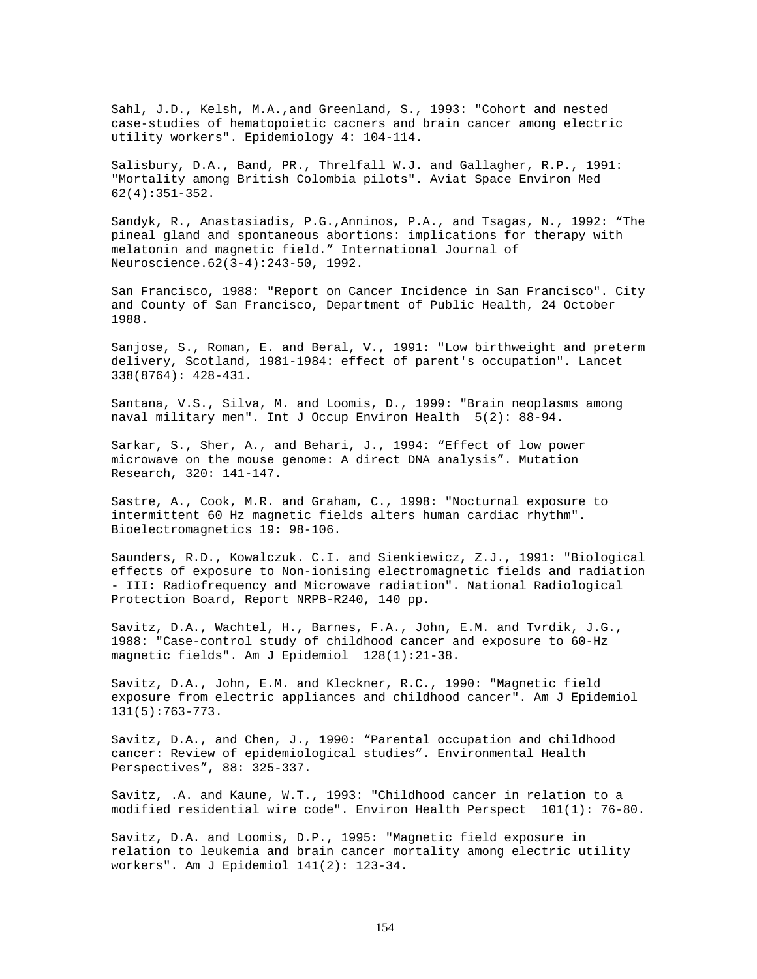Sahl, J.D., Kelsh, M.A.,and Greenland, S., 1993: "Cohort and nested case-studies of hematopoietic cacners and brain cancer among electric utility workers". Epidemiology 4: 104-114.

Salisbury, D.A., Band, PR., Threlfall W.J. and Gallagher, R.P., 1991: "Mortality among British Colombia pilots". Aviat Space Environ Med 62(4):351-352.

Sandyk, R., Anastasiadis, P.G.,Anninos, P.A., and Tsagas, N., 1992: "The pineal gland and spontaneous abortions: implications for therapy with melatonin and magnetic field." International Journal of Neuroscience.62(3-4):243-50, 1992.

San Francisco, 1988: "Report on Cancer Incidence in San Francisco". City and County of San Francisco, Department of Public Health, 24 October 1988.

Sanjose, S., Roman, E. and Beral, V., 1991: "Low birthweight and preterm delivery, Scotland, 1981-1984: effect of parent's occupation". Lancet 338(8764): 428-431.

Santana, V.S., Silva, M. and Loomis, D., 1999: "Brain neoplasms among naval military men". Int J Occup Environ Health 5(2): 88-94.

Sarkar, S., Sher, A., and Behari, J., 1994: "Effect of low power microwave on the mouse genome: A direct DNA analysis". Mutation Research, 320: 141-147.

Sastre, A., Cook, M.R. and Graham, C., 1998: "Nocturnal exposure to intermittent 60 Hz magnetic fields alters human cardiac rhythm". Bioelectromagnetics 19: 98-106.

Saunders, R.D., Kowalczuk. C.I. and Sienkiewicz, Z.J., 1991: "Biological effects of exposure to Non-ionising electromagnetic fields and radiation - III: Radiofrequency and Microwave radiation". National Radiological Protection Board, Report NRPB-R240, 140 pp.

Savitz, D.A., Wachtel, H., Barnes, F.A., John, E.M. and Tvrdik, J.G., 1988: "Case-control study of childhood cancer and exposure to 60-Hz magnetic fields". Am J Epidemiol 128(1):21-38.

Savitz, D.A., John, E.M. and Kleckner, R.C., 1990: "Magnetic field exposure from electric appliances and childhood cancer". Am J Epidemiol 131(5):763-773.

Savitz, D.A., and Chen, J., 1990: "Parental occupation and childhood cancer: Review of epidemiological studies". Environmental Health Perspectives", 88: 325-337.

Savitz, .A. and Kaune, W.T., 1993: "Childhood cancer in relation to a modified residential wire code". Environ Health Perspect 101(1): 76-80.

Savitz, D.A. and Loomis, D.P., 1995: "Magnetic field exposure in relation to leukemia and brain cancer mortality among electric utility workers". Am J Epidemiol 141(2): 123-34.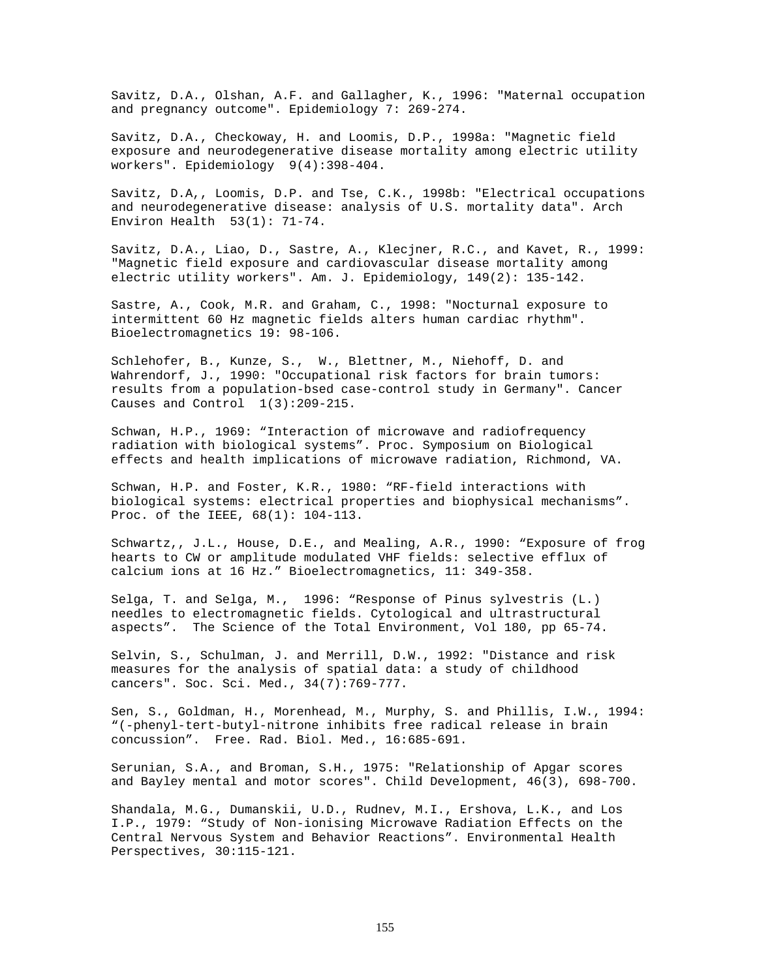Savitz, D.A., Olshan, A.F. and Gallagher, K., 1996: "Maternal occupation and pregnancy outcome". Epidemiology 7: 269-274.

Savitz, D.A., Checkoway, H. and Loomis, D.P., 1998a: "Magnetic field exposure and neurodegenerative disease mortality among electric utility workers". Epidemiology 9(4):398-404.

Savitz, D.A,, Loomis, D.P. and Tse, C.K., 1998b: "Electrical occupations and neurodegenerative disease: analysis of U.S. mortality data". Arch Environ Health 53(1): 71-74.

Savitz, D.A., Liao, D., Sastre, A., Klecjner, R.C., and Kavet, R., 1999: "Magnetic field exposure and cardiovascular disease mortality among electric utility workers". Am. J. Epidemiology, 149(2): 135-142.

Sastre, A., Cook, M.R. and Graham, C., 1998: "Nocturnal exposure to intermittent 60 Hz magnetic fields alters human cardiac rhythm". Bioelectromagnetics 19: 98-106.

Schlehofer, B., Kunze, S., W., Blettner, M., Niehoff, D. and Wahrendorf, J., 1990: "Occupational risk factors for brain tumors: results from a population-bsed case-control study in Germany". Cancer Causes and Control  $1(3):209-215$ .

Schwan, H.P., 1969: "Interaction of microwave and radiofrequency radiation with biological systems". Proc. Symposium on Biological effects and health implications of microwave radiation, Richmond, VA.

Schwan, H.P. and Foster, K.R., 1980: "RF-field interactions with biological systems: electrical properties and biophysical mechanisms". Proc. of the IEEE, 68(1): 104-113.

Schwartz,, J.L., House, D.E., and Mealing, A.R., 1990: "Exposure of frog hearts to CW or amplitude modulated VHF fields: selective efflux of calcium ions at 16 Hz." Bioelectromagnetics, 11: 349-358.

Selga, T. and Selga, M., 1996: "Response of Pinus sylvestris (L.) needles to electromagnetic fields. Cytological and ultrastructural aspects". The Science of the Total Environment, Vol 180, pp 65-74.

Selvin, S., Schulman, J. and Merrill, D.W., 1992: "Distance and risk measures for the analysis of spatial data: a study of childhood cancers". Soc. Sci. Med., 34(7):769-777.

Sen, S., Goldman, H., Morenhead, M., Murphy, S. and Phillis, I.W., 1994: "(-phenyl-tert-butyl-nitrone inhibits free radical release in brain concussion". Free. Rad. Biol. Med., 16:685-691.

Serunian, S.A., and Broman, S.H., 1975: "Relationship of Apgar scores and Bayley mental and motor scores". Child Development, 46(3), 698-700.

Shandala, M.G., Dumanskii, U.D., Rudnev, M.I., Ershova, L.K., and Los I.P., 1979: "Study of Non-ionising Microwave Radiation Effects on the Central Nervous System and Behavior Reactions". Environmental Health Perspectives, 30:115-121.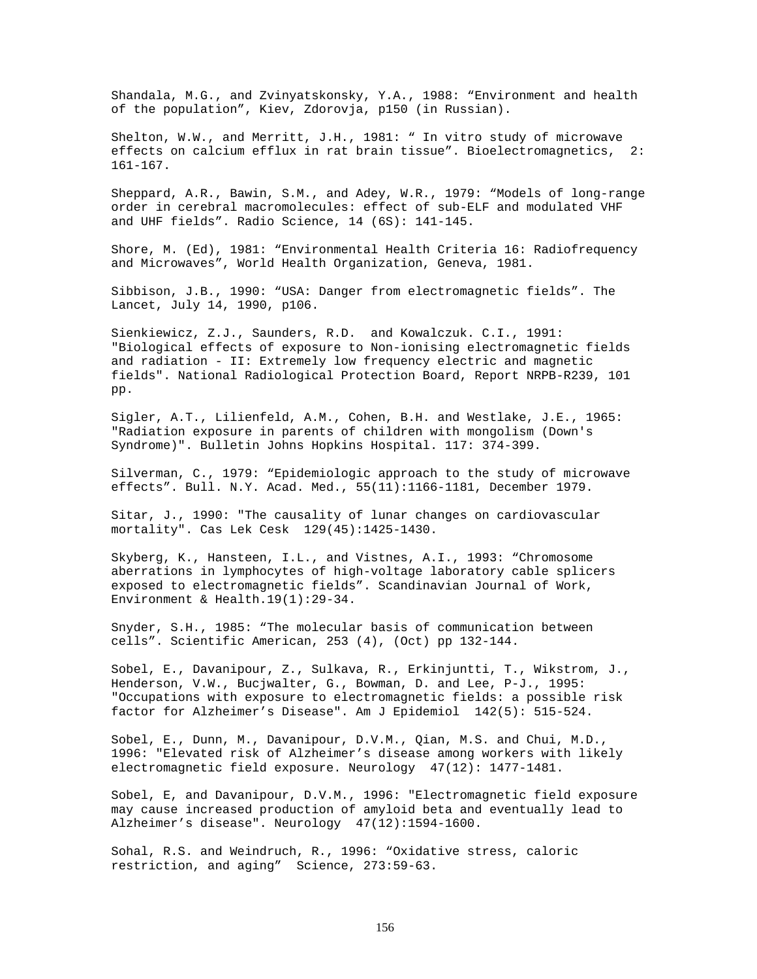Shandala, M.G., and Zvinyatskonsky, Y.A., 1988: "Environment and health of the population", Kiev, Zdorovja, p150 (in Russian).

Shelton, W.W., and Merritt, J.H., 1981: " In vitro study of microwave effects on calcium efflux in rat brain tissue". Bioelectromagnetics, 2: 161-167.

Sheppard, A.R., Bawin, S.M., and Adey, W.R., 1979: "Models of long-range order in cerebral macromolecules: effect of sub-ELF and modulated VHF and UHF fields". Radio Science, 14 (6S): 141-145.

Shore, M. (Ed), 1981: "Environmental Health Criteria 16: Radiofrequency and Microwaves", World Health Organization, Geneva, 1981.

Sibbison, J.B., 1990: "USA: Danger from electromagnetic fields". The Lancet, July 14, 1990, p106.

Sienkiewicz, Z.J., Saunders, R.D. and Kowalczuk. C.I., 1991: "Biological effects of exposure to Non-ionising electromagnetic fields and radiation - II: Extremely low frequency electric and magnetic fields". National Radiological Protection Board, Report NRPB-R239, 101 pp.

Sigler, A.T., Lilienfeld, A.M., Cohen, B.H. and Westlake, J.E., 1965: "Radiation exposure in parents of children with mongolism (Down's Syndrome)". Bulletin Johns Hopkins Hospital. 117: 374-399.

Silverman, C., 1979: "Epidemiologic approach to the study of microwave effects". Bull. N.Y. Acad. Med., 55(11):1166-1181, December 1979.

Sitar, J., 1990: "The causality of lunar changes on cardiovascular mortality". Cas Lek Cesk 129(45):1425-1430.

Skyberg, K., Hansteen, I.L., and Vistnes, A.I., 1993: "Chromosome aberrations in lymphocytes of high-voltage laboratory cable splicers exposed to electromagnetic fields". Scandinavian Journal of Work, Environment & Health.19(1):29-34.

Snyder, S.H., 1985: "The molecular basis of communication between cells". Scientific American, 253 (4), (Oct) pp 132-144.

Sobel, E., Davanipour, Z., Sulkava, R., Erkinjuntti, T., Wikstrom, J., Henderson, V.W., Bucjwalter, G., Bowman, D. and Lee, P-J., 1995: "Occupations with exposure to electromagnetic fields: a possible risk factor for Alzheimer's Disease". Am J Epidemiol 142(5): 515-524.

Sobel, E., Dunn, M., Davanipour, D.V.M., Qian, M.S. and Chui, M.D., 1996: "Elevated risk of Alzheimer's disease among workers with likely electromagnetic field exposure. Neurology 47(12): 1477-1481.

Sobel, E, and Davanipour, D.V.M., 1996: "Electromagnetic field exposure may cause increased production of amyloid beta and eventually lead to Alzheimer's disease". Neurology 47(12):1594-1600.

Sohal, R.S. and Weindruch, R., 1996: "Oxidative stress, caloric restriction, and aging" Science, 273:59-63.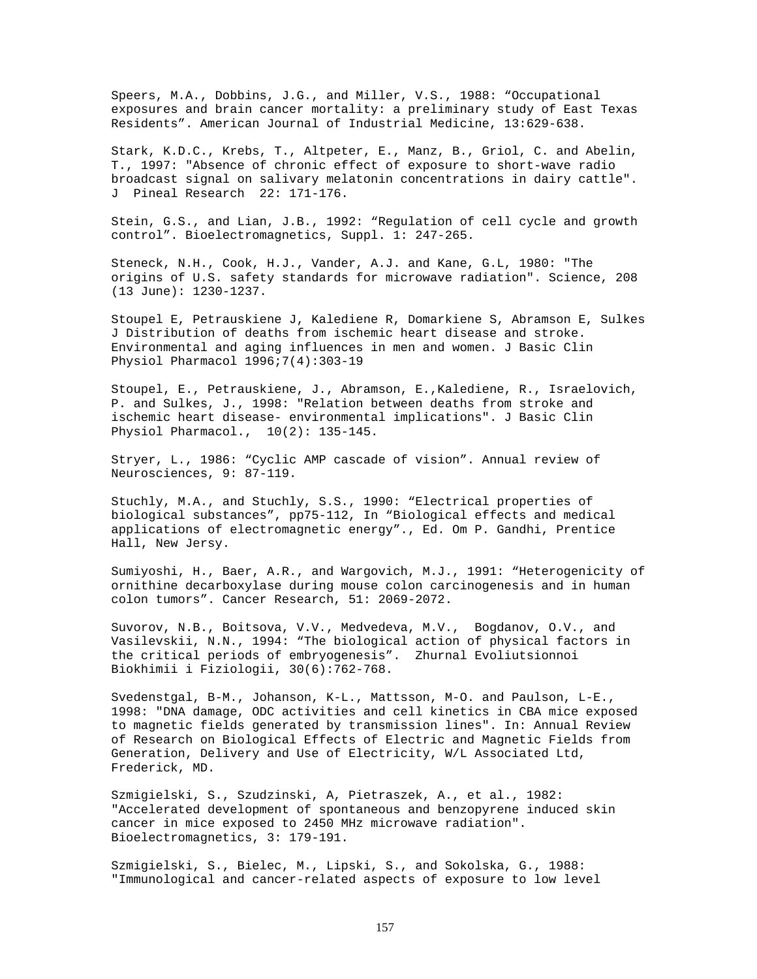Speers, M.A., Dobbins, J.G., and Miller, V.S., 1988: "Occupational exposures and brain cancer mortality: a preliminary study of East Texas Residents". American Journal of Industrial Medicine, 13:629-638.

Stark, K.D.C., Krebs, T., Altpeter, E., Manz, B., Griol, C. and Abelin, T., 1997: "Absence of chronic effect of exposure to short-wave radio broadcast signal on salivary melatonin concentrations in dairy cattle". J Pineal Research 22: 171-176.

Stein, G.S., and Lian, J.B., 1992: "Regulation of cell cycle and growth control". Bioelectromagnetics, Suppl. 1: 247-265.

Steneck, N.H., Cook, H.J., Vander, A.J. and Kane, G.L, 1980: "The origins of U.S. safety standards for microwave radiation". Science, 208 (13 June): 1230-1237.

Stoupel E, Petrauskiene J, Kalediene R, Domarkiene S, Abramson E, Sulkes J Distribution of deaths from ischemic heart disease and stroke. Environmental and aging influences in men and women. J Basic Clin Physiol Pharmacol 1996;7(4):303-19

Stoupel, E., Petrauskiene, J., Abramson, E.,Kalediene, R., Israelovich, P. and Sulkes, J., 1998: "Relation between deaths from stroke and ischemic heart disease- environmental implications". J Basic Clin Physiol Pharmacol., 10(2): 135-145.

Stryer, L., 1986: "Cyclic AMP cascade of vision". Annual review of Neurosciences, 9: 87-119.

Stuchly, M.A., and Stuchly, S.S., 1990: "Electrical properties of biological substances", pp75-112, In "Biological effects and medical applications of electromagnetic energy"., Ed. Om P. Gandhi, Prentice Hall, New Jersy.

Sumiyoshi, H., Baer, A.R., and Wargovich, M.J., 1991: "Heterogenicity of ornithine decarboxylase during mouse colon carcinogenesis and in human colon tumors". Cancer Research, 51: 2069-2072.

Suvorov, N.B., Boitsova, V.V., Medvedeva, M.V., Bogdanov, O.V., and Vasilevskii, N.N., 1994: "The biological action of physical factors in the critical periods of embryogenesis". Zhurnal Evoliutsionnoi Biokhimii i Fiziologii, 30(6):762-768.

Svedenstgal, B-M., Johanson, K-L., Mattsson, M-O. and Paulson, L-E., 1998: "DNA damage, ODC activities and cell kinetics in CBA mice exposed to magnetic fields generated by transmission lines". In: Annual Review of Research on Biological Effects of Electric and Magnetic Fields from Generation, Delivery and Use of Electricity, W/L Associated Ltd, Frederick, MD.

Szmigielski, S., Szudzinski, A, Pietraszek, A., et al., 1982: "Accelerated development of spontaneous and benzopyrene induced skin cancer in mice exposed to 2450 MHz microwave radiation". Bioelectromagnetics, 3: 179-191.

Szmigielski, S., Bielec, M., Lipski, S., and Sokolska, G., 1988: "Immunological and cancer-related aspects of exposure to low level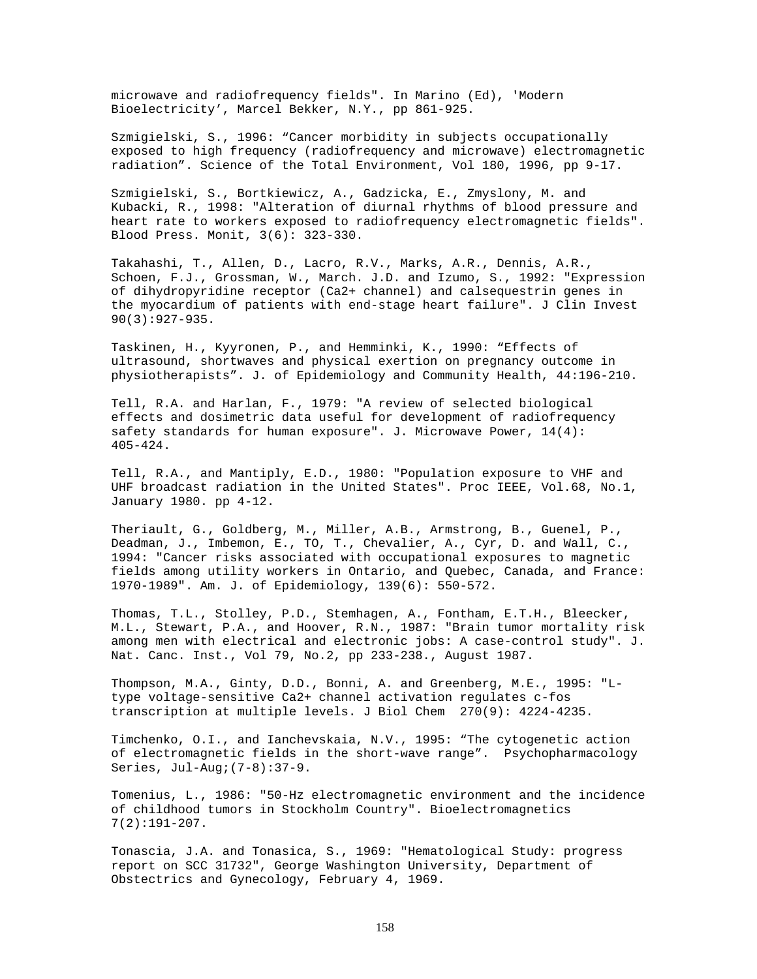microwave and radiofrequency fields". In Marino (Ed), 'Modern Bioelectricity', Marcel Bekker, N.Y., pp 861-925.

Szmigielski, S., 1996: "Cancer morbidity in subjects occupationally exposed to high frequency (radiofrequency and microwave) electromagnetic radiation". Science of the Total Environment, Vol 180, 1996, pp 9-17.

Szmigielski, S., Bortkiewicz, A., Gadzicka, E., Zmyslony, M. and Kubacki, R., 1998: "Alteration of diurnal rhythms of blood pressure and heart rate to workers exposed to radiofrequency electromagnetic fields". Blood Press. Monit, 3(6): 323-330.

Takahashi, T., Allen, D., Lacro, R.V., Marks, A.R., Dennis, A.R., Schoen, F.J., Grossman, W., March. J.D. and Izumo, S., 1992: "Expression of dihydropyridine receptor (Ca2+ channel) and calsequestrin genes in the myocardium of patients with end-stage heart failure". J Clin Invest 90(3):927-935.

Taskinen, H., Kyyronen, P., and Hemminki, K., 1990: "Effects of ultrasound, shortwaves and physical exertion on pregnancy outcome in physiotherapists". J. of Epidemiology and Community Health, 44:196-210.

Tell, R.A. and Harlan, F., 1979: "A review of selected biological effects and dosimetric data useful for development of radiofrequency safety standards for human exposure". J. Microwave Power, 14(4): 405-424.

Tell, R.A., and Mantiply, E.D., 1980: "Population exposure to VHF and UHF broadcast radiation in the United States". Proc IEEE, Vol.68, No.1, January 1980. pp 4-12.

Theriault, G., Goldberg, M., Miller, A.B., Armstrong, B., Guenel, P., Deadman, J., Imbemon, E., TO, T., Chevalier, A., Cyr, D. and Wall, C., 1994: "Cancer risks associated with occupational exposures to magnetic fields among utility workers in Ontario, and Quebec, Canada, and France: 1970-1989". Am. J. of Epidemiology, 139(6): 550-572.

Thomas, T.L., Stolley, P.D., Stemhagen, A., Fontham, E.T.H., Bleecker, M.L., Stewart, P.A., and Hoover, R.N., 1987: "Brain tumor mortality risk among men with electrical and electronic jobs: A case-control study". J. Nat. Canc. Inst., Vol 79, No.2, pp 233-238., August 1987.

Thompson, M.A., Ginty, D.D., Bonni, A. and Greenberg, M.E., 1995: "Ltype voltage-sensitive Ca2+ channel activation regulates c-fos transcription at multiple levels. J Biol Chem 270(9): 4224-4235.

Timchenko, O.I., and Ianchevskaia, N.V., 1995: "The cytogenetic action of electromagnetic fields in the short-wave range". Psychopharmacology Series, Jul-Aug;(7-8):37-9.

Tomenius, L., 1986: "50-Hz electromagnetic environment and the incidence of childhood tumors in Stockholm Country". Bioelectromagnetics 7(2):191-207.

Tonascia, J.A. and Tonasica, S., 1969: "Hematological Study: progress report on SCC 31732", George Washington University, Department of Obstectrics and Gynecology, February 4, 1969.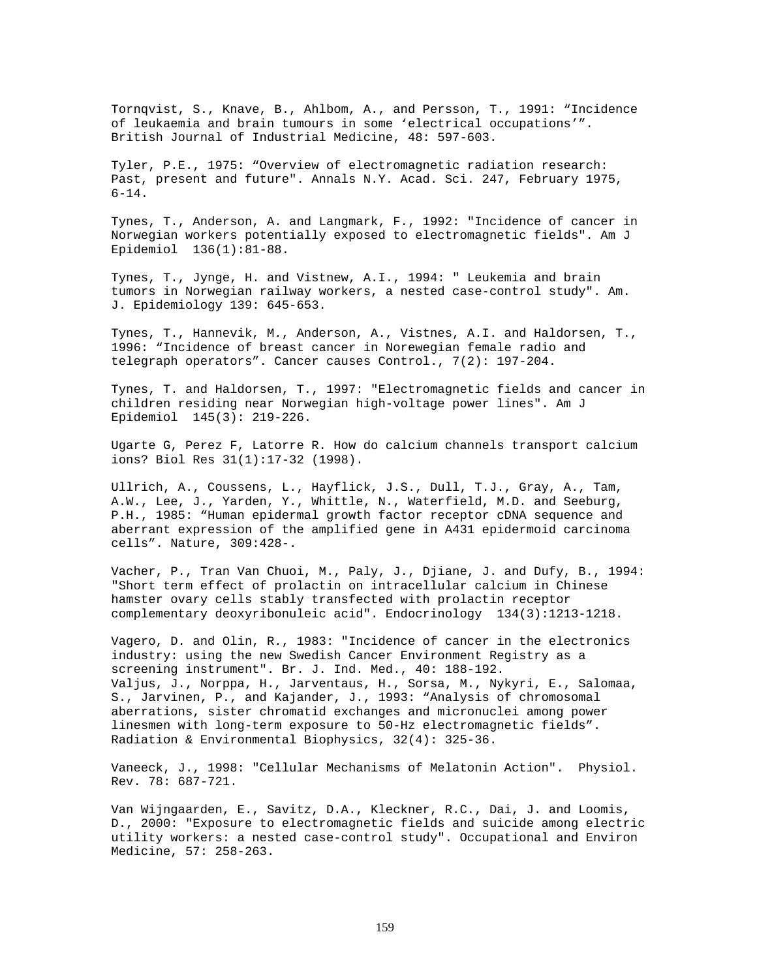Tornqvist, S., Knave, B., Ahlbom, A., and Persson, T., 1991: "Incidence of leukaemia and brain tumours in some 'electrical occupations'". British Journal of Industrial Medicine, 48: 597-603.

Tyler, P.E., 1975: "Overview of electromagnetic radiation research: Past, present and future". Annals N.Y. Acad. Sci. 247, February 1975,  $6 - 14$ .

Tynes, T., Anderson, A. and Langmark, F., 1992: "Incidence of cancer in Norwegian workers potentially exposed to electromagnetic fields". Am J Epidemiol 136(1):81-88.

Tynes, T., Jynge, H. and Vistnew, A.I., 1994: " Leukemia and brain tumors in Norwegian railway workers, a nested case-control study". Am. J. Epidemiology 139: 645-653.

Tynes, T., Hannevik, M., Anderson, A., Vistnes, A.I. and Haldorsen, T., 1996: "Incidence of breast cancer in Norewegian female radio and telegraph operators". Cancer causes Control., 7(2): 197-204.

Tynes, T. and Haldorsen, T., 1997: "Electromagnetic fields and cancer in children residing near Norwegian high-voltage power lines". Am J Epidemiol 145(3): 219-226.

Ugarte G, Perez F, Latorre R. How do calcium channels transport calcium ions? Biol Res 31(1):17-32 (1998).

Ullrich, A., Coussens, L., Hayflick, J.S., Dull, T.J., Gray, A., Tam, A.W., Lee, J., Yarden, Y., Whittle, N., Waterfield, M.D. and Seeburg, P.H., 1985: "Human epidermal growth factor receptor cDNA sequence and aberrant expression of the amplified gene in A431 epidermoid carcinoma cells". Nature, 309:428-.

Vacher, P., Tran Van Chuoi, M., Paly, J., Djiane, J. and Dufy, B., 1994: "Short term effect of prolactin on intracellular calcium in Chinese hamster ovary cells stably transfected with prolactin receptor complementary deoxyribonuleic acid". Endocrinology 134(3):1213-1218.

Vagero, D. and Olin, R., 1983: "Incidence of cancer in the electronics industry: using the new Swedish Cancer Environment Registry as a screening instrument". Br. J. Ind. Med., 40: 188-192. Valjus, J., Norppa, H., Jarventaus, H., Sorsa, M., Nykyri, E., Salomaa, S., Jarvinen, P., and Kajander, J., 1993: "Analysis of chromosomal aberrations, sister chromatid exchanges and micronuclei among power linesmen with long-term exposure to 50-Hz electromagnetic fields". Radiation & Environmental Biophysics, 32(4): 325-36.

Vaneeck, J., 1998: "Cellular Mechanisms of Melatonin Action". Physiol. Rev. 78: 687-721.

Van Wijngaarden, E., Savitz, D.A., Kleckner, R.C., Dai, J. and Loomis, D., 2000: "Exposure to electromagnetic fields and suicide among electric utility workers: a nested case-control study". Occupational and Environ Medicine, 57: 258-263.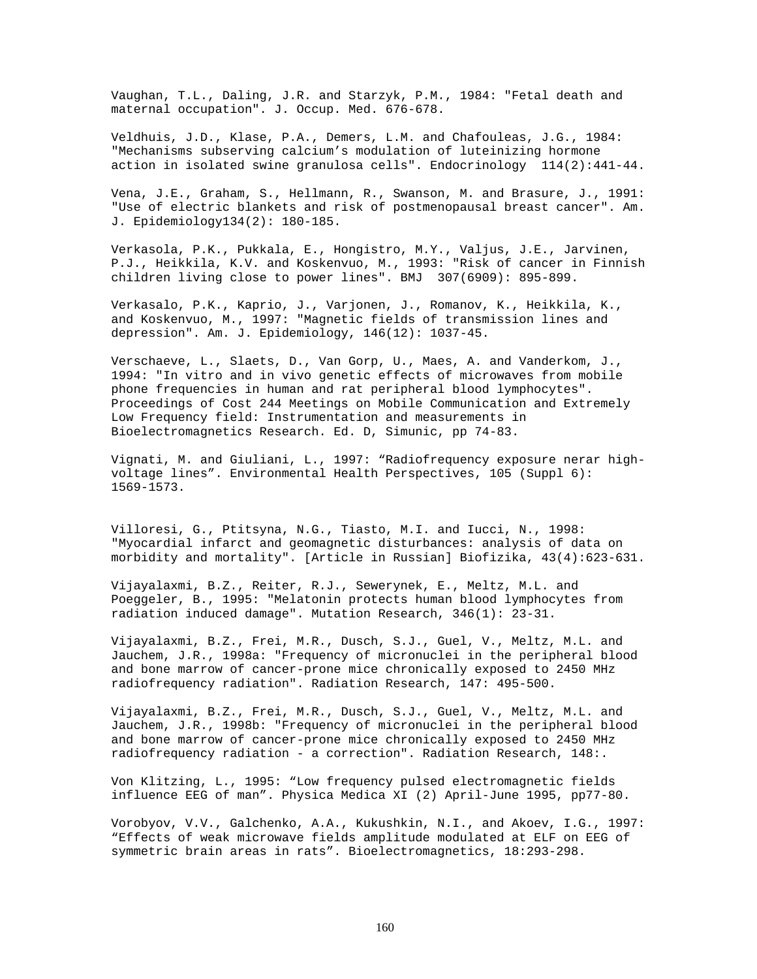Vaughan, T.L., Daling, J.R. and Starzyk, P.M., 1984: "Fetal death and maternal occupation". J. Occup. Med. 676-678.

Veldhuis, J.D., Klase, P.A., Demers, L.M. and Chafouleas, J.G., 1984: "Mechanisms subserving calcium's modulation of luteinizing hormone action in isolated swine granulosa cells". Endocrinology 114(2):441-44.

Vena, J.E., Graham, S., Hellmann, R., Swanson, M. and Brasure, J., 1991: "Use of electric blankets and risk of postmenopausal breast cancer". Am. J. Epidemiology134(2): 180-185.

Verkasola, P.K., Pukkala, E., Hongistro, M.Y., Valjus, J.E., Jarvinen, P.J., Heikkila, K.V. and Koskenvuo, M., 1993: "Risk of cancer in Finnish children living close to power lines". BMJ 307(6909): 895-899.

Verkasalo, P.K., Kaprio, J., Varjonen, J., Romanov, K., Heikkila, K., and Koskenvuo, M., 1997: "Magnetic fields of transmission lines and depression". Am. J. Epidemiology, 146(12): 1037-45.

Verschaeve, L., Slaets, D., Van Gorp, U., Maes, A. and Vanderkom, J., 1994: "In vitro and in vivo genetic effects of microwaves from mobile phone frequencies in human and rat peripheral blood lymphocytes". Proceedings of Cost 244 Meetings on Mobile Communication and Extremely Low Frequency field: Instrumentation and measurements in Bioelectromagnetics Research. Ed. D, Simunic, pp 74-83.

Vignati, M. and Giuliani, L., 1997: "Radiofrequency exposure nerar highvoltage lines". Environmental Health Perspectives, 105 (Suppl 6): 1569-1573.

Villoresi, G., Ptitsyna, N.G., Tiasto, M.I. and Iucci, N., 1998: "Myocardial infarct and geomagnetic disturbances: analysis of data on morbidity and mortality". [Article in Russian] Biofizika, 43(4):623-631.

Vijayalaxmi, B.Z., Reiter, R.J., Sewerynek, E., Meltz, M.L. and Poeggeler, B., 1995: "Melatonin protects human blood lymphocytes from radiation induced damage". Mutation Research, 346(1): 23-31.

Vijayalaxmi, B.Z., Frei, M.R., Dusch, S.J., Guel, V., Meltz, M.L. and Jauchem, J.R., 1998a: "Frequency of micronuclei in the peripheral blood and bone marrow of cancer-prone mice chronically exposed to 2450 MHz radiofrequency radiation". Radiation Research, 147: 495-500.

Vijayalaxmi, B.Z., Frei, M.R., Dusch, S.J., Guel, V., Meltz, M.L. and Jauchem, J.R., 1998b: "Frequency of micronuclei in the peripheral blood and bone marrow of cancer-prone mice chronically exposed to 2450 MHz radiofrequency radiation - a correction". Radiation Research, 148:.

Von Klitzing, L., 1995: "Low frequency pulsed electromagnetic fields influence EEG of man". Physica Medica XI (2) April-June 1995, pp77-80.

Vorobyov, V.V., Galchenko, A.A., Kukushkin, N.I., and Akoev, I.G., 1997: "Effects of weak microwave fields amplitude modulated at ELF on EEG of symmetric brain areas in rats". Bioelectromagnetics, 18:293-298.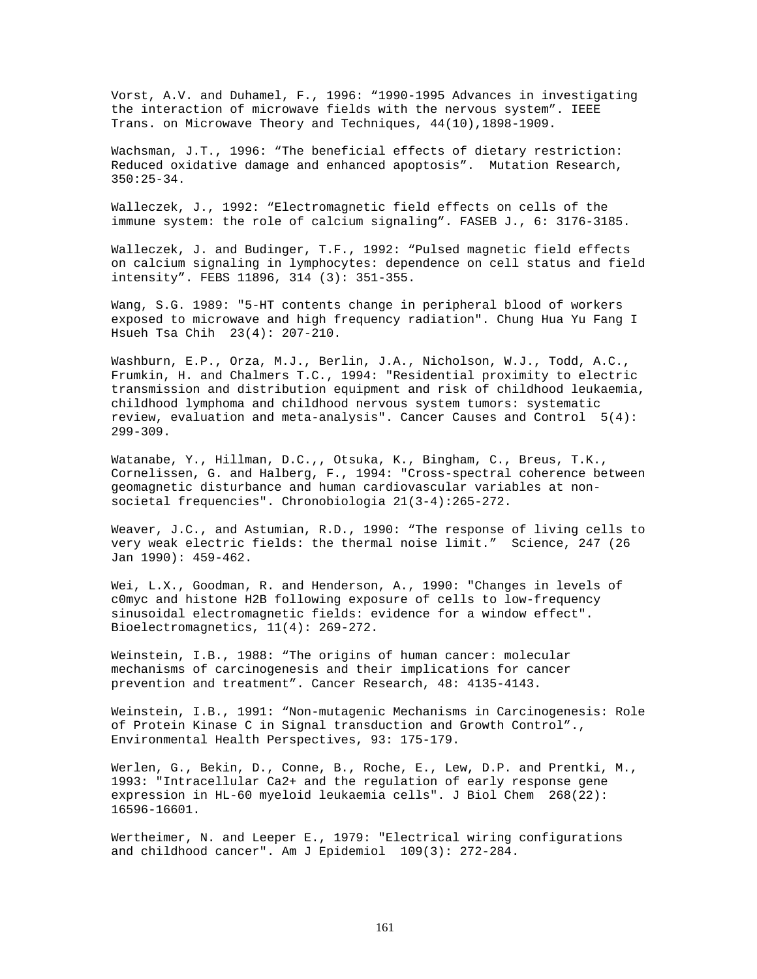Vorst, A.V. and Duhamel, F., 1996: "1990-1995 Advances in investigating the interaction of microwave fields with the nervous system". IEEE Trans. on Microwave Theory and Techniques, 44(10),1898-1909.

Wachsman, J.T., 1996: "The beneficial effects of dietary restriction: Reduced oxidative damage and enhanced apoptosis". Mutation Research, 350:25-34.

Walleczek, J., 1992: "Electromagnetic field effects on cells of the immune system: the role of calcium signaling". FASEB J., 6: 3176-3185.

Walleczek, J. and Budinger, T.F., 1992: "Pulsed magnetic field effects on calcium signaling in lymphocytes: dependence on cell status and field intensity". FEBS 11896, 314 (3): 351-355.

Wang, S.G. 1989: "5-HT contents change in peripheral blood of workers exposed to microwave and high frequency radiation". Chung Hua Yu Fang I Hsueh Tsa Chih 23(4): 207-210.

Washburn, E.P., Orza, M.J., Berlin, J.A., Nicholson, W.J., Todd, A.C., Frumkin, H. and Chalmers T.C., 1994: "Residential proximity to electric transmission and distribution equipment and risk of childhood leukaemia, childhood lymphoma and childhood nervous system tumors: systematic review, evaluation and meta-analysis". Cancer Causes and Control 5(4): 299-309.

Watanabe, Y., Hillman, D.C.,, Otsuka, K., Bingham, C., Breus, T.K., Cornelissen, G. and Halberg, F., 1994: "Cross-spectral coherence between geomagnetic disturbance and human cardiovascular variables at nonsocietal frequencies". Chronobiologia 21(3-4):265-272.

Weaver, J.C., and Astumian, R.D., 1990: "The response of living cells to very weak electric fields: the thermal noise limit." Science, 247 (26 Jan 1990): 459-462.

Wei, L.X., Goodman, R. and Henderson, A., 1990: "Changes in levels of c0myc and histone H2B following exposure of cells to low-frequency sinusoidal electromagnetic fields: evidence for a window effect". Bioelectromagnetics, 11(4): 269-272.

Weinstein, I.B., 1988: "The origins of human cancer: molecular mechanisms of carcinogenesis and their implications for cancer prevention and treatment". Cancer Research, 48: 4135-4143.

Weinstein, I.B., 1991: "Non-mutagenic Mechanisms in Carcinogenesis: Role of Protein Kinase C in Signal transduction and Growth Control"., Environmental Health Perspectives, 93: 175-179.

Werlen, G., Bekin, D., Conne, B., Roche, E., Lew, D.P. and Prentki, M., 1993: "Intracellular Ca2+ and the regulation of early response gene expression in HL-60 myeloid leukaemia cells". J Biol Chem 268(22): 16596-16601.

Wertheimer, N. and Leeper E., 1979: "Electrical wiring configurations and childhood cancer". Am J Epidemiol 109(3): 272-284.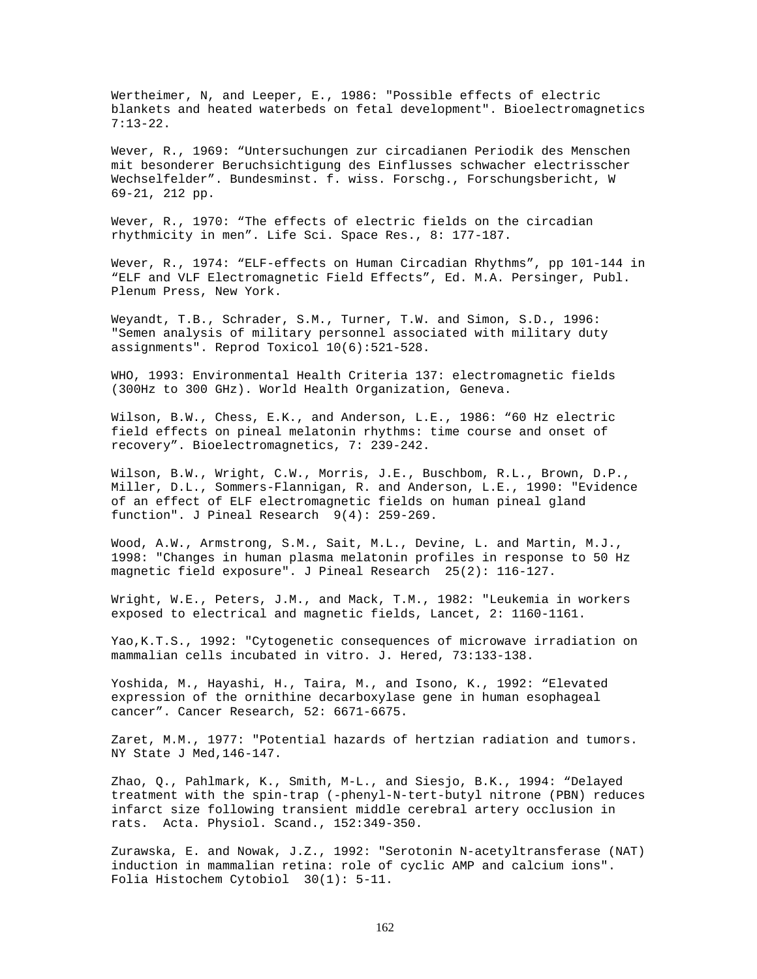Wertheimer, N, and Leeper, E., 1986: "Possible effects of electric blankets and heated waterbeds on fetal development". Bioelectromagnetics 7:13-22.

Wever, R., 1969: "Untersuchungen zur circadianen Periodik des Menschen mit besonderer Beruchsichtigung des Einflusses schwacher electrisscher Wechselfelder". Bundesminst. f. wiss. Forschg., Forschungsbericht, W 69-21, 212 pp.

Wever, R., 1970: "The effects of electric fields on the circadian rhythmicity in men". Life Sci. Space Res., 8: 177-187.

Wever, R., 1974: "ELF-effects on Human Circadian Rhythms", pp 101-144 in "ELF and VLF Electromagnetic Field Effects", Ed. M.A. Persinger, Publ. Plenum Press, New York.

Weyandt, T.B., Schrader, S.M., Turner, T.W. and Simon, S.D., 1996: "Semen analysis of military personnel associated with military duty assignments". Reprod Toxicol 10(6):521-528.

WHO, 1993: Environmental Health Criteria 137: electromagnetic fields (300Hz to 300 GHz). World Health Organization, Geneva.

Wilson, B.W., Chess, E.K., and Anderson, L.E., 1986: "60 Hz electric field effects on pineal melatonin rhythms: time course and onset of recovery". Bioelectromagnetics, 7: 239-242.

Wilson, B.W., Wright, C.W., Morris, J.E., Buschbom, R.L., Brown, D.P., Miller, D.L., Sommers-Flannigan, R. and Anderson, L.E., 1990: "Evidence of an effect of ELF electromagnetic fields on human pineal gland function". J Pineal Research 9(4): 259-269.

Wood, A.W., Armstrong, S.M., Sait, M.L., Devine, L. and Martin, M.J., 1998: "Changes in human plasma melatonin profiles in response to 50 Hz magnetic field exposure". J Pineal Research 25(2): 116-127.

Wright, W.E., Peters, J.M., and Mack, T.M., 1982: "Leukemia in workers exposed to electrical and magnetic fields, Lancet, 2: 1160-1161.

Yao,K.T.S., 1992: "Cytogenetic consequences of microwave irradiation on mammalian cells incubated in vitro. J. Hered, 73:133-138.

Yoshida, M., Hayashi, H., Taira, M., and Isono, K., 1992: "Elevated expression of the ornithine decarboxylase gene in human esophageal cancer". Cancer Research, 52: 6671-6675.

Zaret, M.M., 1977: "Potential hazards of hertzian radiation and tumors. NY State J Med,146-147.

Zhao, Q., Pahlmark, K., Smith, M-L., and Siesjo, B.K., 1994: "Delayed treatment with the spin-trap (-phenyl-N-tert-butyl nitrone (PBN) reduces infarct size following transient middle cerebral artery occlusion in rats. Acta. Physiol. Scand., 152:349-350.

Zurawska, E. and Nowak, J.Z., 1992: "Serotonin N-acetyltransferase (NAT) induction in mammalian retina: role of cyclic AMP and calcium ions". Folia Histochem Cytobiol 30(1): 5-11.